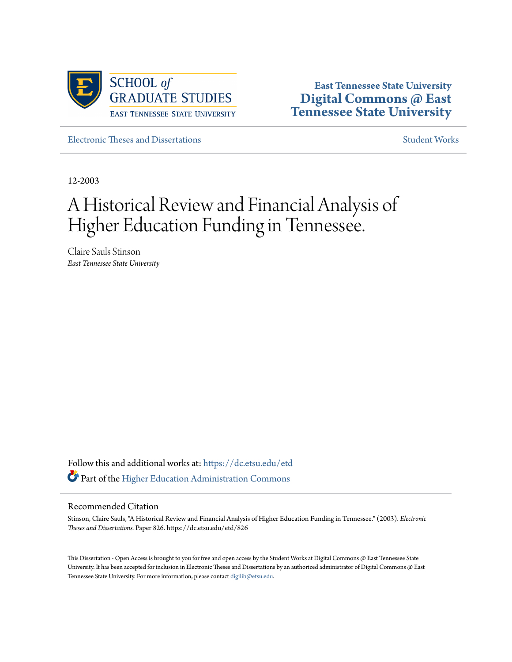

**East Tennessee State University [Digital Commons @ East](https://dc.etsu.edu?utm_source=dc.etsu.edu%2Fetd%2F826&utm_medium=PDF&utm_campaign=PDFCoverPages) [Tennessee State University](https://dc.etsu.edu?utm_source=dc.etsu.edu%2Fetd%2F826&utm_medium=PDF&utm_campaign=PDFCoverPages)**

[Electronic Theses and Dissertations](https://dc.etsu.edu/etd?utm_source=dc.etsu.edu%2Fetd%2F826&utm_medium=PDF&utm_campaign=PDFCoverPages) [Student Works](https://dc.etsu.edu/student-works?utm_source=dc.etsu.edu%2Fetd%2F826&utm_medium=PDF&utm_campaign=PDFCoverPages) Student Works Student Works

12-2003

# A Historical Review and Financial Analysis of Higher Education Funding in Tennessee.

Claire Sauls Stinson *East Tennessee State University*

Follow this and additional works at: [https://dc.etsu.edu/etd](https://dc.etsu.edu/etd?utm_source=dc.etsu.edu%2Fetd%2F826&utm_medium=PDF&utm_campaign=PDFCoverPages) Part of the [Higher Education Administration Commons](http://network.bepress.com/hgg/discipline/791?utm_source=dc.etsu.edu%2Fetd%2F826&utm_medium=PDF&utm_campaign=PDFCoverPages)

#### Recommended Citation

Stinson, Claire Sauls, "A Historical Review and Financial Analysis of Higher Education Funding in Tennessee." (2003). *Electronic Theses and Dissertations.* Paper 826. https://dc.etsu.edu/etd/826

This Dissertation - Open Access is brought to you for free and open access by the Student Works at Digital Commons @ East Tennessee State University. It has been accepted for inclusion in Electronic Theses and Dissertations by an authorized administrator of Digital Commons @ East Tennessee State University. For more information, please contact [digilib@etsu.edu.](mailto:digilib@etsu.edu)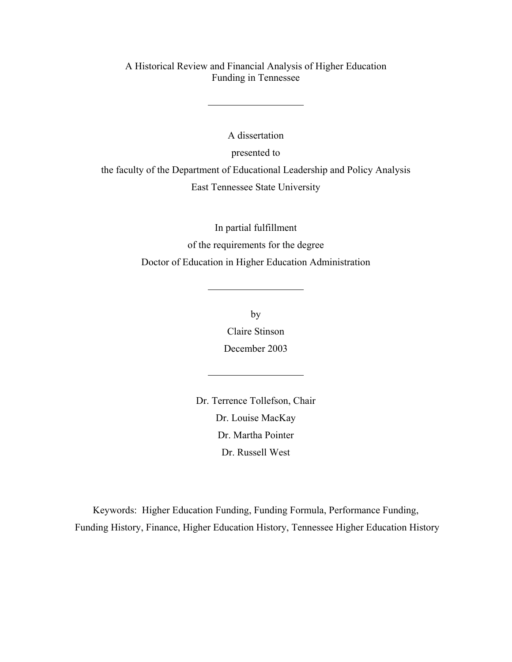A Historical Review and Financial Analysis of Higher Education Funding in Tennessee

A dissertation presented to the faculty of the Department of Educational Leadership and Policy Analysis East Tennessee State University

> In partial fulfillment of the requirements for the degree Doctor of Education in Higher Education Administration

> > by Claire Stinson December 2003

Dr. Terrence Tollefson, Chair Dr. Louise MacKay Dr. Martha Pointer Dr. Russell West

Keywords: Higher Education Funding, Funding Formula, Performance Funding, Funding History, Finance, Higher Education History, Tennessee Higher Education History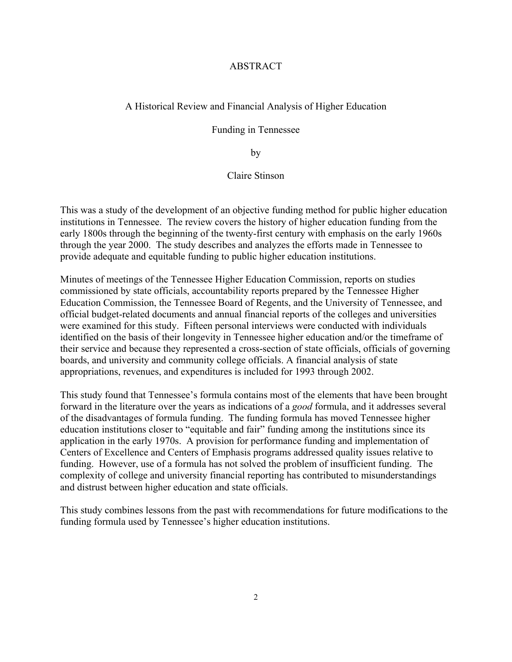### ABSTRACT

## A Historical Review and Financial Analysis of Higher Education

Funding in Tennessee

by

Claire Stinson

This was a study of the development of an objective funding method for public higher education institutions in Tennessee. The review covers the history of higher education funding from the early 1800s through the beginning of the twenty-first century with emphasis on the early 1960s through the year 2000. The study describes and analyzes the efforts made in Tennessee to provide adequate and equitable funding to public higher education institutions.

Minutes of meetings of the Tennessee Higher Education Commission, reports on studies commissioned by state officials, accountability reports prepared by the Tennessee Higher Education Commission, the Tennessee Board of Regents, and the University of Tennessee, and official budget-related documents and annual financial reports of the colleges and universities were examined for this study. Fifteen personal interviews were conducted with individuals identified on the basis of their longevity in Tennessee higher education and/or the timeframe of their service and because they represented a cross-section of state officials, officials of governing boards, and university and community college officials. A financial analysis of state appropriations, revenues, and expenditures is included for 1993 through 2002.

This study found that Tennessee's formula contains most of the elements that have been brought forward in the literature over the years as indications of a *good* formula, and it addresses several of the disadvantages of formula funding. The funding formula has moved Tennessee higher education institutions closer to "equitable and fair" funding among the institutions since its application in the early 1970s. A provision for performance funding and implementation of Centers of Excellence and Centers of Emphasis programs addressed quality issues relative to funding. However, use of a formula has not solved the problem of insufficient funding. The complexity of college and university financial reporting has contributed to misunderstandings and distrust between higher education and state officials.

This study combines lessons from the past with recommendations for future modifications to the funding formula used by Tennessee's higher education institutions.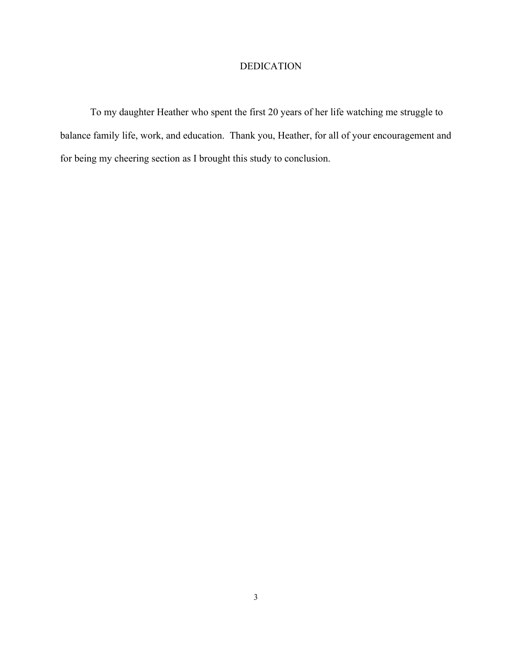# DEDICATION

To my daughter Heather who spent the first 20 years of her life watching me struggle to balance family life, work, and education. Thank you, Heather, for all of your encouragement and for being my cheering section as I brought this study to conclusion.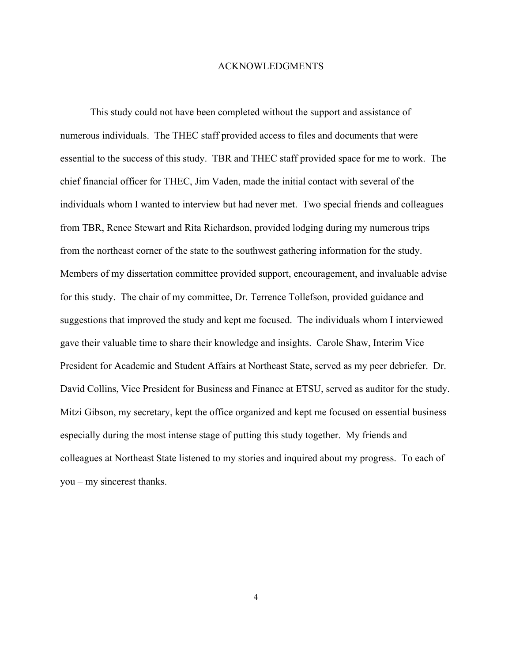#### ACKNOWLEDGMENTS

This study could not have been completed without the support and assistance of numerous individuals. The THEC staff provided access to files and documents that were essential to the success of this study. TBR and THEC staff provided space for me to work. The chief financial officer for THEC, Jim Vaden, made the initial contact with several of the individuals whom I wanted to interview but had never met. Two special friends and colleagues from TBR, Renee Stewart and Rita Richardson, provided lodging during my numerous trips from the northeast corner of the state to the southwest gathering information for the study. Members of my dissertation committee provided support, encouragement, and invaluable advise for this study. The chair of my committee, Dr. Terrence Tollefson, provided guidance and suggestions that improved the study and kept me focused. The individuals whom I interviewed gave their valuable time to share their knowledge and insights. Carole Shaw, Interim Vice President for Academic and Student Affairs at Northeast State, served as my peer debriefer. Dr. David Collins, Vice President for Business and Finance at ETSU, served as auditor for the study. Mitzi Gibson, my secretary, kept the office organized and kept me focused on essential business especially during the most intense stage of putting this study together. My friends and colleagues at Northeast State listened to my stories and inquired about my progress. To each of you – my sincerest thanks.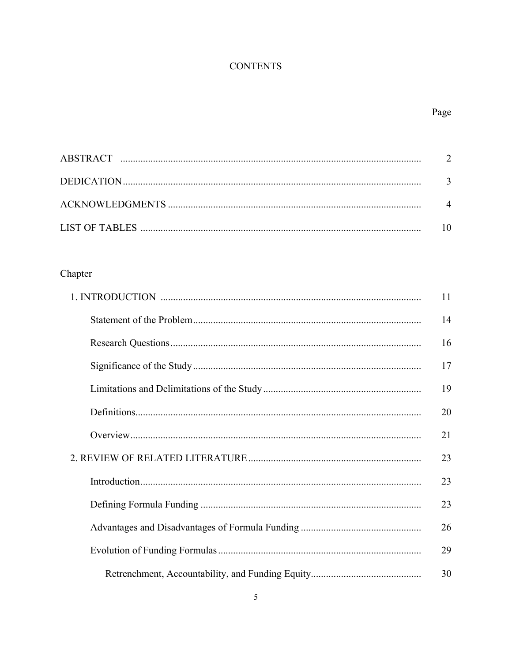# **CONTENTS**

# Page

# Chapter

|  | 14 |
|--|----|
|  | 16 |
|  | 17 |
|  | 19 |
|  | 20 |
|  | 21 |
|  | 23 |
|  | 23 |
|  | 23 |
|  | 26 |
|  | 29 |
|  | 30 |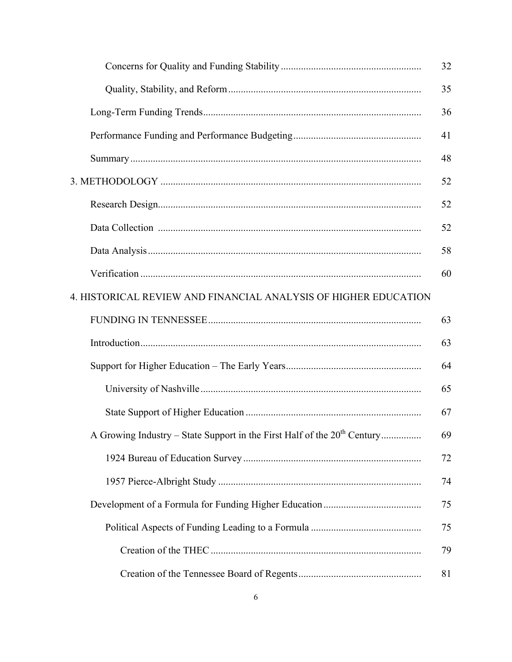|                                                                                      | 32 |
|--------------------------------------------------------------------------------------|----|
|                                                                                      | 35 |
|                                                                                      | 36 |
|                                                                                      | 41 |
|                                                                                      | 48 |
|                                                                                      | 52 |
|                                                                                      | 52 |
|                                                                                      | 52 |
|                                                                                      | 58 |
|                                                                                      | 60 |
| 4. HISTORICAL REVIEW AND FINANCIAL ANALYSIS OF HIGHER EDUCATION                      |    |
|                                                                                      | 63 |
|                                                                                      | 63 |
|                                                                                      | 64 |
|                                                                                      | 65 |
|                                                                                      | 67 |
| A Growing Industry – State Support in the First Half of the 20 <sup>th</sup> Century | 69 |
|                                                                                      | 72 |
|                                                                                      | 74 |
|                                                                                      | 75 |
|                                                                                      | 75 |
|                                                                                      | 79 |
|                                                                                      | 81 |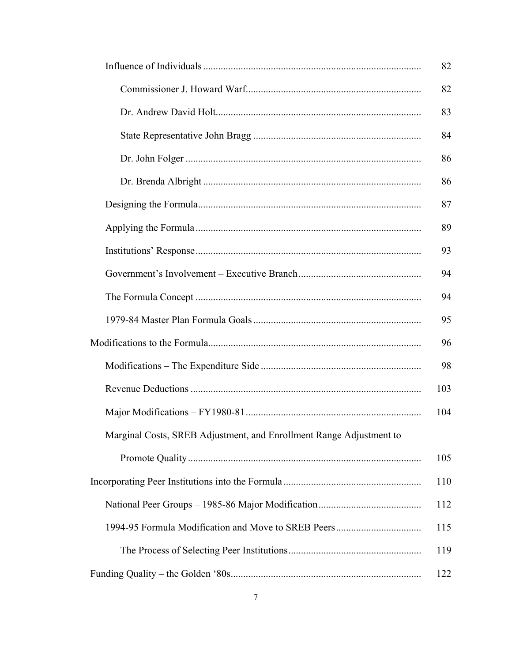|                                                                     | 82  |
|---------------------------------------------------------------------|-----|
|                                                                     | 82  |
|                                                                     | 83  |
|                                                                     | 84  |
|                                                                     | 86  |
|                                                                     | 86  |
|                                                                     | 87  |
|                                                                     | 89  |
|                                                                     | 93  |
|                                                                     | 94  |
|                                                                     | 94  |
|                                                                     | 95  |
|                                                                     |     |
|                                                                     | 98  |
|                                                                     | 103 |
|                                                                     | 104 |
| Marginal Costs, SREB Adjustment, and Enrollment Range Adjustment to |     |
|                                                                     | 105 |
|                                                                     | 110 |
|                                                                     | 112 |
|                                                                     | 115 |
|                                                                     | 119 |
|                                                                     | 122 |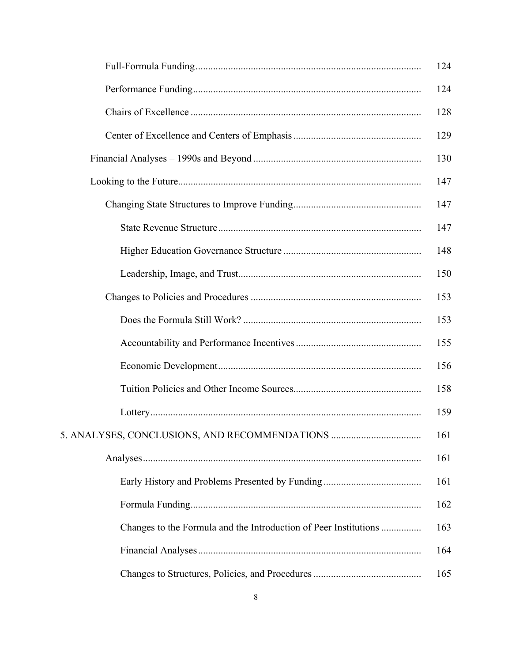|                                                                  | 124 |
|------------------------------------------------------------------|-----|
|                                                                  | 124 |
|                                                                  | 128 |
|                                                                  | 129 |
|                                                                  | 130 |
|                                                                  | 147 |
|                                                                  | 147 |
|                                                                  | 147 |
|                                                                  | 148 |
|                                                                  | 150 |
|                                                                  | 153 |
|                                                                  | 153 |
|                                                                  | 155 |
|                                                                  | 156 |
|                                                                  | 158 |
|                                                                  | 159 |
| 5. ANALYSES, CONCLUSIONS, AND RECOMMENDATIONS                    | 161 |
|                                                                  | 161 |
|                                                                  | 161 |
|                                                                  | 162 |
| Changes to the Formula and the Introduction of Peer Institutions | 163 |
|                                                                  | 164 |
|                                                                  | 165 |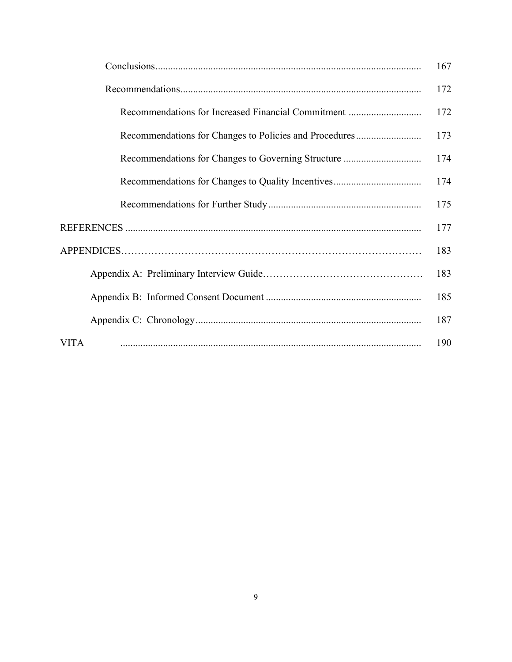|             | 167 |
|-------------|-----|
|             | 172 |
|             | 172 |
|             | 173 |
|             | 174 |
|             | 174 |
|             | 175 |
|             | 177 |
|             | 183 |
|             | 183 |
|             | 185 |
|             | 187 |
| <b>VITA</b> | 190 |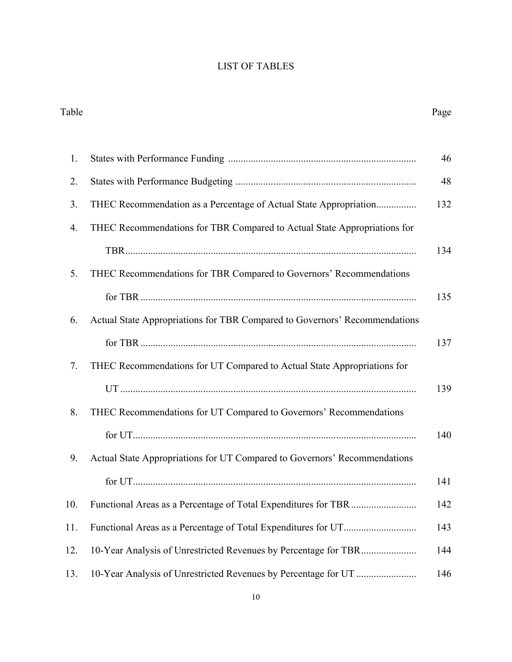# LIST OF TABLES

| Table |                                                                            | Page |
|-------|----------------------------------------------------------------------------|------|
| 1.    |                                                                            | 46   |
| 2.    |                                                                            | 48   |
| 3.    | THEC Recommendation as a Percentage of Actual State Appropriation          | 132  |
| 4.    | THEC Recommendations for TBR Compared to Actual State Appropriations for   |      |
|       |                                                                            | 134  |
| 5.    | THEC Recommendations for TBR Compared to Governors' Recommendations        |      |
|       |                                                                            | 135  |
| 6.    | Actual State Appropriations for TBR Compared to Governors' Recommendations |      |
|       |                                                                            | 137  |
| 7.    | THEC Recommendations for UT Compared to Actual State Appropriations for    |      |
|       |                                                                            | 139  |
| 8.    | THEC Recommendations for UT Compared to Governors' Recommendations         |      |
|       |                                                                            | 140  |
| 9.    | Actual State Appropriations for UT Compared to Governors' Recommendations  |      |
|       |                                                                            | 141  |
| 10.   |                                                                            | 142  |
| 11.   |                                                                            | 143  |
| 12.   |                                                                            | 144  |
| 13.   |                                                                            | 146  |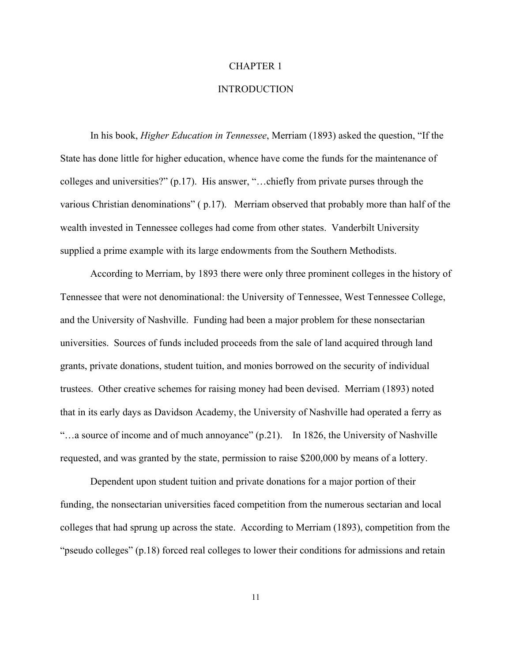#### CHAPTER 1

# **INTRODUCTION**

In his book, *Higher Education in Tennessee*, Merriam (1893) asked the question, "If the State has done little for higher education, whence have come the funds for the maintenance of colleges and universities?" (p.17). His answer, "…chiefly from private purses through the various Christian denominations" ( p.17). Merriam observed that probably more than half of the wealth invested in Tennessee colleges had come from other states. Vanderbilt University supplied a prime example with its large endowments from the Southern Methodists.

According to Merriam, by 1893 there were only three prominent colleges in the history of Tennessee that were not denominational: the University of Tennessee, West Tennessee College, and the University of Nashville. Funding had been a major problem for these nonsectarian universities. Sources of funds included proceeds from the sale of land acquired through land grants, private donations, student tuition, and monies borrowed on the security of individual trustees. Other creative schemes for raising money had been devised. Merriam (1893) noted that in its early days as Davidson Academy, the University of Nashville had operated a ferry as "…a source of income and of much annoyance" (p.21). In 1826, the University of Nashville requested, and was granted by the state, permission to raise \$200,000 by means of a lottery.

Dependent upon student tuition and private donations for a major portion of their funding, the nonsectarian universities faced competition from the numerous sectarian and local colleges that had sprung up across the state. According to Merriam (1893), competition from the "pseudo colleges" (p.18) forced real colleges to lower their conditions for admissions and retain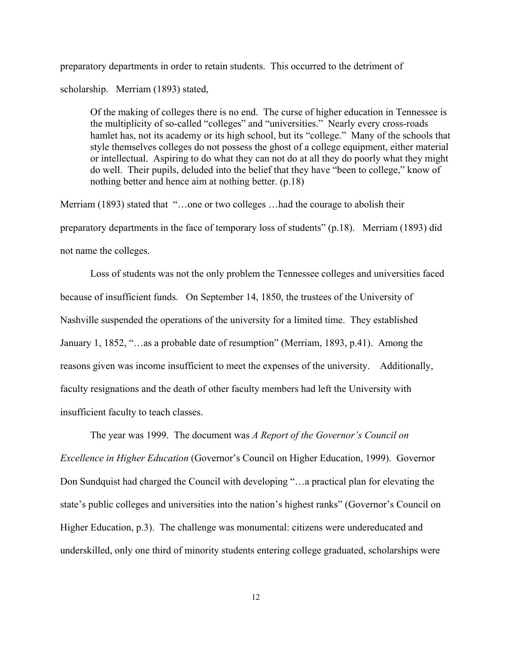preparatory departments in order to retain students. This occurred to the detriment of

scholarship. Merriam (1893) stated,

 Of the making of colleges there is no end. The curse of higher education in Tennessee is the multiplicity of so-called "colleges" and "universities." Nearly every cross-roads hamlet has, not its academy or its high school, but its "college." Many of the schools that style themselves colleges do not possess the ghost of a college equipment, either material or intellectual. Aspiring to do what they can not do at all they do poorly what they might do well. Their pupils, deluded into the belief that they have "been to college," know of nothing better and hence aim at nothing better. (p.18)

Merriam (1893) stated that "...one or two colleges ...had the courage to abolish their preparatory departments in the face of temporary loss of students" (p.18). Merriam (1893) did not name the colleges.

Loss of students was not the only problem the Tennessee colleges and universities faced because of insufficient funds. On September 14, 1850, the trustees of the University of Nashville suspended the operations of the university for a limited time. They established January 1, 1852, "…as a probable date of resumption" (Merriam, 1893, p.41). Among the reasons given was income insufficient to meet the expenses of the university. Additionally, faculty resignations and the death of other faculty members had left the University with insufficient faculty to teach classes.

The year was 1999. The document was *A Report of the Governor's Council on Excellence in Higher Education* (Governor's Council on Higher Education, 1999). Governor Don Sundquist had charged the Council with developing "…a practical plan for elevating the state's public colleges and universities into the nation's highest ranks" (Governor's Council on Higher Education, p.3). The challenge was monumental: citizens were undereducated and underskilled, only one third of minority students entering college graduated, scholarships were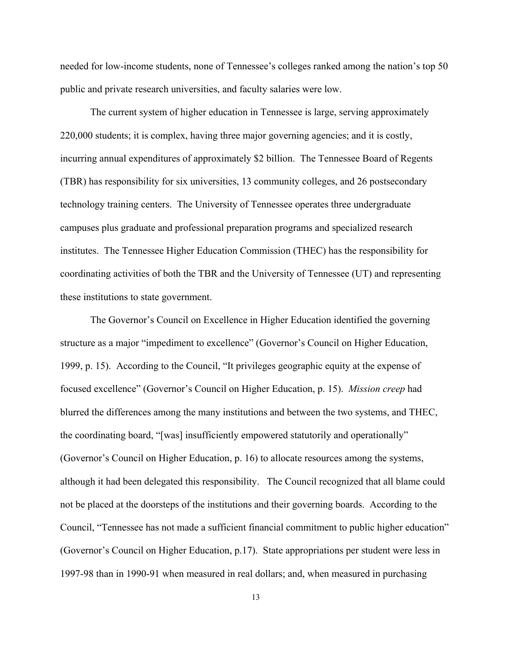needed for low-income students, none of Tennessee's colleges ranked among the nation's top 50 public and private research universities, and faculty salaries were low.

The current system of higher education in Tennessee is large, serving approximately 220,000 students; it is complex, having three major governing agencies; and it is costly, incurring annual expenditures of approximately \$2 billion. The Tennessee Board of Regents (TBR) has responsibility for six universities, 13 community colleges, and 26 postsecondary technology training centers. The University of Tennessee operates three undergraduate campuses plus graduate and professional preparation programs and specialized research institutes. The Tennessee Higher Education Commission (THEC) has the responsibility for coordinating activities of both the TBR and the University of Tennessee (UT) and representing these institutions to state government.

The Governor's Council on Excellence in Higher Education identified the governing structure as a major "impediment to excellence" (Governor's Council on Higher Education, 1999, p. 15). According to the Council, "It privileges geographic equity at the expense of focused excellence" (Governor's Council on Higher Education, p. 15). *Mission creep* had blurred the differences among the many institutions and between the two systems, and THEC, the coordinating board, "[was] insufficiently empowered statutorily and operationally" (Governor's Council on Higher Education, p. 16) to allocate resources among the systems, although it had been delegated this responsibility. The Council recognized that all blame could not be placed at the doorsteps of the institutions and their governing boards. According to the Council, "Tennessee has not made a sufficient financial commitment to public higher education" (Governor's Council on Higher Education, p.17). State appropriations per student were less in 1997-98 than in 1990-91 when measured in real dollars; and, when measured in purchasing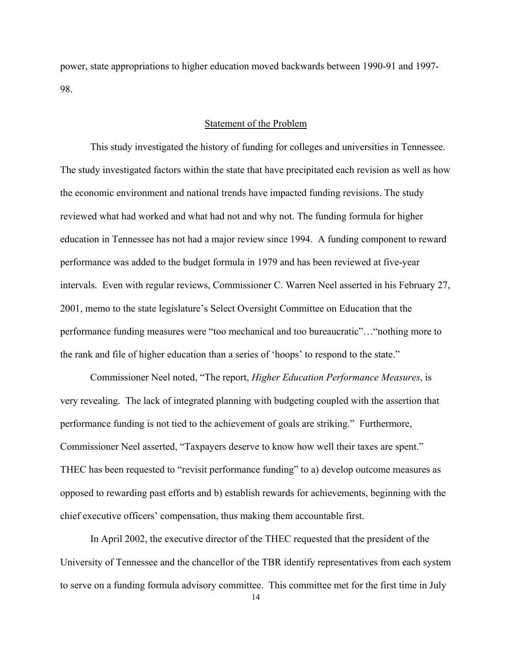power, state appropriations to higher education moved backwards between 1990-91 and 1997- 98.

#### Statement of the Problem

This study investigated the history of funding for colleges and universities in Tennessee. The study investigated factors within the state that have precipitated each revision as well as how the economic environment and national trends have impacted funding revisions. The study reviewed what had worked and what had not and why not. The funding formula for higher education in Tennessee has not had a major review since 1994. A funding component to reward performance was added to the budget formula in 1979 and has been reviewed at five-year intervals. Even with regular reviews, Commissioner C. Warren Neel asserted in his February 27, 2001, memo to the state legislature's Select Oversight Committee on Education that the performance funding measures were "too mechanical and too bureaucratic"…"nothing more to the rank and file of higher education than a series of 'hoops' to respond to the state."

Commissioner Neel noted, "The report, *Higher Education Performance Measures*, is very revealing. The lack of integrated planning with budgeting coupled with the assertion that performance funding is not tied to the achievement of goals are striking." Furthermore, Commissioner Neel asserted, "Taxpayers deserve to know how well their taxes are spent." THEC has been requested to "revisit performance funding" to a) develop outcome measures as opposed to rewarding past efforts and b) establish rewards for achievements, beginning with the chief executive officers' compensation, thus making them accountable first.

In April 2002, the executive director of the THEC requested that the president of the University of Tennessee and the chancellor of the TBR identify representatives from each system to serve on a funding formula advisory committee. This committee met for the first time in July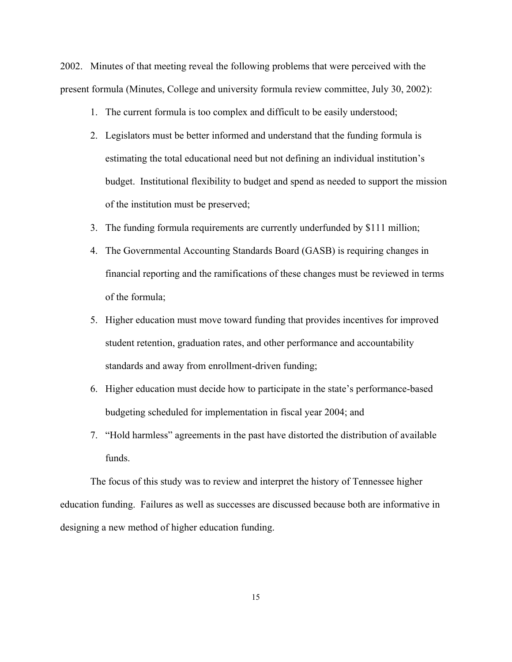2002. Minutes of that meeting reveal the following problems that were perceived with the present formula (Minutes, College and university formula review committee, July 30, 2002):

- 1. The current formula is too complex and difficult to be easily understood;
- 2. Legislators must be better informed and understand that the funding formula is estimating the total educational need but not defining an individual institution's budget. Institutional flexibility to budget and spend as needed to support the mission of the institution must be preserved;
- 3. The funding formula requirements are currently underfunded by \$111 million;
- 4. The Governmental Accounting Standards Board (GASB) is requiring changes in financial reporting and the ramifications of these changes must be reviewed in terms of the formula;
- 5. Higher education must move toward funding that provides incentives for improved student retention, graduation rates, and other performance and accountability standards and away from enrollment-driven funding;
- 6. Higher education must decide how to participate in the state's performance-based budgeting scheduled for implementation in fiscal year 2004; and
- 7. "Hold harmless" agreements in the past have distorted the distribution of available funds.

The focus of this study was to review and interpret the history of Tennessee higher education funding. Failures as well as successes are discussed because both are informative in designing a new method of higher education funding.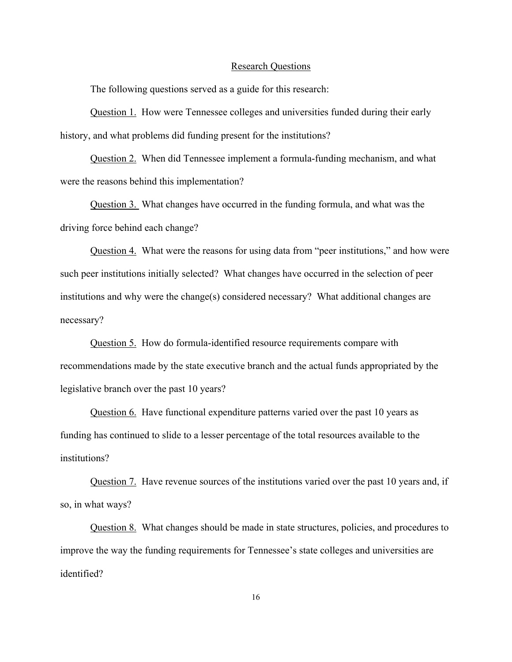#### Research Questions

The following questions served as a guide for this research:

Question 1. How were Tennessee colleges and universities funded during their early history, and what problems did funding present for the institutions?

Question 2. When did Tennessee implement a formula-funding mechanism, and what were the reasons behind this implementation?

Question 3. What changes have occurred in the funding formula, and what was the driving force behind each change?

Question 4. What were the reasons for using data from "peer institutions," and how were such peer institutions initially selected? What changes have occurred in the selection of peer institutions and why were the change(s) considered necessary? What additional changes are necessary?

Question 5. How do formula-identified resource requirements compare with recommendations made by the state executive branch and the actual funds appropriated by the legislative branch over the past 10 years?

Question 6. Have functional expenditure patterns varied over the past 10 years as funding has continued to slide to a lesser percentage of the total resources available to the institutions?

Question 7. Have revenue sources of the institutions varied over the past 10 years and, if so, in what ways?

Question 8. What changes should be made in state structures, policies, and procedures to improve the way the funding requirements for Tennessee's state colleges and universities are identified?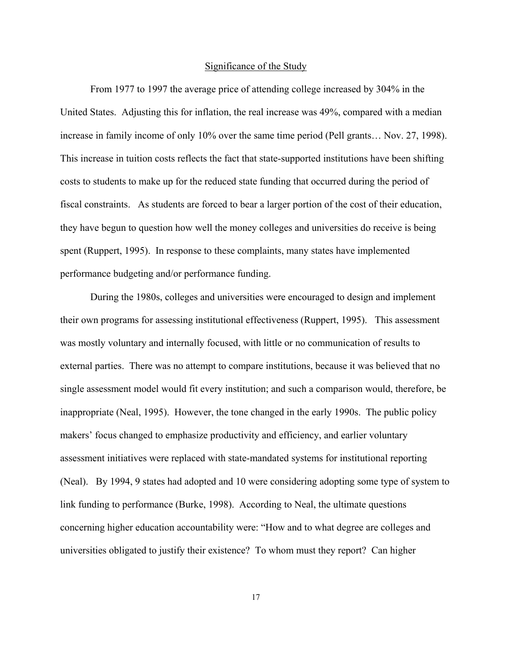#### Significance of the Study

From 1977 to 1997 the average price of attending college increased by 304% in the United States. Adjusting this for inflation, the real increase was 49%, compared with a median increase in family income of only 10% over the same time period (Pell grants… Nov. 27, 1998). This increase in tuition costs reflects the fact that state-supported institutions have been shifting costs to students to make up for the reduced state funding that occurred during the period of fiscal constraints. As students are forced to bear a larger portion of the cost of their education, they have begun to question how well the money colleges and universities do receive is being spent (Ruppert, 1995). In response to these complaints, many states have implemented performance budgeting and/or performance funding.

During the 1980s, colleges and universities were encouraged to design and implement their own programs for assessing institutional effectiveness (Ruppert, 1995). This assessment was mostly voluntary and internally focused, with little or no communication of results to external parties. There was no attempt to compare institutions, because it was believed that no single assessment model would fit every institution; and such a comparison would, therefore, be inappropriate (Neal, 1995). However, the tone changed in the early 1990s. The public policy makers' focus changed to emphasize productivity and efficiency, and earlier voluntary assessment initiatives were replaced with state-mandated systems for institutional reporting (Neal). By 1994, 9 states had adopted and 10 were considering adopting some type of system to link funding to performance (Burke, 1998). According to Neal, the ultimate questions concerning higher education accountability were: "How and to what degree are colleges and universities obligated to justify their existence? To whom must they report? Can higher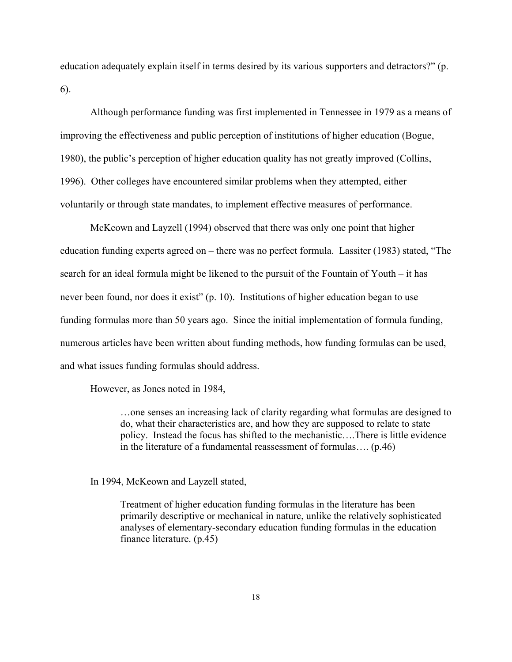education adequately explain itself in terms desired by its various supporters and detractors?" (p. 6).

Although performance funding was first implemented in Tennessee in 1979 as a means of improving the effectiveness and public perception of institutions of higher education (Bogue, 1980), the public's perception of higher education quality has not greatly improved (Collins, 1996). Other colleges have encountered similar problems when they attempted, either voluntarily or through state mandates, to implement effective measures of performance.

McKeown and Layzell (1994) observed that there was only one point that higher education funding experts agreed on – there was no perfect formula. Lassiter (1983) stated, "The search for an ideal formula might be likened to the pursuit of the Fountain of Youth – it has never been found, nor does it exist" (p. 10). Institutions of higher education began to use funding formulas more than 50 years ago. Since the initial implementation of formula funding, numerous articles have been written about funding methods, how funding formulas can be used, and what issues funding formulas should address.

However, as Jones noted in 1984,

…one senses an increasing lack of clarity regarding what formulas are designed to do, what their characteristics are, and how they are supposed to relate to state policy. Instead the focus has shifted to the mechanistic….There is little evidence in the literature of a fundamental reassessment of formulas…. (p.46)

In 1994, McKeown and Layzell stated,

Treatment of higher education funding formulas in the literature has been primarily descriptive or mechanical in nature, unlike the relatively sophisticated analyses of elementary-secondary education funding formulas in the education finance literature. (p.45)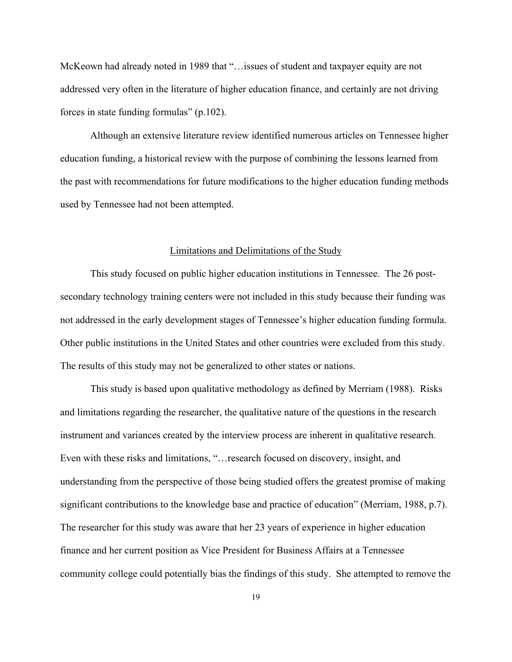McKeown had already noted in 1989 that "…issues of student and taxpayer equity are not addressed very often in the literature of higher education finance, and certainly are not driving forces in state funding formulas" (p.102).

Although an extensive literature review identified numerous articles on Tennessee higher education funding, a historical review with the purpose of combining the lessons learned from the past with recommendations for future modifications to the higher education funding methods used by Tennessee had not been attempted.

#### Limitations and Delimitations of the Study

This study focused on public higher education institutions in Tennessee. The 26 postsecondary technology training centers were not included in this study because their funding was not addressed in the early development stages of Tennessee's higher education funding formula. Other public institutions in the United States and other countries were excluded from this study. The results of this study may not be generalized to other states or nations.

This study is based upon qualitative methodology as defined by Merriam (1988). Risks and limitations regarding the researcher, the qualitative nature of the questions in the research instrument and variances created by the interview process are inherent in qualitative research. Even with these risks and limitations, "…research focused on discovery, insight, and understanding from the perspective of those being studied offers the greatest promise of making significant contributions to the knowledge base and practice of education" (Merriam, 1988, p.7). The researcher for this study was aware that her 23 years of experience in higher education finance and her current position as Vice President for Business Affairs at a Tennessee community college could potentially bias the findings of this study. She attempted to remove the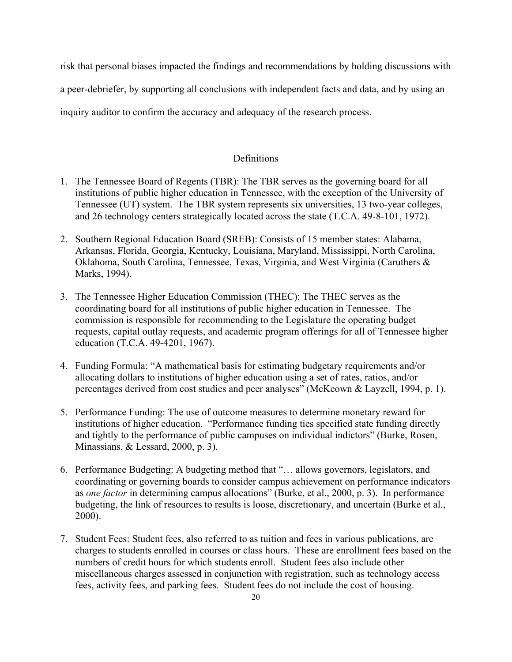risk that personal biases impacted the findings and recommendations by holding discussions with

a peer-debriefer, by supporting all conclusions with independent facts and data, and by using an

inquiry auditor to confirm the accuracy and adequacy of the research process.

### Definitions

- 1. The Tennessee Board of Regents (TBR): The TBR serves as the governing board for all institutions of public higher education in Tennessee, with the exception of the University of Tennessee (UT) system. The TBR system represents six universities, 13 two-year colleges, and 26 technology centers strategically located across the state (T.C.A. 49-8-101, 1972).
- 2. Southern Regional Education Board (SREB): Consists of 15 member states: Alabama, Arkansas, Florida, Georgia, Kentucky, Louisiana, Maryland, Mississippi, North Carolina, Oklahoma, South Carolina, Tennessee, Texas, Virginia, and West Virginia (Caruthers & Marks, 1994).
- 3. The Tennessee Higher Education Commission (THEC): The THEC serves as the coordinating board for all institutions of public higher education in Tennessee. The commission is responsible for recommending to the Legislature the operating budget requests, capital outlay requests, and academic program offerings for all of Tennessee higher education (T.C.A. 49-4201, 1967).
- 4. Funding Formula: "A mathematical basis for estimating budgetary requirements and/or allocating dollars to institutions of higher education using a set of rates, ratios, and/or percentages derived from cost studies and peer analyses" (McKeown & Layzell, 1994, p. 1).
- 5. Performance Funding: The use of outcome measures to determine monetary reward for institutions of higher education. "Performance funding ties specified state funding directly and tightly to the performance of public campuses on individual indictors" (Burke, Rosen, Minassians, & Lessard, 2000, p. 3).
- 6. Performance Budgeting: A budgeting method that "… allows governors, legislators, and coordinating or governing boards to consider campus achievement on performance indicators as *one factor* in determining campus allocations" (Burke, et al., 2000, p. 3). In performance budgeting, the link of resources to results is loose, discretionary, and uncertain (Burke et al., 2000).
- 7. Student Fees: Student fees, also referred to as tuition and fees in various publications, are charges to students enrolled in courses or class hours. These are enrollment fees based on the numbers of credit hours for which students enroll. Student fees also include other miscellaneous charges assessed in conjunction with registration, such as technology access fees, activity fees, and parking fees. Student fees do not include the cost of housing.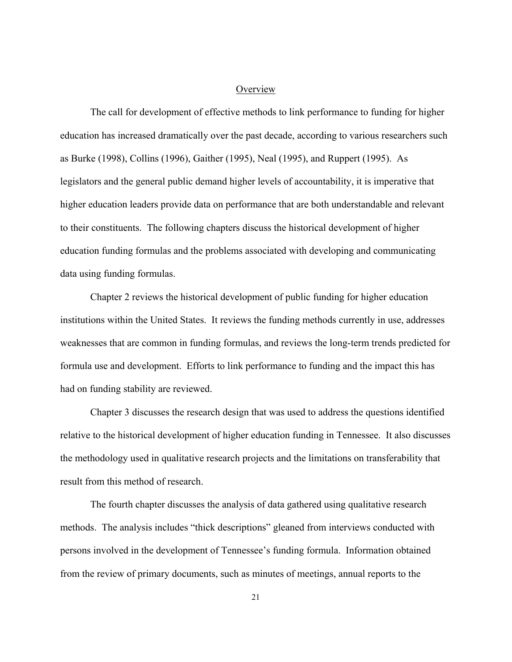#### **Overview**

The call for development of effective methods to link performance to funding for higher education has increased dramatically over the past decade, according to various researchers such as Burke (1998), Collins (1996), Gaither (1995), Neal (1995), and Ruppert (1995). As legislators and the general public demand higher levels of accountability, it is imperative that higher education leaders provide data on performance that are both understandable and relevant to their constituents. The following chapters discuss the historical development of higher education funding formulas and the problems associated with developing and communicating data using funding formulas.

Chapter 2 reviews the historical development of public funding for higher education institutions within the United States. It reviews the funding methods currently in use, addresses weaknesses that are common in funding formulas, and reviews the long-term trends predicted for formula use and development. Efforts to link performance to funding and the impact this has had on funding stability are reviewed.

Chapter 3 discusses the research design that was used to address the questions identified relative to the historical development of higher education funding in Tennessee. It also discusses the methodology used in qualitative research projects and the limitations on transferability that result from this method of research.

The fourth chapter discusses the analysis of data gathered using qualitative research methods. The analysis includes "thick descriptions" gleaned from interviews conducted with persons involved in the development of Tennessee's funding formula. Information obtained from the review of primary documents, such as minutes of meetings, annual reports to the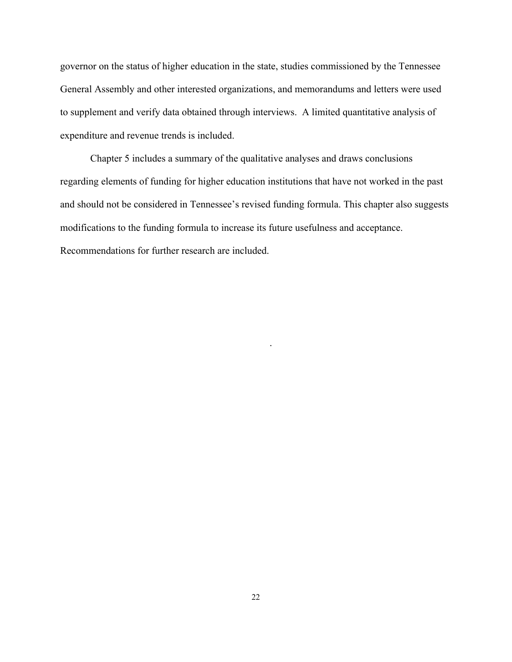governor on the status of higher education in the state, studies commissioned by the Tennessee General Assembly and other interested organizations, and memorandums and letters were used to supplement and verify data obtained through interviews. A limited quantitative analysis of expenditure and revenue trends is included.

Chapter 5 includes a summary of the qualitative analyses and draws conclusions regarding elements of funding for higher education institutions that have not worked in the past and should not be considered in Tennessee's revised funding formula. This chapter also suggests modifications to the funding formula to increase its future usefulness and acceptance. Recommendations for further research are included.

.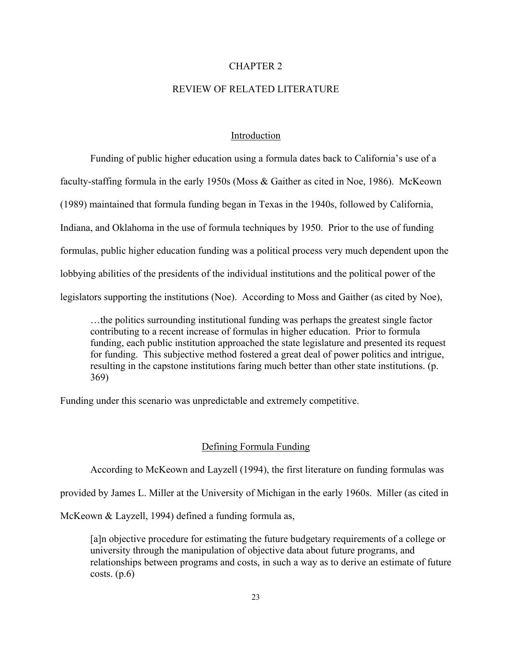#### CHAPTER 2

# REVIEW OF RELATED LITERATURE

#### Introduction

Funding of public higher education using a formula dates back to California's use of a faculty-staffing formula in the early 1950s (Moss & Gaither as cited in Noe, 1986). McKeown (1989) maintained that formula funding began in Texas in the 1940s, followed by California, Indiana, and Oklahoma in the use of formula techniques by 1950. Prior to the use of funding formulas, public higher education funding was a political process very much dependent upon the lobbying abilities of the presidents of the individual institutions and the political power of the legislators supporting the institutions (Noe). According to Moss and Gaither (as cited by Noe),

…the politics surrounding institutional funding was perhaps the greatest single factor contributing to a recent increase of formulas in higher education. Prior to formula funding, each public institution approached the state legislature and presented its request for funding. This subjective method fostered a great deal of power politics and intrigue, resulting in the capstone institutions faring much better than other state institutions. (p. 369)

Funding under this scenario was unpredictable and extremely competitive.

# Defining Formula Funding

According to McKeown and Layzell (1994), the first literature on funding formulas was

provided by James L. Miller at the University of Michigan in the early 1960s. Miller (as cited in

McKeown & Layzell, 1994) defined a funding formula as,

 [a]n objective procedure for estimating the future budgetary requirements of a college or university through the manipulation of objective data about future programs, and relationships between programs and costs, in such a way as to derive an estimate of future costs.  $(p.6)$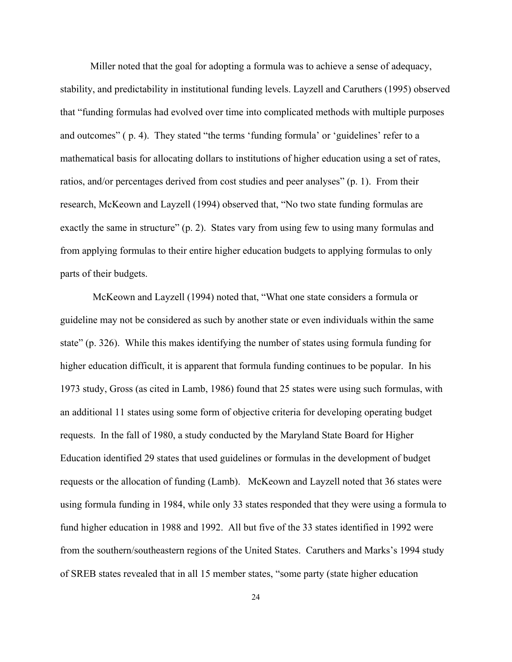Miller noted that the goal for adopting a formula was to achieve a sense of adequacy, stability, and predictability in institutional funding levels. Layzell and Caruthers (1995) observed that "funding formulas had evolved over time into complicated methods with multiple purposes and outcomes" ( p. 4). They stated "the terms 'funding formula' or 'guidelines' refer to a mathematical basis for allocating dollars to institutions of higher education using a set of rates, ratios, and/or percentages derived from cost studies and peer analyses" (p. 1). From their research, McKeown and Layzell (1994) observed that, "No two state funding formulas are exactly the same in structure" (p. 2). States vary from using few to using many formulas and from applying formulas to their entire higher education budgets to applying formulas to only parts of their budgets.

 McKeown and Layzell (1994) noted that, "What one state considers a formula or guideline may not be considered as such by another state or even individuals within the same state" (p. 326). While this makes identifying the number of states using formula funding for higher education difficult, it is apparent that formula funding continues to be popular. In his 1973 study, Gross (as cited in Lamb, 1986) found that 25 states were using such formulas, with an additional 11 states using some form of objective criteria for developing operating budget requests. In the fall of 1980, a study conducted by the Maryland State Board for Higher Education identified 29 states that used guidelines or formulas in the development of budget requests or the allocation of funding (Lamb). McKeown and Layzell noted that 36 states were using formula funding in 1984, while only 33 states responded that they were using a formula to fund higher education in 1988 and 1992. All but five of the 33 states identified in 1992 were from the southern/southeastern regions of the United States. Caruthers and Marks's 1994 study of SREB states revealed that in all 15 member states, "some party (state higher education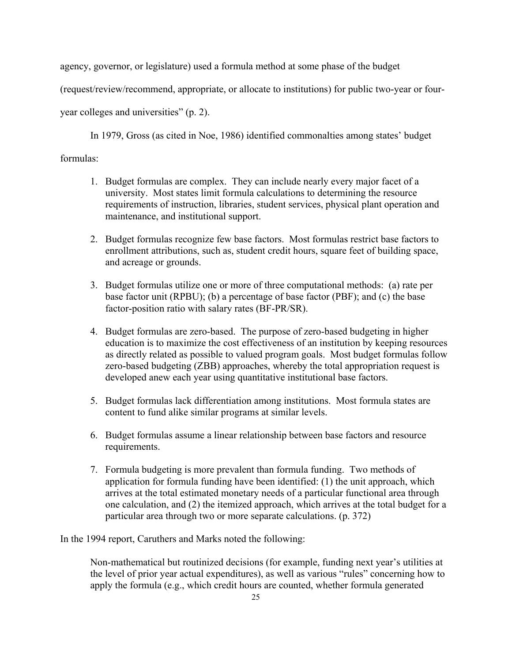agency, governor, or legislature) used a formula method at some phase of the budget

(request/review/recommend, appropriate, or allocate to institutions) for public two-year or four-

year colleges and universities" (p. 2).

In 1979, Gross (as cited in Noe, 1986) identified commonalties among states' budget

# formulas:

- 1. Budget formulas are complex. They can include nearly every major facet of a university. Most states limit formula calculations to determining the resource requirements of instruction, libraries, student services, physical plant operation and maintenance, and institutional support.
- 2. Budget formulas recognize few base factors. Most formulas restrict base factors to enrollment attributions, such as, student credit hours, square feet of building space, and acreage or grounds.
- 3. Budget formulas utilize one or more of three computational methods: (a) rate per base factor unit (RPBU); (b) a percentage of base factor (PBF); and (c) the base factor-position ratio with salary rates (BF-PR/SR).
- 4. Budget formulas are zero-based. The purpose of zero-based budgeting in higher education is to maximize the cost effectiveness of an institution by keeping resources as directly related as possible to valued program goals. Most budget formulas follow zero-based budgeting (ZBB) approaches, whereby the total appropriation request is developed anew each year using quantitative institutional base factors.
- 5. Budget formulas lack differentiation among institutions. Most formula states are content to fund alike similar programs at similar levels.
- 6. Budget formulas assume a linear relationship between base factors and resource requirements.
- 7. Formula budgeting is more prevalent than formula funding. Two methods of application for formula funding have been identified: (1) the unit approach, which arrives at the total estimated monetary needs of a particular functional area through one calculation, and (2) the itemized approach, which arrives at the total budget for a particular area through two or more separate calculations. (p. 372)

In the 1994 report, Caruthers and Marks noted the following:

 Non-mathematical but routinized decisions (for example, funding next year's utilities at the level of prior year actual expenditures), as well as various "rules" concerning how to apply the formula (e.g., which credit hours are counted, whether formula generated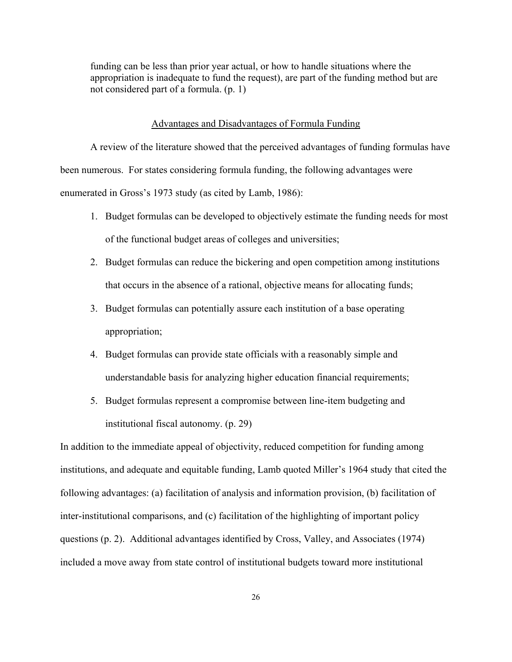funding can be less than prior year actual, or how to handle situations where the appropriation is inadequate to fund the request), are part of the funding method but are not considered part of a formula. (p. 1)

#### Advantages and Disadvantages of Formula Funding

A review of the literature showed that the perceived advantages of funding formulas have been numerous. For states considering formula funding, the following advantages were enumerated in Gross's 1973 study (as cited by Lamb, 1986):

- 1. Budget formulas can be developed to objectively estimate the funding needs for most of the functional budget areas of colleges and universities;
- 2. Budget formulas can reduce the bickering and open competition among institutions that occurs in the absence of a rational, objective means for allocating funds;
- 3. Budget formulas can potentially assure each institution of a base operating appropriation;
- 4. Budget formulas can provide state officials with a reasonably simple and understandable basis for analyzing higher education financial requirements;
- 5. Budget formulas represent a compromise between line-item budgeting and institutional fiscal autonomy. (p. 29)

In addition to the immediate appeal of objectivity, reduced competition for funding among institutions, and adequate and equitable funding, Lamb quoted Miller's 1964 study that cited the following advantages: (a) facilitation of analysis and information provision, (b) facilitation of inter-institutional comparisons, and (c) facilitation of the highlighting of important policy questions (p. 2). Additional advantages identified by Cross, Valley, and Associates (1974) included a move away from state control of institutional budgets toward more institutional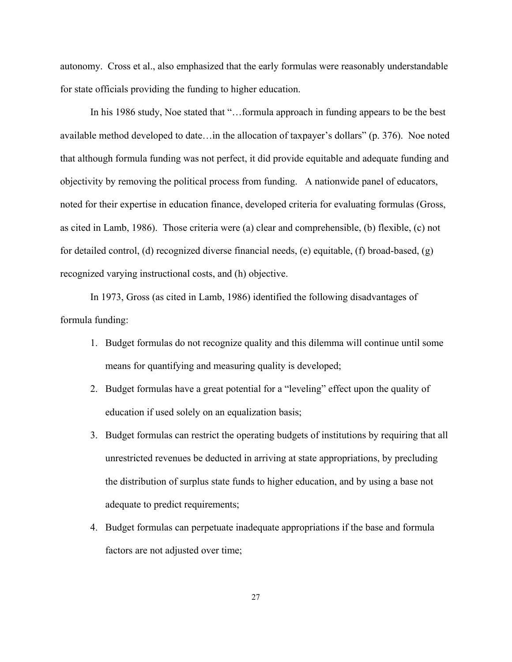autonomy. Cross et al., also emphasized that the early formulas were reasonably understandable for state officials providing the funding to higher education.

In his 1986 study, Noe stated that "...formula approach in funding appears to be the best available method developed to date…in the allocation of taxpayer's dollars" (p. 376). Noe noted that although formula funding was not perfect, it did provide equitable and adequate funding and objectivity by removing the political process from funding. A nationwide panel of educators, noted for their expertise in education finance, developed criteria for evaluating formulas (Gross, as cited in Lamb, 1986). Those criteria were (a) clear and comprehensible, (b) flexible, (c) not for detailed control, (d) recognized diverse financial needs, (e) equitable, (f) broad-based, (g) recognized varying instructional costs, and (h) objective.

In 1973, Gross (as cited in Lamb, 1986) identified the following disadvantages of formula funding:

- 1. Budget formulas do not recognize quality and this dilemma will continue until some means for quantifying and measuring quality is developed;
- 2. Budget formulas have a great potential for a "leveling" effect upon the quality of education if used solely on an equalization basis;
- 3. Budget formulas can restrict the operating budgets of institutions by requiring that all unrestricted revenues be deducted in arriving at state appropriations, by precluding the distribution of surplus state funds to higher education, and by using a base not adequate to predict requirements;
- 4. Budget formulas can perpetuate inadequate appropriations if the base and formula factors are not adjusted over time;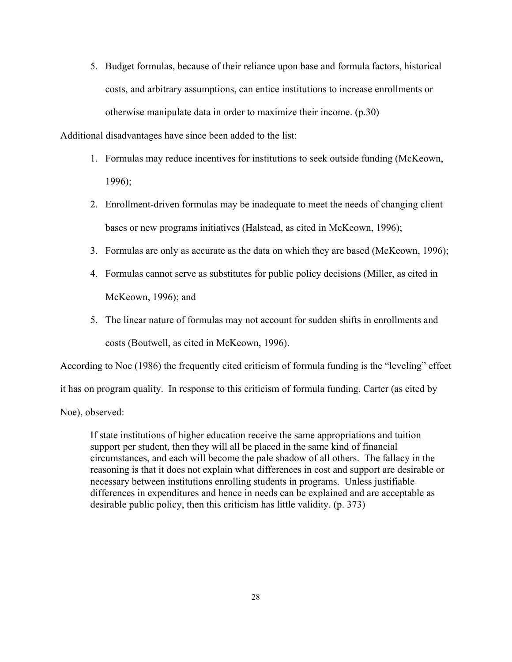5. Budget formulas, because of their reliance upon base and formula factors, historical costs, and arbitrary assumptions, can entice institutions to increase enrollments or otherwise manipulate data in order to maximize their income. (p.30)

Additional disadvantages have since been added to the list:

- 1. Formulas may reduce incentives for institutions to seek outside funding (McKeown, 1996);
- 2. Enrollment-driven formulas may be inadequate to meet the needs of changing client bases or new programs initiatives (Halstead, as cited in McKeown, 1996);
- 3. Formulas are only as accurate as the data on which they are based (McKeown, 1996);
- 4. Formulas cannot serve as substitutes for public policy decisions (Miller, as cited in McKeown, 1996); and
- 5. The linear nature of formulas may not account for sudden shifts in enrollments and costs (Boutwell, as cited in McKeown, 1996).

According to Noe (1986) the frequently cited criticism of formula funding is the "leveling" effect

it has on program quality. In response to this criticism of formula funding, Carter (as cited by

Noe), observed:

 If state institutions of higher education receive the same appropriations and tuition support per student, then they will all be placed in the same kind of financial circumstances, and each will become the pale shadow of all others. The fallacy in the reasoning is that it does not explain what differences in cost and support are desirable or necessary between institutions enrolling students in programs. Unless justifiable differences in expenditures and hence in needs can be explained and are acceptable as desirable public policy, then this criticism has little validity. (p. 373)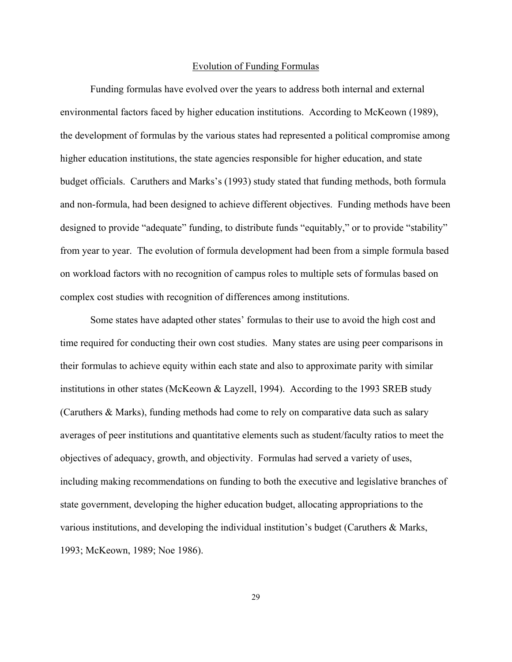#### Evolution of Funding Formulas

Funding formulas have evolved over the years to address both internal and external environmental factors faced by higher education institutions. According to McKeown (1989), the development of formulas by the various states had represented a political compromise among higher education institutions, the state agencies responsible for higher education, and state budget officials. Caruthers and Marks's (1993) study stated that funding methods, both formula and non-formula, had been designed to achieve different objectives. Funding methods have been designed to provide "adequate" funding, to distribute funds "equitably," or to provide "stability" from year to year. The evolution of formula development had been from a simple formula based on workload factors with no recognition of campus roles to multiple sets of formulas based on complex cost studies with recognition of differences among institutions.

Some states have adapted other states' formulas to their use to avoid the high cost and time required for conducting their own cost studies. Many states are using peer comparisons in their formulas to achieve equity within each state and also to approximate parity with similar institutions in other states (McKeown & Layzell, 1994). According to the 1993 SREB study (Caruthers & Marks), funding methods had come to rely on comparative data such as salary averages of peer institutions and quantitative elements such as student/faculty ratios to meet the objectives of adequacy, growth, and objectivity. Formulas had served a variety of uses, including making recommendations on funding to both the executive and legislative branches of state government, developing the higher education budget, allocating appropriations to the various institutions, and developing the individual institution's budget (Caruthers  $\&$  Marks, 1993; McKeown, 1989; Noe 1986).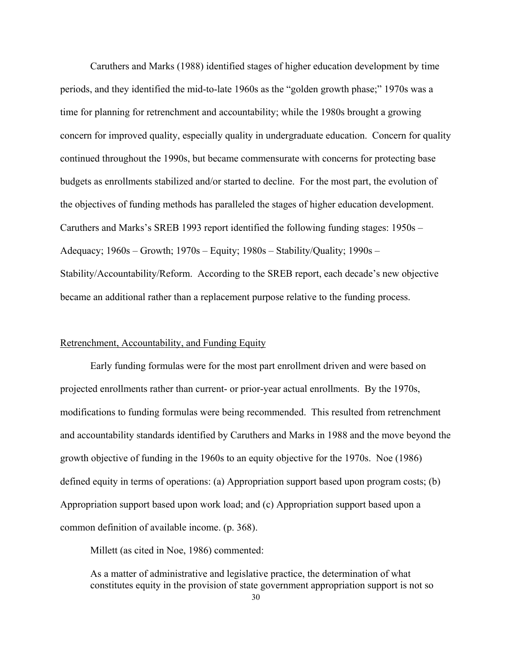Caruthers and Marks (1988) identified stages of higher education development by time periods, and they identified the mid-to-late 1960s as the "golden growth phase;" 1970s was a time for planning for retrenchment and accountability; while the 1980s brought a growing concern for improved quality, especially quality in undergraduate education. Concern for quality continued throughout the 1990s, but became commensurate with concerns for protecting base budgets as enrollments stabilized and/or started to decline. For the most part, the evolution of the objectives of funding methods has paralleled the stages of higher education development. Caruthers and Marks's SREB 1993 report identified the following funding stages: 1950s – Adequacy; 1960s – Growth; 1970s – Equity; 1980s – Stability/Quality; 1990s – Stability/Accountability/Reform. According to the SREB report, each decade's new objective became an additional rather than a replacement purpose relative to the funding process.

#### Retrenchment, Accountability, and Funding Equity

Early funding formulas were for the most part enrollment driven and were based on projected enrollments rather than current- or prior-year actual enrollments. By the 1970s, modifications to funding formulas were being recommended. This resulted from retrenchment and accountability standards identified by Caruthers and Marks in 1988 and the move beyond the growth objective of funding in the 1960s to an equity objective for the 1970s. Noe (1986) defined equity in terms of operations: (a) Appropriation support based upon program costs; (b) Appropriation support based upon work load; and (c) Appropriation support based upon a common definition of available income. (p. 368).

Millett (as cited in Noe, 1986) commented:

 As a matter of administrative and legislative practice, the determination of what constitutes equity in the provision of state government appropriation support is not so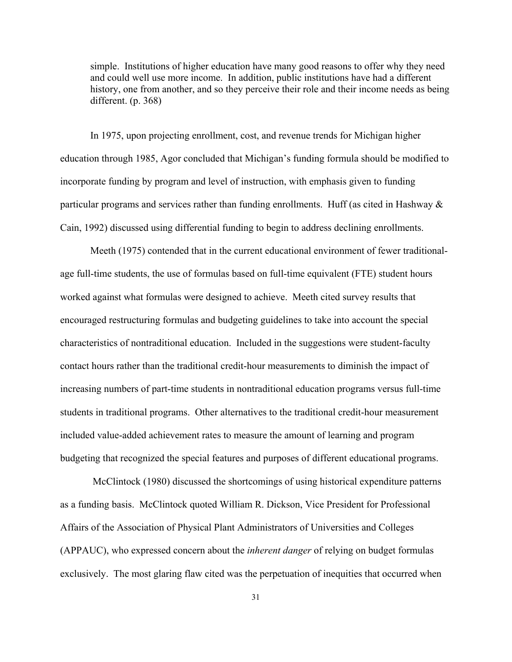simple. Institutions of higher education have many good reasons to offer why they need and could well use more income. In addition, public institutions have had a different history, one from another, and so they perceive their role and their income needs as being different. (p. 368)

In 1975, upon projecting enrollment, cost, and revenue trends for Michigan higher education through 1985, Agor concluded that Michigan's funding formula should be modified to incorporate funding by program and level of instruction, with emphasis given to funding particular programs and services rather than funding enrollments. Huff (as cited in Hashway  $\&$ Cain, 1992) discussed using differential funding to begin to address declining enrollments.

Meeth (1975) contended that in the current educational environment of fewer traditionalage full-time students, the use of formulas based on full-time equivalent (FTE) student hours worked against what formulas were designed to achieve. Meeth cited survey results that encouraged restructuring formulas and budgeting guidelines to take into account the special characteristics of nontraditional education. Included in the suggestions were student-faculty contact hours rather than the traditional credit-hour measurements to diminish the impact of increasing numbers of part-time students in nontraditional education programs versus full-time students in traditional programs. Other alternatives to the traditional credit-hour measurement included value-added achievement rates to measure the amount of learning and program budgeting that recognized the special features and purposes of different educational programs.

 McClintock (1980) discussed the shortcomings of using historical expenditure patterns as a funding basis. McClintock quoted William R. Dickson, Vice President for Professional Affairs of the Association of Physical Plant Administrators of Universities and Colleges (APPAUC), who expressed concern about the *inherent danger* of relying on budget formulas exclusively. The most glaring flaw cited was the perpetuation of inequities that occurred when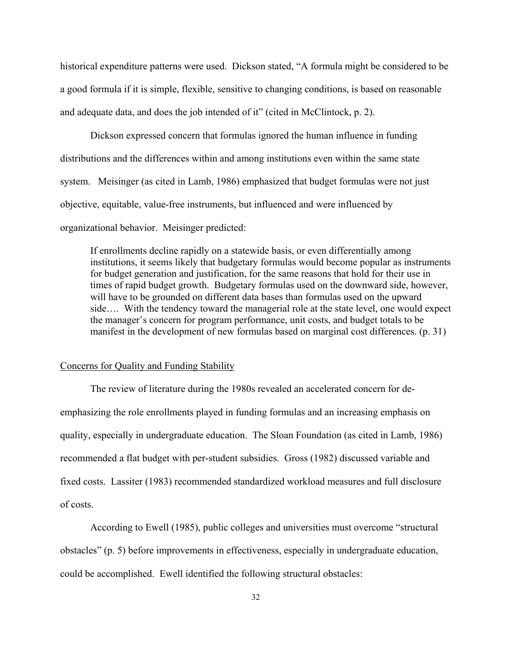historical expenditure patterns were used. Dickson stated, "A formula might be considered to be a good formula if it is simple, flexible, sensitive to changing conditions, is based on reasonable and adequate data, and does the job intended of it" (cited in McClintock, p. 2).

Dickson expressed concern that formulas ignored the human influence in funding distributions and the differences within and among institutions even within the same state system. Meisinger (as cited in Lamb, 1986) emphasized that budget formulas were not just objective, equitable, value-free instruments, but influenced and were influenced by organizational behavior. Meisinger predicted:

If enrollments decline rapidly on a statewide basis, or even differentially among institutions, it seems likely that budgetary formulas would become popular as instruments for budget generation and justification, for the same reasons that hold for their use in times of rapid budget growth. Budgetary formulas used on the downward side, however, will have to be grounded on different data bases than formulas used on the upward side…. With the tendency toward the managerial role at the state level, one would expect the manager's concern for program performance, unit costs, and budget totals to be manifest in the development of new formulas based on marginal cost differences. (p. 31)

#### Concerns for Quality and Funding Stability

The review of literature during the 1980s revealed an accelerated concern for deemphasizing the role enrollments played in funding formulas and an increasing emphasis on quality, especially in undergraduate education. The Sloan Foundation (as cited in Lamb, 1986) recommended a flat budget with per-student subsidies. Gross (1982) discussed variable and fixed costs. Lassiter (1983) recommended standardized workload measures and full disclosure of costs.

According to Ewell (1985), public colleges and universities must overcome "structural obstacles" (p. 5) before improvements in effectiveness, especially in undergraduate education, could be accomplished. Ewell identified the following structural obstacles: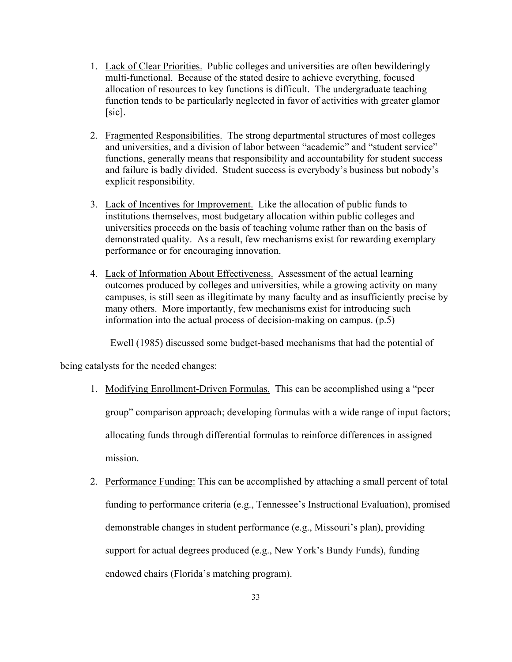- 1. Lack of Clear Priorities. Public colleges and universities are often bewilderingly multi-functional. Because of the stated desire to achieve everything, focused allocation of resources to key functions is difficult. The undergraduate teaching function tends to be particularly neglected in favor of activities with greater glamor [sic].
- 2. Fragmented Responsibilities. The strong departmental structures of most colleges and universities, and a division of labor between "academic" and "student service" functions, generally means that responsibility and accountability for student success and failure is badly divided. Student success is everybody's business but nobody's explicit responsibility.
- 3. Lack of Incentives for Improvement. Like the allocation of public funds to institutions themselves, most budgetary allocation within public colleges and universities proceeds on the basis of teaching volume rather than on the basis of demonstrated quality. As a result, few mechanisms exist for rewarding exemplary performance or for encouraging innovation.
- 4. Lack of Information About Effectiveness. Assessment of the actual learning outcomes produced by colleges and universities, while a growing activity on many campuses, is still seen as illegitimate by many faculty and as insufficiently precise by many others. More importantly, few mechanisms exist for introducing such information into the actual process of decision-making on campus. (p.5)

Ewell (1985) discussed some budget-based mechanisms that had the potential of

being catalysts for the needed changes:

- 1. Modifying Enrollment-Driven Formulas. This can be accomplished using a "peer group" comparison approach; developing formulas with a wide range of input factors; allocating funds through differential formulas to reinforce differences in assigned mission.
- 2. Performance Funding: This can be accomplished by attaching a small percent of total funding to performance criteria (e.g., Tennessee's Instructional Evaluation), promised demonstrable changes in student performance (e.g., Missouri's plan), providing support for actual degrees produced (e.g., New York's Bundy Funds), funding endowed chairs (Florida's matching program).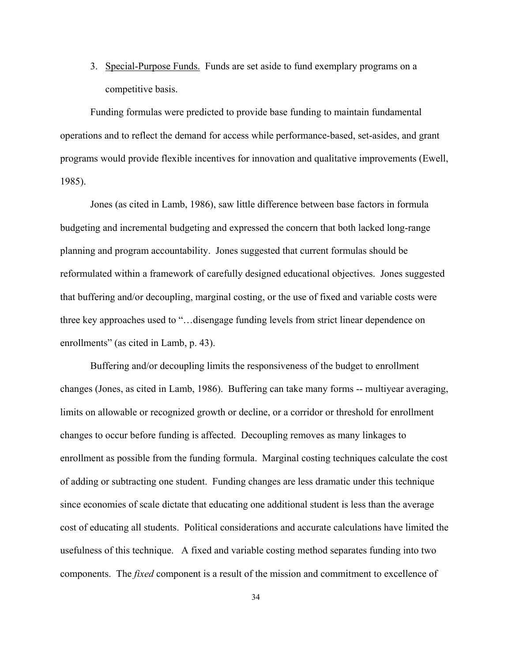3. Special-Purpose Funds. Funds are set aside to fund exemplary programs on a competitive basis.

Funding formulas were predicted to provide base funding to maintain fundamental operations and to reflect the demand for access while performance-based, set-asides, and grant programs would provide flexible incentives for innovation and qualitative improvements (Ewell, 1985).

Jones (as cited in Lamb, 1986), saw little difference between base factors in formula budgeting and incremental budgeting and expressed the concern that both lacked long-range planning and program accountability. Jones suggested that current formulas should be reformulated within a framework of carefully designed educational objectives. Jones suggested that buffering and/or decoupling, marginal costing, or the use of fixed and variable costs were three key approaches used to "…disengage funding levels from strict linear dependence on enrollments" (as cited in Lamb, p. 43).

Buffering and/or decoupling limits the responsiveness of the budget to enrollment changes (Jones, as cited in Lamb, 1986). Buffering can take many forms -- multiyear averaging, limits on allowable or recognized growth or decline, or a corridor or threshold for enrollment changes to occur before funding is affected. Decoupling removes as many linkages to enrollment as possible from the funding formula. Marginal costing techniques calculate the cost of adding or subtracting one student. Funding changes are less dramatic under this technique since economies of scale dictate that educating one additional student is less than the average cost of educating all students. Political considerations and accurate calculations have limited the usefulness of this technique. A fixed and variable costing method separates funding into two components. The *fixed* component is a result of the mission and commitment to excellence of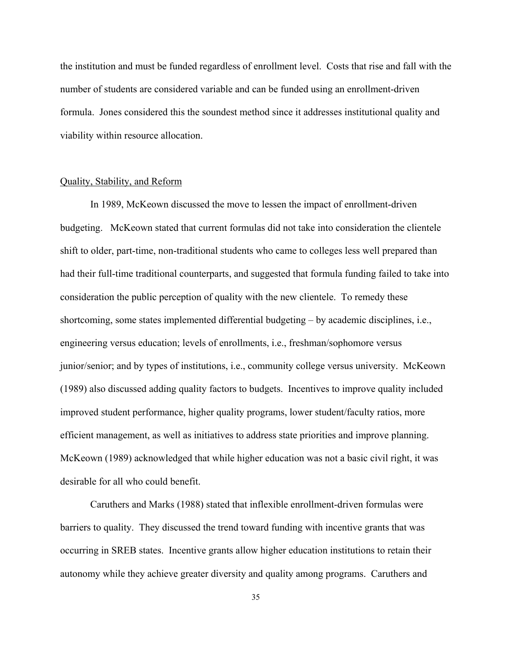the institution and must be funded regardless of enrollment level. Costs that rise and fall with the number of students are considered variable and can be funded using an enrollment-driven formula. Jones considered this the soundest method since it addresses institutional quality and viability within resource allocation.

#### Quality, Stability, and Reform

In 1989, McKeown discussed the move to lessen the impact of enrollment-driven budgeting. McKeown stated that current formulas did not take into consideration the clientele shift to older, part-time, non-traditional students who came to colleges less well prepared than had their full-time traditional counterparts, and suggested that formula funding failed to take into consideration the public perception of quality with the new clientele. To remedy these shortcoming, some states implemented differential budgeting – by academic disciplines, i.e., engineering versus education; levels of enrollments, i.e., freshman/sophomore versus junior/senior; and by types of institutions, i.e., community college versus university. McKeown (1989) also discussed adding quality factors to budgets. Incentives to improve quality included improved student performance, higher quality programs, lower student/faculty ratios, more efficient management, as well as initiatives to address state priorities and improve planning. McKeown (1989) acknowledged that while higher education was not a basic civil right, it was desirable for all who could benefit.

Caruthers and Marks (1988) stated that inflexible enrollment-driven formulas were barriers to quality. They discussed the trend toward funding with incentive grants that was occurring in SREB states. Incentive grants allow higher education institutions to retain their autonomy while they achieve greater diversity and quality among programs. Caruthers and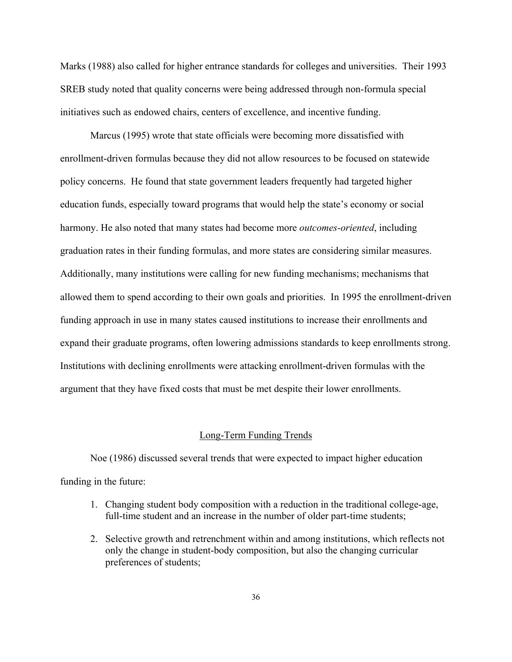Marks (1988) also called for higher entrance standards for colleges and universities. Their 1993 SREB study noted that quality concerns were being addressed through non-formula special initiatives such as endowed chairs, centers of excellence, and incentive funding.

Marcus (1995) wrote that state officials were becoming more dissatisfied with enrollment-driven formulas because they did not allow resources to be focused on statewide policy concerns. He found that state government leaders frequently had targeted higher education funds, especially toward programs that would help the state's economy or social harmony. He also noted that many states had become more *outcomes-oriented*, including graduation rates in their funding formulas, and more states are considering similar measures. Additionally, many institutions were calling for new funding mechanisms; mechanisms that allowed them to spend according to their own goals and priorities. In 1995 the enrollment-driven funding approach in use in many states caused institutions to increase their enrollments and expand their graduate programs, often lowering admissions standards to keep enrollments strong. Institutions with declining enrollments were attacking enrollment-driven formulas with the argument that they have fixed costs that must be met despite their lower enrollments.

#### Long-Term Funding Trends

Noe (1986) discussed several trends that were expected to impact higher education funding in the future:

- 1. Changing student body composition with a reduction in the traditional college-age, full-time student and an increase in the number of older part-time students;
- 2. Selective growth and retrenchment within and among institutions, which reflects not only the change in student-body composition, but also the changing curricular preferences of students;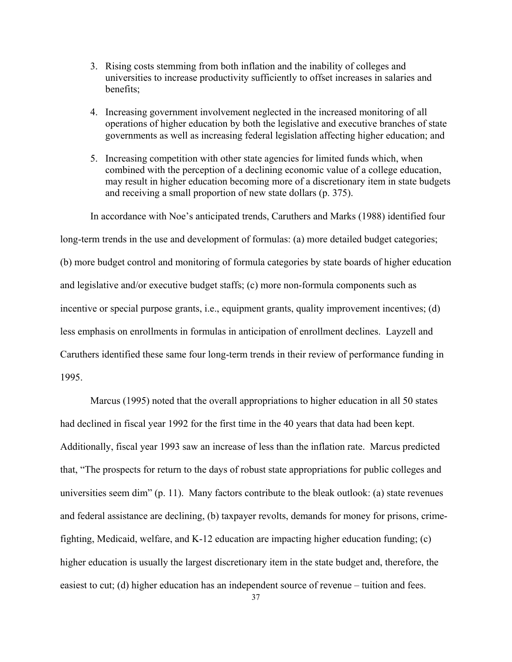- 3. Rising costs stemming from both inflation and the inability of colleges and universities to increase productivity sufficiently to offset increases in salaries and benefits;
- 4. Increasing government involvement neglected in the increased monitoring of all operations of higher education by both the legislative and executive branches of state governments as well as increasing federal legislation affecting higher education; and
- 5. Increasing competition with other state agencies for limited funds which, when combined with the perception of a declining economic value of a college education, may result in higher education becoming more of a discretionary item in state budgets and receiving a small proportion of new state dollars (p. 375).

In accordance with Noe's anticipated trends, Caruthers and Marks (1988) identified four

long-term trends in the use and development of formulas: (a) more detailed budget categories; (b) more budget control and monitoring of formula categories by state boards of higher education and legislative and/or executive budget staffs; (c) more non-formula components such as

incentive or special purpose grants, i.e., equipment grants, quality improvement incentives; (d)

less emphasis on enrollments in formulas in anticipation of enrollment declines. Layzell and

Caruthers identified these same four long-term trends in their review of performance funding in

1995.

Marcus (1995) noted that the overall appropriations to higher education in all 50 states had declined in fiscal year 1992 for the first time in the 40 years that data had been kept. Additionally, fiscal year 1993 saw an increase of less than the inflation rate. Marcus predicted that, "The prospects for return to the days of robust state appropriations for public colleges and universities seem dim" (p. 11). Many factors contribute to the bleak outlook: (a) state revenues and federal assistance are declining, (b) taxpayer revolts, demands for money for prisons, crimefighting, Medicaid, welfare, and K-12 education are impacting higher education funding; (c) higher education is usually the largest discretionary item in the state budget and, therefore, the easiest to cut; (d) higher education has an independent source of revenue – tuition and fees.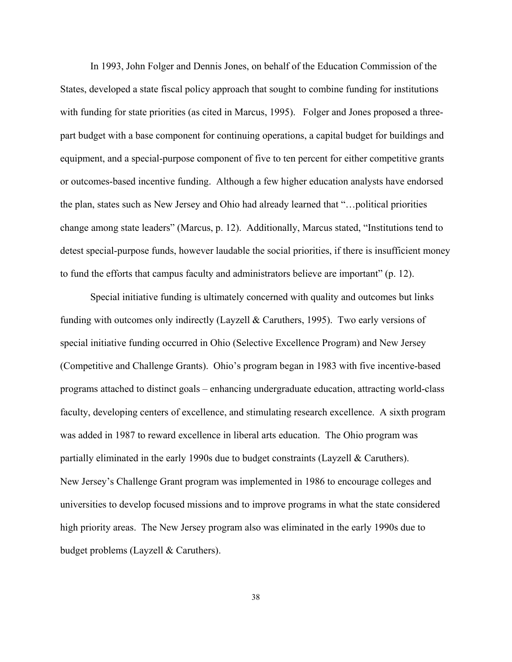In 1993, John Folger and Dennis Jones, on behalf of the Education Commission of the States, developed a state fiscal policy approach that sought to combine funding for institutions with funding for state priorities (as cited in Marcus, 1995). Folger and Jones proposed a threepart budget with a base component for continuing operations, a capital budget for buildings and equipment, and a special-purpose component of five to ten percent for either competitive grants or outcomes-based incentive funding. Although a few higher education analysts have endorsed the plan, states such as New Jersey and Ohio had already learned that "…political priorities change among state leaders" (Marcus, p. 12). Additionally, Marcus stated, "Institutions tend to detest special-purpose funds, however laudable the social priorities, if there is insufficient money to fund the efforts that campus faculty and administrators believe are important" (p. 12).

Special initiative funding is ultimately concerned with quality and outcomes but links funding with outcomes only indirectly (Layzell & Caruthers, 1995). Two early versions of special initiative funding occurred in Ohio (Selective Excellence Program) and New Jersey (Competitive and Challenge Grants). Ohio's program began in 1983 with five incentive-based programs attached to distinct goals – enhancing undergraduate education, attracting world-class faculty, developing centers of excellence, and stimulating research excellence. A sixth program was added in 1987 to reward excellence in liberal arts education. The Ohio program was partially eliminated in the early 1990s due to budget constraints (Layzell & Caruthers). New Jersey's Challenge Grant program was implemented in 1986 to encourage colleges and universities to develop focused missions and to improve programs in what the state considered high priority areas. The New Jersey program also was eliminated in the early 1990s due to budget problems (Layzell & Caruthers).

38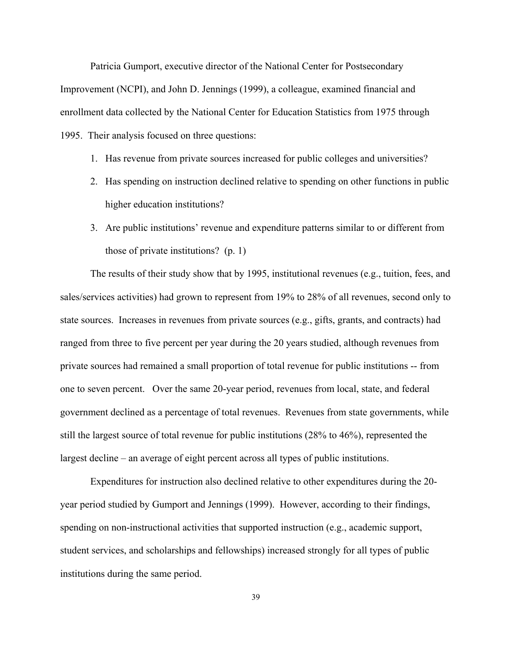Patricia Gumport, executive director of the National Center for Postsecondary Improvement (NCPI), and John D. Jennings (1999), a colleague, examined financial and enrollment data collected by the National Center for Education Statistics from 1975 through 1995. Their analysis focused on three questions:

- 1. Has revenue from private sources increased for public colleges and universities?
- 2. Has spending on instruction declined relative to spending on other functions in public higher education institutions?
- 3. Are public institutions' revenue and expenditure patterns similar to or different from those of private institutions? (p. 1)

The results of their study show that by 1995, institutional revenues (e.g., tuition, fees, and sales/services activities) had grown to represent from 19% to 28% of all revenues, second only to state sources. Increases in revenues from private sources (e.g., gifts, grants, and contracts) had ranged from three to five percent per year during the 20 years studied, although revenues from private sources had remained a small proportion of total revenue for public institutions -- from one to seven percent. Over the same 20-year period, revenues from local, state, and federal government declined as a percentage of total revenues. Revenues from state governments, while still the largest source of total revenue for public institutions (28% to 46%), represented the largest decline – an average of eight percent across all types of public institutions.

Expenditures for instruction also declined relative to other expenditures during the 20 year period studied by Gumport and Jennings (1999). However, according to their findings, spending on non-instructional activities that supported instruction (e.g., academic support, student services, and scholarships and fellowships) increased strongly for all types of public institutions during the same period.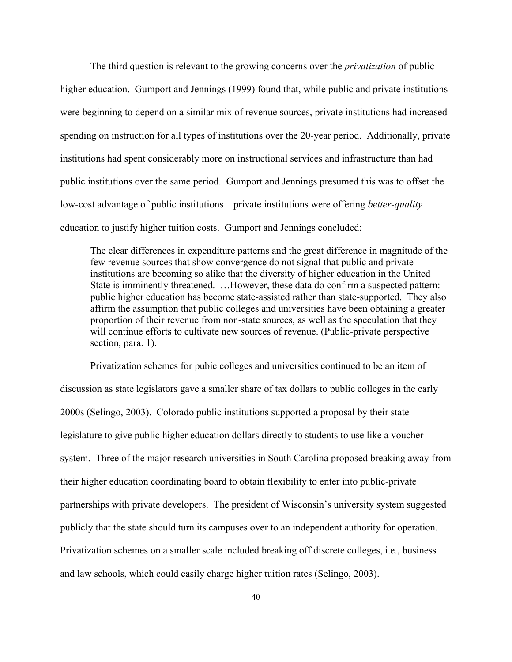The third question is relevant to the growing concerns over the *privatization* of public higher education. Gumport and Jennings (1999) found that, while public and private institutions were beginning to depend on a similar mix of revenue sources, private institutions had increased spending on instruction for all types of institutions over the 20-year period. Additionally, private institutions had spent considerably more on instructional services and infrastructure than had public institutions over the same period. Gumport and Jennings presumed this was to offset the low-cost advantage of public institutions – private institutions were offering *better-quality* education to justify higher tuition costs. Gumport and Jennings concluded:

The clear differences in expenditure patterns and the great difference in magnitude of the few revenue sources that show convergence do not signal that public and private institutions are becoming so alike that the diversity of higher education in the United State is imminently threatened. …However, these data do confirm a suspected pattern: public higher education has become state-assisted rather than state-supported. They also affirm the assumption that public colleges and universities have been obtaining a greater proportion of their revenue from non-state sources, as well as the speculation that they will continue efforts to cultivate new sources of revenue. (Public-private perspective section, para. 1).

Privatization schemes for pubic colleges and universities continued to be an item of discussion as state legislators gave a smaller share of tax dollars to public colleges in the early 2000s (Selingo, 2003). Colorado public institutions supported a proposal by their state legislature to give public higher education dollars directly to students to use like a voucher system. Three of the major research universities in South Carolina proposed breaking away from their higher education coordinating board to obtain flexibility to enter into public-private partnerships with private developers. The president of Wisconsin's university system suggested publicly that the state should turn its campuses over to an independent authority for operation. Privatization schemes on a smaller scale included breaking off discrete colleges, i.e., business and law schools, which could easily charge higher tuition rates (Selingo, 2003).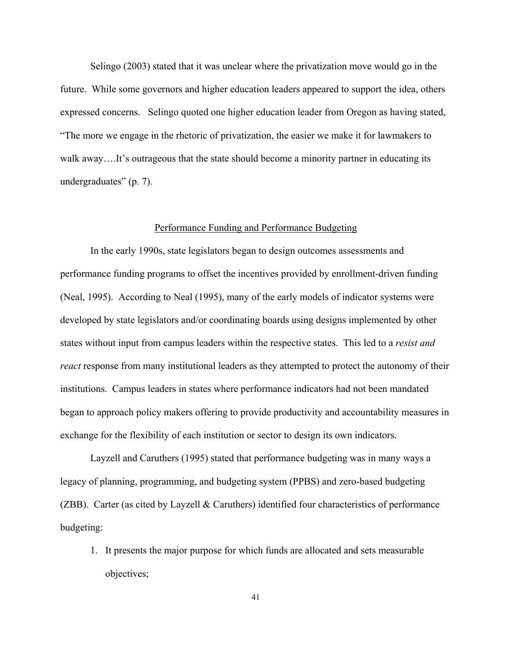Selingo (2003) stated that it was unclear where the privatization move would go in the future. While some governors and higher education leaders appeared to support the idea, others expressed concerns. Selingo quoted one higher education leader from Oregon as having stated, "The more we engage in the rhetoric of privatization, the easier we make it for lawmakers to walk away....It's outrageous that the state should become a minority partner in educating its undergraduates" (p. 7).

#### Performance Funding and Performance Budgeting

In the early 1990s, state legislators began to design outcomes assessments and performance funding programs to offset the incentives provided by enrollment-driven funding (Neal, 1995). According to Neal (1995), many of the early models of indicator systems were developed by state legislators and/or coordinating boards using designs implemented by other states without input from campus leaders within the respective states. This led to a *resist and react* response from many institutional leaders as they attempted to protect the autonomy of their institutions. Campus leaders in states where performance indicators had not been mandated began to approach policy makers offering to provide productivity and accountability measures in exchange for the flexibility of each institution or sector to design its own indicators.

Layzell and Caruthers (1995) stated that performance budgeting was in many ways a legacy of planning, programming, and budgeting system (PPBS) and zero-based budgeting (ZBB). Carter (as cited by Layzell & Caruthers) identified four characteristics of performance budgeting:

1. It presents the major purpose for which funds are allocated and sets measurable objectives;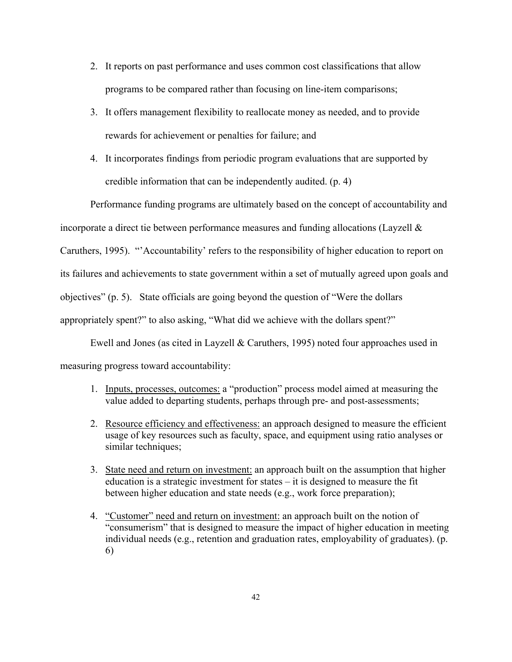- 2. It reports on past performance and uses common cost classifications that allow programs to be compared rather than focusing on line-item comparisons;
- 3. It offers management flexibility to reallocate money as needed, and to provide rewards for achievement or penalties for failure; and
- 4. It incorporates findings from periodic program evaluations that are supported by credible information that can be independently audited. (p. 4)

Performance funding programs are ultimately based on the concept of accountability and incorporate a direct tie between performance measures and funding allocations (Layzell & Caruthers, 1995). "'Accountability' refers to the responsibility of higher education to report on its failures and achievements to state government within a set of mutually agreed upon goals and objectives" (p. 5). State officials are going beyond the question of "Were the dollars appropriately spent?" to also asking, "What did we achieve with the dollars spent?"

Ewell and Jones (as cited in Layzell & Caruthers, 1995) noted four approaches used in measuring progress toward accountability:

- 1. Inputs, processes, outcomes: a "production" process model aimed at measuring the value added to departing students, perhaps through pre- and post-assessments;
- 2. Resource efficiency and effectiveness: an approach designed to measure the efficient usage of key resources such as faculty, space, and equipment using ratio analyses or similar techniques;
- 3. State need and return on investment: an approach built on the assumption that higher education is a strategic investment for states – it is designed to measure the fit between higher education and state needs (e.g., work force preparation);
- 4. "Customer" need and return on investment: an approach built on the notion of "consumerism" that is designed to measure the impact of higher education in meeting individual needs (e.g., retention and graduation rates, employability of graduates). (p. 6)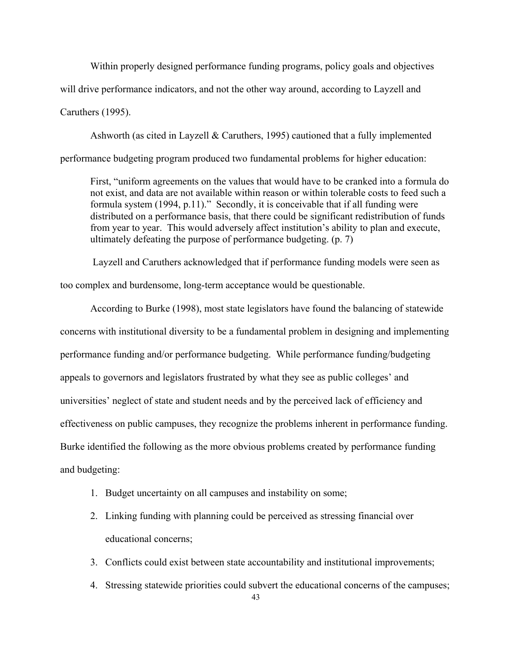Within properly designed performance funding programs, policy goals and objectives will drive performance indicators, and not the other way around, according to Layzell and Caruthers (1995).

Ashworth (as cited in Layzell & Caruthers, 1995) cautioned that a fully implemented performance budgeting program produced two fundamental problems for higher education:

 First, "uniform agreements on the values that would have to be cranked into a formula do not exist, and data are not available within reason or within tolerable costs to feed such a formula system (1994, p.11)." Secondly, it is conceivable that if all funding were distributed on a performance basis, that there could be significant redistribution of funds from year to year. This would adversely affect institution's ability to plan and execute, ultimately defeating the purpose of performance budgeting. (p. 7)

 Layzell and Caruthers acknowledged that if performance funding models were seen as too complex and burdensome, long-term acceptance would be questionable.

According to Burke (1998), most state legislators have found the balancing of statewide concerns with institutional diversity to be a fundamental problem in designing and implementing performance funding and/or performance budgeting. While performance funding/budgeting appeals to governors and legislators frustrated by what they see as public colleges' and universities' neglect of state and student needs and by the perceived lack of efficiency and effectiveness on public campuses, they recognize the problems inherent in performance funding. Burke identified the following as the more obvious problems created by performance funding and budgeting:

- 1. Budget uncertainty on all campuses and instability on some;
- 2. Linking funding with planning could be perceived as stressing financial over educational concerns;
- 3. Conflicts could exist between state accountability and institutional improvements;
- 4. Stressing statewide priorities could subvert the educational concerns of the campuses;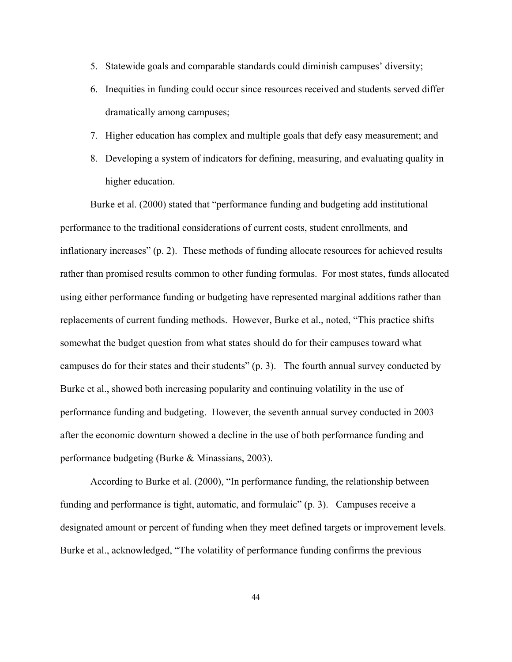- 5. Statewide goals and comparable standards could diminish campuses' diversity;
- 6. Inequities in funding could occur since resources received and students served differ dramatically among campuses;
- 7. Higher education has complex and multiple goals that defy easy measurement; and
- 8. Developing a system of indicators for defining, measuring, and evaluating quality in higher education.

Burke et al. (2000) stated that "performance funding and budgeting add institutional performance to the traditional considerations of current costs, student enrollments, and inflationary increases" (p. 2). These methods of funding allocate resources for achieved results rather than promised results common to other funding formulas. For most states, funds allocated using either performance funding or budgeting have represented marginal additions rather than replacements of current funding methods. However, Burke et al., noted, "This practice shifts somewhat the budget question from what states should do for their campuses toward what campuses do for their states and their students" (p. 3). The fourth annual survey conducted by Burke et al., showed both increasing popularity and continuing volatility in the use of performance funding and budgeting. However, the seventh annual survey conducted in 2003 after the economic downturn showed a decline in the use of both performance funding and performance budgeting (Burke & Minassians, 2003).

According to Burke et al. (2000), "In performance funding, the relationship between funding and performance is tight, automatic, and formulaic" (p. 3). Campuses receive a designated amount or percent of funding when they meet defined targets or improvement levels. Burke et al., acknowledged, "The volatility of performance funding confirms the previous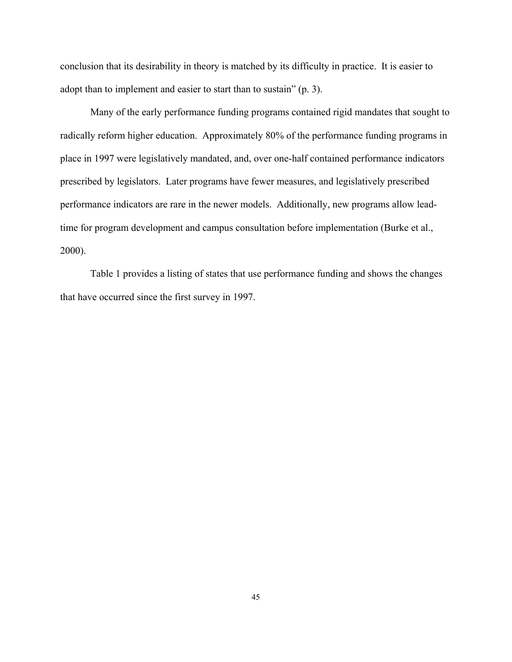conclusion that its desirability in theory is matched by its difficulty in practice. It is easier to adopt than to implement and easier to start than to sustain" (p. 3).

Many of the early performance funding programs contained rigid mandates that sought to radically reform higher education. Approximately 80% of the performance funding programs in place in 1997 were legislatively mandated, and, over one-half contained performance indicators prescribed by legislators. Later programs have fewer measures, and legislatively prescribed performance indicators are rare in the newer models. Additionally, new programs allow leadtime for program development and campus consultation before implementation (Burke et al., 2000).

Table 1 provides a listing of states that use performance funding and shows the changes that have occurred since the first survey in 1997.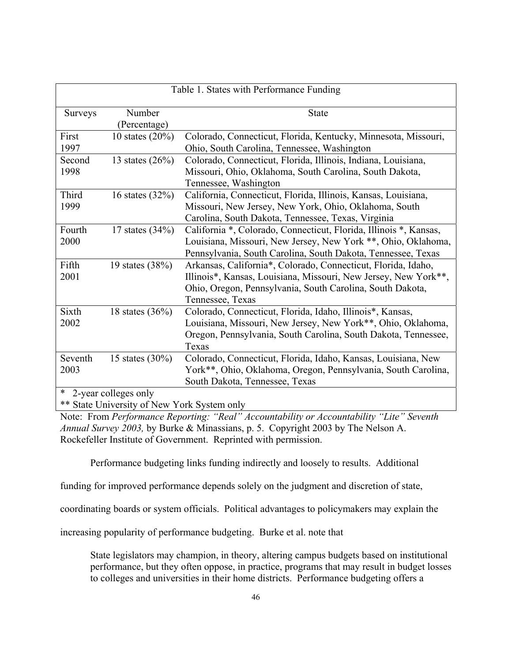| Table 1. States with Performance Funding    |                    |                                                                   |  |
|---------------------------------------------|--------------------|-------------------------------------------------------------------|--|
| <b>Surveys</b>                              | Number             | <b>State</b>                                                      |  |
|                                             | (Percentage)       |                                                                   |  |
| First                                       | 10 states $(20\%)$ | Colorado, Connecticut, Florida, Kentucky, Minnesota, Missouri,    |  |
| 1997                                        |                    | Ohio, South Carolina, Tennessee, Washington                       |  |
| Second                                      | 13 states $(26%)$  | Colorado, Connecticut, Florida, Illinois, Indiana, Louisiana,     |  |
| 1998                                        |                    | Missouri, Ohio, Oklahoma, South Carolina, South Dakota,           |  |
|                                             |                    | Tennessee, Washington                                             |  |
| Third                                       | 16 states $(32%)$  | California, Connecticut, Florida, Illinois, Kansas, Louisiana,    |  |
| 1999                                        |                    | Missouri, New Jersey, New York, Ohio, Oklahoma, South             |  |
|                                             |                    | Carolina, South Dakota, Tennessee, Texas, Virginia                |  |
| Fourth                                      | 17 states $(34%)$  | California *, Colorado, Connecticut, Florida, Illinois *, Kansas, |  |
| 2000                                        |                    | Louisiana, Missouri, New Jersey, New York **, Ohio, Oklahoma,     |  |
|                                             |                    | Pennsylvania, South Carolina, South Dakota, Tennessee, Texas      |  |
| Fifth                                       | 19 states (38%)    | Arkansas, California*, Colorado, Connecticut, Florida, Idaho,     |  |
| 2001                                        |                    | Illinois*, Kansas, Louisiana, Missouri, New Jersey, New York**,   |  |
|                                             |                    | Ohio, Oregon, Pennsylvania, South Carolina, South Dakota,         |  |
|                                             |                    | Tennessee, Texas                                                  |  |
| Sixth                                       | 18 states $(36%)$  | Colorado, Connecticut, Florida, Idaho, Illinois*, Kansas,         |  |
| 2002                                        |                    | Louisiana, Missouri, New Jersey, New York**, Ohio, Oklahoma,      |  |
|                                             |                    | Oregon, Pennsylvania, South Carolina, South Dakota, Tennessee,    |  |
|                                             |                    | Texas                                                             |  |
| Seventh                                     | 15 states $(30\%)$ | Colorado, Connecticut, Florida, Idaho, Kansas, Louisiana, New     |  |
| 2003                                        |                    | York**, Ohio, Oklahoma, Oregon, Pennsylvania, South Carolina,     |  |
|                                             |                    | South Dakota, Tennessee, Texas                                    |  |
| *<br>2-year colleges only                   |                    |                                                                   |  |
| ** State University of New York System only |                    |                                                                   |  |

Note: From *Performance Reporting: "Real" Accountability or Accountability "Lite" Seventh Annual Survey 2003,* by Burke & Minassians, p. 5. Copyright 2003 by The Nelson A. Rockefeller Institute of Government. Reprinted with permission.

Performance budgeting links funding indirectly and loosely to results. Additional

funding for improved performance depends solely on the judgment and discretion of state,

coordinating boards or system officials. Political advantages to policymakers may explain the

increasing popularity of performance budgeting. Burke et al. note that

State legislators may champion, in theory, altering campus budgets based on institutional performance, but they often oppose, in practice, programs that may result in budget losses to colleges and universities in their home districts. Performance budgeting offers a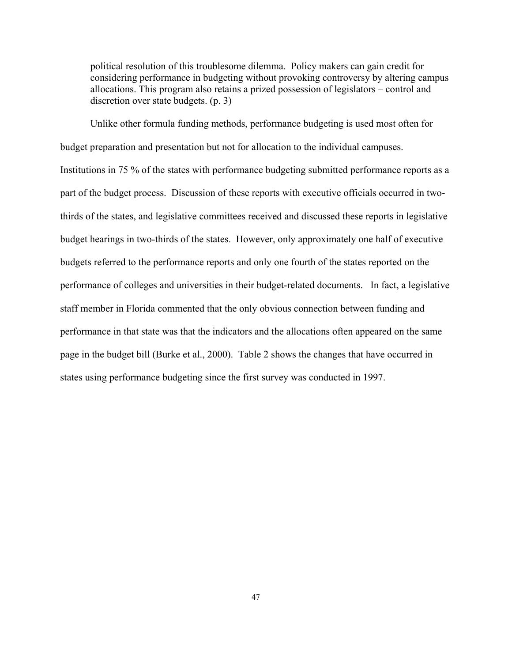political resolution of this troublesome dilemma. Policy makers can gain credit for considering performance in budgeting without provoking controversy by altering campus allocations. This program also retains a prized possession of legislators – control and discretion over state budgets. (p. 3)

Unlike other formula funding methods, performance budgeting is used most often for budget preparation and presentation but not for allocation to the individual campuses. Institutions in 75 % of the states with performance budgeting submitted performance reports as a part of the budget process. Discussion of these reports with executive officials occurred in twothirds of the states, and legislative committees received and discussed these reports in legislative budget hearings in two-thirds of the states. However, only approximately one half of executive budgets referred to the performance reports and only one fourth of the states reported on the performance of colleges and universities in their budget-related documents. In fact, a legislative staff member in Florida commented that the only obvious connection between funding and performance in that state was that the indicators and the allocations often appeared on the same page in the budget bill (Burke et al., 2000). Table 2 shows the changes that have occurred in states using performance budgeting since the first survey was conducted in 1997.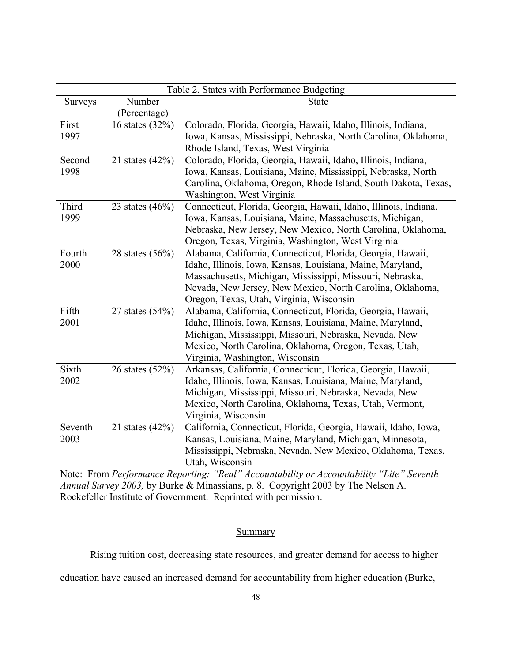| Table 2. States with Performance Budgeting |                   |                                                                  |
|--------------------------------------------|-------------------|------------------------------------------------------------------|
| <b>Surveys</b>                             | Number            | <b>State</b>                                                     |
|                                            | (Percentage)      |                                                                  |
| First                                      | 16 states (32%)   | Colorado, Florida, Georgia, Hawaii, Idaho, Illinois, Indiana,    |
| 1997                                       |                   | Iowa, Kansas, Mississippi, Nebraska, North Carolina, Oklahoma,   |
|                                            |                   | Rhode Island, Texas, West Virginia                               |
| Second                                     | 21 states $(42%)$ | Colorado, Florida, Georgia, Hawaii, Idaho, Illinois, Indiana,    |
| 1998                                       |                   | Iowa, Kansas, Louisiana, Maine, Mississippi, Nebraska, North     |
|                                            |                   | Carolina, Oklahoma, Oregon, Rhode Island, South Dakota, Texas,   |
|                                            |                   | Washington, West Virginia                                        |
| Third                                      | 23 states $(46%)$ | Connecticut, Florida, Georgia, Hawaii, Idaho, Illinois, Indiana, |
| 1999                                       |                   | Iowa, Kansas, Louisiana, Maine, Massachusetts, Michigan,         |
|                                            |                   | Nebraska, New Jersey, New Mexico, North Carolina, Oklahoma,      |
|                                            |                   | Oregon, Texas, Virginia, Washington, West Virginia               |
| Fourth                                     | 28 states $(56%)$ | Alabama, California, Connecticut, Florida, Georgia, Hawaii,      |
| 2000                                       |                   | Idaho, Illinois, Iowa, Kansas, Louisiana, Maine, Maryland,       |
|                                            |                   | Massachusetts, Michigan, Mississippi, Missouri, Nebraska,        |
|                                            |                   | Nevada, New Jersey, New Mexico, North Carolina, Oklahoma,        |
|                                            |                   | Oregon, Texas, Utah, Virginia, Wisconsin                         |
| Fifth                                      | 27 states $(54%)$ | Alabama, California, Connecticut, Florida, Georgia, Hawaii,      |
| 2001                                       |                   | Idaho, Illinois, Iowa, Kansas, Louisiana, Maine, Maryland,       |
|                                            |                   | Michigan, Mississippi, Missouri, Nebraska, Nevada, New           |
|                                            |                   | Mexico, North Carolina, Oklahoma, Oregon, Texas, Utah,           |
|                                            |                   | Virginia, Washington, Wisconsin                                  |
| Sixth                                      | 26 states $(52%)$ | Arkansas, California, Connecticut, Florida, Georgia, Hawaii,     |
| 2002                                       |                   | Idaho, Illinois, Iowa, Kansas, Louisiana, Maine, Maryland,       |
|                                            |                   | Michigan, Mississippi, Missouri, Nebraska, Nevada, New           |
|                                            |                   | Mexico, North Carolina, Oklahoma, Texas, Utah, Vermont,          |
|                                            |                   | Virginia, Wisconsin                                              |
| Seventh                                    | 21 states $(42%)$ | California, Connecticut, Florida, Georgia, Hawaii, Idaho, Iowa,  |
| 2003                                       |                   | Kansas, Louisiana, Maine, Maryland, Michigan, Minnesota,         |
|                                            |                   | Mississippi, Nebraska, Nevada, New Mexico, Oklahoma, Texas,      |
|                                            |                   | Utah, Wisconsin                                                  |

Note: From *Performance Reporting: "Real" Accountability or Accountability "Lite" Seventh Annual Survey 2003,* by Burke & Minassians, p. 8. Copyright 2003 by The Nelson A. Rockefeller Institute of Government. Reprinted with permission.

# **Summary**

Rising tuition cost, decreasing state resources, and greater demand for access to higher

education have caused an increased demand for accountability from higher education (Burke,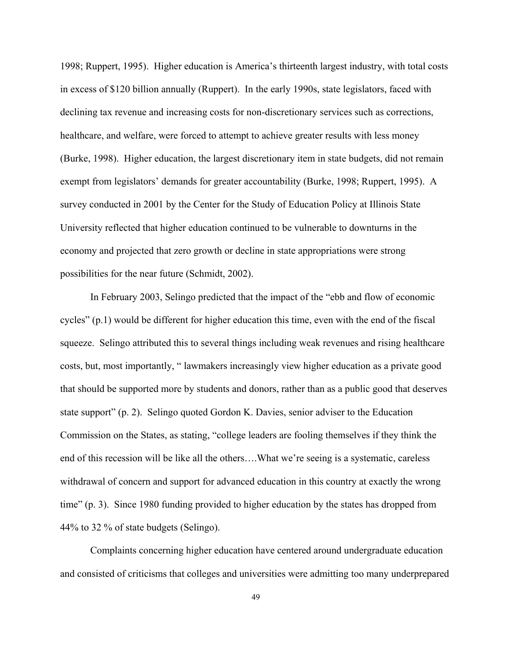1998; Ruppert, 1995). Higher education is America's thirteenth largest industry, with total costs in excess of \$120 billion annually (Ruppert). In the early 1990s, state legislators, faced with declining tax revenue and increasing costs for non-discretionary services such as corrections, healthcare, and welfare, were forced to attempt to achieve greater results with less money (Burke, 1998). Higher education, the largest discretionary item in state budgets, did not remain exempt from legislators' demands for greater accountability (Burke, 1998; Ruppert, 1995). A survey conducted in 2001 by the Center for the Study of Education Policy at Illinois State University reflected that higher education continued to be vulnerable to downturns in the economy and projected that zero growth or decline in state appropriations were strong possibilities for the near future (Schmidt, 2002).

In February 2003, Selingo predicted that the impact of the "ebb and flow of economic cycles" (p.1) would be different for higher education this time, even with the end of the fiscal squeeze. Selingo attributed this to several things including weak revenues and rising healthcare costs, but, most importantly, " lawmakers increasingly view higher education as a private good that should be supported more by students and donors, rather than as a public good that deserves state support" (p. 2). Selingo quoted Gordon K. Davies, senior adviser to the Education Commission on the States, as stating, "college leaders are fooling themselves if they think the end of this recession will be like all the others….What we're seeing is a systematic, careless withdrawal of concern and support for advanced education in this country at exactly the wrong time" (p. 3). Since 1980 funding provided to higher education by the states has dropped from 44% to 32 % of state budgets (Selingo).

Complaints concerning higher education have centered around undergraduate education and consisted of criticisms that colleges and universities were admitting too many underprepared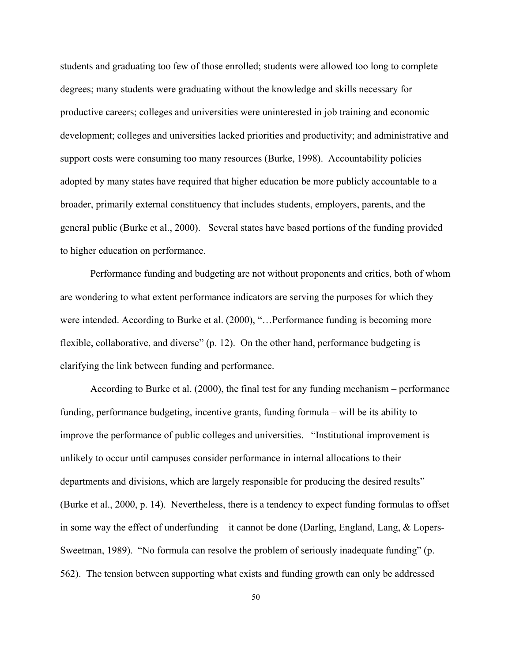students and graduating too few of those enrolled; students were allowed too long to complete degrees; many students were graduating without the knowledge and skills necessary for productive careers; colleges and universities were uninterested in job training and economic development; colleges and universities lacked priorities and productivity; and administrative and support costs were consuming too many resources (Burke, 1998). Accountability policies adopted by many states have required that higher education be more publicly accountable to a broader, primarily external constituency that includes students, employers, parents, and the general public (Burke et al., 2000). Several states have based portions of the funding provided to higher education on performance.

Performance funding and budgeting are not without proponents and critics, both of whom are wondering to what extent performance indicators are serving the purposes for which they were intended. According to Burke et al. (2000), "…Performance funding is becoming more flexible, collaborative, and diverse" (p. 12). On the other hand, performance budgeting is clarifying the link between funding and performance.

According to Burke et al. (2000), the final test for any funding mechanism – performance funding, performance budgeting, incentive grants, funding formula – will be its ability to improve the performance of public colleges and universities. "Institutional improvement is unlikely to occur until campuses consider performance in internal allocations to their departments and divisions, which are largely responsible for producing the desired results" (Burke et al., 2000, p. 14). Nevertheless, there is a tendency to expect funding formulas to offset in some way the effect of underfunding – it cannot be done (Darling, England, Lang,  $\&$  Lopers-Sweetman, 1989). "No formula can resolve the problem of seriously inadequate funding" (p. 562). The tension between supporting what exists and funding growth can only be addressed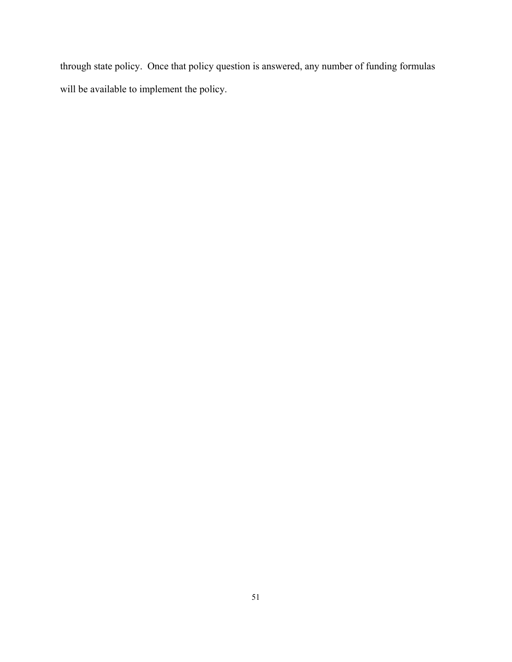through state policy. Once that policy question is answered, any number of funding formulas will be available to implement the policy.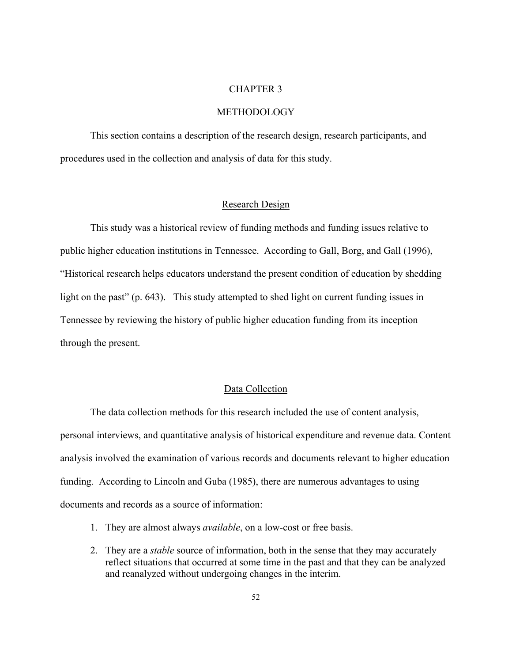## CHAPTER 3

## METHODOLOGY

This section contains a description of the research design, research participants, and procedures used in the collection and analysis of data for this study.

#### Research Design

This study was a historical review of funding methods and funding issues relative to public higher education institutions in Tennessee. According to Gall, Borg, and Gall (1996), "Historical research helps educators understand the present condition of education by shedding light on the past" (p. 643). This study attempted to shed light on current funding issues in Tennessee by reviewing the history of public higher education funding from its inception through the present.

#### Data Collection

The data collection methods for this research included the use of content analysis, personal interviews, and quantitative analysis of historical expenditure and revenue data. Content analysis involved the examination of various records and documents relevant to higher education funding. According to Lincoln and Guba (1985), there are numerous advantages to using documents and records as a source of information:

- 1. They are almost always *available*, on a low-cost or free basis.
- 2. They are a *stable* source of information, both in the sense that they may accurately reflect situations that occurred at some time in the past and that they can be analyzed and reanalyzed without undergoing changes in the interim.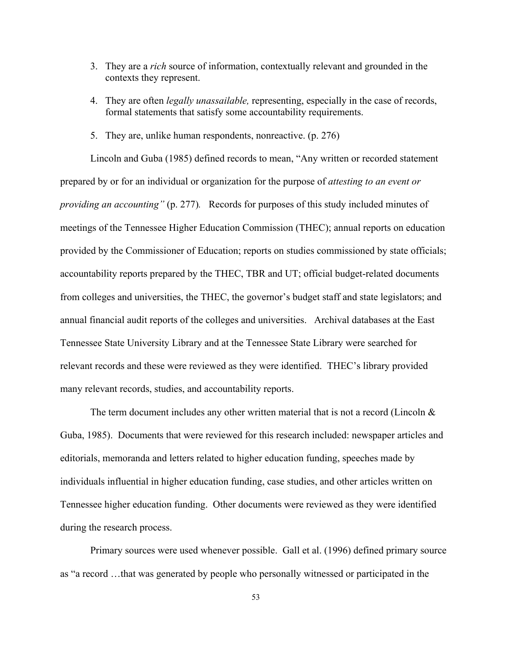- 3. They are a *rich* source of information, contextually relevant and grounded in the contexts they represent.
- 4. They are often *legally unassailable,* representing, especially in the case of records, formal statements that satisfy some accountability requirements.
- 5. They are, unlike human respondents, nonreactive. (p. 276)

Lincoln and Guba (1985) defined records to mean, "Any written or recorded statement prepared by or for an individual or organization for the purpose of *attesting to an event or providing an accounting"* (p. 277)*.* Records for purposes of this study included minutes of meetings of the Tennessee Higher Education Commission (THEC); annual reports on education provided by the Commissioner of Education; reports on studies commissioned by state officials; accountability reports prepared by the THEC, TBR and UT; official budget-related documents from colleges and universities, the THEC, the governor's budget staff and state legislators; and annual financial audit reports of the colleges and universities. Archival databases at the East Tennessee State University Library and at the Tennessee State Library were searched for relevant records and these were reviewed as they were identified. THEC's library provided many relevant records, studies, and accountability reports.

The term document includes any other written material that is not a record (Lincoln  $\&$ Guba, 1985). Documents that were reviewed for this research included: newspaper articles and editorials, memoranda and letters related to higher education funding, speeches made by individuals influential in higher education funding, case studies, and other articles written on Tennessee higher education funding. Other documents were reviewed as they were identified during the research process.

Primary sources were used whenever possible. Gall et al. (1996) defined primary source as "a record …that was generated by people who personally witnessed or participated in the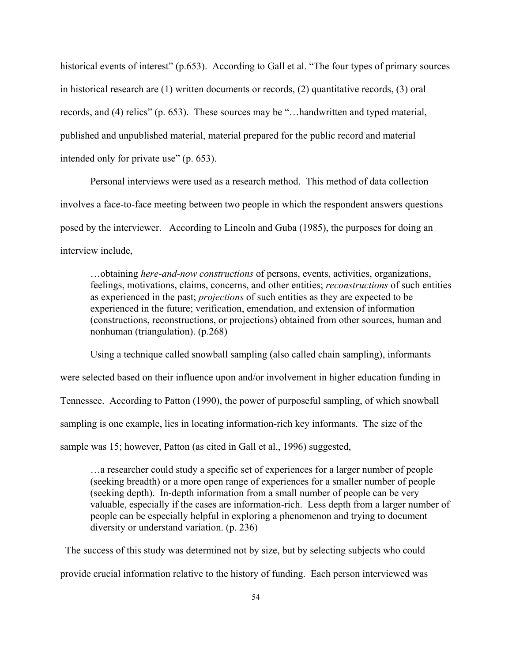historical events of interest" (p.653). According to Gall et al. "The four types of primary sources in historical research are (1) written documents or records, (2) quantitative records, (3) oral records, and (4) relics" (p. 653). These sources may be "…handwritten and typed material, published and unpublished material, material prepared for the public record and material intended only for private use" (p. 653).

Personal interviews were used as a research method. This method of data collection involves a face-to-face meeting between two people in which the respondent answers questions posed by the interviewer. According to Lincoln and Guba (1985), the purposes for doing an interview include,

…obtaining *here-and-now constructions* of persons, events, activities, organizations, feelings, motivations, claims, concerns, and other entities; *reconstructions* of such entities as experienced in the past; *projections* of such entities as they are expected to be experienced in the future; verification, emendation, and extension of information (constructions, reconstructions, or projections) obtained from other sources, human and nonhuman (triangulation). (p.268)

Using a technique called snowball sampling (also called chain sampling), informants were selected based on their influence upon and/or involvement in higher education funding in Tennessee. According to Patton (1990), the power of purposeful sampling, of which snowball sampling is one example, lies in locating information-rich key informants. The size of the sample was 15; however, Patton (as cited in Gall et al., 1996) suggested,

 …a researcher could study a specific set of experiences for a larger number of people (seeking breadth) or a more open range of experiences for a smaller number of people (seeking depth). In-depth information from a small number of people can be very valuable, especially if the cases are information-rich. Less depth from a larger number of people can be especially helpful in exploring a phenomenon and trying to document diversity or understand variation. (p. 236)

 The success of this study was determined not by size, but by selecting subjects who could provide crucial information relative to the history of funding. Each person interviewed was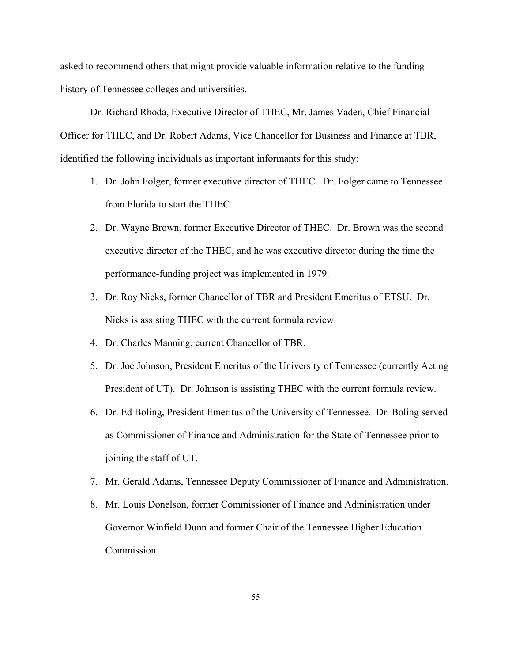asked to recommend others that might provide valuable information relative to the funding history of Tennessee colleges and universities.

Dr. Richard Rhoda, Executive Director of THEC, Mr. James Vaden, Chief Financial Officer for THEC, and Dr. Robert Adams, Vice Chancellor for Business and Finance at TBR, identified the following individuals as important informants for this study:

- 1. Dr. John Folger, former executive director of THEC. Dr. Folger came to Tennessee from Florida to start the THEC.
- 2. Dr. Wayne Brown, former Executive Director of THEC. Dr. Brown was the second executive director of the THEC, and he was executive director during the time the performance-funding project was implemented in 1979.
- 3. Dr. Roy Nicks, former Chancellor of TBR and President Emeritus of ETSU. Dr. Nicks is assisting THEC with the current formula review.
- 4. Dr. Charles Manning, current Chancellor of TBR.
- 5. Dr. Joe Johnson, President Emeritus of the University of Tennessee (currently Acting President of UT). Dr. Johnson is assisting THEC with the current formula review.
- 6. Dr. Ed Boling, President Emeritus of the University of Tennessee. Dr. Boling served as Commissioner of Finance and Administration for the State of Tennessee prior to joining the staff of UT.
- 7. Mr. Gerald Adams, Tennessee Deputy Commissioner of Finance and Administration.
- 8. Mr. Louis Donelson, former Commissioner of Finance and Administration under Governor Winfield Dunn and former Chair of the Tennessee Higher Education Commission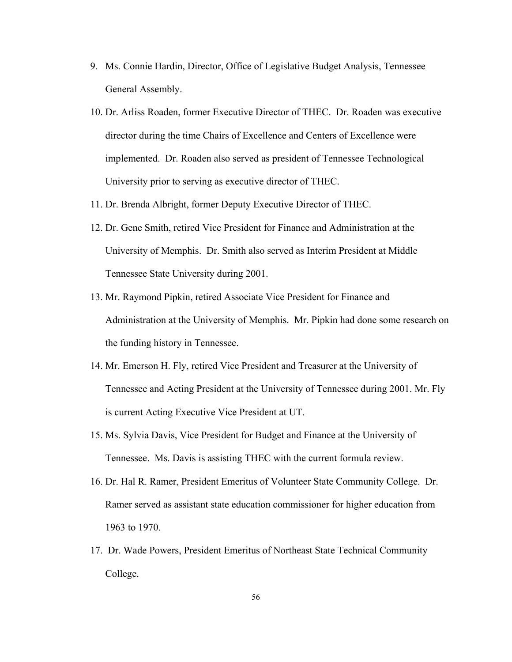- 9. Ms. Connie Hardin, Director, Office of Legislative Budget Analysis, Tennessee General Assembly.
- 10. Dr. Arliss Roaden, former Executive Director of THEC. Dr. Roaden was executive director during the time Chairs of Excellence and Centers of Excellence were implemented. Dr. Roaden also served as president of Tennessee Technological University prior to serving as executive director of THEC.
- 11. Dr. Brenda Albright, former Deputy Executive Director of THEC.
- 12. Dr. Gene Smith, retired Vice President for Finance and Administration at the University of Memphis. Dr. Smith also served as Interim President at Middle Tennessee State University during 2001.
- 13. Mr. Raymond Pipkin, retired Associate Vice President for Finance and Administration at the University of Memphis. Mr. Pipkin had done some research on the funding history in Tennessee.
- 14. Mr. Emerson H. Fly, retired Vice President and Treasurer at the University of Tennessee and Acting President at the University of Tennessee during 2001. Mr. Fly is current Acting Executive Vice President at UT.
- 15. Ms. Sylvia Davis, Vice President for Budget and Finance at the University of Tennessee. Ms. Davis is assisting THEC with the current formula review.
- 16. Dr. Hal R. Ramer, President Emeritus of Volunteer State Community College. Dr. Ramer served as assistant state education commissioner for higher education from 1963 to 1970.
- 17. Dr. Wade Powers, President Emeritus of Northeast State Technical Community College.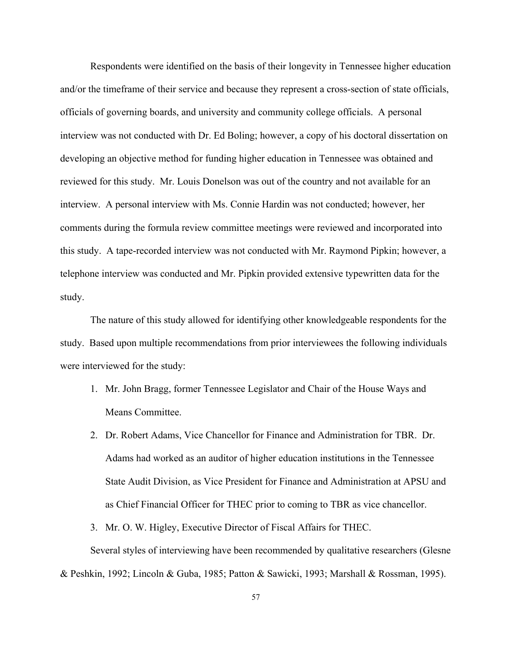Respondents were identified on the basis of their longevity in Tennessee higher education and/or the timeframe of their service and because they represent a cross-section of state officials, officials of governing boards, and university and community college officials. A personal interview was not conducted with Dr. Ed Boling; however, a copy of his doctoral dissertation on developing an objective method for funding higher education in Tennessee was obtained and reviewed for this study. Mr. Louis Donelson was out of the country and not available for an interview. A personal interview with Ms. Connie Hardin was not conducted; however, her comments during the formula review committee meetings were reviewed and incorporated into this study. A tape-recorded interview was not conducted with Mr. Raymond Pipkin; however, a telephone interview was conducted and Mr. Pipkin provided extensive typewritten data for the study.

The nature of this study allowed for identifying other knowledgeable respondents for the study. Based upon multiple recommendations from prior interviewees the following individuals were interviewed for the study:

- 1. Mr. John Bragg, former Tennessee Legislator and Chair of the House Ways and Means Committee.
- 2. Dr. Robert Adams, Vice Chancellor for Finance and Administration for TBR. Dr. Adams had worked as an auditor of higher education institutions in the Tennessee State Audit Division, as Vice President for Finance and Administration at APSU and as Chief Financial Officer for THEC prior to coming to TBR as vice chancellor.

3. Mr. O. W. Higley, Executive Director of Fiscal Affairs for THEC.

Several styles of interviewing have been recommended by qualitative researchers (Glesne & Peshkin, 1992; Lincoln & Guba, 1985; Patton & Sawicki, 1993; Marshall & Rossman, 1995).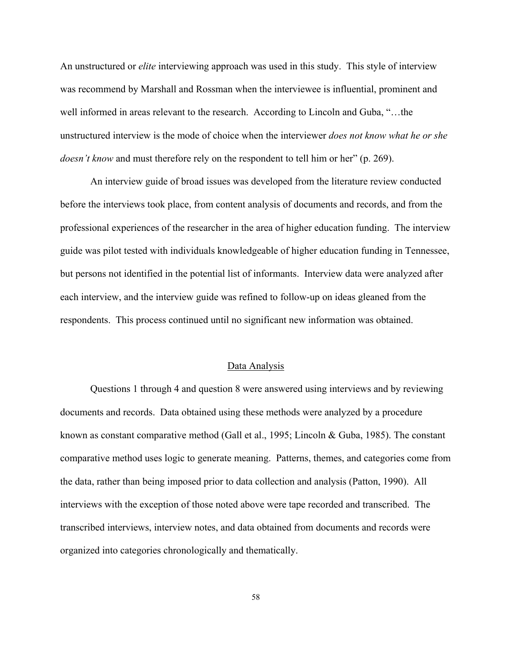An unstructured or *elite* interviewing approach was used in this study. This style of interview was recommend by Marshall and Rossman when the interviewee is influential, prominent and well informed in areas relevant to the research. According to Lincoln and Guba, "…the unstructured interview is the mode of choice when the interviewer *does not know what he or she doesn't know* and must therefore rely on the respondent to tell him or her" (p. 269).

An interview guide of broad issues was developed from the literature review conducted before the interviews took place, from content analysis of documents and records, and from the professional experiences of the researcher in the area of higher education funding. The interview guide was pilot tested with individuals knowledgeable of higher education funding in Tennessee, but persons not identified in the potential list of informants. Interview data were analyzed after each interview, and the interview guide was refined to follow-up on ideas gleaned from the respondents. This process continued until no significant new information was obtained.

#### Data Analysis

Questions 1 through 4 and question 8 were answered using interviews and by reviewing documents and records. Data obtained using these methods were analyzed by a procedure known as constant comparative method (Gall et al., 1995; Lincoln & Guba, 1985). The constant comparative method uses logic to generate meaning. Patterns, themes, and categories come from the data, rather than being imposed prior to data collection and analysis (Patton, 1990). All interviews with the exception of those noted above were tape recorded and transcribed. The transcribed interviews, interview notes, and data obtained from documents and records were organized into categories chronologically and thematically.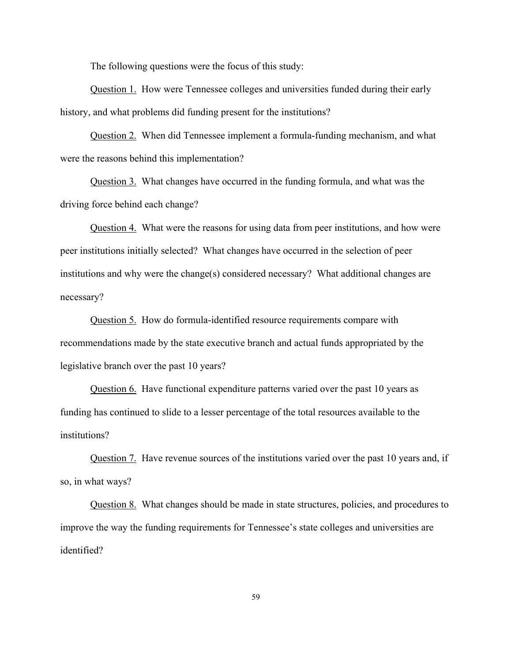The following questions were the focus of this study:

Question 1. How were Tennessee colleges and universities funded during their early history, and what problems did funding present for the institutions?

Question 2. When did Tennessee implement a formula-funding mechanism, and what were the reasons behind this implementation?

Question 3. What changes have occurred in the funding formula, and what was the driving force behind each change?

Question 4. What were the reasons for using data from peer institutions, and how were peer institutions initially selected? What changes have occurred in the selection of peer institutions and why were the change(s) considered necessary? What additional changes are necessary?

Question 5. How do formula-identified resource requirements compare with recommendations made by the state executive branch and actual funds appropriated by the legislative branch over the past 10 years?

Question 6. Have functional expenditure patterns varied over the past 10 years as funding has continued to slide to a lesser percentage of the total resources available to the institutions?

Question 7. Have revenue sources of the institutions varied over the past 10 years and, if so, in what ways?

Question 8. What changes should be made in state structures, policies, and procedures to improve the way the funding requirements for Tennessee's state colleges and universities are identified?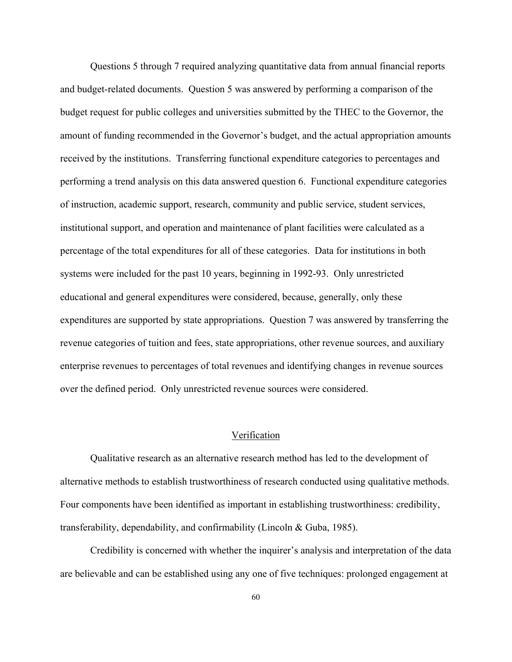Questions 5 through 7 required analyzing quantitative data from annual financial reports and budget-related documents. Question 5 was answered by performing a comparison of the budget request for public colleges and universities submitted by the THEC to the Governor, the amount of funding recommended in the Governor's budget, and the actual appropriation amounts received by the institutions. Transferring functional expenditure categories to percentages and performing a trend analysis on this data answered question 6. Functional expenditure categories of instruction, academic support, research, community and public service, student services, institutional support, and operation and maintenance of plant facilities were calculated as a percentage of the total expenditures for all of these categories. Data for institutions in both systems were included for the past 10 years, beginning in 1992-93. Only unrestricted educational and general expenditures were considered, because, generally, only these expenditures are supported by state appropriations. Question 7 was answered by transferring the revenue categories of tuition and fees, state appropriations, other revenue sources, and auxiliary enterprise revenues to percentages of total revenues and identifying changes in revenue sources over the defined period. Only unrestricted revenue sources were considered.

## Verification

Qualitative research as an alternative research method has led to the development of alternative methods to establish trustworthiness of research conducted using qualitative methods. Four components have been identified as important in establishing trustworthiness: credibility, transferability, dependability, and confirmability (Lincoln & Guba, 1985).

Credibility is concerned with whether the inquirer's analysis and interpretation of the data are believable and can be established using any one of five techniques: prolonged engagement at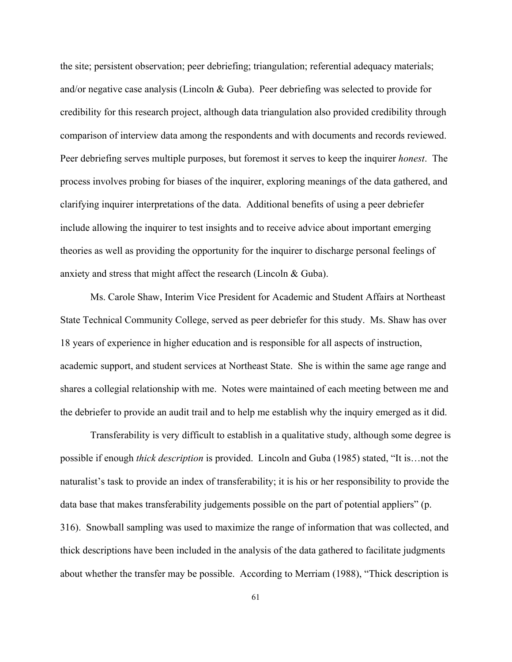the site; persistent observation; peer debriefing; triangulation; referential adequacy materials; and/or negative case analysis (Lincoln & Guba). Peer debriefing was selected to provide for credibility for this research project, although data triangulation also provided credibility through comparison of interview data among the respondents and with documents and records reviewed. Peer debriefing serves multiple purposes, but foremost it serves to keep the inquirer *honest*. The process involves probing for biases of the inquirer, exploring meanings of the data gathered, and clarifying inquirer interpretations of the data. Additional benefits of using a peer debriefer include allowing the inquirer to test insights and to receive advice about important emerging theories as well as providing the opportunity for the inquirer to discharge personal feelings of anxiety and stress that might affect the research (Lincoln & Guba).

Ms. Carole Shaw, Interim Vice President for Academic and Student Affairs at Northeast State Technical Community College, served as peer debriefer for this study. Ms. Shaw has over 18 years of experience in higher education and is responsible for all aspects of instruction, academic support, and student services at Northeast State. She is within the same age range and shares a collegial relationship with me. Notes were maintained of each meeting between me and the debriefer to provide an audit trail and to help me establish why the inquiry emerged as it did.

Transferability is very difficult to establish in a qualitative study, although some degree is possible if enough *thick description* is provided. Lincoln and Guba (1985) stated, "It is…not the naturalist's task to provide an index of transferability; it is his or her responsibility to provide the data base that makes transferability judgements possible on the part of potential appliers" (p. 316). Snowball sampling was used to maximize the range of information that was collected, and thick descriptions have been included in the analysis of the data gathered to facilitate judgments about whether the transfer may be possible. According to Merriam (1988), "Thick description is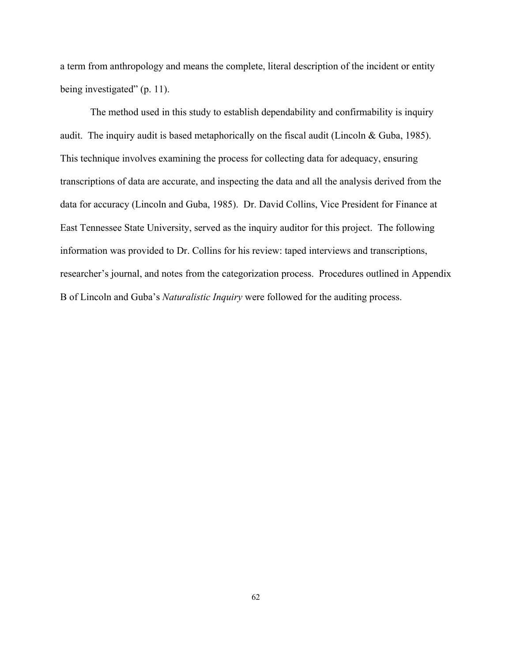a term from anthropology and means the complete, literal description of the incident or entity being investigated" (p. 11).

The method used in this study to establish dependability and confirmability is inquiry audit. The inquiry audit is based metaphorically on the fiscal audit (Lincoln  $& Guba, 1985$ ). This technique involves examining the process for collecting data for adequacy, ensuring transcriptions of data are accurate, and inspecting the data and all the analysis derived from the data for accuracy (Lincoln and Guba, 1985). Dr. David Collins, Vice President for Finance at East Tennessee State University, served as the inquiry auditor for this project. The following information was provided to Dr. Collins for his review: taped interviews and transcriptions, researcher's journal, and notes from the categorization process. Procedures outlined in Appendix B of Lincoln and Guba's *Naturalistic Inquiry* were followed for the auditing process.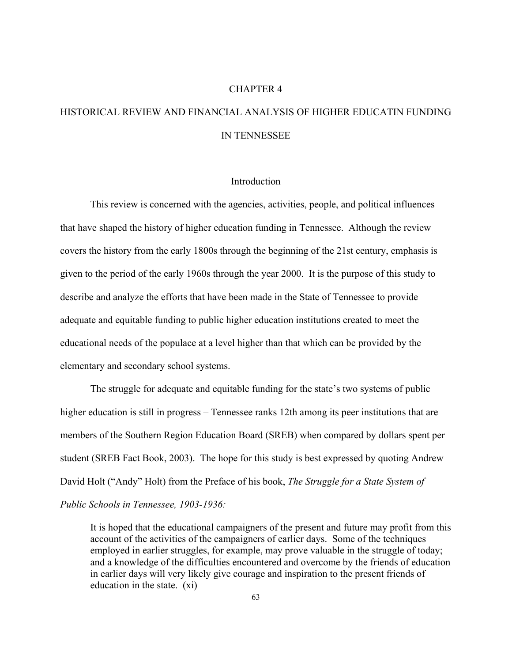## CHAPTER 4

# HISTORICAL REVIEW AND FINANCIAL ANALYSIS OF HIGHER EDUCATIN FUNDING IN TENNESSEE

#### Introduction

This review is concerned with the agencies, activities, people, and political influences that have shaped the history of higher education funding in Tennessee. Although the review covers the history from the early 1800s through the beginning of the 21st century, emphasis is given to the period of the early 1960s through the year 2000. It is the purpose of this study to describe and analyze the efforts that have been made in the State of Tennessee to provide adequate and equitable funding to public higher education institutions created to meet the educational needs of the populace at a level higher than that which can be provided by the elementary and secondary school systems.

The struggle for adequate and equitable funding for the state's two systems of public higher education is still in progress – Tennessee ranks 12th among its peer institutions that are members of the Southern Region Education Board (SREB) when compared by dollars spent per student (SREB Fact Book, 2003). The hope for this study is best expressed by quoting Andrew David Holt ("Andy" Holt) from the Preface of his book, *The Struggle for a State System of Public Schools in Tennessee, 1903-1936:* 

It is hoped that the educational campaigners of the present and future may profit from this account of the activities of the campaigners of earlier days. Some of the techniques employed in earlier struggles, for example, may prove valuable in the struggle of today; and a knowledge of the difficulties encountered and overcome by the friends of education in earlier days will very likely give courage and inspiration to the present friends of education in the state. (xi)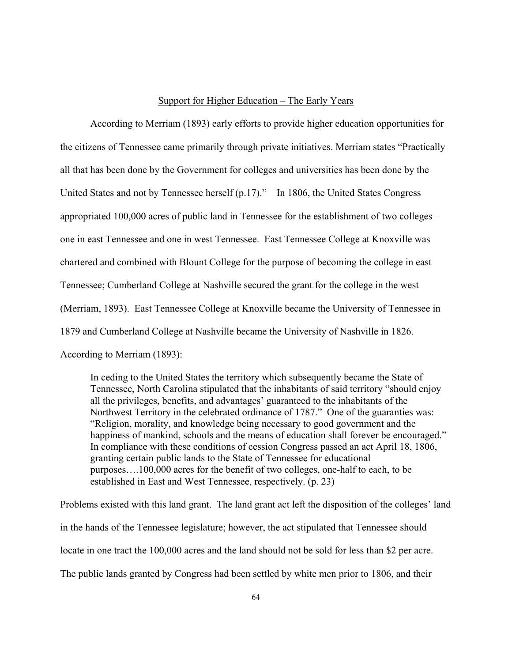#### Support for Higher Education – The Early Years

According to Merriam (1893) early efforts to provide higher education opportunities for the citizens of Tennessee came primarily through private initiatives. Merriam states "Practically all that has been done by the Government for colleges and universities has been done by the United States and not by Tennessee herself (p.17)." In 1806, the United States Congress appropriated 100,000 acres of public land in Tennessee for the establishment of two colleges – one in east Tennessee and one in west Tennessee. East Tennessee College at Knoxville was chartered and combined with Blount College for the purpose of becoming the college in east Tennessee; Cumberland College at Nashville secured the grant for the college in the west (Merriam, 1893). East Tennessee College at Knoxville became the University of Tennessee in 1879 and Cumberland College at Nashville became the University of Nashville in 1826. According to Merriam (1893):

In ceding to the United States the territory which subsequently became the State of Tennessee, North Carolina stipulated that the inhabitants of said territory "should enjoy all the privileges, benefits, and advantages' guaranteed to the inhabitants of the Northwest Territory in the celebrated ordinance of 1787." One of the guaranties was: "Religion, morality, and knowledge being necessary to good government and the happiness of mankind, schools and the means of education shall forever be encouraged." In compliance with these conditions of cession Congress passed an act April 18, 1806, granting certain public lands to the State of Tennessee for educational purposes….100,000 acres for the benefit of two colleges, one-half to each, to be established in East and West Tennessee, respectively. (p. 23)

Problems existed with this land grant. The land grant act left the disposition of the colleges' land in the hands of the Tennessee legislature; however, the act stipulated that Tennessee should locate in one tract the 100,000 acres and the land should not be sold for less than \$2 per acre. The public lands granted by Congress had been settled by white men prior to 1806, and their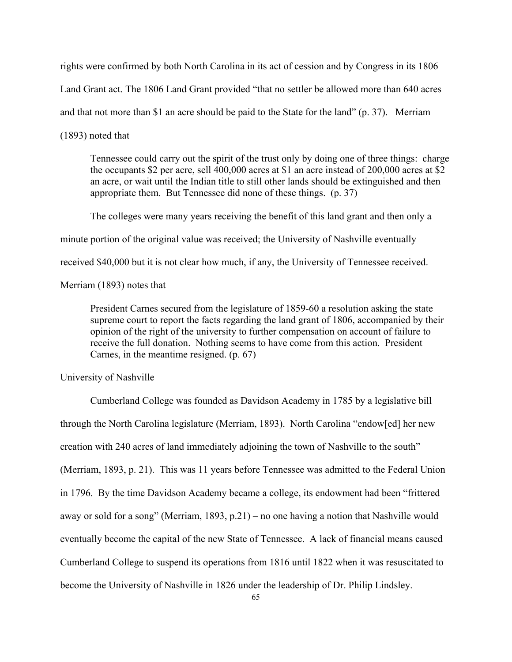rights were confirmed by both North Carolina in its act of cession and by Congress in its 1806

Land Grant act. The 1806 Land Grant provided "that no settler be allowed more than 640 acres

and that not more than \$1 an acre should be paid to the State for the land" (p. 37). Merriam

(1893) noted that

Tennessee could carry out the spirit of the trust only by doing one of three things: charge the occupants \$2 per acre, sell 400,000 acres at \$1 an acre instead of 200,000 acres at \$2 an acre, or wait until the Indian title to still other lands should be extinguished and then appropriate them. But Tennessee did none of these things. (p. 37)

The colleges were many years receiving the benefit of this land grant and then only a

minute portion of the original value was received; the University of Nashville eventually

received \$40,000 but it is not clear how much, if any, the University of Tennessee received.

Merriam (1893) notes that

President Carnes secured from the legislature of 1859-60 a resolution asking the state supreme court to report the facts regarding the land grant of 1806, accompanied by their opinion of the right of the university to further compensation on account of failure to receive the full donation. Nothing seems to have come from this action. President Carnes, in the meantime resigned. (p. 67)

## University of Nashville

Cumberland College was founded as Davidson Academy in 1785 by a legislative bill through the North Carolina legislature (Merriam, 1893). North Carolina "endow[ed] her new creation with 240 acres of land immediately adjoining the town of Nashville to the south" (Merriam, 1893, p. 21). This was 11 years before Tennessee was admitted to the Federal Union in 1796. By the time Davidson Academy became a college, its endowment had been "frittered away or sold for a song" (Merriam, 1893, p.21) – no one having a notion that Nashville would eventually become the capital of the new State of Tennessee. A lack of financial means caused Cumberland College to suspend its operations from 1816 until 1822 when it was resuscitated to become the University of Nashville in 1826 under the leadership of Dr. Philip Lindsley.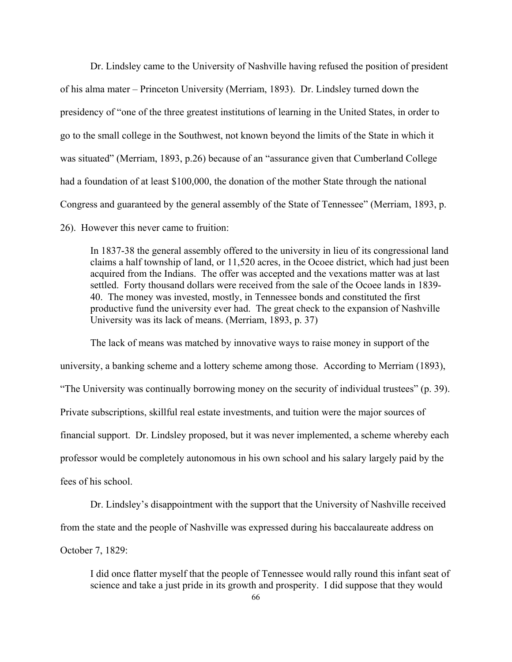Dr. Lindsley came to the University of Nashville having refused the position of president of his alma mater – Princeton University (Merriam, 1893). Dr. Lindsley turned down the presidency of "one of the three greatest institutions of learning in the United States, in order to go to the small college in the Southwest, not known beyond the limits of the State in which it was situated" (Merriam, 1893, p.26) because of an "assurance given that Cumberland College had a foundation of at least \$100,000, the donation of the mother State through the national Congress and guaranteed by the general assembly of the State of Tennessee" (Merriam, 1893, p.

26). However this never came to fruition:

In 1837-38 the general assembly offered to the university in lieu of its congressional land claims a half township of land, or 11,520 acres, in the Ocoee district, which had just been acquired from the Indians. The offer was accepted and the vexations matter was at last settled. Forty thousand dollars were received from the sale of the Ocoee lands in 1839- 40. The money was invested, mostly, in Tennessee bonds and constituted the first productive fund the university ever had. The great check to the expansion of Nashville University was its lack of means. (Merriam, 1893, p. 37)

The lack of means was matched by innovative ways to raise money in support of the university, a banking scheme and a lottery scheme among those. According to Merriam (1893), "The University was continually borrowing money on the security of individual trustees" (p. 39). Private subscriptions, skillful real estate investments, and tuition were the major sources of financial support. Dr. Lindsley proposed, but it was never implemented, a scheme whereby each professor would be completely autonomous in his own school and his salary largely paid by the fees of his school.

Dr. Lindsley's disappointment with the support that the University of Nashville received from the state and the people of Nashville was expressed during his baccalaureate address on October 7, 1829:

I did once flatter myself that the people of Tennessee would rally round this infant seat of science and take a just pride in its growth and prosperity. I did suppose that they would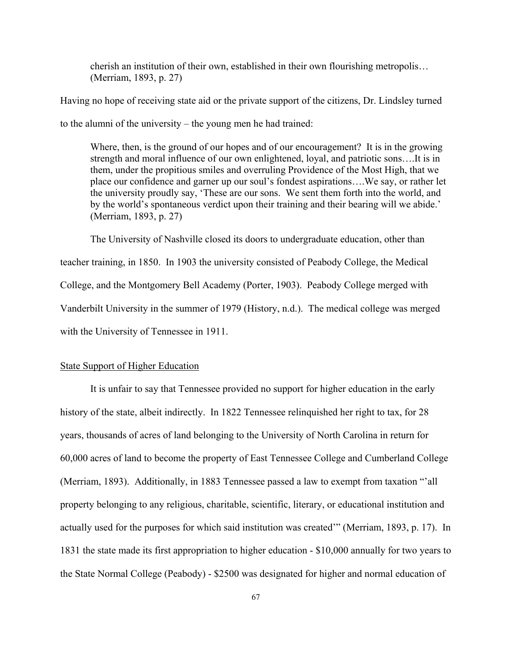cherish an institution of their own, established in their own flourishing metropolis… (Merriam, 1893, p. 27)

Having no hope of receiving state aid or the private support of the citizens, Dr. Lindsley turned

to the alumni of the university – the young men he had trained:

Where, then, is the ground of our hopes and of our encouragement? It is in the growing strength and moral influence of our own enlightened, loyal, and patriotic sons….It is in them, under the propitious smiles and overruling Providence of the Most High, that we place our confidence and garner up our soul's fondest aspirations….We say, or rather let the university proudly say, 'These are our sons. We sent them forth into the world, and by the world's spontaneous verdict upon their training and their bearing will we abide.' (Merriam, 1893, p. 27)

The University of Nashville closed its doors to undergraduate education, other than teacher training, in 1850. In 1903 the university consisted of Peabody College, the Medical College, and the Montgomery Bell Academy (Porter, 1903). Peabody College merged with Vanderbilt University in the summer of 1979 (History, n.d.). The medical college was merged with the University of Tennessee in 1911.

## State Support of Higher Education

It is unfair to say that Tennessee provided no support for higher education in the early history of the state, albeit indirectly. In 1822 Tennessee relinquished her right to tax, for 28 years, thousands of acres of land belonging to the University of North Carolina in return for 60,000 acres of land to become the property of East Tennessee College and Cumberland College (Merriam, 1893). Additionally, in 1883 Tennessee passed a law to exempt from taxation "'all property belonging to any religious, charitable, scientific, literary, or educational institution and actually used for the purposes for which said institution was created'" (Merriam, 1893, p. 17). In 1831 the state made its first appropriation to higher education - \$10,000 annually for two years to the State Normal College (Peabody) - \$2500 was designated for higher and normal education of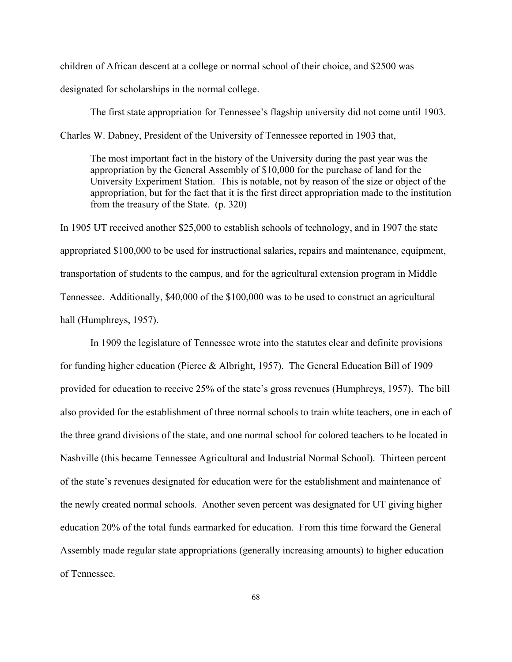children of African descent at a college or normal school of their choice, and \$2500 was designated for scholarships in the normal college.

The first state appropriation for Tennessee's flagship university did not come until 1903. Charles W. Dabney, President of the University of Tennessee reported in 1903 that,

The most important fact in the history of the University during the past year was the appropriation by the General Assembly of \$10,000 for the purchase of land for the University Experiment Station. This is notable, not by reason of the size or object of the appropriation, but for the fact that it is the first direct appropriation made to the institution from the treasury of the State. (p. 320)

In 1905 UT received another \$25,000 to establish schools of technology, and in 1907 the state appropriated \$100,000 to be used for instructional salaries, repairs and maintenance, equipment, transportation of students to the campus, and for the agricultural extension program in Middle Tennessee. Additionally, \$40,000 of the \$100,000 was to be used to construct an agricultural hall (Humphreys, 1957).

In 1909 the legislature of Tennessee wrote into the statutes clear and definite provisions for funding higher education (Pierce & Albright, 1957). The General Education Bill of 1909 provided for education to receive 25% of the state's gross revenues (Humphreys, 1957). The bill also provided for the establishment of three normal schools to train white teachers, one in each of the three grand divisions of the state, and one normal school for colored teachers to be located in Nashville (this became Tennessee Agricultural and Industrial Normal School). Thirteen percent of the state's revenues designated for education were for the establishment and maintenance of the newly created normal schools. Another seven percent was designated for UT giving higher education 20% of the total funds earmarked for education. From this time forward the General Assembly made regular state appropriations (generally increasing amounts) to higher education of Tennessee.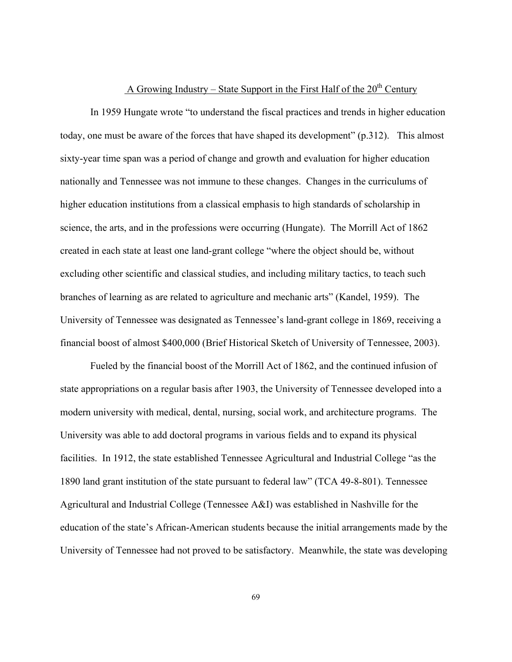# A Growing Industry – State Support in the First Half of the  $20<sup>th</sup>$  Century

In 1959 Hungate wrote "to understand the fiscal practices and trends in higher education today, one must be aware of the forces that have shaped its development" (p.312). This almost sixty-year time span was a period of change and growth and evaluation for higher education nationally and Tennessee was not immune to these changes. Changes in the curriculums of higher education institutions from a classical emphasis to high standards of scholarship in science, the arts, and in the professions were occurring (Hungate). The Morrill Act of 1862 created in each state at least one land-grant college "where the object should be, without excluding other scientific and classical studies, and including military tactics, to teach such branches of learning as are related to agriculture and mechanic arts" (Kandel, 1959). The University of Tennessee was designated as Tennessee's land-grant college in 1869, receiving a financial boost of almost \$400,000 (Brief Historical Sketch of University of Tennessee, 2003).

Fueled by the financial boost of the Morrill Act of 1862, and the continued infusion of state appropriations on a regular basis after 1903, the University of Tennessee developed into a modern university with medical, dental, nursing, social work, and architecture programs. The University was able to add doctoral programs in various fields and to expand its physical facilities. In 1912, the state established Tennessee Agricultural and Industrial College "as the 1890 land grant institution of the state pursuant to federal law" (TCA 49-8-801). Tennessee Agricultural and Industrial College (Tennessee A&I) was established in Nashville for the education of the state's African-American students because the initial arrangements made by the University of Tennessee had not proved to be satisfactory. Meanwhile, the state was developing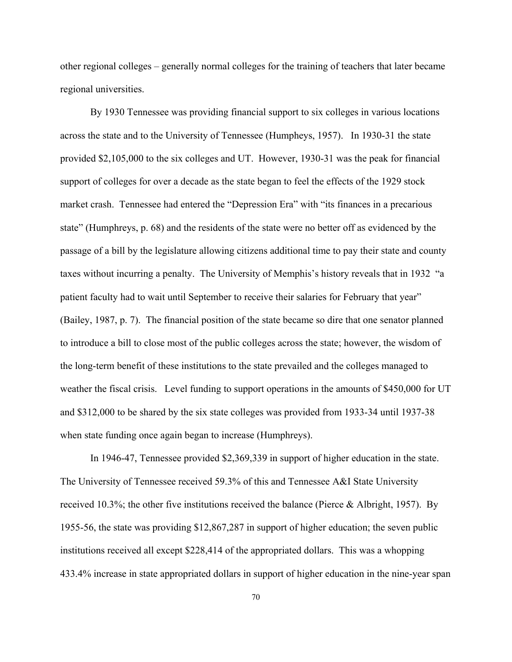other regional colleges – generally normal colleges for the training of teachers that later became regional universities.

By 1930 Tennessee was providing financial support to six colleges in various locations across the state and to the University of Tennessee (Humpheys, 1957). In 1930-31 the state provided \$2,105,000 to the six colleges and UT. However, 1930-31 was the peak for financial support of colleges for over a decade as the state began to feel the effects of the 1929 stock market crash. Tennessee had entered the "Depression Era" with "its finances in a precarious state" (Humphreys, p. 68) and the residents of the state were no better off as evidenced by the passage of a bill by the legislature allowing citizens additional time to pay their state and county taxes without incurring a penalty. The University of Memphis's history reveals that in 1932 "a patient faculty had to wait until September to receive their salaries for February that year" (Bailey, 1987, p. 7). The financial position of the state became so dire that one senator planned to introduce a bill to close most of the public colleges across the state; however, the wisdom of the long-term benefit of these institutions to the state prevailed and the colleges managed to weather the fiscal crisis. Level funding to support operations in the amounts of \$450,000 for UT and \$312,000 to be shared by the six state colleges was provided from 1933-34 until 1937-38 when state funding once again began to increase (Humphreys).

In 1946-47, Tennessee provided \$2,369,339 in support of higher education in the state. The University of Tennessee received 59.3% of this and Tennessee A&I State University received 10.3%; the other five institutions received the balance (Pierce & Albright, 1957). By 1955-56, the state was providing \$12,867,287 in support of higher education; the seven public institutions received all except \$228,414 of the appropriated dollars. This was a whopping 433.4% increase in state appropriated dollars in support of higher education in the nine-year span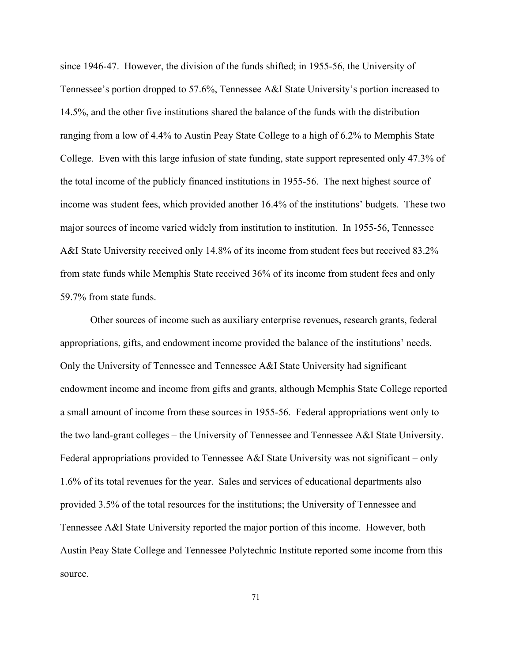since 1946-47. However, the division of the funds shifted; in 1955-56, the University of Tennessee's portion dropped to 57.6%, Tennessee A&I State University's portion increased to 14.5%, and the other five institutions shared the balance of the funds with the distribution ranging from a low of 4.4% to Austin Peay State College to a high of 6.2% to Memphis State College. Even with this large infusion of state funding, state support represented only 47.3% of the total income of the publicly financed institutions in 1955-56. The next highest source of income was student fees, which provided another 16.4% of the institutions' budgets. These two major sources of income varied widely from institution to institution. In 1955-56, Tennessee A&I State University received only 14.8% of its income from student fees but received 83.2% from state funds while Memphis State received 36% of its income from student fees and only 59.7% from state funds.

Other sources of income such as auxiliary enterprise revenues, research grants, federal appropriations, gifts, and endowment income provided the balance of the institutions' needs. Only the University of Tennessee and Tennessee A&I State University had significant endowment income and income from gifts and grants, although Memphis State College reported a small amount of income from these sources in 1955-56. Federal appropriations went only to the two land-grant colleges – the University of Tennessee and Tennessee A&I State University. Federal appropriations provided to Tennessee A&I State University was not significant – only 1.6% of its total revenues for the year. Sales and services of educational departments also provided 3.5% of the total resources for the institutions; the University of Tennessee and Tennessee A&I State University reported the major portion of this income. However, both Austin Peay State College and Tennessee Polytechnic Institute reported some income from this source.

71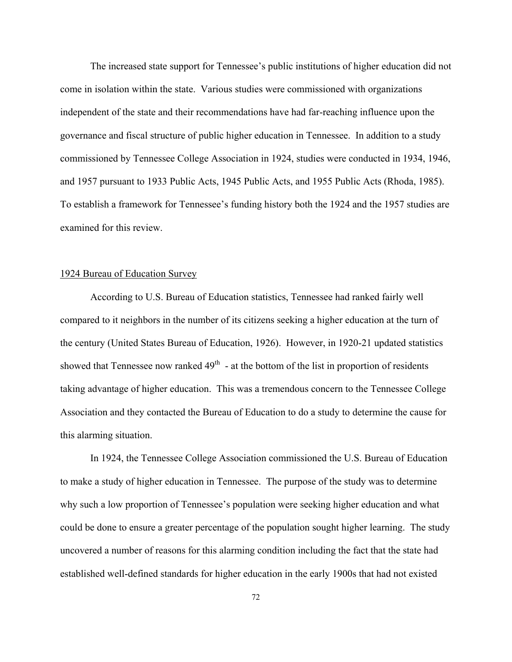The increased state support for Tennessee's public institutions of higher education did not come in isolation within the state. Various studies were commissioned with organizations independent of the state and their recommendations have had far-reaching influence upon the governance and fiscal structure of public higher education in Tennessee. In addition to a study commissioned by Tennessee College Association in 1924, studies were conducted in 1934, 1946, and 1957 pursuant to 1933 Public Acts, 1945 Public Acts, and 1955 Public Acts (Rhoda, 1985). To establish a framework for Tennessee's funding history both the 1924 and the 1957 studies are examined for this review.

# 1924 Bureau of Education Survey

According to U.S. Bureau of Education statistics, Tennessee had ranked fairly well compared to it neighbors in the number of its citizens seeking a higher education at the turn of the century (United States Bureau of Education, 1926). However, in 1920-21 updated statistics showed that Tennessee now ranked  $49<sup>th</sup>$  - at the bottom of the list in proportion of residents taking advantage of higher education. This was a tremendous concern to the Tennessee College Association and they contacted the Bureau of Education to do a study to determine the cause for this alarming situation.

In 1924, the Tennessee College Association commissioned the U.S. Bureau of Education to make a study of higher education in Tennessee. The purpose of the study was to determine why such a low proportion of Tennessee's population were seeking higher education and what could be done to ensure a greater percentage of the population sought higher learning. The study uncovered a number of reasons for this alarming condition including the fact that the state had established well-defined standards for higher education in the early 1900s that had not existed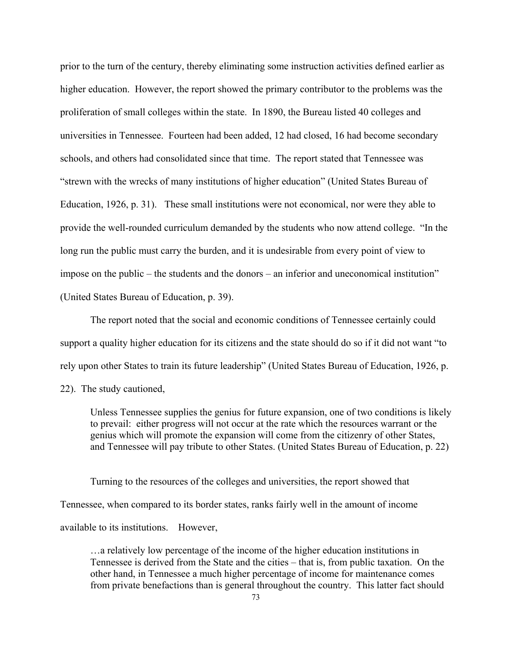prior to the turn of the century, thereby eliminating some instruction activities defined earlier as higher education. However, the report showed the primary contributor to the problems was the proliferation of small colleges within the state. In 1890, the Bureau listed 40 colleges and universities in Tennessee. Fourteen had been added, 12 had closed, 16 had become secondary schools, and others had consolidated since that time. The report stated that Tennessee was "strewn with the wrecks of many institutions of higher education" (United States Bureau of Education, 1926, p. 31). These small institutions were not economical, nor were they able to provide the well-rounded curriculum demanded by the students who now attend college. "In the long run the public must carry the burden, and it is undesirable from every point of view to impose on the public – the students and the donors – an inferior and uneconomical institution" (United States Bureau of Education, p. 39).

The report noted that the social and economic conditions of Tennessee certainly could support a quality higher education for its citizens and the state should do so if it did not want "to rely upon other States to train its future leadership" (United States Bureau of Education, 1926, p. 22). The study cautioned,

Unless Tennessee supplies the genius for future expansion, one of two conditions is likely to prevail: either progress will not occur at the rate which the resources warrant or the genius which will promote the expansion will come from the citizenry of other States, and Tennessee will pay tribute to other States. (United States Bureau of Education, p. 22)

Turning to the resources of the colleges and universities, the report showed that Tennessee, when compared to its border states, ranks fairly well in the amount of income available to its institutions. However,

…a relatively low percentage of the income of the higher education institutions in Tennessee is derived from the State and the cities – that is, from public taxation. On the other hand, in Tennessee a much higher percentage of income for maintenance comes from private benefactions than is general throughout the country. This latter fact should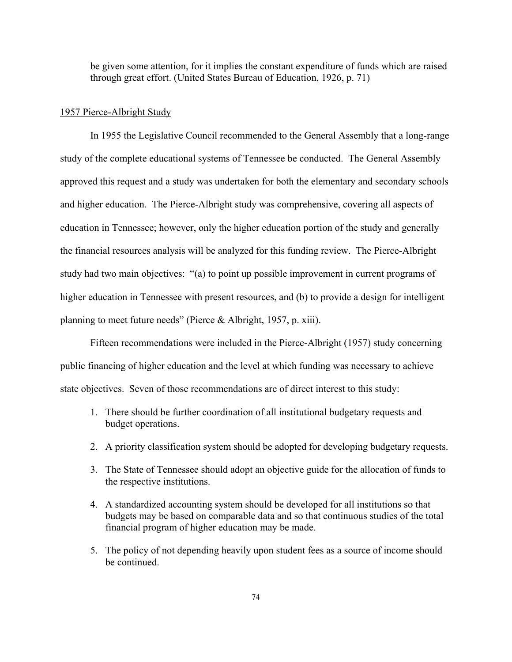be given some attention, for it implies the constant expenditure of funds which are raised through great effort. (United States Bureau of Education, 1926, p. 71)

#### 1957 Pierce-Albright Study

In 1955 the Legislative Council recommended to the General Assembly that a long-range study of the complete educational systems of Tennessee be conducted. The General Assembly approved this request and a study was undertaken for both the elementary and secondary schools and higher education. The Pierce-Albright study was comprehensive, covering all aspects of education in Tennessee; however, only the higher education portion of the study and generally the financial resources analysis will be analyzed for this funding review. The Pierce-Albright study had two main objectives: "(a) to point up possible improvement in current programs of higher education in Tennessee with present resources, and (b) to provide a design for intelligent planning to meet future needs" (Pierce & Albright, 1957, p. xiii).

Fifteen recommendations were included in the Pierce-Albright (1957) study concerning public financing of higher education and the level at which funding was necessary to achieve state objectives. Seven of those recommendations are of direct interest to this study:

- 1. There should be further coordination of all institutional budgetary requests and budget operations.
- 2. A priority classification system should be adopted for developing budgetary requests.
- 3. The State of Tennessee should adopt an objective guide for the allocation of funds to the respective institutions.
- 4. A standardized accounting system should be developed for all institutions so that budgets may be based on comparable data and so that continuous studies of the total financial program of higher education may be made.
- 5. The policy of not depending heavily upon student fees as a source of income should be continued.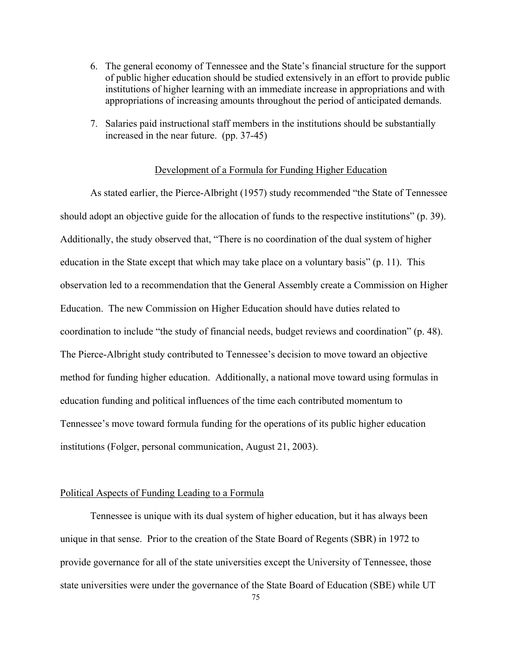- 6. The general economy of Tennessee and the State's financial structure for the support of public higher education should be studied extensively in an effort to provide public institutions of higher learning with an immediate increase in appropriations and with appropriations of increasing amounts throughout the period of anticipated demands.
- 7. Salaries paid instructional staff members in the institutions should be substantially increased in the near future. (pp. 37-45)

#### Development of a Formula for Funding Higher Education

As stated earlier, the Pierce-Albright (1957) study recommended "the State of Tennessee should adopt an objective guide for the allocation of funds to the respective institutions" (p. 39). Additionally, the study observed that, "There is no coordination of the dual system of higher education in the State except that which may take place on a voluntary basis" (p. 11). This observation led to a recommendation that the General Assembly create a Commission on Higher Education. The new Commission on Higher Education should have duties related to coordination to include "the study of financial needs, budget reviews and coordination" (p. 48). The Pierce-Albright study contributed to Tennessee's decision to move toward an objective method for funding higher education. Additionally, a national move toward using formulas in education funding and political influences of the time each contributed momentum to Tennessee's move toward formula funding for the operations of its public higher education institutions (Folger, personal communication, August 21, 2003).

# Political Aspects of Funding Leading to a Formula

Tennessee is unique with its dual system of higher education, but it has always been unique in that sense. Prior to the creation of the State Board of Regents (SBR) in 1972 to provide governance for all of the state universities except the University of Tennessee, those state universities were under the governance of the State Board of Education (SBE) while UT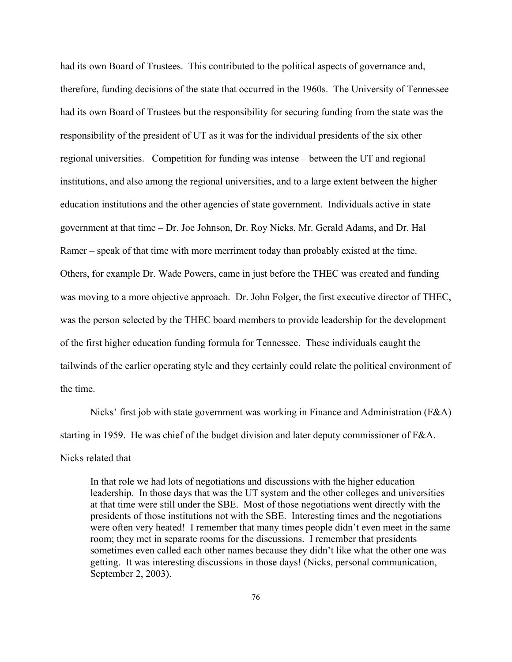had its own Board of Trustees. This contributed to the political aspects of governance and, therefore, funding decisions of the state that occurred in the 1960s. The University of Tennessee had its own Board of Trustees but the responsibility for securing funding from the state was the responsibility of the president of UT as it was for the individual presidents of the six other regional universities. Competition for funding was intense – between the UT and regional institutions, and also among the regional universities, and to a large extent between the higher education institutions and the other agencies of state government. Individuals active in state government at that time – Dr. Joe Johnson, Dr. Roy Nicks, Mr. Gerald Adams, and Dr. Hal Ramer – speak of that time with more merriment today than probably existed at the time. Others, for example Dr. Wade Powers, came in just before the THEC was created and funding was moving to a more objective approach. Dr. John Folger, the first executive director of THEC, was the person selected by the THEC board members to provide leadership for the development of the first higher education funding formula for Tennessee. These individuals caught the tailwinds of the earlier operating style and they certainly could relate the political environment of the time.

Nicks' first job with state government was working in Finance and Administration (F&A) starting in 1959. He was chief of the budget division and later deputy commissioner of F&A. Nicks related that

In that role we had lots of negotiations and discussions with the higher education leadership. In those days that was the UT system and the other colleges and universities at that time were still under the SBE. Most of those negotiations went directly with the presidents of those institutions not with the SBE. Interesting times and the negotiations were often very heated! I remember that many times people didn't even meet in the same room; they met in separate rooms for the discussions. I remember that presidents sometimes even called each other names because they didn't like what the other one was getting. It was interesting discussions in those days! (Nicks, personal communication, September 2, 2003).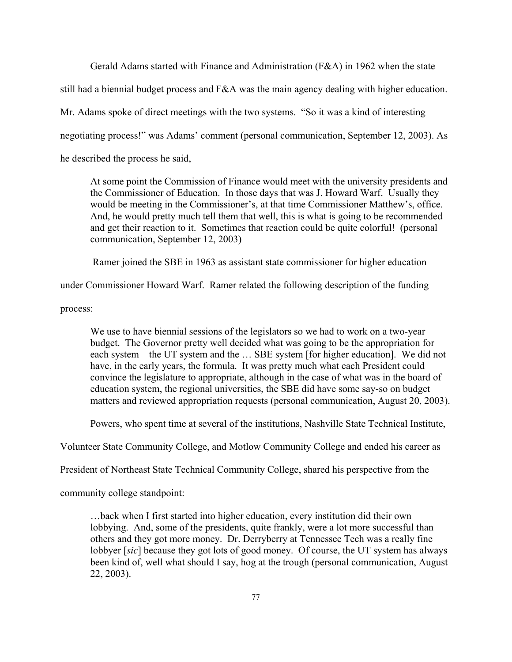Gerald Adams started with Finance and Administration (F&A) in 1962 when the state

still had a biennial budget process and F&A was the main agency dealing with higher education.

Mr. Adams spoke of direct meetings with the two systems. "So it was a kind of interesting

negotiating process!" was Adams' comment (personal communication, September 12, 2003). As

he described the process he said,

At some point the Commission of Finance would meet with the university presidents and the Commissioner of Education. In those days that was J. Howard Warf. Usually they would be meeting in the Commissioner's, at that time Commissioner Matthew's, office. And, he would pretty much tell them that well, this is what is going to be recommended and get their reaction to it. Sometimes that reaction could be quite colorful! (personal communication, September 12, 2003)

Ramer joined the SBE in 1963 as assistant state commissioner for higher education

under Commissioner Howard Warf. Ramer related the following description of the funding

process:

We use to have biennial sessions of the legislators so we had to work on a two-year budget. The Governor pretty well decided what was going to be the appropriation for each system – the UT system and the … SBE system [for higher education]. We did not have, in the early years, the formula. It was pretty much what each President could convince the legislature to appropriate, although in the case of what was in the board of education system, the regional universities, the SBE did have some say-so on budget matters and reviewed appropriation requests (personal communication, August 20, 2003).

Powers, who spent time at several of the institutions, Nashville State Technical Institute,

Volunteer State Community College, and Motlow Community College and ended his career as

President of Northeast State Technical Community College, shared his perspective from the

community college standpoint:

…back when I first started into higher education, every institution did their own lobbying. And, some of the presidents, quite frankly, were a lot more successful than others and they got more money. Dr. Derryberry at Tennessee Tech was a really fine lobbyer [*sic*] because they got lots of good money. Of course, the UT system has always been kind of, well what should I say, hog at the trough (personal communication, August 22, 2003).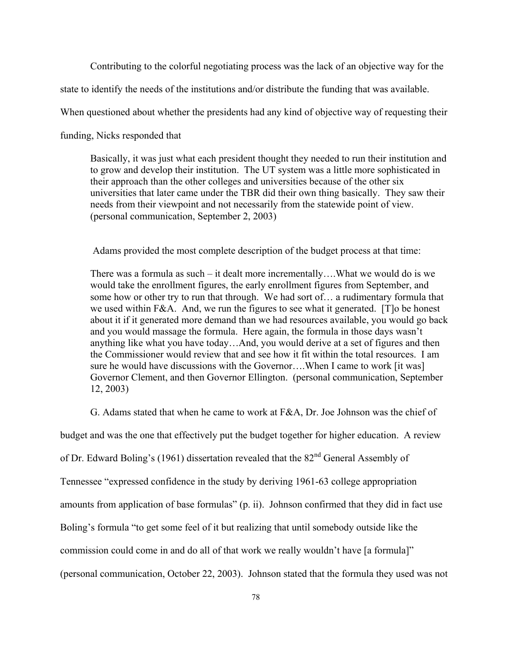Contributing to the colorful negotiating process was the lack of an objective way for the

state to identify the needs of the institutions and/or distribute the funding that was available.

When questioned about whether the presidents had any kind of objective way of requesting their

funding, Nicks responded that

Basically, it was just what each president thought they needed to run their institution and to grow and develop their institution. The UT system was a little more sophisticated in their approach than the other colleges and universities because of the other six universities that later came under the TBR did their own thing basically. They saw their needs from their viewpoint and not necessarily from the statewide point of view. (personal communication, September 2, 2003)

Adams provided the most complete description of the budget process at that time:

There was a formula as such – it dealt more incrementally….What we would do is we would take the enrollment figures, the early enrollment figures from September, and some how or other try to run that through. We had sort of… a rudimentary formula that we used within F&A. And, we run the figures to see what it generated. [T]o be honest about it if it generated more demand than we had resources available, you would go back and you would massage the formula. Here again, the formula in those days wasn't anything like what you have today…And, you would derive at a set of figures and then the Commissioner would review that and see how it fit within the total resources. I am sure he would have discussions with the Governor….When I came to work [it was] Governor Clement, and then Governor Ellington. (personal communication, September 12, 2003)

G. Adams stated that when he came to work at  $F&A$ , Dr. Joe Johnson was the chief of

budget and was the one that effectively put the budget together for higher education. A review

of Dr. Edward Boling's (1961) dissertation revealed that the 82nd General Assembly of

Tennessee "expressed confidence in the study by deriving 1961-63 college appropriation

amounts from application of base formulas" (p. ii). Johnson confirmed that they did in fact use

Boling's formula "to get some feel of it but realizing that until somebody outside like the

commission could come in and do all of that work we really wouldn't have [a formula]"

(personal communication, October 22, 2003). Johnson stated that the formula they used was not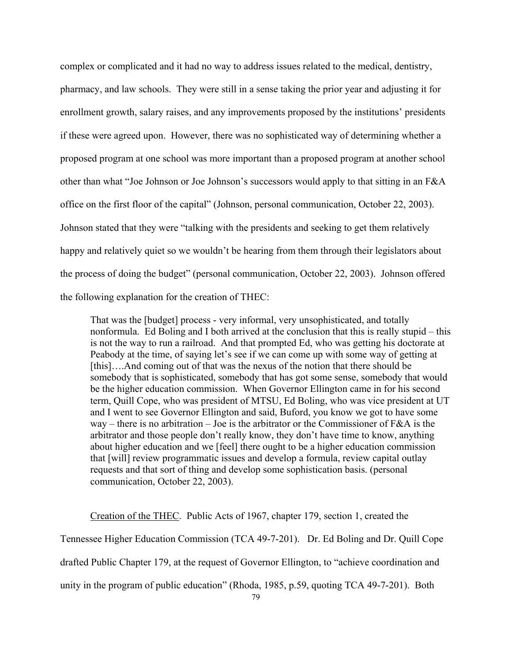complex or complicated and it had no way to address issues related to the medical, dentistry, pharmacy, and law schools. They were still in a sense taking the prior year and adjusting it for enrollment growth, salary raises, and any improvements proposed by the institutions' presidents if these were agreed upon. However, there was no sophisticated way of determining whether a proposed program at one school was more important than a proposed program at another school other than what "Joe Johnson or Joe Johnson's successors would apply to that sitting in an F&A office on the first floor of the capital" (Johnson, personal communication, October 22, 2003). Johnson stated that they were "talking with the presidents and seeking to get them relatively happy and relatively quiet so we wouldn't be hearing from them through their legislators about the process of doing the budget" (personal communication, October 22, 2003). Johnson offered the following explanation for the creation of THEC:

That was the [budget] process - very informal, very unsophisticated, and totally nonformula. Ed Boling and I both arrived at the conclusion that this is really stupid – this is not the way to run a railroad. And that prompted Ed, who was getting his doctorate at Peabody at the time, of saying let's see if we can come up with some way of getting at [this]....And coming out of that was the nexus of the notion that there should be somebody that is sophisticated, somebody that has got some sense, somebody that would be the higher education commission. When Governor Ellington came in for his second term, Quill Cope, who was president of MTSU, Ed Boling, who was vice president at UT and I went to see Governor Ellington and said, Buford, you know we got to have some way – there is no arbitration – Joe is the arbitrator or the Commissioner of  $F\&A$  is the arbitrator and those people don't really know, they don't have time to know, anything about higher education and we [feel] there ought to be a higher education commission that [will] review programmatic issues and develop a formula, review capital outlay requests and that sort of thing and develop some sophistication basis. (personal communication, October 22, 2003).

Creation of the THEC. Public Acts of 1967, chapter 179, section 1, created the Tennessee Higher Education Commission (TCA 49-7-201). Dr. Ed Boling and Dr. Quill Cope drafted Public Chapter 179, at the request of Governor Ellington, to "achieve coordination and unity in the program of public education" (Rhoda, 1985, p.59, quoting TCA 49-7-201). Both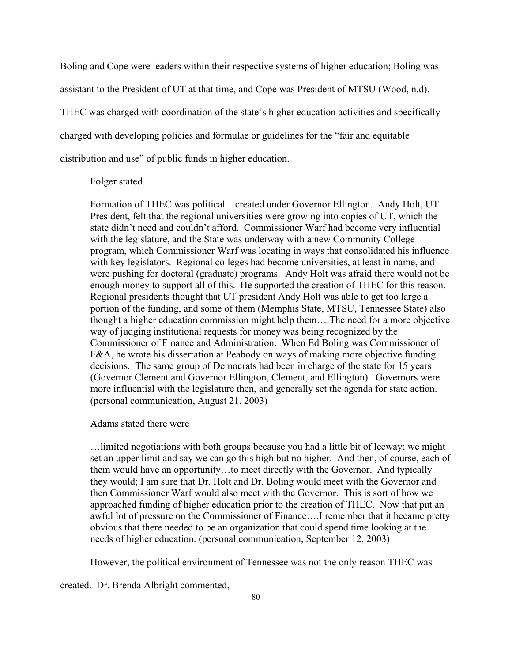Boling and Cope were leaders within their respective systems of higher education; Boling was assistant to the President of UT at that time, and Cope was President of MTSU (Wood, n.d). THEC was charged with coordination of the state's higher education activities and specifically charged with developing policies and formulae or guidelines for the "fair and equitable distribution and use" of public funds in higher education.

# Folger stated

Formation of THEC was political – created under Governor Ellington. Andy Holt, UT President, felt that the regional universities were growing into copies of UT, which the state didn't need and couldn't afford. Commissioner Warf had become very influential with the legislature, and the State was underway with a new Community College program, which Commissioner Warf was locating in ways that consolidated his influence with key legislators. Regional colleges had become universities, at least in name, and were pushing for doctoral (graduate) programs. Andy Holt was afraid there would not be enough money to support all of this. He supported the creation of THEC for this reason. Regional presidents thought that UT president Andy Holt was able to get too large a portion of the funding, and some of them (Memphis State, MTSU, Tennessee State) also thought a higher education commission might help them….The need for a more objective way of judging institutional requests for money was being recognized by the Commissioner of Finance and Administration. When Ed Boling was Commissioner of F&A, he wrote his dissertation at Peabody on ways of making more objective funding decisions. The same group of Democrats had been in charge of the state for 15 years (Governor Clement and Governor Ellington, Clement, and Ellington). Governors were more influential with the legislature then, and generally set the agenda for state action. (personal communication, August 21, 2003)

#### Adams stated there were

…limited negotiations with both groups because you had a little bit of leeway; we might set an upper limit and say we can go this high but no higher. And then, of course, each of them would have an opportunity…to meet directly with the Governor. And typically they would; I am sure that Dr. Holt and Dr. Boling would meet with the Governor and then Commissioner Warf would also meet with the Governor. This is sort of how we approached funding of higher education prior to the creation of THEC. Now that put an awful lot of pressure on the Commissioner of Finance….I remember that it became pretty obvious that there needed to be an organization that could spend time looking at the needs of higher education. (personal communication, September 12, 2003)

However, the political environment of Tennessee was not the only reason THEC was

created. Dr. Brenda Albright commented,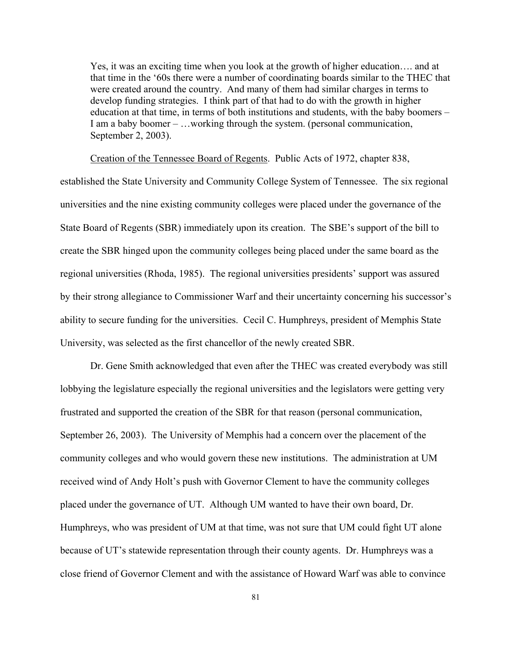Yes, it was an exciting time when you look at the growth of higher education…. and at that time in the '60s there were a number of coordinating boards similar to the THEC that were created around the country. And many of them had similar charges in terms to develop funding strategies. I think part of that had to do with the growth in higher education at that time, in terms of both institutions and students, with the baby boomers – I am a baby boomer – …working through the system. (personal communication, September 2, 2003).

Creation of the Tennessee Board of Regents. Public Acts of 1972, chapter 838,

established the State University and Community College System of Tennessee. The six regional universities and the nine existing community colleges were placed under the governance of the State Board of Regents (SBR) immediately upon its creation. The SBE's support of the bill to create the SBR hinged upon the community colleges being placed under the same board as the regional universities (Rhoda, 1985). The regional universities presidents' support was assured by their strong allegiance to Commissioner Warf and their uncertainty concerning his successor's ability to secure funding for the universities. Cecil C. Humphreys, president of Memphis State University, was selected as the first chancellor of the newly created SBR.

Dr. Gene Smith acknowledged that even after the THEC was created everybody was still lobbying the legislature especially the regional universities and the legislators were getting very frustrated and supported the creation of the SBR for that reason (personal communication, September 26, 2003). The University of Memphis had a concern over the placement of the community colleges and who would govern these new institutions. The administration at UM received wind of Andy Holt's push with Governor Clement to have the community colleges placed under the governance of UT. Although UM wanted to have their own board, Dr. Humphreys, who was president of UM at that time, was not sure that UM could fight UT alone because of UT's statewide representation through their county agents. Dr. Humphreys was a close friend of Governor Clement and with the assistance of Howard Warf was able to convince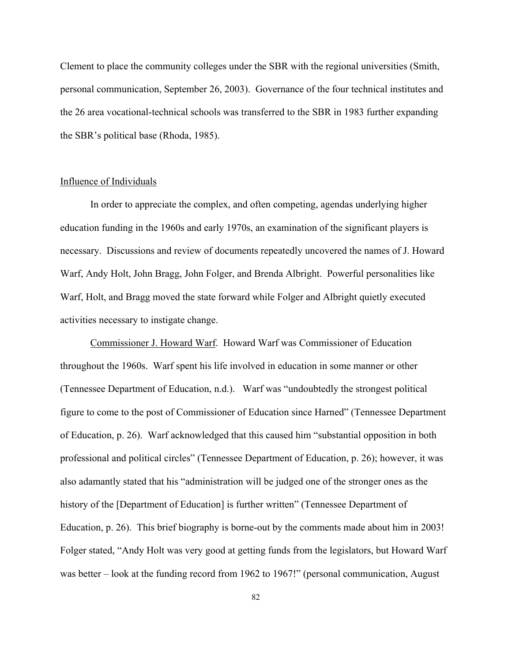Clement to place the community colleges under the SBR with the regional universities (Smith, personal communication, September 26, 2003). Governance of the four technical institutes and the 26 area vocational-technical schools was transferred to the SBR in 1983 further expanding the SBR's political base (Rhoda, 1985).

# Influence of Individuals

In order to appreciate the complex, and often competing, agendas underlying higher education funding in the 1960s and early 1970s, an examination of the significant players is necessary. Discussions and review of documents repeatedly uncovered the names of J. Howard Warf, Andy Holt, John Bragg, John Folger, and Brenda Albright. Powerful personalities like Warf, Holt, and Bragg moved the state forward while Folger and Albright quietly executed activities necessary to instigate change.

Commissioner J. Howard Warf. Howard Warf was Commissioner of Education throughout the 1960s. Warf spent his life involved in education in some manner or other (Tennessee Department of Education, n.d.). Warf was "undoubtedly the strongest political figure to come to the post of Commissioner of Education since Harned" (Tennessee Department of Education, p. 26). Warf acknowledged that this caused him "substantial opposition in both professional and political circles" (Tennessee Department of Education, p. 26); however, it was also adamantly stated that his "administration will be judged one of the stronger ones as the history of the [Department of Education] is further written" (Tennessee Department of Education, p. 26). This brief biography is borne-out by the comments made about him in 2003! Folger stated, "Andy Holt was very good at getting funds from the legislators, but Howard Warf was better – look at the funding record from 1962 to 1967!" (personal communication, August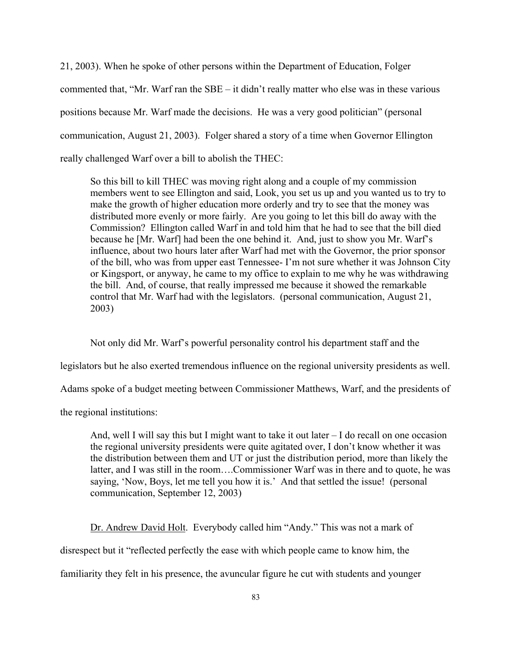21, 2003). When he spoke of other persons within the Department of Education, Folger commented that, "Mr. Warf ran the SBE – it didn't really matter who else was in these various positions because Mr. Warf made the decisions. He was a very good politician" (personal communication, August 21, 2003). Folger shared a story of a time when Governor Ellington really challenged Warf over a bill to abolish the THEC:

So this bill to kill THEC was moving right along and a couple of my commission members went to see Ellington and said, Look, you set us up and you wanted us to try to make the growth of higher education more orderly and try to see that the money was distributed more evenly or more fairly. Are you going to let this bill do away with the Commission? Ellington called Warf in and told him that he had to see that the bill died because he [Mr. Warf] had been the one behind it. And, just to show you Mr. Warf's influence, about two hours later after Warf had met with the Governor, the prior sponsor of the bill, who was from upper east Tennessee- I'm not sure whether it was Johnson City or Kingsport, or anyway, he came to my office to explain to me why he was withdrawing the bill. And, of course, that really impressed me because it showed the remarkable control that Mr. Warf had with the legislators. (personal communication, August 21, 2003)

Not only did Mr. Warf's powerful personality control his department staff and the

legislators but he also exerted tremendous influence on the regional university presidents as well.

Adams spoke of a budget meeting between Commissioner Matthews, Warf, and the presidents of

the regional institutions:

And, well I will say this but I might want to take it out later – I do recall on one occasion the regional university presidents were quite agitated over, I don't know whether it was the distribution between them and UT or just the distribution period, more than likely the latter, and I was still in the room….Commissioner Warf was in there and to quote, he was saying, 'Now, Boys, let me tell you how it is.' And that settled the issue! (personal communication, September 12, 2003)

Dr. Andrew David Holt. Everybody called him "Andy." This was not a mark of

disrespect but it "reflected perfectly the ease with which people came to know him, the

familiarity they felt in his presence, the avuncular figure he cut with students and younger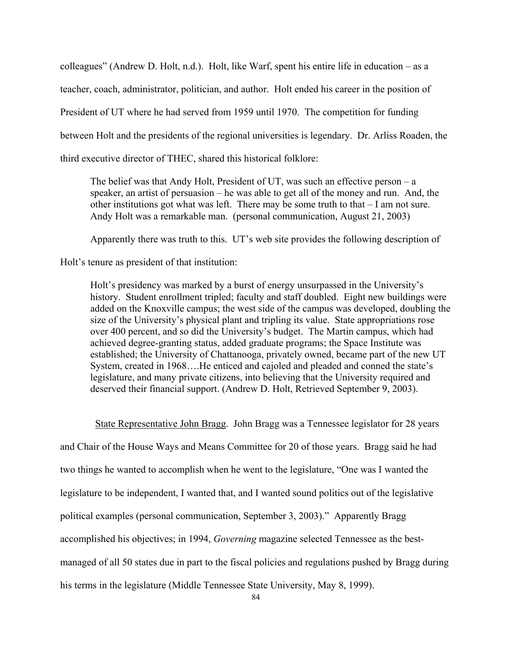colleagues" (Andrew D. Holt, n.d.). Holt, like Warf, spent his entire life in education – as a teacher, coach, administrator, politician, and author. Holt ended his career in the position of President of UT where he had served from 1959 until 1970. The competition for funding between Holt and the presidents of the regional universities is legendary. Dr. Arliss Roaden, the third executive director of THEC, shared this historical folklore:

The belief was that Andy Holt, President of UT, was such an effective person – a speaker, an artist of persuasion – he was able to get all of the money and run. And, the other institutions got what was left. There may be some truth to that – I am not sure. Andy Holt was a remarkable man. (personal communication, August 21, 2003)

Apparently there was truth to this. UT's web site provides the following description of

Holt's tenure as president of that institution:

Holt's presidency was marked by a burst of energy unsurpassed in the University's history. Student enrollment tripled; faculty and staff doubled. Eight new buildings were added on the Knoxville campus; the west side of the campus was developed, doubling the size of the University's physical plant and tripling its value. State appropriations rose over 400 percent, and so did the University's budget. The Martin campus, which had achieved degree-granting status, added graduate programs; the Space Institute was established; the University of Chattanooga, privately owned, became part of the new UT System, created in 1968….He enticed and cajoled and pleaded and conned the state's legislature, and many private citizens, into believing that the University required and deserved their financial support. (Andrew D. Holt, Retrieved September 9, 2003).

 State Representative John Bragg. John Bragg was a Tennessee legislator for 28 years and Chair of the House Ways and Means Committee for 20 of those years. Bragg said he had two things he wanted to accomplish when he went to the legislature, "One was I wanted the legislature to be independent, I wanted that, and I wanted sound politics out of the legislative political examples (personal communication, September 3, 2003)." Apparently Bragg accomplished his objectives; in 1994, *Governing* magazine selected Tennessee as the bestmanaged of all 50 states due in part to the fiscal policies and regulations pushed by Bragg during his terms in the legislature (Middle Tennessee State University, May 8, 1999).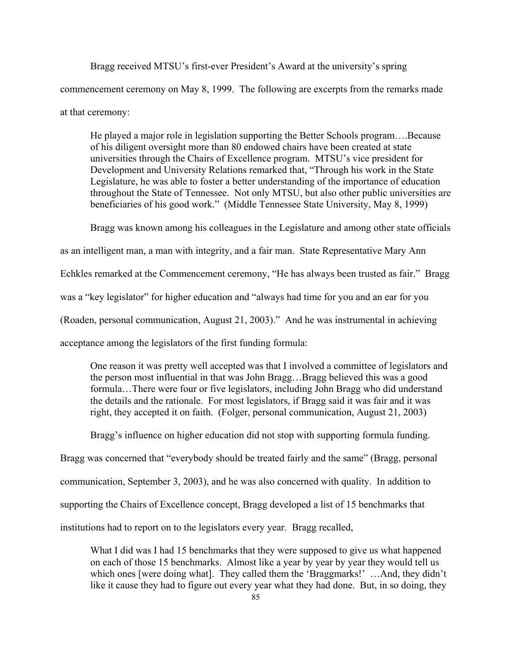Bragg received MTSU's first-ever President's Award at the university's spring commencement ceremony on May 8, 1999. The following are excerpts from the remarks made at that ceremony:

He played a major role in legislation supporting the Better Schools program….Because of his diligent oversight more than 80 endowed chairs have been created at state universities through the Chairs of Excellence program. MTSU's vice president for Development and University Relations remarked that, "Through his work in the State Legislature, he was able to foster a better understanding of the importance of education throughout the State of Tennessee. Not only MTSU, but also other public universities are beneficiaries of his good work." (Middle Tennessee State University, May 8, 1999)

Bragg was known among his colleagues in the Legislature and among other state officials

as an intelligent man, a man with integrity, and a fair man. State Representative Mary Ann

Echkles remarked at the Commencement ceremony, "He has always been trusted as fair." Bragg

was a "key legislator" for higher education and "always had time for you and an ear for you

(Roaden, personal communication, August 21, 2003)." And he was instrumental in achieving

acceptance among the legislators of the first funding formula:

One reason it was pretty well accepted was that I involved a committee of legislators and the person most influential in that was John Bragg…Bragg believed this was a good formula…There were four or five legislators, including John Bragg who did understand the details and the rationale. For most legislators, if Bragg said it was fair and it was right, they accepted it on faith. (Folger, personal communication, August 21, 2003)

Bragg's influence on higher education did not stop with supporting formula funding.

Bragg was concerned that "everybody should be treated fairly and the same" (Bragg, personal

communication, September 3, 2003), and he was also concerned with quality. In addition to

supporting the Chairs of Excellence concept, Bragg developed a list of 15 benchmarks that

institutions had to report on to the legislators every year. Bragg recalled,

What I did was I had 15 benchmarks that they were supposed to give us what happened on each of those 15 benchmarks. Almost like a year by year by year they would tell us which ones [were doing what]. They called them the 'Braggmarks!' ... And, they didn't like it cause they had to figure out every year what they had done. But, in so doing, they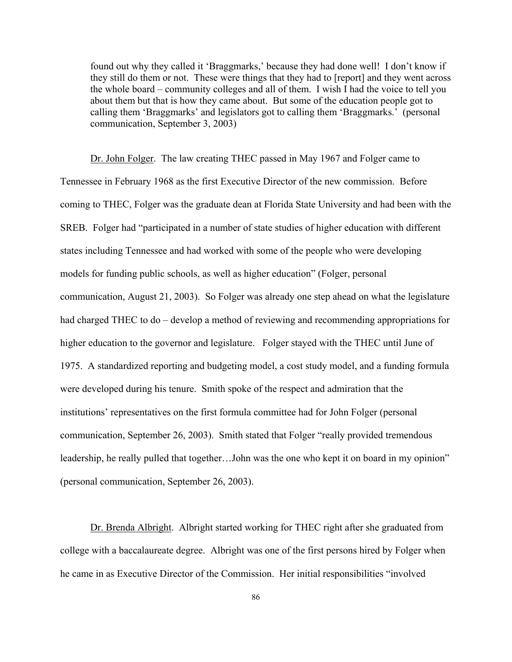found out why they called it 'Braggmarks,' because they had done well! I don't know if they still do them or not. These were things that they had to [report] and they went across the whole board – community colleges and all of them. I wish I had the voice to tell you about them but that is how they came about. But some of the education people got to calling them 'Braggmarks' and legislators got to calling them 'Braggmarks.' (personal communication, September 3, 2003)

Dr. John Folger. The law creating THEC passed in May 1967 and Folger came to Tennessee in February 1968 as the first Executive Director of the new commission. Before coming to THEC, Folger was the graduate dean at Florida State University and had been with the SREB. Folger had "participated in a number of state studies of higher education with different states including Tennessee and had worked with some of the people who were developing models for funding public schools, as well as higher education" (Folger, personal communication, August 21, 2003). So Folger was already one step ahead on what the legislature had charged THEC to do – develop a method of reviewing and recommending appropriations for higher education to the governor and legislature. Folger stayed with the THEC until June of 1975. A standardized reporting and budgeting model, a cost study model, and a funding formula were developed during his tenure. Smith spoke of the respect and admiration that the institutions' representatives on the first formula committee had for John Folger (personal communication, September 26, 2003). Smith stated that Folger "really provided tremendous leadership, he really pulled that together…John was the one who kept it on board in my opinion" (personal communication, September 26, 2003).

Dr. Brenda Albright. Albright started working for THEC right after she graduated from college with a baccalaureate degree. Albright was one of the first persons hired by Folger when he came in as Executive Director of the Commission. Her initial responsibilities "involved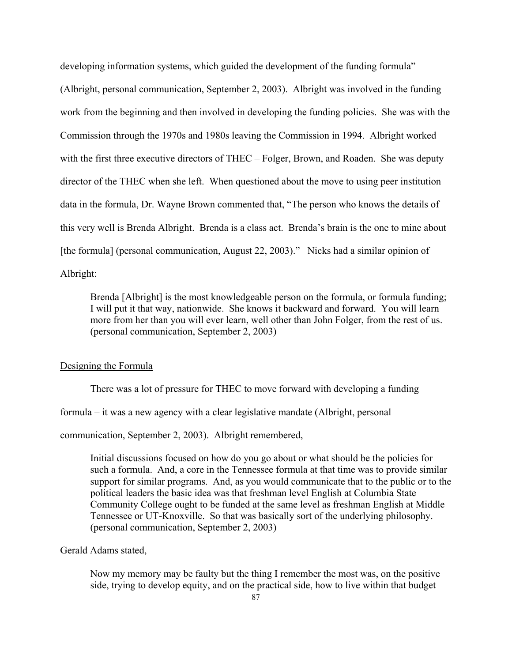developing information systems, which guided the development of the funding formula" (Albright, personal communication, September 2, 2003). Albright was involved in the funding work from the beginning and then involved in developing the funding policies. She was with the Commission through the 1970s and 1980s leaving the Commission in 1994. Albright worked with the first three executive directors of THEC – Folger, Brown, and Roaden. She was deputy director of the THEC when she left. When questioned about the move to using peer institution data in the formula, Dr. Wayne Brown commented that, "The person who knows the details of this very well is Brenda Albright. Brenda is a class act. Brenda's brain is the one to mine about [the formula] (personal communication, August 22, 2003)." Nicks had a similar opinion of Albright:

Brenda [Albright] is the most knowledgeable person on the formula, or formula funding; I will put it that way, nationwide. She knows it backward and forward. You will learn more from her than you will ever learn, well other than John Folger, from the rest of us. (personal communication, September 2, 2003)

#### Designing the Formula

There was a lot of pressure for THEC to move forward with developing a funding

formula – it was a new agency with a clear legislative mandate (Albright, personal

communication, September 2, 2003). Albright remembered,

Initial discussions focused on how do you go about or what should be the policies for such a formula. And, a core in the Tennessee formula at that time was to provide similar support for similar programs. And, as you would communicate that to the public or to the political leaders the basic idea was that freshman level English at Columbia State Community College ought to be funded at the same level as freshman English at Middle Tennessee or UT-Knoxville. So that was basically sort of the underlying philosophy. (personal communication, September 2, 2003)

# Gerald Adams stated,

Now my memory may be faulty but the thing I remember the most was, on the positive side, trying to develop equity, and on the practical side, how to live within that budget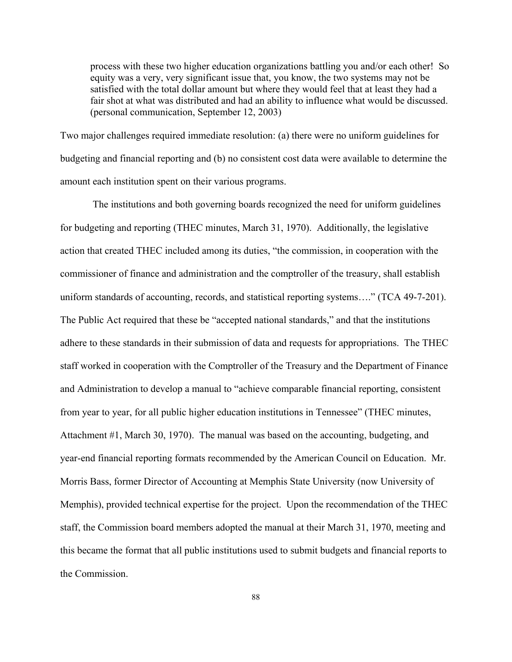process with these two higher education organizations battling you and/or each other! So equity was a very, very significant issue that, you know, the two systems may not be satisfied with the total dollar amount but where they would feel that at least they had a fair shot at what was distributed and had an ability to influence what would be discussed. (personal communication, September 12, 2003)

Two major challenges required immediate resolution: (a) there were no uniform guidelines for budgeting and financial reporting and (b) no consistent cost data were available to determine the amount each institution spent on their various programs.

 The institutions and both governing boards recognized the need for uniform guidelines for budgeting and reporting (THEC minutes, March 31, 1970). Additionally, the legislative action that created THEC included among its duties, "the commission, in cooperation with the commissioner of finance and administration and the comptroller of the treasury, shall establish uniform standards of accounting, records, and statistical reporting systems…." (TCA 49-7-201). The Public Act required that these be "accepted national standards," and that the institutions adhere to these standards in their submission of data and requests for appropriations. The THEC staff worked in cooperation with the Comptroller of the Treasury and the Department of Finance and Administration to develop a manual to "achieve comparable financial reporting, consistent from year to year, for all public higher education institutions in Tennessee" (THEC minutes, Attachment #1, March 30, 1970). The manual was based on the accounting, budgeting, and year-end financial reporting formats recommended by the American Council on Education. Mr. Morris Bass, former Director of Accounting at Memphis State University (now University of Memphis), provided technical expertise for the project. Upon the recommendation of the THEC staff, the Commission board members adopted the manual at their March 31, 1970, meeting and this became the format that all public institutions used to submit budgets and financial reports to the Commission.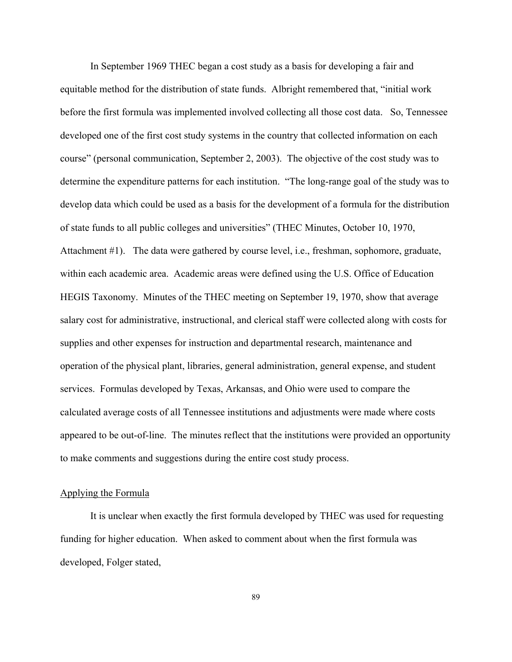In September 1969 THEC began a cost study as a basis for developing a fair and equitable method for the distribution of state funds. Albright remembered that, "initial work before the first formula was implemented involved collecting all those cost data. So, Tennessee developed one of the first cost study systems in the country that collected information on each course" (personal communication, September 2, 2003). The objective of the cost study was to determine the expenditure patterns for each institution. "The long-range goal of the study was to develop data which could be used as a basis for the development of a formula for the distribution of state funds to all public colleges and universities" (THEC Minutes, October 10, 1970, Attachment #1). The data were gathered by course level, i.e., freshman, sophomore, graduate, within each academic area. Academic areas were defined using the U.S. Office of Education HEGIS Taxonomy. Minutes of the THEC meeting on September 19, 1970, show that average salary cost for administrative, instructional, and clerical staff were collected along with costs for supplies and other expenses for instruction and departmental research, maintenance and operation of the physical plant, libraries, general administration, general expense, and student services. Formulas developed by Texas, Arkansas, and Ohio were used to compare the calculated average costs of all Tennessee institutions and adjustments were made where costs appeared to be out-of-line. The minutes reflect that the institutions were provided an opportunity to make comments and suggestions during the entire cost study process.

# Applying the Formula

It is unclear when exactly the first formula developed by THEC was used for requesting funding for higher education. When asked to comment about when the first formula was developed, Folger stated,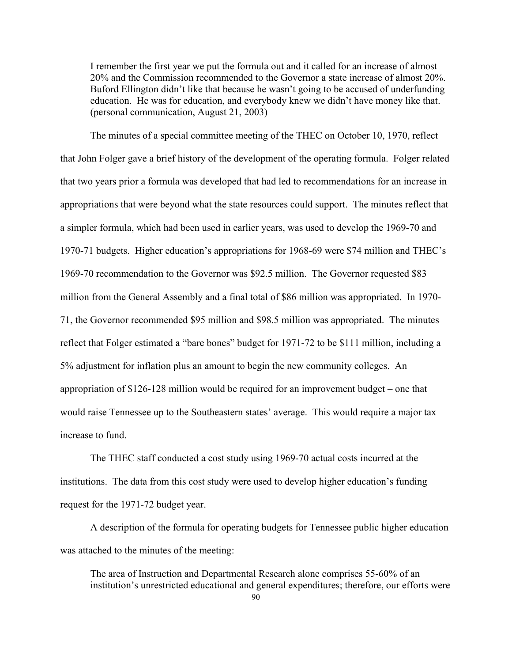I remember the first year we put the formula out and it called for an increase of almost 20% and the Commission recommended to the Governor a state increase of almost 20%. Buford Ellington didn't like that because he wasn't going to be accused of underfunding education. He was for education, and everybody knew we didn't have money like that. (personal communication, August 21, 2003)

The minutes of a special committee meeting of the THEC on October 10, 1970, reflect that John Folger gave a brief history of the development of the operating formula. Folger related that two years prior a formula was developed that had led to recommendations for an increase in appropriations that were beyond what the state resources could support. The minutes reflect that a simpler formula, which had been used in earlier years, was used to develop the 1969-70 and 1970-71 budgets. Higher education's appropriations for 1968-69 were \$74 million and THEC's 1969-70 recommendation to the Governor was \$92.5 million. The Governor requested \$83 million from the General Assembly and a final total of \$86 million was appropriated. In 1970- 71, the Governor recommended \$95 million and \$98.5 million was appropriated. The minutes reflect that Folger estimated a "bare bones" budget for 1971-72 to be \$111 million, including a 5% adjustment for inflation plus an amount to begin the new community colleges. An appropriation of \$126-128 million would be required for an improvement budget – one that would raise Tennessee up to the Southeastern states' average. This would require a major tax increase to fund.

The THEC staff conducted a cost study using 1969-70 actual costs incurred at the institutions. The data from this cost study were used to develop higher education's funding request for the 1971-72 budget year.

A description of the formula for operating budgets for Tennessee public higher education was attached to the minutes of the meeting:

The area of Instruction and Departmental Research alone comprises 55-60% of an institution's unrestricted educational and general expenditures; therefore, our efforts were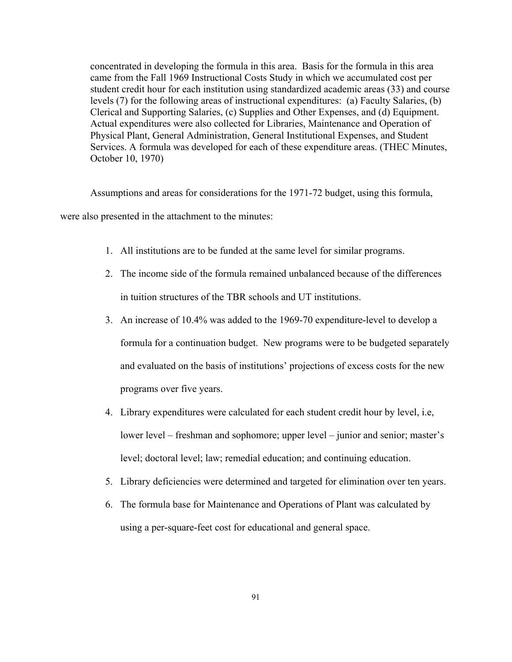concentrated in developing the formula in this area. Basis for the formula in this area came from the Fall 1969 Instructional Costs Study in which we accumulated cost per student credit hour for each institution using standardized academic areas (33) and course levels (7) for the following areas of instructional expenditures: (a) Faculty Salaries, (b) Clerical and Supporting Salaries, (c) Supplies and Other Expenses, and (d) Equipment. Actual expenditures were also collected for Libraries, Maintenance and Operation of Physical Plant, General Administration, General Institutional Expenses, and Student Services. A formula was developed for each of these expenditure areas. (THEC Minutes, October 10, 1970)

Assumptions and areas for considerations for the 1971-72 budget, using this formula,

were also presented in the attachment to the minutes:

- 1. All institutions are to be funded at the same level for similar programs.
- 2. The income side of the formula remained unbalanced because of the differences in tuition structures of the TBR schools and UT institutions.
- 3. An increase of 10.4% was added to the 1969-70 expenditure-level to develop a formula for a continuation budget. New programs were to be budgeted separately and evaluated on the basis of institutions' projections of excess costs for the new programs over five years.
- 4. Library expenditures were calculated for each student credit hour by level, i.e, lower level – freshman and sophomore; upper level – junior and senior; master's level; doctoral level; law; remedial education; and continuing education.
- 5. Library deficiencies were determined and targeted for elimination over ten years.
- 6. The formula base for Maintenance and Operations of Plant was calculated by using a per-square-feet cost for educational and general space.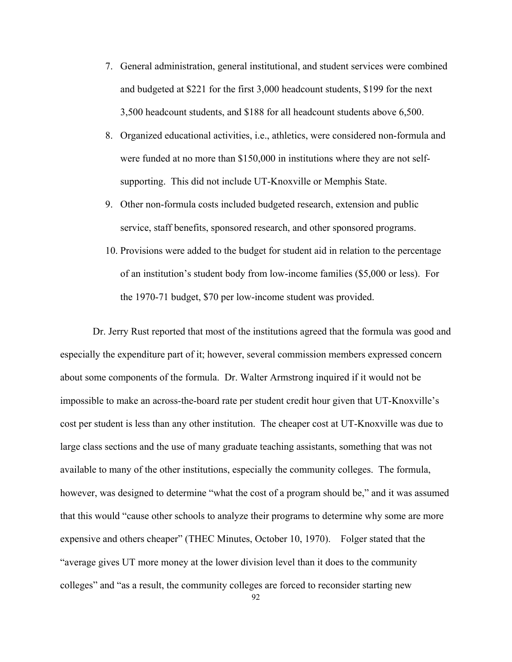- 7. General administration, general institutional, and student services were combined and budgeted at \$221 for the first 3,000 headcount students, \$199 for the next 3,500 headcount students, and \$188 for all headcount students above 6,500.
- 8. Organized educational activities, i.e., athletics, were considered non-formula and were funded at no more than \$150,000 in institutions where they are not selfsupporting. This did not include UT-Knoxville or Memphis State.
- 9. Other non-formula costs included budgeted research, extension and public service, staff benefits, sponsored research, and other sponsored programs.
- 10. Provisions were added to the budget for student aid in relation to the percentage of an institution's student body from low-income families (\$5,000 or less). For the 1970-71 budget, \$70 per low-income student was provided.

 Dr. Jerry Rust reported that most of the institutions agreed that the formula was good and especially the expenditure part of it; however, several commission members expressed concern about some components of the formula. Dr. Walter Armstrong inquired if it would not be impossible to make an across-the-board rate per student credit hour given that UT-Knoxville's cost per student is less than any other institution. The cheaper cost at UT-Knoxville was due to large class sections and the use of many graduate teaching assistants, something that was not available to many of the other institutions, especially the community colleges. The formula, however, was designed to determine "what the cost of a program should be," and it was assumed that this would "cause other schools to analyze their programs to determine why some are more expensive and others cheaper" (THEC Minutes, October 10, 1970). Folger stated that the "average gives UT more money at the lower division level than it does to the community colleges" and "as a result, the community colleges are forced to reconsider starting new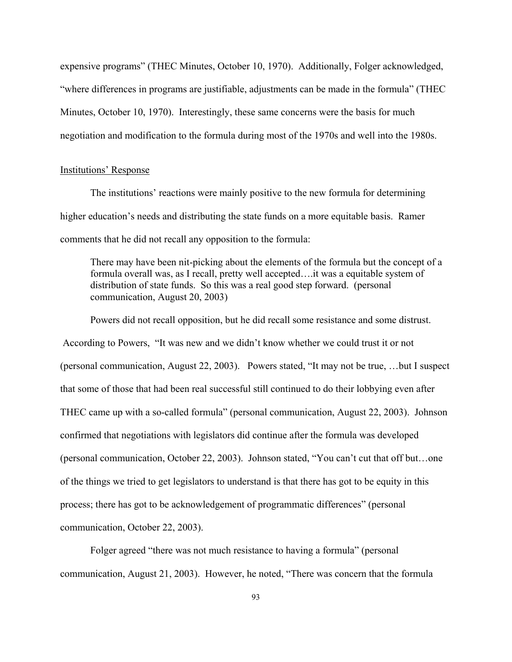expensive programs" (THEC Minutes, October 10, 1970). Additionally, Folger acknowledged, "where differences in programs are justifiable, adjustments can be made in the formula" (THEC Minutes, October 10, 1970). Interestingly, these same concerns were the basis for much negotiation and modification to the formula during most of the 1970s and well into the 1980s.

#### Institutions' Response

The institutions' reactions were mainly positive to the new formula for determining higher education's needs and distributing the state funds on a more equitable basis. Ramer comments that he did not recall any opposition to the formula:

There may have been nit-picking about the elements of the formula but the concept of a formula overall was, as I recall, pretty well accepted….it was a equitable system of distribution of state funds. So this was a real good step forward. (personal communication, August 20, 2003)

Powers did not recall opposition, but he did recall some resistance and some distrust. According to Powers, "It was new and we didn't know whether we could trust it or not (personal communication, August 22, 2003). Powers stated, "It may not be true, …but I suspect that some of those that had been real successful still continued to do their lobbying even after THEC came up with a so-called formula" (personal communication, August 22, 2003). Johnson confirmed that negotiations with legislators did continue after the formula was developed (personal communication, October 22, 2003). Johnson stated, "You can't cut that off but…one of the things we tried to get legislators to understand is that there has got to be equity in this process; there has got to be acknowledgement of programmatic differences" (personal communication, October 22, 2003).

Folger agreed "there was not much resistance to having a formula" (personal communication, August 21, 2003). However, he noted, "There was concern that the formula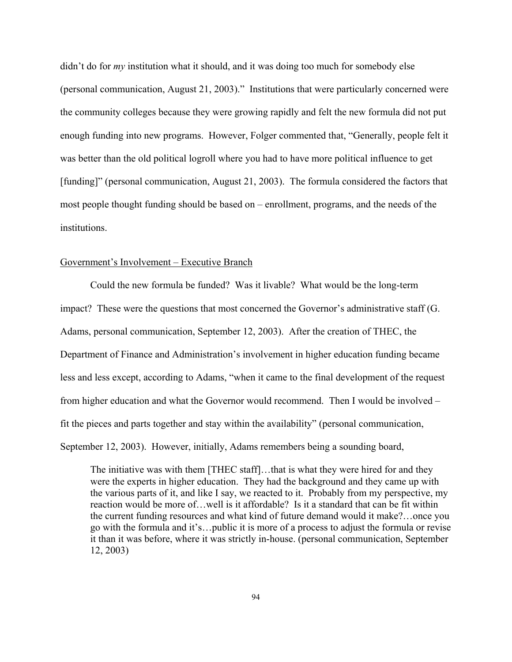didn't do for *my* institution what it should, and it was doing too much for somebody else (personal communication, August 21, 2003)." Institutions that were particularly concerned were the community colleges because they were growing rapidly and felt the new formula did not put enough funding into new programs. However, Folger commented that, "Generally, people felt it was better than the old political logroll where you had to have more political influence to get [funding]" (personal communication, August 21, 2003). The formula considered the factors that most people thought funding should be based on – enrollment, programs, and the needs of the institutions.

# Government's Involvement – Executive Branch

Could the new formula be funded? Was it livable? What would be the long-term impact? These were the questions that most concerned the Governor's administrative staff (G. Adams, personal communication, September 12, 2003). After the creation of THEC, the Department of Finance and Administration's involvement in higher education funding became less and less except, according to Adams, "when it came to the final development of the request from higher education and what the Governor would recommend. Then I would be involved – fit the pieces and parts together and stay within the availability" (personal communication, September 12, 2003). However, initially, Adams remembers being a sounding board,

The initiative was with them [THEC staff]...that is what they were hired for and they were the experts in higher education. They had the background and they came up with the various parts of it, and like I say, we reacted to it. Probably from my perspective, my reaction would be more of…well is it affordable? Is it a standard that can be fit within the current funding resources and what kind of future demand would it make?…once you go with the formula and it's…public it is more of a process to adjust the formula or revise it than it was before, where it was strictly in-house. (personal communication, September 12, 2003)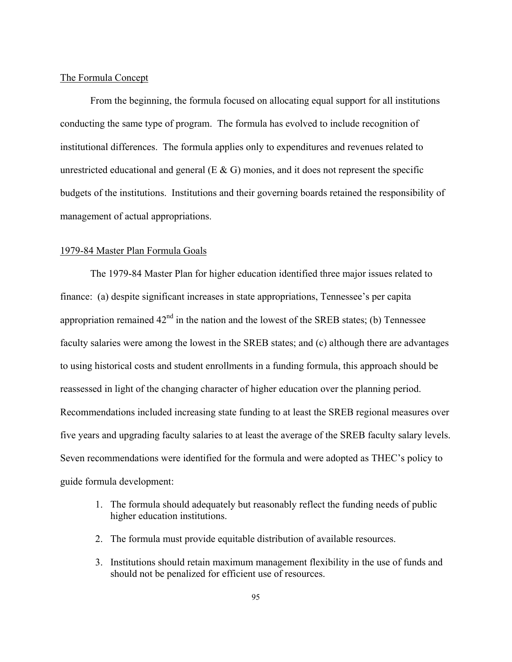# The Formula Concept

From the beginning, the formula focused on allocating equal support for all institutions conducting the same type of program. The formula has evolved to include recognition of institutional differences. The formula applies only to expenditures and revenues related to unrestricted educational and general  $(E \& G)$  monies, and it does not represent the specific budgets of the institutions. Institutions and their governing boards retained the responsibility of management of actual appropriations.

## 1979-84 Master Plan Formula Goals

The 1979-84 Master Plan for higher education identified three major issues related to finance: (a) despite significant increases in state appropriations, Tennessee's per capita appropriation remained  $42<sup>nd</sup>$  in the nation and the lowest of the SREB states; (b) Tennessee faculty salaries were among the lowest in the SREB states; and (c) although there are advantages to using historical costs and student enrollments in a funding formula, this approach should be reassessed in light of the changing character of higher education over the planning period. Recommendations included increasing state funding to at least the SREB regional measures over five years and upgrading faculty salaries to at least the average of the SREB faculty salary levels. Seven recommendations were identified for the formula and were adopted as THEC's policy to guide formula development:

- 1. The formula should adequately but reasonably reflect the funding needs of public higher education institutions.
- 2. The formula must provide equitable distribution of available resources.
- 3. Institutions should retain maximum management flexibility in the use of funds and should not be penalized for efficient use of resources.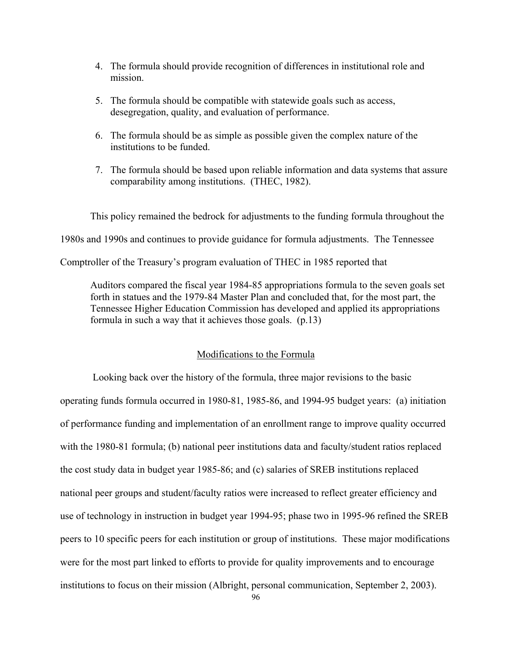- 4. The formula should provide recognition of differences in institutional role and mission.
- 5. The formula should be compatible with statewide goals such as access, desegregation, quality, and evaluation of performance.
- 6. The formula should be as simple as possible given the complex nature of the institutions to be funded.
- 7. The formula should be based upon reliable information and data systems that assure comparability among institutions. (THEC, 1982).

This policy remained the bedrock for adjustments to the funding formula throughout the 1980s and 1990s and continues to provide guidance for formula adjustments. The Tennessee Comptroller of the Treasury's program evaluation of THEC in 1985 reported that

Auditors compared the fiscal year 1984-85 appropriations formula to the seven goals set forth in statues and the 1979-84 Master Plan and concluded that, for the most part, the Tennessee Higher Education Commission has developed and applied its appropriations formula in such a way that it achieves those goals. (p.13)

# Modifications to the Formula

 Looking back over the history of the formula, three major revisions to the basic operating funds formula occurred in 1980-81, 1985-86, and 1994-95 budget years: (a) initiation of performance funding and implementation of an enrollment range to improve quality occurred with the 1980-81 formula; (b) national peer institutions data and faculty/student ratios replaced the cost study data in budget year 1985-86; and (c) salaries of SREB institutions replaced national peer groups and student/faculty ratios were increased to reflect greater efficiency and use of technology in instruction in budget year 1994-95; phase two in 1995-96 refined the SREB peers to 10 specific peers for each institution or group of institutions. These major modifications were for the most part linked to efforts to provide for quality improvements and to encourage institutions to focus on their mission (Albright, personal communication, September 2, 2003).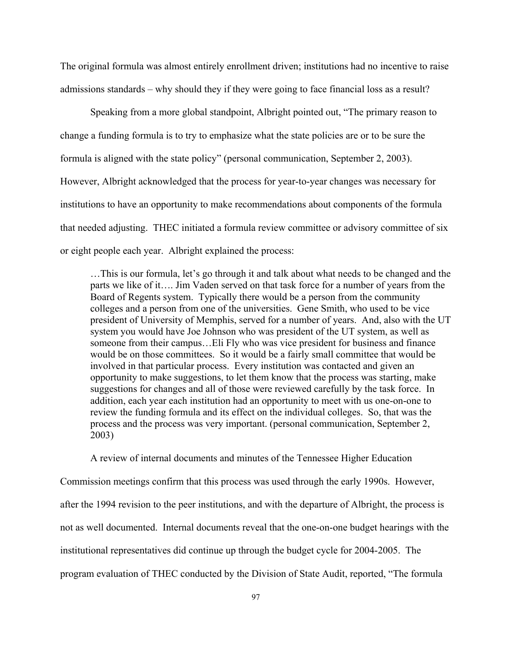The original formula was almost entirely enrollment driven; institutions had no incentive to raise admissions standards – why should they if they were going to face financial loss as a result?

Speaking from a more global standpoint, Albright pointed out, "The primary reason to change a funding formula is to try to emphasize what the state policies are or to be sure the formula is aligned with the state policy" (personal communication, September 2, 2003). However, Albright acknowledged that the process for year-to-year changes was necessary for institutions to have an opportunity to make recommendations about components of the formula that needed adjusting. THEC initiated a formula review committee or advisory committee of six or eight people each year. Albright explained the process:

…This is our formula, let's go through it and talk about what needs to be changed and the parts we like of it…. Jim Vaden served on that task force for a number of years from the Board of Regents system. Typically there would be a person from the community colleges and a person from one of the universities. Gene Smith, who used to be vice president of University of Memphis, served for a number of years. And, also with the UT system you would have Joe Johnson who was president of the UT system, as well as someone from their campus…Eli Fly who was vice president for business and finance would be on those committees. So it would be a fairly small committee that would be involved in that particular process. Every institution was contacted and given an opportunity to make suggestions, to let them know that the process was starting, make suggestions for changes and all of those were reviewed carefully by the task force. In addition, each year each institution had an opportunity to meet with us one-on-one to review the funding formula and its effect on the individual colleges. So, that was the process and the process was very important. (personal communication, September 2, 2003)

A review of internal documents and minutes of the Tennessee Higher Education Commission meetings confirm that this process was used through the early 1990s. However, after the 1994 revision to the peer institutions, and with the departure of Albright, the process is not as well documented. Internal documents reveal that the one-on-one budget hearings with the institutional representatives did continue up through the budget cycle for 2004-2005. The program evaluation of THEC conducted by the Division of State Audit, reported, "The formula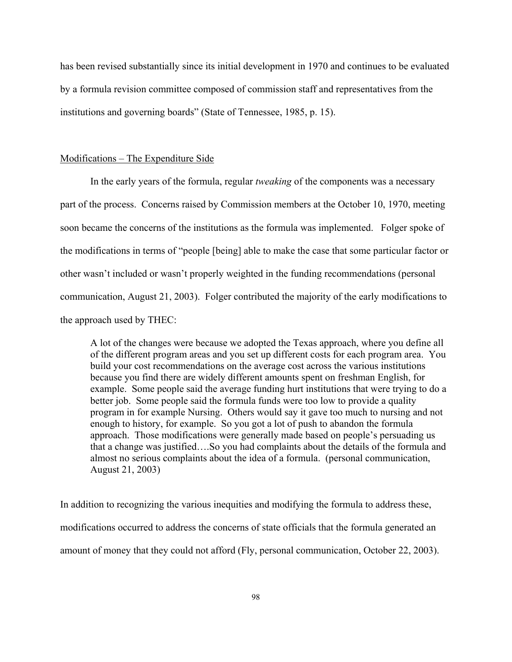has been revised substantially since its initial development in 1970 and continues to be evaluated by a formula revision committee composed of commission staff and representatives from the institutions and governing boards" (State of Tennessee, 1985, p. 15).

# Modifications – The Expenditure Side

In the early years of the formula, regular *tweaking* of the components was a necessary part of the process. Concerns raised by Commission members at the October 10, 1970, meeting soon became the concerns of the institutions as the formula was implemented. Folger spoke of the modifications in terms of "people [being] able to make the case that some particular factor or other wasn't included or wasn't properly weighted in the funding recommendations (personal communication, August 21, 2003). Folger contributed the majority of the early modifications to the approach used by THEC:

A lot of the changes were because we adopted the Texas approach, where you define all of the different program areas and you set up different costs for each program area. You build your cost recommendations on the average cost across the various institutions because you find there are widely different amounts spent on freshman English, for example. Some people said the average funding hurt institutions that were trying to do a better job. Some people said the formula funds were too low to provide a quality program in for example Nursing. Others would say it gave too much to nursing and not enough to history, for example. So you got a lot of push to abandon the formula approach. Those modifications were generally made based on people's persuading us that a change was justified….So you had complaints about the details of the formula and almost no serious complaints about the idea of a formula. (personal communication, August 21, 2003)

In addition to recognizing the various inequities and modifying the formula to address these, modifications occurred to address the concerns of state officials that the formula generated an amount of money that they could not afford (Fly, personal communication, October 22, 2003).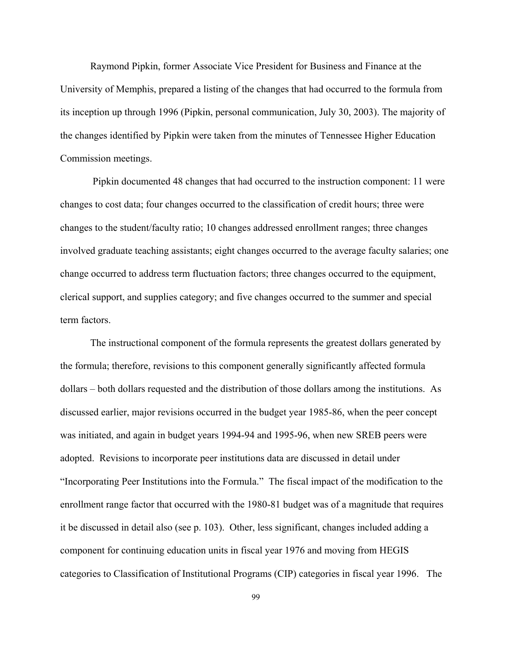Raymond Pipkin, former Associate Vice President for Business and Finance at the University of Memphis, prepared a listing of the changes that had occurred to the formula from its inception up through 1996 (Pipkin, personal communication, July 30, 2003). The majority of the changes identified by Pipkin were taken from the minutes of Tennessee Higher Education Commission meetings.

 Pipkin documented 48 changes that had occurred to the instruction component: 11 were changes to cost data; four changes occurred to the classification of credit hours; three were changes to the student/faculty ratio; 10 changes addressed enrollment ranges; three changes involved graduate teaching assistants; eight changes occurred to the average faculty salaries; one change occurred to address term fluctuation factors; three changes occurred to the equipment, clerical support, and supplies category; and five changes occurred to the summer and special term factors.

The instructional component of the formula represents the greatest dollars generated by the formula; therefore, revisions to this component generally significantly affected formula dollars – both dollars requested and the distribution of those dollars among the institutions. As discussed earlier, major revisions occurred in the budget year 1985-86, when the peer concept was initiated, and again in budget years 1994-94 and 1995-96, when new SREB peers were adopted. Revisions to incorporate peer institutions data are discussed in detail under "Incorporating Peer Institutions into the Formula." The fiscal impact of the modification to the enrollment range factor that occurred with the 1980-81 budget was of a magnitude that requires it be discussed in detail also (see p. 103). Other, less significant, changes included adding a component for continuing education units in fiscal year 1976 and moving from HEGIS categories to Classification of Institutional Programs (CIP) categories in fiscal year 1996. The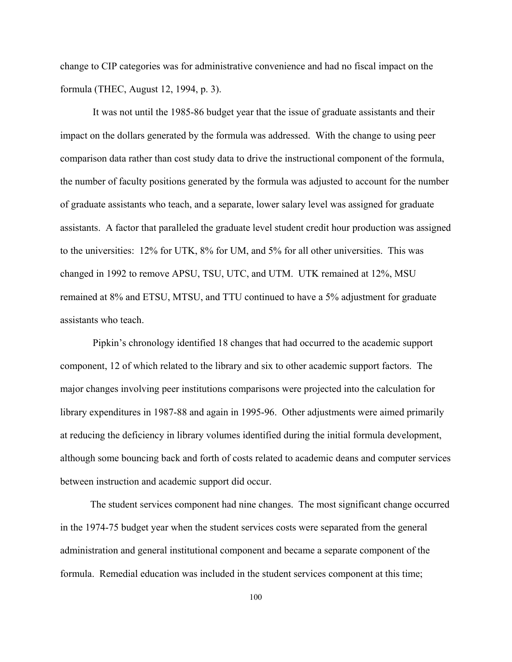change to CIP categories was for administrative convenience and had no fiscal impact on the formula (THEC, August 12, 1994, p. 3).

 It was not until the 1985-86 budget year that the issue of graduate assistants and their impact on the dollars generated by the formula was addressed. With the change to using peer comparison data rather than cost study data to drive the instructional component of the formula, the number of faculty positions generated by the formula was adjusted to account for the number of graduate assistants who teach, and a separate, lower salary level was assigned for graduate assistants. A factor that paralleled the graduate level student credit hour production was assigned to the universities: 12% for UTK, 8% for UM, and 5% for all other universities. This was changed in 1992 to remove APSU, TSU, UTC, and UTM. UTK remained at 12%, MSU remained at 8% and ETSU, MTSU, and TTU continued to have a 5% adjustment for graduate assistants who teach.

 Pipkin's chronology identified 18 changes that had occurred to the academic support component, 12 of which related to the library and six to other academic support factors. The major changes involving peer institutions comparisons were projected into the calculation for library expenditures in 1987-88 and again in 1995-96. Other adjustments were aimed primarily at reducing the deficiency in library volumes identified during the initial formula development, although some bouncing back and forth of costs related to academic deans and computer services between instruction and academic support did occur.

The student services component had nine changes. The most significant change occurred in the 1974-75 budget year when the student services costs were separated from the general administration and general institutional component and became a separate component of the formula. Remedial education was included in the student services component at this time;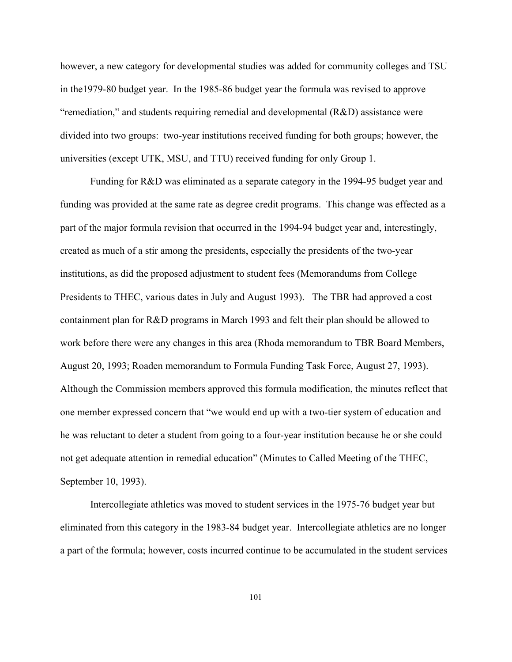however, a new category for developmental studies was added for community colleges and TSU in the1979-80 budget year. In the 1985-86 budget year the formula was revised to approve "remediation," and students requiring remedial and developmental (R&D) assistance were divided into two groups: two-year institutions received funding for both groups; however, the universities (except UTK, MSU, and TTU) received funding for only Group 1.

Funding for R&D was eliminated as a separate category in the 1994-95 budget year and funding was provided at the same rate as degree credit programs. This change was effected as a part of the major formula revision that occurred in the 1994-94 budget year and, interestingly, created as much of a stir among the presidents, especially the presidents of the two-year institutions, as did the proposed adjustment to student fees (Memorandums from College Presidents to THEC, various dates in July and August 1993). The TBR had approved a cost containment plan for R&D programs in March 1993 and felt their plan should be allowed to work before there were any changes in this area (Rhoda memorandum to TBR Board Members, August 20, 1993; Roaden memorandum to Formula Funding Task Force, August 27, 1993). Although the Commission members approved this formula modification, the minutes reflect that one member expressed concern that "we would end up with a two-tier system of education and he was reluctant to deter a student from going to a four-year institution because he or she could not get adequate attention in remedial education" (Minutes to Called Meeting of the THEC, September 10, 1993).

Intercollegiate athletics was moved to student services in the 1975-76 budget year but eliminated from this category in the 1983-84 budget year. Intercollegiate athletics are no longer a part of the formula; however, costs incurred continue to be accumulated in the student services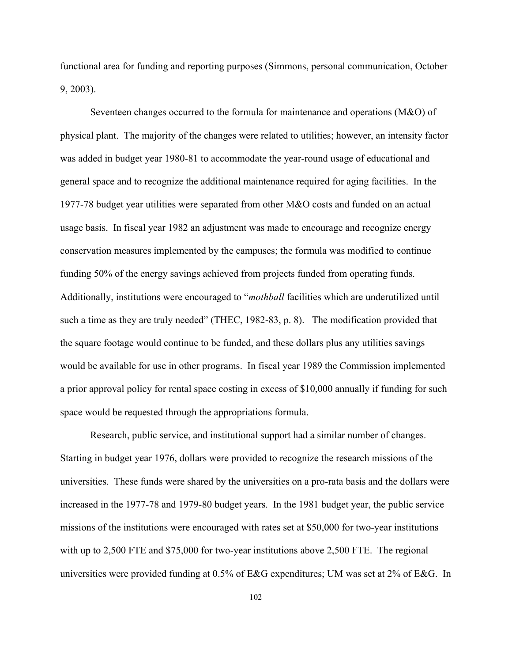functional area for funding and reporting purposes (Simmons, personal communication, October 9, 2003).

Seventeen changes occurred to the formula for maintenance and operations (M&O) of physical plant. The majority of the changes were related to utilities; however, an intensity factor was added in budget year 1980-81 to accommodate the year-round usage of educational and general space and to recognize the additional maintenance required for aging facilities. In the 1977-78 budget year utilities were separated from other M&O costs and funded on an actual usage basis. In fiscal year 1982 an adjustment was made to encourage and recognize energy conservation measures implemented by the campuses; the formula was modified to continue funding 50% of the energy savings achieved from projects funded from operating funds. Additionally, institutions were encouraged to "*mothball* facilities which are underutilized until such a time as they are truly needed" (THEC, 1982-83, p. 8). The modification provided that the square footage would continue to be funded, and these dollars plus any utilities savings would be available for use in other programs. In fiscal year 1989 the Commission implemented a prior approval policy for rental space costing in excess of \$10,000 annually if funding for such space would be requested through the appropriations formula.

Research, public service, and institutional support had a similar number of changes. Starting in budget year 1976, dollars were provided to recognize the research missions of the universities. These funds were shared by the universities on a pro-rata basis and the dollars were increased in the 1977-78 and 1979-80 budget years. In the 1981 budget year, the public service missions of the institutions were encouraged with rates set at \$50,000 for two-year institutions with up to 2,500 FTE and \$75,000 for two-year institutions above 2,500 FTE. The regional universities were provided funding at 0.5% of E&G expenditures; UM was set at 2% of E&G. In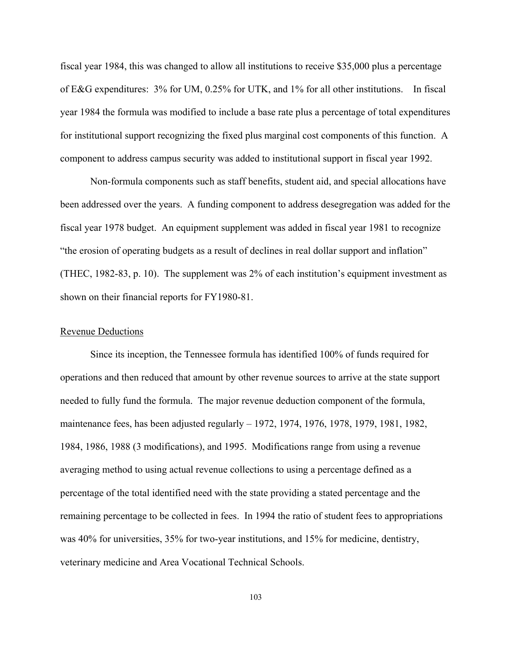fiscal year 1984, this was changed to allow all institutions to receive \$35,000 plus a percentage of E&G expenditures: 3% for UM, 0.25% for UTK, and 1% for all other institutions. In fiscal year 1984 the formula was modified to include a base rate plus a percentage of total expenditures for institutional support recognizing the fixed plus marginal cost components of this function. A component to address campus security was added to institutional support in fiscal year 1992.

Non-formula components such as staff benefits, student aid, and special allocations have been addressed over the years. A funding component to address desegregation was added for the fiscal year 1978 budget. An equipment supplement was added in fiscal year 1981 to recognize "the erosion of operating budgets as a result of declines in real dollar support and inflation" (THEC, 1982-83, p. 10). The supplement was 2% of each institution's equipment investment as shown on their financial reports for FY1980-81.

#### Revenue Deductions

Since its inception, the Tennessee formula has identified 100% of funds required for operations and then reduced that amount by other revenue sources to arrive at the state support needed to fully fund the formula. The major revenue deduction component of the formula, maintenance fees, has been adjusted regularly – 1972, 1974, 1976, 1978, 1979, 1981, 1982, 1984, 1986, 1988 (3 modifications), and 1995. Modifications range from using a revenue averaging method to using actual revenue collections to using a percentage defined as a percentage of the total identified need with the state providing a stated percentage and the remaining percentage to be collected in fees. In 1994 the ratio of student fees to appropriations was 40% for universities, 35% for two-year institutions, and 15% for medicine, dentistry, veterinary medicine and Area Vocational Technical Schools.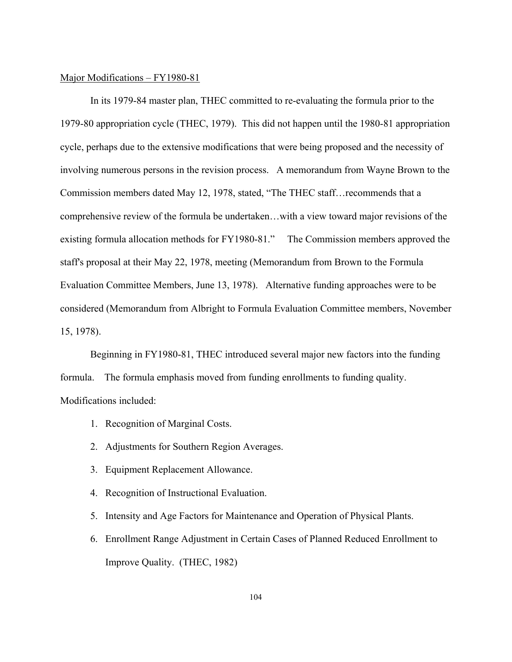#### Major Modifications – FY1980-81

In its 1979-84 master plan, THEC committed to re-evaluating the formula prior to the 1979-80 appropriation cycle (THEC, 1979). This did not happen until the 1980-81 appropriation cycle, perhaps due to the extensive modifications that were being proposed and the necessity of involving numerous persons in the revision process. A memorandum from Wayne Brown to the Commission members dated May 12, 1978, stated, "The THEC staff…recommends that a comprehensive review of the formula be undertaken…with a view toward major revisions of the existing formula allocation methods for FY1980-81." The Commission members approved the staff's proposal at their May 22, 1978, meeting (Memorandum from Brown to the Formula Evaluation Committee Members, June 13, 1978). Alternative funding approaches were to be considered (Memorandum from Albright to Formula Evaluation Committee members, November 15, 1978).

Beginning in FY1980-81, THEC introduced several major new factors into the funding formula. The formula emphasis moved from funding enrollments to funding quality. Modifications included:

- 1. Recognition of Marginal Costs.
- 2. Adjustments for Southern Region Averages.
- 3. Equipment Replacement Allowance.
- 4. Recognition of Instructional Evaluation.
- 5. Intensity and Age Factors for Maintenance and Operation of Physical Plants.
- 6. Enrollment Range Adjustment in Certain Cases of Planned Reduced Enrollment to Improve Quality. (THEC, 1982)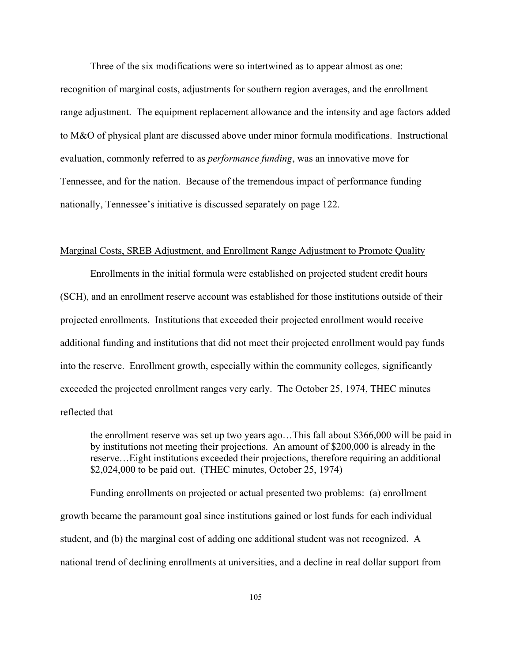Three of the six modifications were so intertwined as to appear almost as one:

recognition of marginal costs, adjustments for southern region averages, and the enrollment range adjustment. The equipment replacement allowance and the intensity and age factors added to M&O of physical plant are discussed above under minor formula modifications. Instructional evaluation, commonly referred to as *performance funding*, was an innovative move for Tennessee, and for the nation. Because of the tremendous impact of performance funding nationally, Tennessee's initiative is discussed separately on page 122.

# Marginal Costs, SREB Adjustment, and Enrollment Range Adjustment to Promote Quality

Enrollments in the initial formula were established on projected student credit hours (SCH), and an enrollment reserve account was established for those institutions outside of their projected enrollments. Institutions that exceeded their projected enrollment would receive additional funding and institutions that did not meet their projected enrollment would pay funds into the reserve. Enrollment growth, especially within the community colleges, significantly exceeded the projected enrollment ranges very early. The October 25, 1974, THEC minutes reflected that

the enrollment reserve was set up two years ago…This fall about \$366,000 will be paid in by institutions not meeting their projections. An amount of \$200,000 is already in the reserve…Eight institutions exceeded their projections, therefore requiring an additional \$2,024,000 to be paid out. (THEC minutes, October 25, 1974)

Funding enrollments on projected or actual presented two problems: (a) enrollment growth became the paramount goal since institutions gained or lost funds for each individual student, and (b) the marginal cost of adding one additional student was not recognized. A national trend of declining enrollments at universities, and a decline in real dollar support from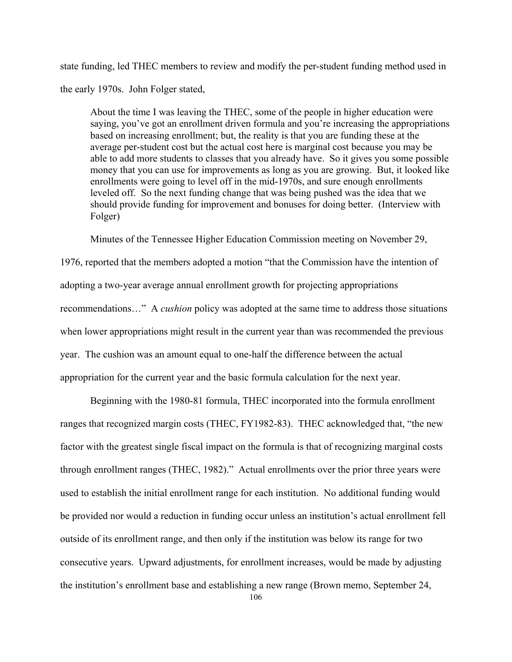state funding, led THEC members to review and modify the per-student funding method used in the early 1970s. John Folger stated,

About the time I was leaving the THEC, some of the people in higher education were saying, you've got an enrollment driven formula and you're increasing the appropriations based on increasing enrollment; but, the reality is that you are funding these at the average per-student cost but the actual cost here is marginal cost because you may be able to add more students to classes that you already have. So it gives you some possible money that you can use for improvements as long as you are growing. But, it looked like enrollments were going to level off in the mid-1970s, and sure enough enrollments leveled off. So the next funding change that was being pushed was the idea that we should provide funding for improvement and bonuses for doing better. (Interview with Folger)

Minutes of the Tennessee Higher Education Commission meeting on November 29,

1976, reported that the members adopted a motion "that the Commission have the intention of adopting a two-year average annual enrollment growth for projecting appropriations recommendations…" A *cushion* policy was adopted at the same time to address those situations when lower appropriations might result in the current year than was recommended the previous year. The cushion was an amount equal to one-half the difference between the actual appropriation for the current year and the basic formula calculation for the next year.

Beginning with the 1980-81 formula, THEC incorporated into the formula enrollment ranges that recognized margin costs (THEC, FY1982-83). THEC acknowledged that, "the new factor with the greatest single fiscal impact on the formula is that of recognizing marginal costs through enrollment ranges (THEC, 1982)." Actual enrollments over the prior three years were used to establish the initial enrollment range for each institution. No additional funding would be provided nor would a reduction in funding occur unless an institution's actual enrollment fell outside of its enrollment range, and then only if the institution was below its range for two consecutive years. Upward adjustments, for enrollment increases, would be made by adjusting the institution's enrollment base and establishing a new range (Brown memo, September 24,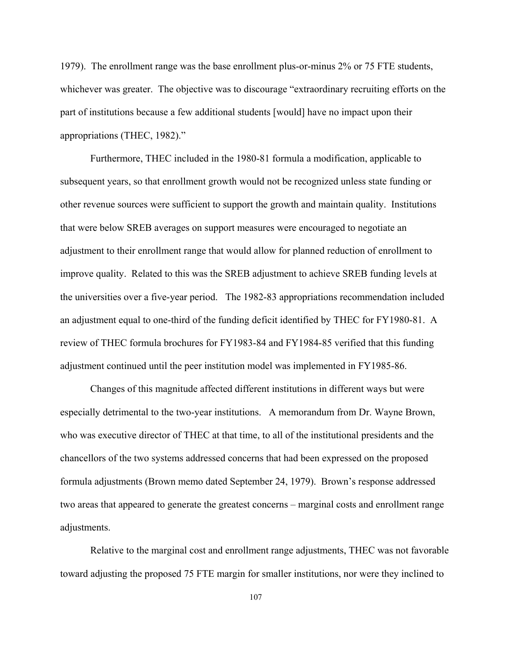1979). The enrollment range was the base enrollment plus-or-minus 2% or 75 FTE students, whichever was greater. The objective was to discourage "extraordinary recruiting efforts on the part of institutions because a few additional students [would] have no impact upon their appropriations (THEC, 1982)."

Furthermore, THEC included in the 1980-81 formula a modification, applicable to subsequent years, so that enrollment growth would not be recognized unless state funding or other revenue sources were sufficient to support the growth and maintain quality. Institutions that were below SREB averages on support measures were encouraged to negotiate an adjustment to their enrollment range that would allow for planned reduction of enrollment to improve quality. Related to this was the SREB adjustment to achieve SREB funding levels at the universities over a five-year period. The 1982-83 appropriations recommendation included an adjustment equal to one-third of the funding deficit identified by THEC for FY1980-81. A review of THEC formula brochures for FY1983-84 and FY1984-85 verified that this funding adjustment continued until the peer institution model was implemented in FY1985-86.

Changes of this magnitude affected different institutions in different ways but were especially detrimental to the two-year institutions. A memorandum from Dr. Wayne Brown, who was executive director of THEC at that time, to all of the institutional presidents and the chancellors of the two systems addressed concerns that had been expressed on the proposed formula adjustments (Brown memo dated September 24, 1979). Brown's response addressed two areas that appeared to generate the greatest concerns – marginal costs and enrollment range adjustments.

Relative to the marginal cost and enrollment range adjustments, THEC was not favorable toward adjusting the proposed 75 FTE margin for smaller institutions, nor were they inclined to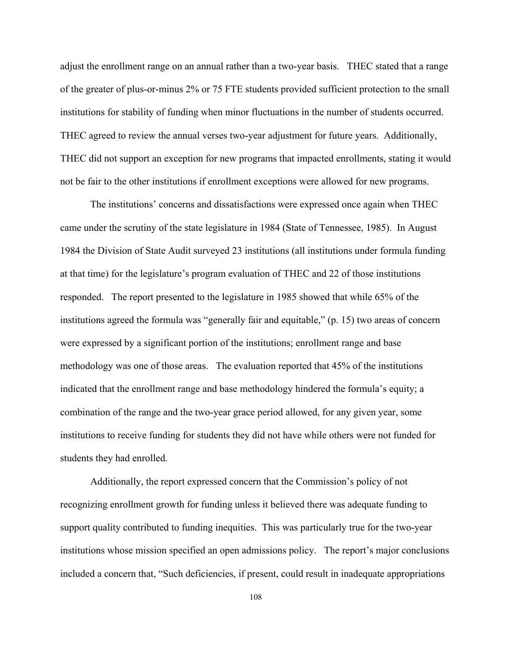adjust the enrollment range on an annual rather than a two-year basis. THEC stated that a range of the greater of plus-or-minus 2% or 75 FTE students provided sufficient protection to the small institutions for stability of funding when minor fluctuations in the number of students occurred. THEC agreed to review the annual verses two-year adjustment for future years. Additionally, THEC did not support an exception for new programs that impacted enrollments, stating it would not be fair to the other institutions if enrollment exceptions were allowed for new programs.

The institutions' concerns and dissatisfactions were expressed once again when THEC came under the scrutiny of the state legislature in 1984 (State of Tennessee, 1985). In August 1984 the Division of State Audit surveyed 23 institutions (all institutions under formula funding at that time) for the legislature's program evaluation of THEC and 22 of those institutions responded. The report presented to the legislature in 1985 showed that while 65% of the institutions agreed the formula was "generally fair and equitable," (p. 15) two areas of concern were expressed by a significant portion of the institutions; enrollment range and base methodology was one of those areas. The evaluation reported that 45% of the institutions indicated that the enrollment range and base methodology hindered the formula's equity; a combination of the range and the two-year grace period allowed, for any given year, some institutions to receive funding for students they did not have while others were not funded for students they had enrolled.

Additionally, the report expressed concern that the Commission's policy of not recognizing enrollment growth for funding unless it believed there was adequate funding to support quality contributed to funding inequities. This was particularly true for the two-year institutions whose mission specified an open admissions policy. The report's major conclusions included a concern that, "Such deficiencies, if present, could result in inadequate appropriations

108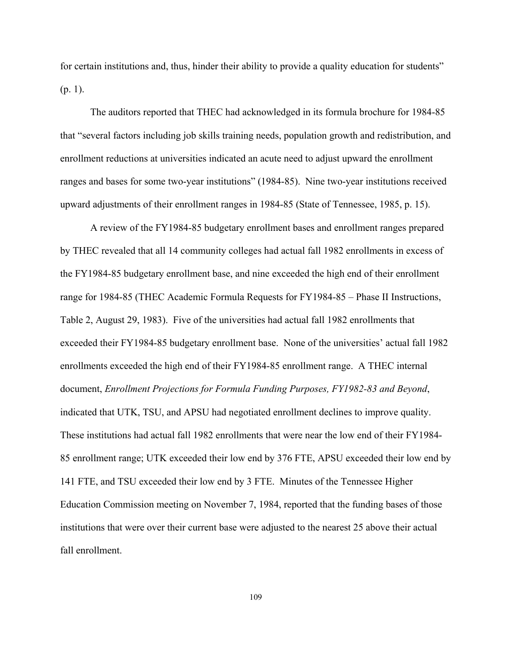for certain institutions and, thus, hinder their ability to provide a quality education for students"  $(p. 1)$ .

The auditors reported that THEC had acknowledged in its formula brochure for 1984-85 that "several factors including job skills training needs, population growth and redistribution, and enrollment reductions at universities indicated an acute need to adjust upward the enrollment ranges and bases for some two-year institutions" (1984-85). Nine two-year institutions received upward adjustments of their enrollment ranges in 1984-85 (State of Tennessee, 1985, p. 15).

A review of the FY1984-85 budgetary enrollment bases and enrollment ranges prepared by THEC revealed that all 14 community colleges had actual fall 1982 enrollments in excess of the FY1984-85 budgetary enrollment base, and nine exceeded the high end of their enrollment range for 1984-85 (THEC Academic Formula Requests for FY1984-85 – Phase II Instructions, Table 2, August 29, 1983). Five of the universities had actual fall 1982 enrollments that exceeded their FY1984-85 budgetary enrollment base. None of the universities' actual fall 1982 enrollments exceeded the high end of their FY1984-85 enrollment range. A THEC internal document, *Enrollment Projections for Formula Funding Purposes, FY1982-83 and Beyond*, indicated that UTK, TSU, and APSU had negotiated enrollment declines to improve quality. These institutions had actual fall 1982 enrollments that were near the low end of their FY1984- 85 enrollment range; UTK exceeded their low end by 376 FTE, APSU exceeded their low end by 141 FTE, and TSU exceeded their low end by 3 FTE. Minutes of the Tennessee Higher Education Commission meeting on November 7, 1984, reported that the funding bases of those institutions that were over their current base were adjusted to the nearest 25 above their actual fall enrollment.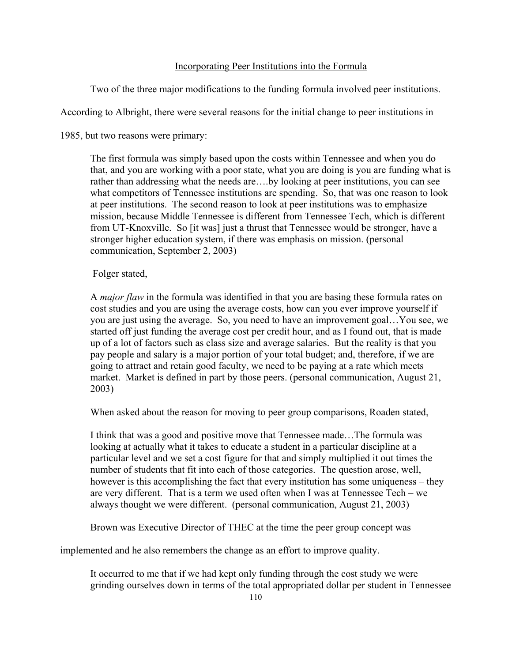# Incorporating Peer Institutions into the Formula

Two of the three major modifications to the funding formula involved peer institutions.

According to Albright, there were several reasons for the initial change to peer institutions in

1985, but two reasons were primary:

The first formula was simply based upon the costs within Tennessee and when you do that, and you are working with a poor state, what you are doing is you are funding what is rather than addressing what the needs are...by looking at peer institutions, you can see what competitors of Tennessee institutions are spending. So, that was one reason to look at peer institutions. The second reason to look at peer institutions was to emphasize mission, because Middle Tennessee is different from Tennessee Tech, which is different from UT-Knoxville. So [it was] just a thrust that Tennessee would be stronger, have a stronger higher education system, if there was emphasis on mission. (personal communication, September 2, 2003)

# Folger stated,

A *major flaw* in the formula was identified in that you are basing these formula rates on cost studies and you are using the average costs, how can you ever improve yourself if you are just using the average. So, you need to have an improvement goal…You see, we started off just funding the average cost per credit hour, and as I found out, that is made up of a lot of factors such as class size and average salaries. But the reality is that you pay people and salary is a major portion of your total budget; and, therefore, if we are going to attract and retain good faculty, we need to be paying at a rate which meets market. Market is defined in part by those peers. (personal communication, August 21, 2003)

When asked about the reason for moving to peer group comparisons, Roaden stated,

I think that was a good and positive move that Tennessee made…The formula was looking at actually what it takes to educate a student in a particular discipline at a particular level and we set a cost figure for that and simply multiplied it out times the number of students that fit into each of those categories. The question arose, well, however is this accomplishing the fact that every institution has some uniqueness – they are very different. That is a term we used often when I was at Tennessee Tech – we always thought we were different. (personal communication, August 21, 2003)

Brown was Executive Director of THEC at the time the peer group concept was

implemented and he also remembers the change as an effort to improve quality.

It occurred to me that if we had kept only funding through the cost study we were grinding ourselves down in terms of the total appropriated dollar per student in Tennessee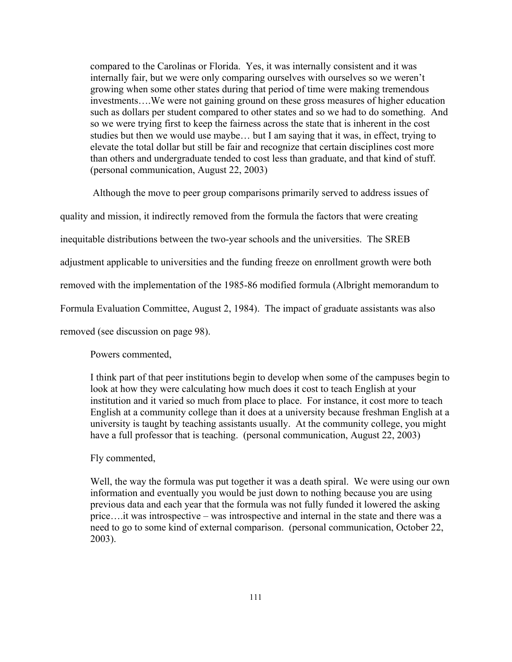compared to the Carolinas or Florida. Yes, it was internally consistent and it was internally fair, but we were only comparing ourselves with ourselves so we weren't growing when some other states during that period of time were making tremendous investments….We were not gaining ground on these gross measures of higher education such as dollars per student compared to other states and so we had to do something. And so we were trying first to keep the fairness across the state that is inherent in the cost studies but then we would use maybe… but I am saying that it was, in effect, trying to elevate the total dollar but still be fair and recognize that certain disciplines cost more than others and undergraduate tended to cost less than graduate, and that kind of stuff. (personal communication, August 22, 2003)

 Although the move to peer group comparisons primarily served to address issues of quality and mission, it indirectly removed from the formula the factors that were creating inequitable distributions between the two-year schools and the universities. The SREB adjustment applicable to universities and the funding freeze on enrollment growth were both removed with the implementation of the 1985-86 modified formula (Albright memorandum to Formula Evaluation Committee, August 2, 1984). The impact of graduate assistants was also removed (see discussion on page 98).

Powers commented,

I think part of that peer institutions begin to develop when some of the campuses begin to look at how they were calculating how much does it cost to teach English at your institution and it varied so much from place to place. For instance, it cost more to teach English at a community college than it does at a university because freshman English at a university is taught by teaching assistants usually. At the community college, you might have a full professor that is teaching. (personal communication, August 22, 2003)

Fly commented,

Well, the way the formula was put together it was a death spiral. We were using our own information and eventually you would be just down to nothing because you are using previous data and each year that the formula was not fully funded it lowered the asking price….it was introspective – was introspective and internal in the state and there was a need to go to some kind of external comparison. (personal communication, October 22, 2003).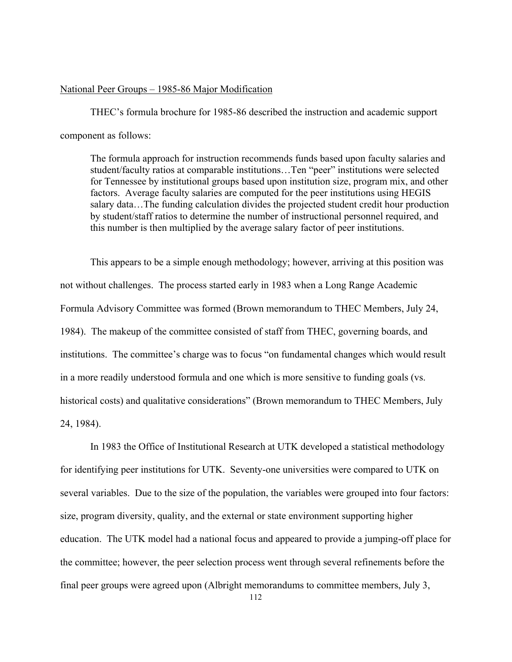## National Peer Groups – 1985-86 Major Modification

THEC's formula brochure for 1985-86 described the instruction and academic support component as follows:

The formula approach for instruction recommends funds based upon faculty salaries and student/faculty ratios at comparable institutions…Ten "peer" institutions were selected for Tennessee by institutional groups based upon institution size, program mix, and other factors. Average faculty salaries are computed for the peer institutions using HEGIS salary data…The funding calculation divides the projected student credit hour production by student/staff ratios to determine the number of instructional personnel required, and this number is then multiplied by the average salary factor of peer institutions.

This appears to be a simple enough methodology; however, arriving at this position was not without challenges. The process started early in 1983 when a Long Range Academic Formula Advisory Committee was formed (Brown memorandum to THEC Members, July 24, 1984). The makeup of the committee consisted of staff from THEC, governing boards, and institutions. The committee's charge was to focus "on fundamental changes which would result in a more readily understood formula and one which is more sensitive to funding goals (vs. historical costs) and qualitative considerations" (Brown memorandum to THEC Members, July 24, 1984).

In 1983 the Office of Institutional Research at UTK developed a statistical methodology for identifying peer institutions for UTK. Seventy-one universities were compared to UTK on several variables. Due to the size of the population, the variables were grouped into four factors: size, program diversity, quality, and the external or state environment supporting higher education. The UTK model had a national focus and appeared to provide a jumping-off place for the committee; however, the peer selection process went through several refinements before the final peer groups were agreed upon (Albright memorandums to committee members, July 3,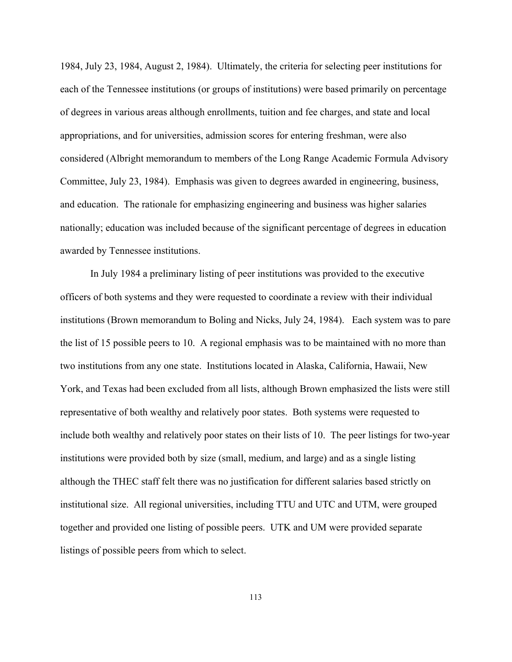1984, July 23, 1984, August 2, 1984). Ultimately, the criteria for selecting peer institutions for each of the Tennessee institutions (or groups of institutions) were based primarily on percentage of degrees in various areas although enrollments, tuition and fee charges, and state and local appropriations, and for universities, admission scores for entering freshman, were also considered (Albright memorandum to members of the Long Range Academic Formula Advisory Committee, July 23, 1984). Emphasis was given to degrees awarded in engineering, business, and education. The rationale for emphasizing engineering and business was higher salaries nationally; education was included because of the significant percentage of degrees in education awarded by Tennessee institutions.

In July 1984 a preliminary listing of peer institutions was provided to the executive officers of both systems and they were requested to coordinate a review with their individual institutions (Brown memorandum to Boling and Nicks, July 24, 1984). Each system was to pare the list of 15 possible peers to 10. A regional emphasis was to be maintained with no more than two institutions from any one state. Institutions located in Alaska, California, Hawaii, New York, and Texas had been excluded from all lists, although Brown emphasized the lists were still representative of both wealthy and relatively poor states. Both systems were requested to include both wealthy and relatively poor states on their lists of 10. The peer listings for two-year institutions were provided both by size (small, medium, and large) and as a single listing although the THEC staff felt there was no justification for different salaries based strictly on institutional size. All regional universities, including TTU and UTC and UTM, were grouped together and provided one listing of possible peers. UTK and UM were provided separate listings of possible peers from which to select.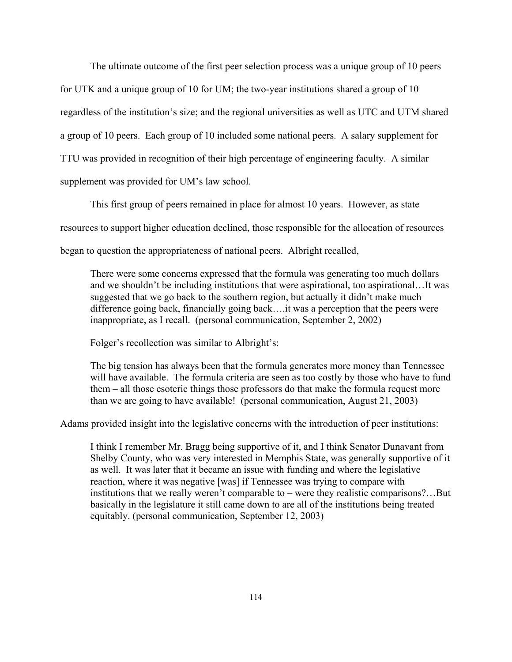The ultimate outcome of the first peer selection process was a unique group of 10 peers for UTK and a unique group of 10 for UM; the two-year institutions shared a group of 10 regardless of the institution's size; and the regional universities as well as UTC and UTM shared a group of 10 peers. Each group of 10 included some national peers. A salary supplement for TTU was provided in recognition of their high percentage of engineering faculty. A similar supplement was provided for UM's law school.

This first group of peers remained in place for almost 10 years. However, as state resources to support higher education declined, those responsible for the allocation of resources began to question the appropriateness of national peers. Albright recalled,

There were some concerns expressed that the formula was generating too much dollars and we shouldn't be including institutions that were aspirational, too aspirational…It was suggested that we go back to the southern region, but actually it didn't make much difference going back, financially going back….it was a perception that the peers were inappropriate, as I recall. (personal communication, September 2, 2002)

Folger's recollection was similar to Albright's:

The big tension has always been that the formula generates more money than Tennessee will have available. The formula criteria are seen as too costly by those who have to fund them – all those esoteric things those professors do that make the formula request more than we are going to have available! (personal communication, August 21, 2003)

Adams provided insight into the legislative concerns with the introduction of peer institutions:

I think I remember Mr. Bragg being supportive of it, and I think Senator Dunavant from Shelby County, who was very interested in Memphis State, was generally supportive of it as well. It was later that it became an issue with funding and where the legislative reaction, where it was negative [was] if Tennessee was trying to compare with institutions that we really weren't comparable to – were they realistic comparisons?…But basically in the legislature it still came down to are all of the institutions being treated equitably. (personal communication, September 12, 2003)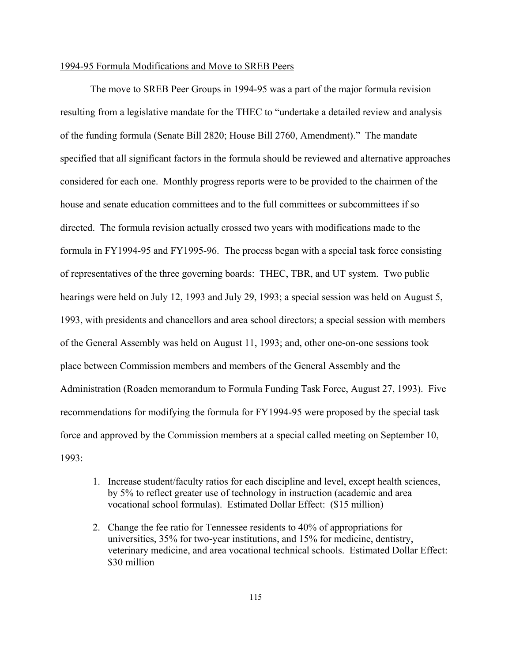## 1994-95 Formula Modifications and Move to SREB Peers

The move to SREB Peer Groups in 1994-95 was a part of the major formula revision resulting from a legislative mandate for the THEC to "undertake a detailed review and analysis of the funding formula (Senate Bill 2820; House Bill 2760, Amendment)." The mandate specified that all significant factors in the formula should be reviewed and alternative approaches considered for each one. Monthly progress reports were to be provided to the chairmen of the house and senate education committees and to the full committees or subcommittees if so directed. The formula revision actually crossed two years with modifications made to the formula in FY1994-95 and FY1995-96. The process began with a special task force consisting of representatives of the three governing boards: THEC, TBR, and UT system. Two public hearings were held on July 12, 1993 and July 29, 1993; a special session was held on August 5, 1993, with presidents and chancellors and area school directors; a special session with members of the General Assembly was held on August 11, 1993; and, other one-on-one sessions took place between Commission members and members of the General Assembly and the Administration (Roaden memorandum to Formula Funding Task Force, August 27, 1993). Five recommendations for modifying the formula for FY1994-95 were proposed by the special task force and approved by the Commission members at a special called meeting on September 10, 1993:

- 1. Increase student/faculty ratios for each discipline and level, except health sciences, by 5% to reflect greater use of technology in instruction (academic and area vocational school formulas). Estimated Dollar Effect: (\$15 million)
- 2. Change the fee ratio for Tennessee residents to 40% of appropriations for universities, 35% for two-year institutions, and 15% for medicine, dentistry, veterinary medicine, and area vocational technical schools. Estimated Dollar Effect: \$30 million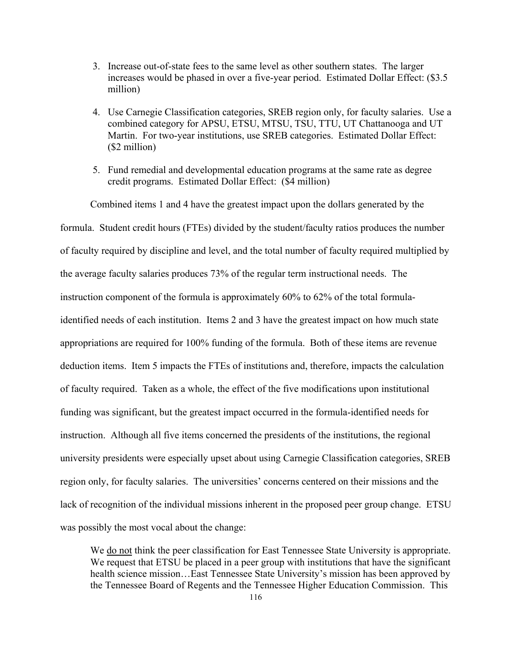- 3. Increase out-of-state fees to the same level as other southern states. The larger increases would be phased in over a five-year period. Estimated Dollar Effect: (\$3.5 million)
- 4. Use Carnegie Classification categories, SREB region only, for faculty salaries. Use a combined category for APSU, ETSU, MTSU, TSU, TTU, UT Chattanooga and UT Martin. For two-year institutions, use SREB categories. Estimated Dollar Effect: (\$2 million)
- 5. Fund remedial and developmental education programs at the same rate as degree credit programs. Estimated Dollar Effect: (\$4 million)

Combined items 1 and 4 have the greatest impact upon the dollars generated by the formula. Student credit hours (FTEs) divided by the student/faculty ratios produces the number of faculty required by discipline and level, and the total number of faculty required multiplied by the average faculty salaries produces 73% of the regular term instructional needs. The instruction component of the formula is approximately 60% to 62% of the total formulaidentified needs of each institution. Items 2 and 3 have the greatest impact on how much state appropriations are required for 100% funding of the formula. Both of these items are revenue deduction items. Item 5 impacts the FTEs of institutions and, therefore, impacts the calculation of faculty required. Taken as a whole, the effect of the five modifications upon institutional funding was significant, but the greatest impact occurred in the formula-identified needs for instruction. Although all five items concerned the presidents of the institutions, the regional university presidents were especially upset about using Carnegie Classification categories, SREB region only, for faculty salaries. The universities' concerns centered on their missions and the lack of recognition of the individual missions inherent in the proposed peer group change. ETSU was possibly the most vocal about the change:

We do not think the peer classification for East Tennessee State University is appropriate. We request that ETSU be placed in a peer group with institutions that have the significant health science mission…East Tennessee State University's mission has been approved by the Tennessee Board of Regents and the Tennessee Higher Education Commission. This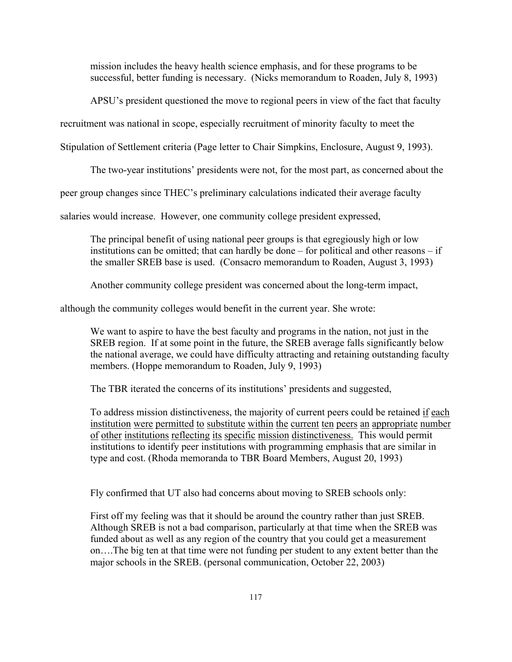mission includes the heavy health science emphasis, and for these programs to be successful, better funding is necessary. (Nicks memorandum to Roaden, July 8, 1993)

APSU's president questioned the move to regional peers in view of the fact that faculty

recruitment was national in scope, especially recruitment of minority faculty to meet the

Stipulation of Settlement criteria (Page letter to Chair Simpkins, Enclosure, August 9, 1993).

The two-year institutions' presidents were not, for the most part, as concerned about the

peer group changes since THEC's preliminary calculations indicated their average faculty

salaries would increase. However, one community college president expressed,

The principal benefit of using national peer groups is that egregiously high or low institutions can be omitted; that can hardly be done – for political and other reasons – if the smaller SREB base is used. (Consacro memorandum to Roaden, August 3, 1993)

Another community college president was concerned about the long-term impact,

although the community colleges would benefit in the current year. She wrote:

We want to aspire to have the best faculty and programs in the nation, not just in the SREB region. If at some point in the future, the SREB average falls significantly below the national average, we could have difficulty attracting and retaining outstanding faculty members. (Hoppe memorandum to Roaden, July 9, 1993)

The TBR iterated the concerns of its institutions' presidents and suggested,

To address mission distinctiveness, the majority of current peers could be retained if each institution were permitted to substitute within the current ten peers an appropriate number of other institutions reflecting its specific mission distinctiveness. This would permit institutions to identify peer institutions with programming emphasis that are similar in type and cost. (Rhoda memoranda to TBR Board Members, August 20, 1993)

Fly confirmed that UT also had concerns about moving to SREB schools only:

First off my feeling was that it should be around the country rather than just SREB. Although SREB is not a bad comparison, particularly at that time when the SREB was funded about as well as any region of the country that you could get a measurement on….The big ten at that time were not funding per student to any extent better than the major schools in the SREB. (personal communication, October 22, 2003)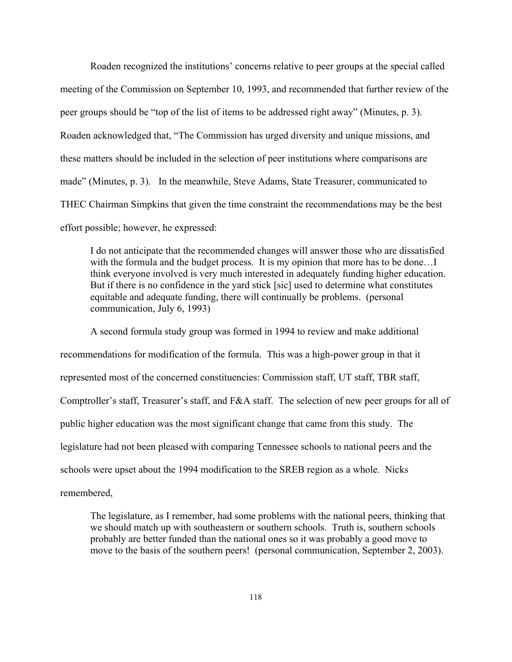Roaden recognized the institutions' concerns relative to peer groups at the special called meeting of the Commission on September 10, 1993, and recommended that further review of the peer groups should be "top of the list of items to be addressed right away" (Minutes, p. 3). Roaden acknowledged that, "The Commission has urged diversity and unique missions, and these matters should be included in the selection of peer institutions where comparisons are made" (Minutes, p. 3). In the meanwhile, Steve Adams, State Treasurer, communicated to THEC Chairman Simpkins that given the time constraint the recommendations may be the best effort possible; however, he expressed:

I do not anticipate that the recommended changes will answer those who are dissatisfied with the formula and the budget process. It is my opinion that more has to be done...I think everyone involved is very much interested in adequately funding higher education. But if there is no confidence in the yard stick [sic] used to determine what constitutes equitable and adequate funding, there will continually be problems. (personal communication, July 6, 1993)

A second formula study group was formed in 1994 to review and make additional recommendations for modification of the formula. This was a high-power group in that it represented most of the concerned constituencies: Commission staff, UT staff, TBR staff, Comptroller's staff, Treasurer's staff, and F&A staff. The selection of new peer groups for all of public higher education was the most significant change that came from this study. The legislature had not been pleased with comparing Tennessee schools to national peers and the schools were upset about the 1994 modification to the SREB region as a whole. Nicks remembered,

The legislature, as I remember, had some problems with the national peers, thinking that we should match up with southeastern or southern schools. Truth is, southern schools probably are better funded than the national ones so it was probably a good move to move to the basis of the southern peers! (personal communication, September 2, 2003).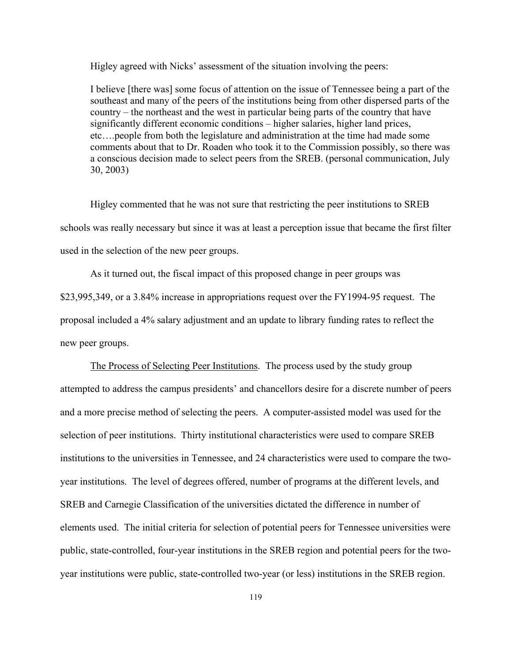Higley agreed with Nicks' assessment of the situation involving the peers:

I believe [there was] some focus of attention on the issue of Tennessee being a part of the southeast and many of the peers of the institutions being from other dispersed parts of the country – the northeast and the west in particular being parts of the country that have significantly different economic conditions – higher salaries, higher land prices, etc….people from both the legislature and administration at the time had made some comments about that to Dr. Roaden who took it to the Commission possibly, so there was a conscious decision made to select peers from the SREB. (personal communication, July 30, 2003)

Higley commented that he was not sure that restricting the peer institutions to SREB schools was really necessary but since it was at least a perception issue that became the first filter used in the selection of the new peer groups.

As it turned out, the fiscal impact of this proposed change in peer groups was \$23,995,349, or a 3.84% increase in appropriations request over the FY1994-95 request. The proposal included a 4% salary adjustment and an update to library funding rates to reflect the new peer groups.

The Process of Selecting Peer Institutions. The process used by the study group attempted to address the campus presidents' and chancellors desire for a discrete number of peers and a more precise method of selecting the peers. A computer-assisted model was used for the selection of peer institutions. Thirty institutional characteristics were used to compare SREB institutions to the universities in Tennessee, and 24 characteristics were used to compare the twoyear institutions. The level of degrees offered, number of programs at the different levels, and SREB and Carnegie Classification of the universities dictated the difference in number of elements used. The initial criteria for selection of potential peers for Tennessee universities were public, state-controlled, four-year institutions in the SREB region and potential peers for the twoyear institutions were public, state-controlled two-year (or less) institutions in the SREB region.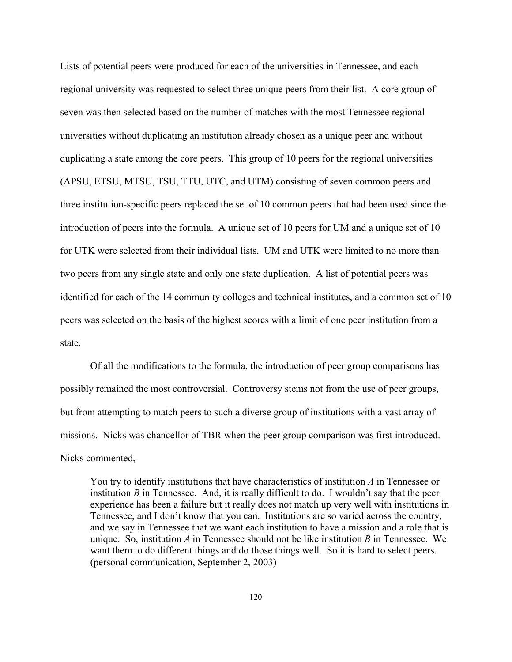Lists of potential peers were produced for each of the universities in Tennessee, and each regional university was requested to select three unique peers from their list. A core group of seven was then selected based on the number of matches with the most Tennessee regional universities without duplicating an institution already chosen as a unique peer and without duplicating a state among the core peers. This group of 10 peers for the regional universities (APSU, ETSU, MTSU, TSU, TTU, UTC, and UTM) consisting of seven common peers and three institution-specific peers replaced the set of 10 common peers that had been used since the introduction of peers into the formula. A unique set of 10 peers for UM and a unique set of 10 for UTK were selected from their individual lists. UM and UTK were limited to no more than two peers from any single state and only one state duplication. A list of potential peers was identified for each of the 14 community colleges and technical institutes, and a common set of 10 peers was selected on the basis of the highest scores with a limit of one peer institution from a state.

Of all the modifications to the formula, the introduction of peer group comparisons has possibly remained the most controversial. Controversy stems not from the use of peer groups, but from attempting to match peers to such a diverse group of institutions with a vast array of missions. Nicks was chancellor of TBR when the peer group comparison was first introduced. Nicks commented,

You try to identify institutions that have characteristics of institution *A* in Tennessee or institution *B* in Tennessee. And, it is really difficult to do. I wouldn't say that the peer experience has been a failure but it really does not match up very well with institutions in Tennessee, and I don't know that you can. Institutions are so varied across the country, and we say in Tennessee that we want each institution to have a mission and a role that is unique. So, institution *A* in Tennessee should not be like institution *B* in Tennessee. We want them to do different things and do those things well. So it is hard to select peers. (personal communication, September 2, 2003)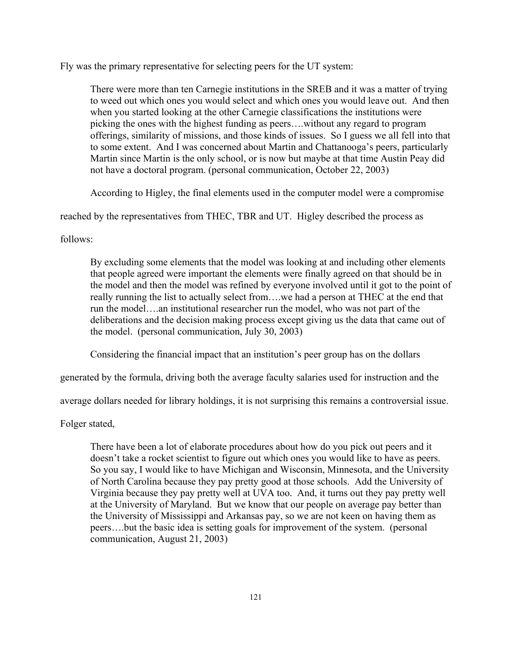Fly was the primary representative for selecting peers for the UT system:

There were more than ten Carnegie institutions in the SREB and it was a matter of trying to weed out which ones you would select and which ones you would leave out. And then when you started looking at the other Carnegie classifications the institutions were picking the ones with the highest funding as peers….without any regard to program offerings, similarity of missions, and those kinds of issues. So I guess we all fell into that to some extent. And I was concerned about Martin and Chattanooga's peers, particularly Martin since Martin is the only school, or is now but maybe at that time Austin Peay did not have a doctoral program. (personal communication, October 22, 2003)

According to Higley, the final elements used in the computer model were a compromise

reached by the representatives from THEC, TBR and UT. Higley described the process as

follows:

By excluding some elements that the model was looking at and including other elements that people agreed were important the elements were finally agreed on that should be in the model and then the model was refined by everyone involved until it got to the point of really running the list to actually select from….we had a person at THEC at the end that run the model….an institutional researcher run the model, who was not part of the deliberations and the decision making process except giving us the data that came out of the model. (personal communication, July 30, 2003)

Considering the financial impact that an institution's peer group has on the dollars

generated by the formula, driving both the average faculty salaries used for instruction and the

average dollars needed for library holdings, it is not surprising this remains a controversial issue.

Folger stated,

There have been a lot of elaborate procedures about how do you pick out peers and it doesn't take a rocket scientist to figure out which ones you would like to have as peers. So you say, I would like to have Michigan and Wisconsin, Minnesota, and the University of North Carolina because they pay pretty good at those schools. Add the University of Virginia because they pay pretty well at UVA too. And, it turns out they pay pretty well at the University of Maryland. But we know that our people on average pay better than the University of Mississippi and Arkansas pay, so we are not keen on having them as peers….but the basic idea is setting goals for improvement of the system. (personal communication, August 21, 2003)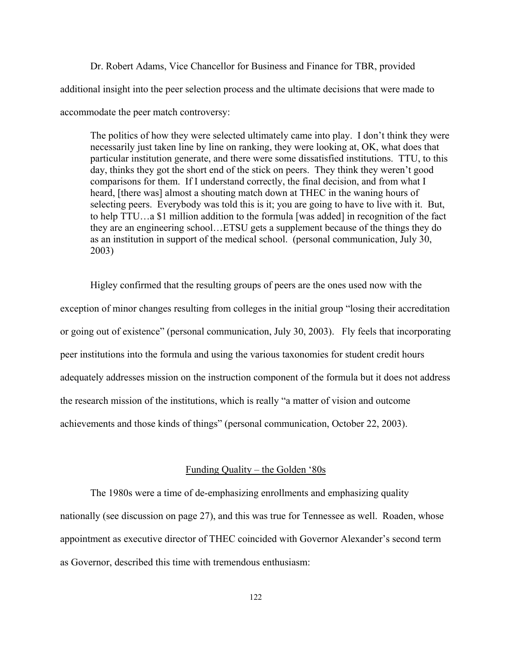Dr. Robert Adams, Vice Chancellor for Business and Finance for TBR, provided additional insight into the peer selection process and the ultimate decisions that were made to accommodate the peer match controversy:

The politics of how they were selected ultimately came into play. I don't think they were necessarily just taken line by line on ranking, they were looking at, OK, what does that particular institution generate, and there were some dissatisfied institutions. TTU, to this day, thinks they got the short end of the stick on peers. They think they weren't good comparisons for them. If I understand correctly, the final decision, and from what I heard, [there was] almost a shouting match down at THEC in the waning hours of selecting peers. Everybody was told this is it; you are going to have to live with it. But, to help TTU…a \$1 million addition to the formula [was added] in recognition of the fact they are an engineering school…ETSU gets a supplement because of the things they do as an institution in support of the medical school. (personal communication, July 30, 2003)

Higley confirmed that the resulting groups of peers are the ones used now with the exception of minor changes resulting from colleges in the initial group "losing their accreditation or going out of existence" (personal communication, July 30, 2003). Fly feels that incorporating peer institutions into the formula and using the various taxonomies for student credit hours adequately addresses mission on the instruction component of the formula but it does not address the research mission of the institutions, which is really "a matter of vision and outcome achievements and those kinds of things" (personal communication, October 22, 2003).

## Funding Quality – the Golden '80s

The 1980s were a time of de-emphasizing enrollments and emphasizing quality nationally (see discussion on page 27), and this was true for Tennessee as well. Roaden, whose appointment as executive director of THEC coincided with Governor Alexander's second term as Governor, described this time with tremendous enthusiasm: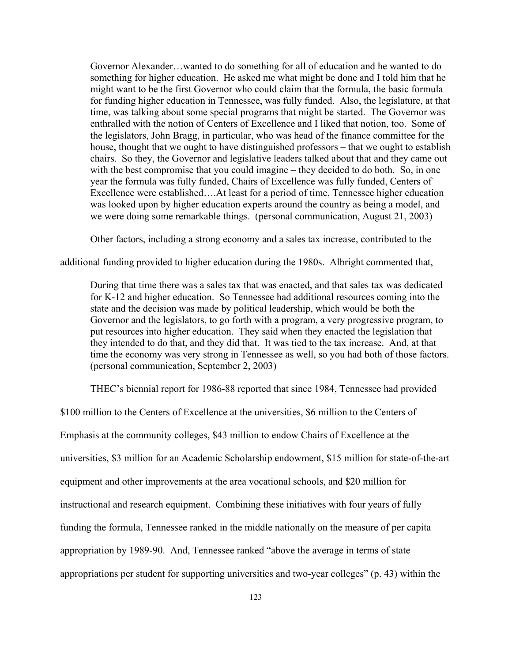Governor Alexander…wanted to do something for all of education and he wanted to do something for higher education. He asked me what might be done and I told him that he might want to be the first Governor who could claim that the formula, the basic formula for funding higher education in Tennessee, was fully funded. Also, the legislature, at that time, was talking about some special programs that might be started. The Governor was enthralled with the notion of Centers of Excellence and I liked that notion, too. Some of the legislators, John Bragg, in particular, who was head of the finance committee for the house, thought that we ought to have distinguished professors – that we ought to establish chairs. So they, the Governor and legislative leaders talked about that and they came out with the best compromise that you could imagine – they decided to do both. So, in one year the formula was fully funded, Chairs of Excellence was fully funded, Centers of Excellence were established….At least for a period of time, Tennessee higher education was looked upon by higher education experts around the country as being a model, and we were doing some remarkable things. (personal communication, August 21, 2003)

Other factors, including a strong economy and a sales tax increase, contributed to the

additional funding provided to higher education during the 1980s. Albright commented that,

During that time there was a sales tax that was enacted, and that sales tax was dedicated for K-12 and higher education. So Tennessee had additional resources coming into the state and the decision was made by political leadership, which would be both the Governor and the legislators, to go forth with a program, a very progressive program, to put resources into higher education. They said when they enacted the legislation that they intended to do that, and they did that. It was tied to the tax increase. And, at that time the economy was very strong in Tennessee as well, so you had both of those factors. (personal communication, September 2, 2003)

THEC's biennial report for 1986-88 reported that since 1984, Tennessee had provided

\$100 million to the Centers of Excellence at the universities, \$6 million to the Centers of Emphasis at the community colleges, \$43 million to endow Chairs of Excellence at the universities, \$3 million for an Academic Scholarship endowment, \$15 million for state-of-the-art equipment and other improvements at the area vocational schools, and \$20 million for instructional and research equipment. Combining these initiatives with four years of fully funding the formula, Tennessee ranked in the middle nationally on the measure of per capita appropriation by 1989-90. And, Tennessee ranked "above the average in terms of state appropriations per student for supporting universities and two-year colleges" (p. 43) within the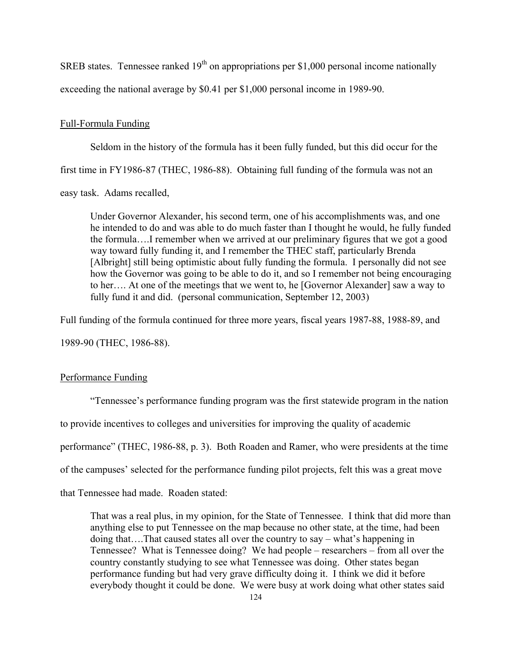SREB states. Tennessee ranked  $19<sup>th</sup>$  on appropriations per \$1,000 personal income nationally exceeding the national average by \$0.41 per \$1,000 personal income in 1989-90.

# Full-Formula Funding

Seldom in the history of the formula has it been fully funded, but this did occur for the first time in FY1986-87 (THEC, 1986-88). Obtaining full funding of the formula was not an easy task. Adams recalled,

Under Governor Alexander, his second term, one of his accomplishments was, and one he intended to do and was able to do much faster than I thought he would, he fully funded the formula….I remember when we arrived at our preliminary figures that we got a good way toward fully funding it, and I remember the THEC staff, particularly Brenda [Albright] still being optimistic about fully funding the formula. I personally did not see how the Governor was going to be able to do it, and so I remember not being encouraging to her…. At one of the meetings that we went to, he [Governor Alexander] saw a way to fully fund it and did. (personal communication, September 12, 2003)

Full funding of the formula continued for three more years, fiscal years 1987-88, 1988-89, and

1989-90 (THEC, 1986-88).

# Performance Funding

"Tennessee's performance funding program was the first statewide program in the nation to provide incentives to colleges and universities for improving the quality of academic performance" (THEC, 1986-88, p. 3). Both Roaden and Ramer, who were presidents at the time of the campuses' selected for the performance funding pilot projects, felt this was a great move that Tennessee had made. Roaden stated:

That was a real plus, in my opinion, for the State of Tennessee. I think that did more than anything else to put Tennessee on the map because no other state, at the time, had been doing that….That caused states all over the country to say – what's happening in Tennessee? What is Tennessee doing? We had people – researchers – from all over the country constantly studying to see what Tennessee was doing. Other states began performance funding but had very grave difficulty doing it. I think we did it before everybody thought it could be done. We were busy at work doing what other states said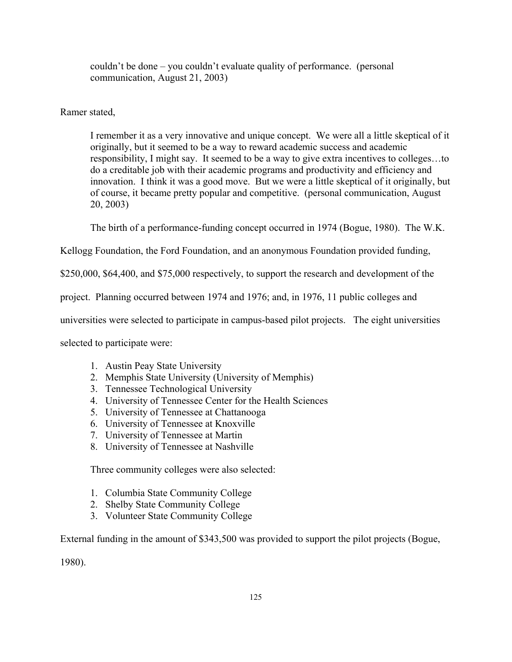couldn't be done – you couldn't evaluate quality of performance. (personal communication, August 21, 2003)

Ramer stated,

I remember it as a very innovative and unique concept. We were all a little skeptical of it originally, but it seemed to be a way to reward academic success and academic responsibility, I might say. It seemed to be a way to give extra incentives to colleges…to do a creditable job with their academic programs and productivity and efficiency and innovation. I think it was a good move. But we were a little skeptical of it originally, but of course, it became pretty popular and competitive. (personal communication, August 20, 2003)

The birth of a performance-funding concept occurred in 1974 (Bogue, 1980). The W.K.

Kellogg Foundation, the Ford Foundation, and an anonymous Foundation provided funding,

\$250,000, \$64,400, and \$75,000 respectively, to support the research and development of the

project. Planning occurred between 1974 and 1976; and, in 1976, 11 public colleges and

universities were selected to participate in campus-based pilot projects. The eight universities

selected to participate were:

- 1. Austin Peay State University
- 2. Memphis State University (University of Memphis)
- 3. Tennessee Technological University
- 4. University of Tennessee Center for the Health Sciences
- 5. University of Tennessee at Chattanooga
- 6. University of Tennessee at Knoxville
- 7. University of Tennessee at Martin
- 8. University of Tennessee at Nashville

Three community colleges were also selected:

- 1. Columbia State Community College
- 2. Shelby State Community College
- 3. Volunteer State Community College

External funding in the amount of \$343,500 was provided to support the pilot projects (Bogue,

1980).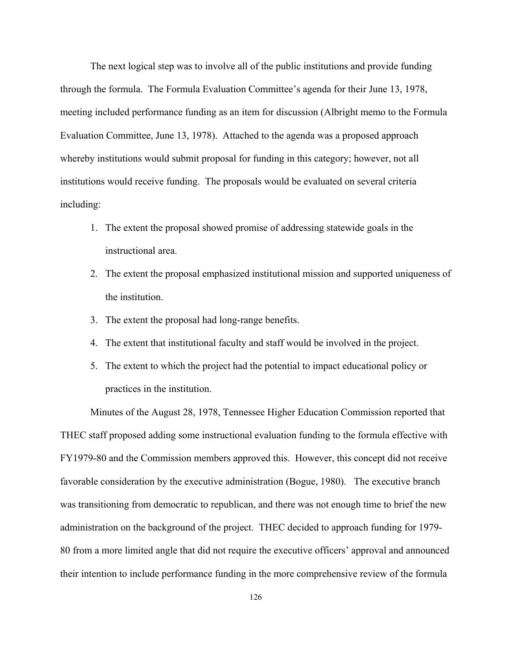The next logical step was to involve all of the public institutions and provide funding through the formula. The Formula Evaluation Committee's agenda for their June 13, 1978, meeting included performance funding as an item for discussion (Albright memo to the Formula Evaluation Committee, June 13, 1978). Attached to the agenda was a proposed approach whereby institutions would submit proposal for funding in this category; however, not all institutions would receive funding. The proposals would be evaluated on several criteria including:

- 1. The extent the proposal showed promise of addressing statewide goals in the instructional area.
- 2. The extent the proposal emphasized institutional mission and supported uniqueness of the institution.
- 3. The extent the proposal had long-range benefits.
- 4. The extent that institutional faculty and staff would be involved in the project.
- 5. The extent to which the project had the potential to impact educational policy or practices in the institution.

Minutes of the August 28, 1978, Tennessee Higher Education Commission reported that THEC staff proposed adding some instructional evaluation funding to the formula effective with FY1979-80 and the Commission members approved this. However, this concept did not receive favorable consideration by the executive administration (Bogue, 1980). The executive branch was transitioning from democratic to republican, and there was not enough time to brief the new administration on the background of the project. THEC decided to approach funding for 1979- 80 from a more limited angle that did not require the executive officers' approval and announced their intention to include performance funding in the more comprehensive review of the formula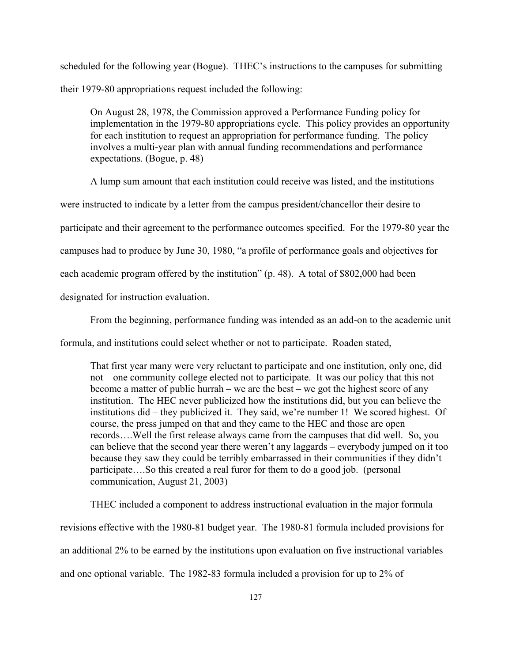scheduled for the following year (Bogue). THEC's instructions to the campuses for submitting their 1979-80 appropriations request included the following:

On August 28, 1978, the Commission approved a Performance Funding policy for implementation in the 1979-80 appropriations cycle. This policy provides an opportunity for each institution to request an appropriation for performance funding. The policy involves a multi-year plan with annual funding recommendations and performance expectations. (Bogue, p. 48)

A lump sum amount that each institution could receive was listed, and the institutions

were instructed to indicate by a letter from the campus president/chancellor their desire to

participate and their agreement to the performance outcomes specified. For the 1979-80 year the

campuses had to produce by June 30, 1980, "a profile of performance goals and objectives for

each academic program offered by the institution" (p. 48). A total of \$802,000 had been

designated for instruction evaluation.

From the beginning, performance funding was intended as an add-on to the academic unit

formula, and institutions could select whether or not to participate. Roaden stated,

That first year many were very reluctant to participate and one institution, only one, did not – one community college elected not to participate. It was our policy that this not become a matter of public hurrah – we are the best – we got the highest score of any institution. The HEC never publicized how the institutions did, but you can believe the institutions did – they publicized it. They said, we're number 1! We scored highest. Of course, the press jumped on that and they came to the HEC and those are open records….Well the first release always came from the campuses that did well. So, you can believe that the second year there weren't any laggards – everybody jumped on it too because they saw they could be terribly embarrassed in their communities if they didn't participate….So this created a real furor for them to do a good job. (personal communication, August 21, 2003)

THEC included a component to address instructional evaluation in the major formula revisions effective with the 1980-81 budget year. The 1980-81 formula included provisions for an additional 2% to be earned by the institutions upon evaluation on five instructional variables and one optional variable. The 1982-83 formula included a provision for up to 2% of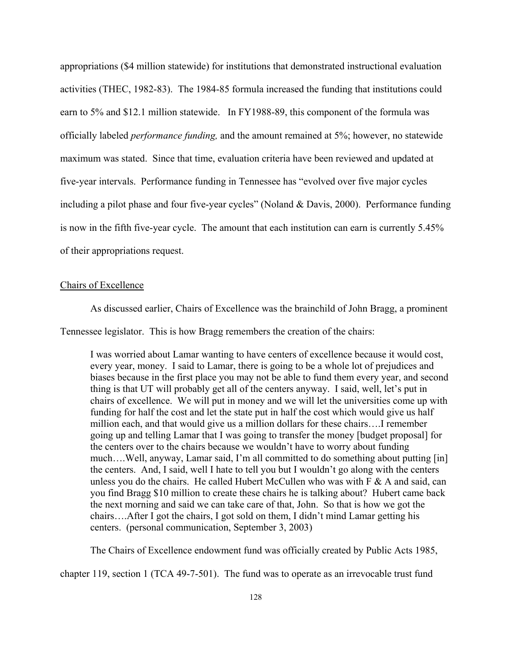appropriations (\$4 million statewide) for institutions that demonstrated instructional evaluation activities (THEC, 1982-83). The 1984-85 formula increased the funding that institutions could earn to 5% and \$12.1 million statewide. In FY1988-89, this component of the formula was officially labeled *performance funding,* and the amount remained at 5%; however, no statewide maximum was stated. Since that time, evaluation criteria have been reviewed and updated at five-year intervals. Performance funding in Tennessee has "evolved over five major cycles including a pilot phase and four five-year cycles" (Noland & Davis, 2000). Performance funding is now in the fifth five-year cycle. The amount that each institution can earn is currently 5.45% of their appropriations request.

## Chairs of Excellence

As discussed earlier, Chairs of Excellence was the brainchild of John Bragg, a prominent

Tennessee legislator. This is how Bragg remembers the creation of the chairs:

I was worried about Lamar wanting to have centers of excellence because it would cost, every year, money. I said to Lamar, there is going to be a whole lot of prejudices and biases because in the first place you may not be able to fund them every year, and second thing is that UT will probably get all of the centers anyway. I said, well, let's put in chairs of excellence. We will put in money and we will let the universities come up with funding for half the cost and let the state put in half the cost which would give us half million each, and that would give us a million dollars for these chairs….I remember going up and telling Lamar that I was going to transfer the money [budget proposal] for the centers over to the chairs because we wouldn't have to worry about funding much….Well, anyway, Lamar said, I'm all committed to do something about putting [in] the centers. And, I said, well I hate to tell you but I wouldn't go along with the centers unless you do the chairs. He called Hubert McCullen who was with  $F \& A$  and said, can you find Bragg \$10 million to create these chairs he is talking about? Hubert came back the next morning and said we can take care of that, John. So that is how we got the chairs….After I got the chairs, I got sold on them, I didn't mind Lamar getting his centers. (personal communication, September 3, 2003)

The Chairs of Excellence endowment fund was officially created by Public Acts 1985,

chapter 119, section 1 (TCA 49-7-501). The fund was to operate as an irrevocable trust fund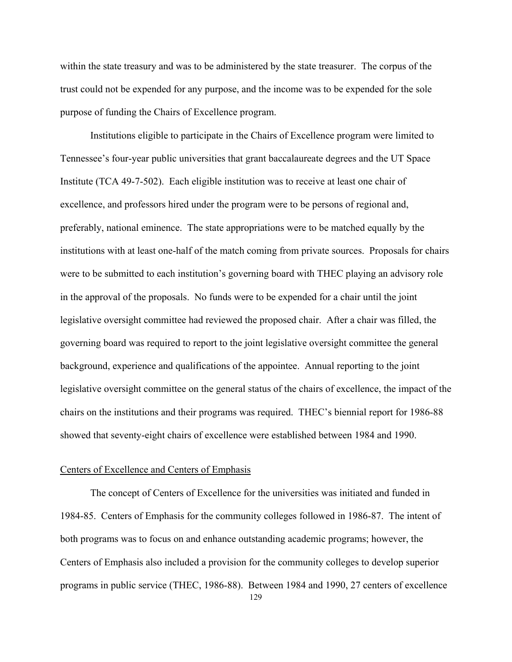within the state treasury and was to be administered by the state treasurer. The corpus of the trust could not be expended for any purpose, and the income was to be expended for the sole purpose of funding the Chairs of Excellence program.

Institutions eligible to participate in the Chairs of Excellence program were limited to Tennessee's four-year public universities that grant baccalaureate degrees and the UT Space Institute (TCA 49-7-502). Each eligible institution was to receive at least one chair of excellence, and professors hired under the program were to be persons of regional and, preferably, national eminence. The state appropriations were to be matched equally by the institutions with at least one-half of the match coming from private sources. Proposals for chairs were to be submitted to each institution's governing board with THEC playing an advisory role in the approval of the proposals. No funds were to be expended for a chair until the joint legislative oversight committee had reviewed the proposed chair. After a chair was filled, the governing board was required to report to the joint legislative oversight committee the general background, experience and qualifications of the appointee. Annual reporting to the joint legislative oversight committee on the general status of the chairs of excellence, the impact of the chairs on the institutions and their programs was required. THEC's biennial report for 1986-88 showed that seventy-eight chairs of excellence were established between 1984 and 1990.

## Centers of Excellence and Centers of Emphasis

129 The concept of Centers of Excellence for the universities was initiated and funded in 1984-85. Centers of Emphasis for the community colleges followed in 1986-87. The intent of both programs was to focus on and enhance outstanding academic programs; however, the Centers of Emphasis also included a provision for the community colleges to develop superior programs in public service (THEC, 1986-88). Between 1984 and 1990, 27 centers of excellence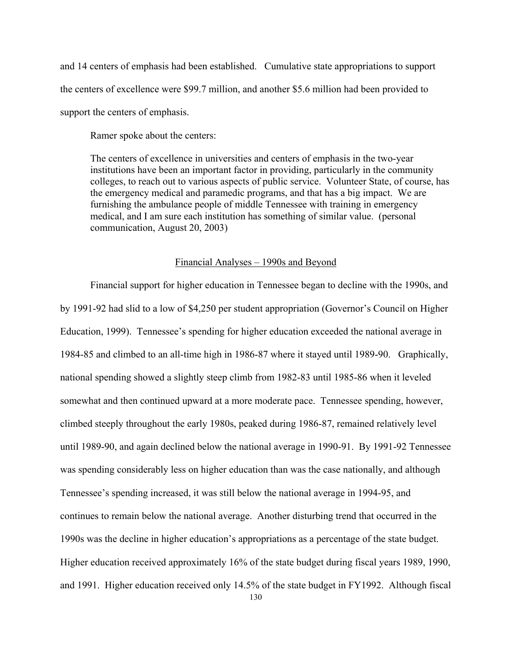and 14 centers of emphasis had been established. Cumulative state appropriations to support the centers of excellence were \$99.7 million, and another \$5.6 million had been provided to support the centers of emphasis.

Ramer spoke about the centers:

The centers of excellence in universities and centers of emphasis in the two-year institutions have been an important factor in providing, particularly in the community colleges, to reach out to various aspects of public service. Volunteer State, of course, has the emergency medical and paramedic programs, and that has a big impact. We are furnishing the ambulance people of middle Tennessee with training in emergency medical, and I am sure each institution has something of similar value. (personal communication, August 20, 2003)

# Financial Analyses – 1990s and Beyond

Financial support for higher education in Tennessee began to decline with the 1990s, and by 1991-92 had slid to a low of \$4,250 per student appropriation (Governor's Council on Higher Education, 1999). Tennessee's spending for higher education exceeded the national average in 1984-85 and climbed to an all-time high in 1986-87 where it stayed until 1989-90. Graphically, national spending showed a slightly steep climb from 1982-83 until 1985-86 when it leveled somewhat and then continued upward at a more moderate pace. Tennessee spending, however, climbed steeply throughout the early 1980s, peaked during 1986-87, remained relatively level until 1989-90, and again declined below the national average in 1990-91. By 1991-92 Tennessee was spending considerably less on higher education than was the case nationally, and although Tennessee's spending increased, it was still below the national average in 1994-95, and continues to remain below the national average. Another disturbing trend that occurred in the 1990s was the decline in higher education's appropriations as a percentage of the state budget. Higher education received approximately 16% of the state budget during fiscal years 1989, 1990, and 1991. Higher education received only 14.5% of the state budget in FY1992. Although fiscal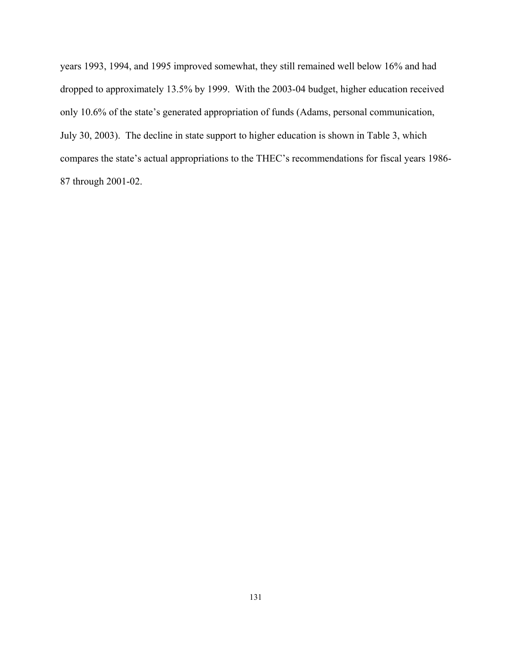years 1993, 1994, and 1995 improved somewhat, they still remained well below 16% and had dropped to approximately 13.5% by 1999. With the 2003-04 budget, higher education received only 10.6% of the state's generated appropriation of funds (Adams, personal communication, July 30, 2003). The decline in state support to higher education is shown in Table 3, which compares the state's actual appropriations to the THEC's recommendations for fiscal years 1986- 87 through 2001-02.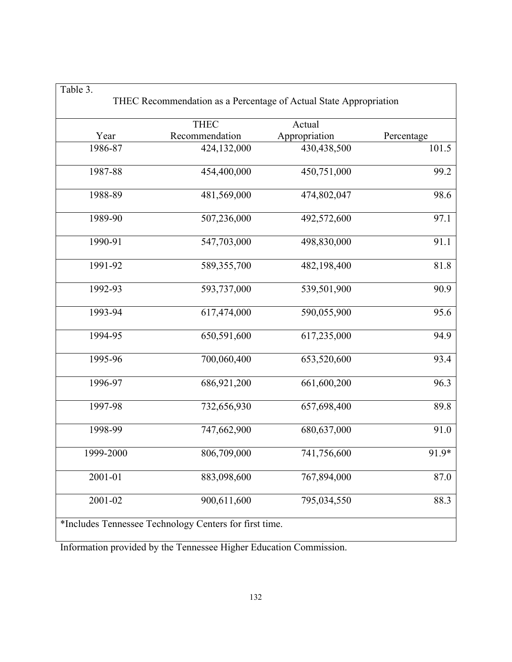|           |                                                        | THEC Recommendation as a Percentage of Actual State Appropriation |            |
|-----------|--------------------------------------------------------|-------------------------------------------------------------------|------------|
|           | <b>THEC</b>                                            | Actual                                                            |            |
| Year      | Recommendation                                         | Appropriation                                                     | Percentage |
| 1986-87   | 424,132,000                                            | 430,438,500                                                       | 101.5      |
| 1987-88   | 454,400,000                                            | 450,751,000                                                       | 99.2       |
| 1988-89   | 481,569,000                                            | 474,802,047                                                       | 98.6       |
| 1989-90   | 507,236,000                                            | 492,572,600                                                       | 97.1       |
| 1990-91   | 547,703,000                                            | 498,830,000                                                       | 91.1       |
| 1991-92   | 589, 355, 700                                          | 482,198,400                                                       | 81.8       |
| 1992-93   | 593,737,000                                            | 539,501,900                                                       | 90.9       |
| 1993-94   | 617,474,000                                            | 590,055,900                                                       | 95.6       |
| 1994-95   | 650,591,600                                            | 617,235,000                                                       | 94.9       |
| 1995-96   | 700,060,400                                            | 653,520,600                                                       | 93.4       |
| 1996-97   | 686,921,200                                            | 661,600,200                                                       | 96.3       |
| 1997-98   | 732,656,930                                            | 657,698,400                                                       | 89.8       |
| 1998-99   | 747,662,900                                            | 680,637,000                                                       | 91.0       |
| 1999-2000 | 806,709,000                                            | 741,756,600                                                       | 91.9*      |
| 2001-01   | 883,098,600                                            | 767,894,000                                                       | 87.0       |
| 2001-02   | 900,611,600                                            | 795,034,550                                                       | 88.3       |
|           | *Includes Tennessee Technology Centers for first time. |                                                                   |            |

Information provided by the Tennessee Higher Education Commission.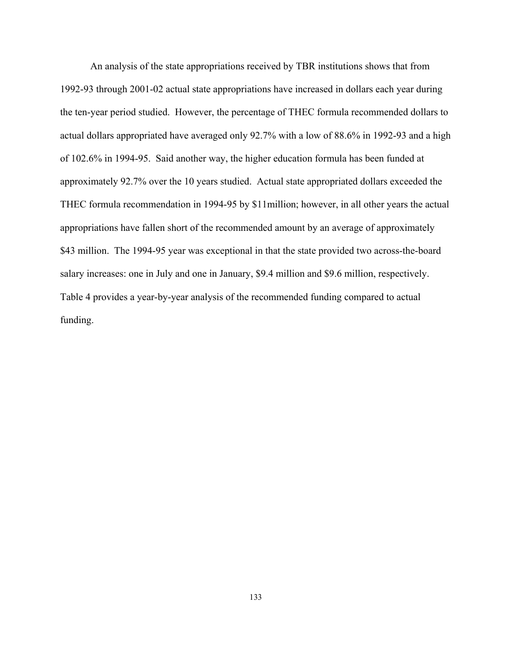An analysis of the state appropriations received by TBR institutions shows that from 1992-93 through 2001-02 actual state appropriations have increased in dollars each year during the ten-year period studied. However, the percentage of THEC formula recommended dollars to actual dollars appropriated have averaged only 92.7% with a low of 88.6% in 1992-93 and a high of 102.6% in 1994-95. Said another way, the higher education formula has been funded at approximately 92.7% over the 10 years studied. Actual state appropriated dollars exceeded the THEC formula recommendation in 1994-95 by \$11million; however, in all other years the actual appropriations have fallen short of the recommended amount by an average of approximately \$43 million. The 1994-95 year was exceptional in that the state provided two across-the-board salary increases: one in July and one in January, \$9.4 million and \$9.6 million, respectively. Table 4 provides a year-by-year analysis of the recommended funding compared to actual funding.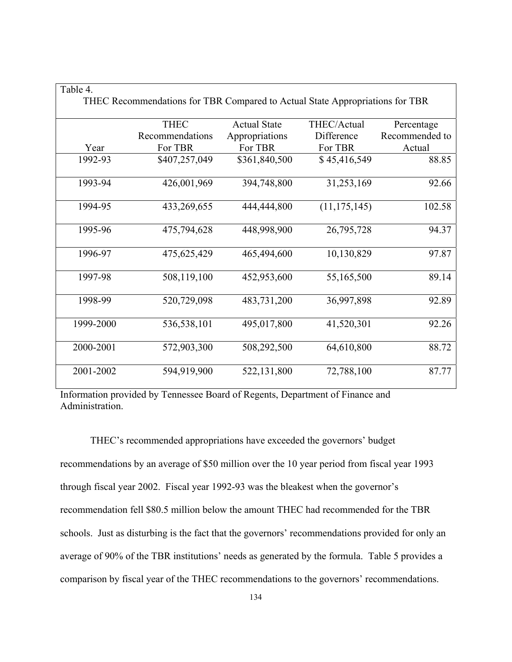| able |  |
|------|--|
|------|--|

|           | THEC Recommendations for TBR Compared to Actual State Appropriations for TBR |                     |                |                |  |  |  |
|-----------|------------------------------------------------------------------------------|---------------------|----------------|----------------|--|--|--|
|           | <b>THEC</b>                                                                  | <b>Actual State</b> | THEC/Actual    | Percentage     |  |  |  |
|           | Recommendations                                                              | Appropriations      | Difference     | Recommended to |  |  |  |
| Year      | For TBR                                                                      | For TBR             | For TBR        | Actual         |  |  |  |
| 1992-93   | \$407,257,049                                                                | \$361,840,500       | \$45,416,549   | 88.85          |  |  |  |
| 1993-94   | 426,001,969                                                                  | 394,748,800         | 31,253,169     | 92.66          |  |  |  |
| 1994-95   | 433,269,655                                                                  | 444,444,800         | (11, 175, 145) | 102.58         |  |  |  |
| 1995-96   | 475,794,628                                                                  | 448,998,900         | 26,795,728     | 94.37          |  |  |  |
| 1996-97   | 475,625,429                                                                  | 465,494,600         | 10,130,829     | 97.87          |  |  |  |
| 1997-98   | 508,119,100                                                                  | 452,953,600         | 55,165,500     | 89.14          |  |  |  |
| 1998-99   | 520,729,098                                                                  | 483,731,200         | 36,997,898     | 92.89          |  |  |  |
| 1999-2000 | 536,538,101                                                                  | 495,017,800         | 41,520,301     | 92.26          |  |  |  |
| 2000-2001 | 572,903,300                                                                  | 508,292,500         | 64,610,800     | 88.72          |  |  |  |
| 2001-2002 | 594,919,900                                                                  | 522,131,800         | 72,788,100     | 87.77          |  |  |  |

Information provided by Tennessee Board of Regents, Department of Finance and Administration.

THEC's recommended appropriations have exceeded the governors' budget recommendations by an average of \$50 million over the 10 year period from fiscal year 1993 through fiscal year 2002. Fiscal year 1992-93 was the bleakest when the governor's recommendation fell \$80.5 million below the amount THEC had recommended for the TBR schools. Just as disturbing is the fact that the governors' recommendations provided for only an average of 90% of the TBR institutions' needs as generated by the formula. Table 5 provides a comparison by fiscal year of the THEC recommendations to the governors' recommendations.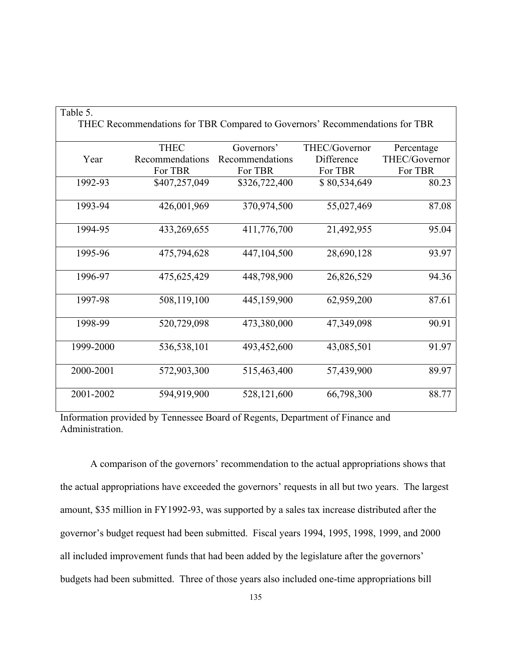| Table 5.  |                                                                             |                 |               |               |
|-----------|-----------------------------------------------------------------------------|-----------------|---------------|---------------|
|           | THEC Recommendations for TBR Compared to Governors' Recommendations for TBR |                 |               |               |
|           | <b>THEC</b>                                                                 | Governors'      | THEC/Governor | Percentage    |
| Year      | Recommendations                                                             | Recommendations | Difference    | THEC/Governor |
|           | For TBR                                                                     | For TBR         | For TBR       | For TBR       |
| 1992-93   | \$407,257,049                                                               | \$326,722,400   | \$80,534,649  | 80.23         |
|           |                                                                             |                 |               |               |
| 1993-94   | 426,001,969                                                                 | 370,974,500     | 55,027,469    | 87.08         |
|           |                                                                             |                 |               |               |
| 1994-95   | 433,269,655                                                                 | 411,776,700     | 21,492,955    | 95.04         |
|           |                                                                             |                 |               |               |
| 1995-96   | 475,794,628                                                                 | 447,104,500     | 28,690,128    | 93.97         |
|           |                                                                             |                 |               |               |
| 1996-97   | 475,625,429                                                                 | 448,798,900     | 26,826,529    | 94.36         |
|           |                                                                             |                 |               |               |
| 1997-98   | 508,119,100                                                                 | 445,159,900     | 62,959,200    | 87.61         |
|           |                                                                             |                 |               |               |
| 1998-99   | 520,729,098                                                                 | 473,380,000     | 47,349,098    | 90.91         |
|           |                                                                             |                 |               |               |
| 1999-2000 | 536,538,101                                                                 | 493,452,600     | 43,085,501    | 91.97         |
|           |                                                                             |                 |               |               |
| 2000-2001 | 572,903,300                                                                 | 515,463,400     | 57,439,900    | 89.97         |
|           |                                                                             |                 |               |               |
| 2001-2002 | 594,919,900                                                                 | 528,121,600     | 66,798,300    | 88.77         |
|           |                                                                             |                 |               |               |

Information provided by Tennessee Board of Regents, Department of Finance and Administration.

A comparison of the governors' recommendation to the actual appropriations shows that the actual appropriations have exceeded the governors' requests in all but two years. The largest amount, \$35 million in FY1992-93, was supported by a sales tax increase distributed after the governor's budget request had been submitted. Fiscal years 1994, 1995, 1998, 1999, and 2000 all included improvement funds that had been added by the legislature after the governors' budgets had been submitted. Three of those years also included one-time appropriations bill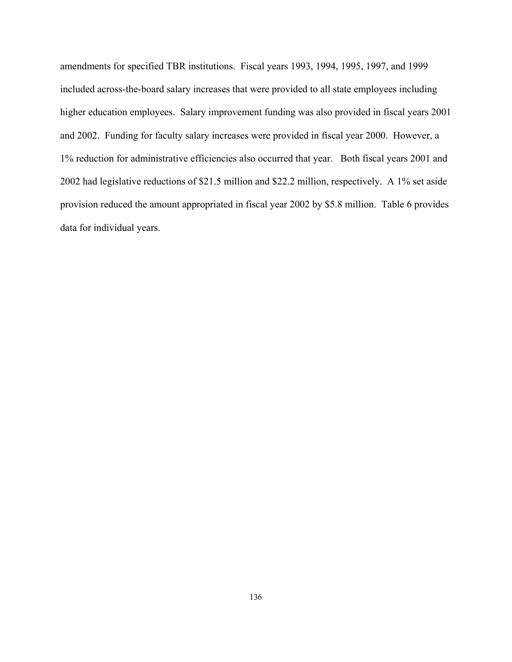amendments for specified TBR institutions. Fiscal years 1993, 1994, 1995, 1997, and 1999 included across-the-board salary increases that were provided to all state employees including higher education employees. Salary improvement funding was also provided in fiscal years 2001 and 2002. Funding for faculty salary increases were provided in fiscal year 2000. However, a 1% reduction for administrative efficiencies also occurred that year. Both fiscal years 2001 and 2002 had legislative reductions of \$21.5 million and \$22.2 million, respectively. A 1% set aside provision reduced the amount appropriated in fiscal year 2002 by \$5.8 million. Table 6 provides data for individual years.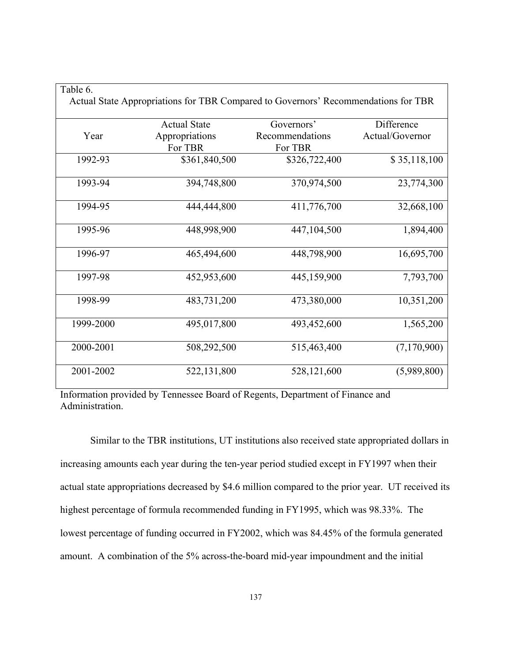| `able 6 |
|---------|
|         |

|           | Actual State Appropriations for TBR Compared to Governors' Recommendations for TBR |                 |                 |
|-----------|------------------------------------------------------------------------------------|-----------------|-----------------|
|           | <b>Actual State</b>                                                                | Governors'      | Difference      |
| Year      | Appropriations                                                                     | Recommendations | Actual/Governor |
|           | For TBR                                                                            | For TBR         |                 |
| 1992-93   | \$361,840,500                                                                      | \$326,722,400   | \$35,118,100    |
| 1993-94   | 394,748,800                                                                        | 370,974,500     | 23,774,300      |
| 1994-95   | 444,444,800                                                                        | 411,776,700     | 32,668,100      |
| 1995-96   | 448,998,900                                                                        | 447,104,500     | 1,894,400       |
| 1996-97   | 465,494,600                                                                        | 448,798,900     | 16,695,700      |
| 1997-98   | 452,953,600                                                                        | 445,159,900     | 7,793,700       |
| 1998-99   | 483,731,200                                                                        | 473,380,000     | 10,351,200      |
| 1999-2000 | 495,017,800                                                                        | 493,452,600     | 1,565,200       |
| 2000-2001 | 508,292,500                                                                        | 515,463,400     | (7,170,900)     |
| 2001-2002 | 522,131,800                                                                        | 528,121,600     | (5,989,800)     |

Information provided by Tennessee Board of Regents, Department of Finance and Administration.

Similar to the TBR institutions, UT institutions also received state appropriated dollars in increasing amounts each year during the ten-year period studied except in FY1997 when their actual state appropriations decreased by \$4.6 million compared to the prior year. UT received its highest percentage of formula recommended funding in FY1995, which was 98.33%. The lowest percentage of funding occurred in FY2002, which was 84.45% of the formula generated amount. A combination of the 5% across-the-board mid-year impoundment and the initial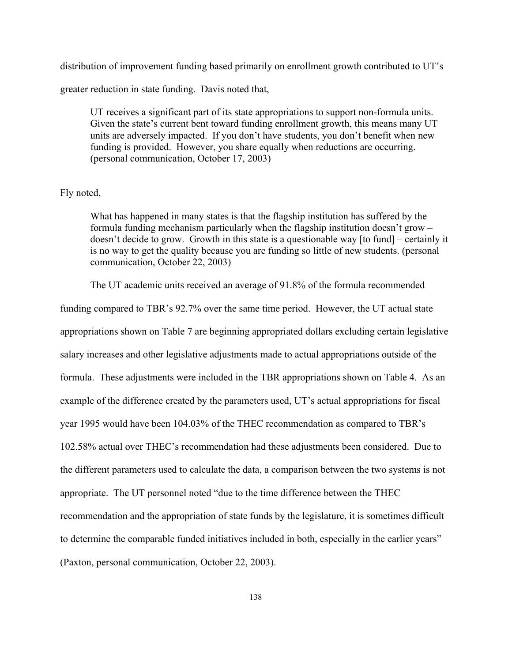distribution of improvement funding based primarily on enrollment growth contributed to UT's

greater reduction in state funding. Davis noted that,

UT receives a significant part of its state appropriations to support non-formula units. Given the state's current bent toward funding enrollment growth, this means many UT units are adversely impacted. If you don't have students, you don't benefit when new funding is provided. However, you share equally when reductions are occurring. (personal communication, October 17, 2003)

## Fly noted,

What has happened in many states is that the flagship institution has suffered by the formula funding mechanism particularly when the flagship institution doesn't grow – doesn't decide to grow. Growth in this state is a questionable way [to fund] – certainly it is no way to get the quality because you are funding so little of new students. (personal communication, October 22, 2003)

The UT academic units received an average of 91.8% of the formula recommended

funding compared to TBR's 92.7% over the same time period. However, the UT actual state appropriations shown on Table 7 are beginning appropriated dollars excluding certain legislative salary increases and other legislative adjustments made to actual appropriations outside of the formula. These adjustments were included in the TBR appropriations shown on Table 4. As an example of the difference created by the parameters used, UT's actual appropriations for fiscal year 1995 would have been 104.03% of the THEC recommendation as compared to TBR's 102.58% actual over THEC's recommendation had these adjustments been considered. Due to the different parameters used to calculate the data, a comparison between the two systems is not appropriate. The UT personnel noted "due to the time difference between the THEC recommendation and the appropriation of state funds by the legislature, it is sometimes difficult to determine the comparable funded initiatives included in both, especially in the earlier years" (Paxton, personal communication, October 22, 2003).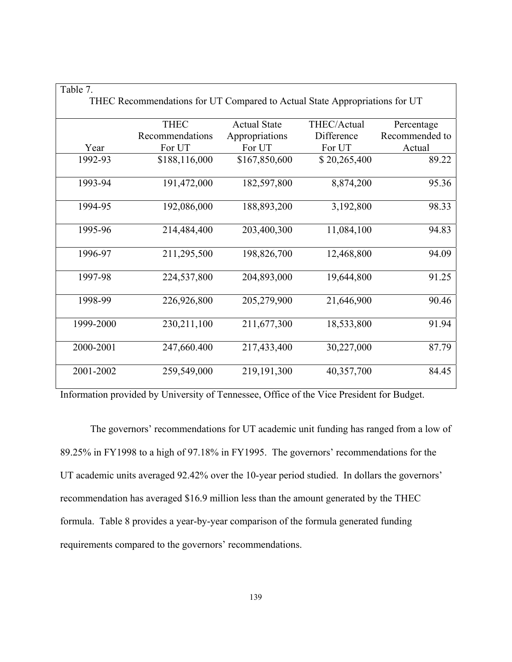| Table 7.  |                                                                            |                     |              |                |
|-----------|----------------------------------------------------------------------------|---------------------|--------------|----------------|
|           | THEC Recommendations for UT Compared to Actual State Appropriations for UT |                     |              |                |
|           | <b>THEC</b>                                                                | <b>Actual State</b> | THEC/Actual  | Percentage     |
|           | Recommendations                                                            | Appropriations      | Difference   | Recommended to |
| Year      | For UT                                                                     | For UT              | For UT       | Actual         |
| 1992-93   | \$188,116,000                                                              | \$167,850,600       | \$20,265,400 | 89.22          |
| 1993-94   | 191,472,000                                                                | 182,597,800         | 8,874,200    | 95.36          |
| 1994-95   | 192,086,000                                                                | 188,893,200         | 3,192,800    | 98.33          |
| 1995-96   | 214,484,400                                                                | 203,400,300         | 11,084,100   | 94.83          |
| 1996-97   | 211,295,500                                                                | 198,826,700         | 12,468,800   | 94.09          |
| 1997-98   | 224,537,800                                                                | 204,893,000         | 19,644,800   | 91.25          |
| 1998-99   | 226,926,800                                                                | 205,279,900         | 21,646,900   | 90.46          |
| 1999-2000 | 230, 211, 100                                                              | 211,677,300         | 18,533,800   | 91.94          |
| 2000-2001 | 247,660.400                                                                | 217,433,400         | 30,227,000   | 87.79          |
| 2001-2002 | 259,549,000                                                                | 219, 191, 300       | 40,357,700   | 84.45          |

Information provided by University of Tennessee, Office of the Vice President for Budget.

The governors' recommendations for UT academic unit funding has ranged from a low of 89.25% in FY1998 to a high of 97.18% in FY1995. The governors' recommendations for the UT academic units averaged 92.42% over the 10-year period studied. In dollars the governors' recommendation has averaged \$16.9 million less than the amount generated by the THEC formula. Table 8 provides a year-by-year comparison of the formula generated funding requirements compared to the governors' recommendations.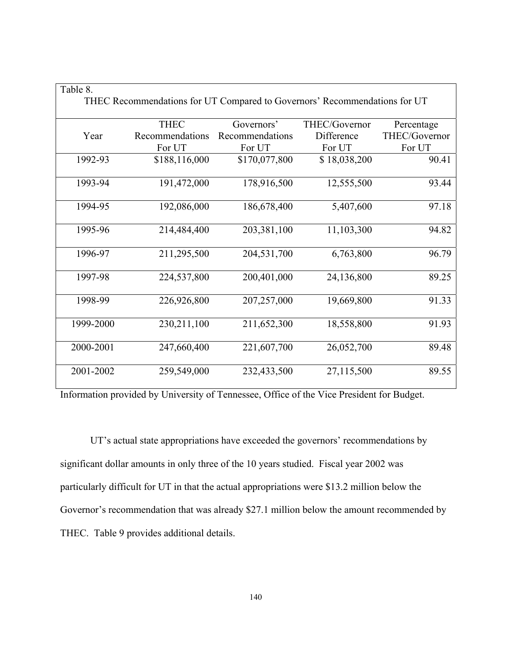| Table 8.  |                                                                           |                 |               |               |
|-----------|---------------------------------------------------------------------------|-----------------|---------------|---------------|
|           | THEC Recommendations for UT Compared to Governors' Recommendations for UT |                 |               |               |
|           | <b>THEC</b>                                                               | Governors'      | THEC/Governor | Percentage    |
| Year      | Recommendations                                                           | Recommendations | Difference    | THEC/Governor |
|           | For UT                                                                    | For UT          | For UT        | For UT        |
| 1992-93   | \$188,116,000                                                             | \$170,077,800   | \$18,038,200  | 90.41         |
| 1993-94   | 191,472,000                                                               | 178,916,500     | 12,555,500    | 93.44         |
| 1994-95   | 192,086,000                                                               | 186,678,400     | 5,407,600     | 97.18         |
| 1995-96   | 214,484,400                                                               | 203,381,100     | 11,103,300    | 94.82         |
| 1996-97   | 211,295,500                                                               | 204,531,700     | 6,763,800     | 96.79         |
| 1997-98   | 224,537,800                                                               | 200,401,000     | 24,136,800    | 89.25         |
| 1998-99   | 226,926,800                                                               | 207,257,000     | 19,669,800    | 91.33         |
| 1999-2000 | 230,211,100                                                               | 211,652,300     | 18,558,800    | 91.93         |
| 2000-2001 | 247,660,400                                                               | 221,607,700     | 26,052,700    | 89.48         |
| 2001-2002 | 259,549,000                                                               | 232,433,500     | 27,115,500    | 89.55         |

 $\overline{\phantom{a}}$ 

Information provided by University of Tennessee, Office of the Vice President for Budget.

UT's actual state appropriations have exceeded the governors' recommendations by significant dollar amounts in only three of the 10 years studied. Fiscal year 2002 was particularly difficult for UT in that the actual appropriations were \$13.2 million below the Governor's recommendation that was already \$27.1 million below the amount recommended by THEC. Table 9 provides additional details.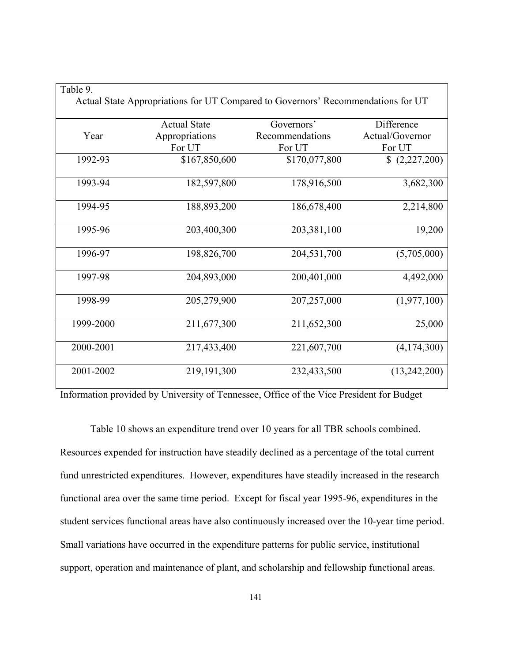| $1$ avevent $\lambda$ . | Actual State Appropriations for UT Compared to Governors' Recommendations for UT |                 |                 |
|-------------------------|----------------------------------------------------------------------------------|-----------------|-----------------|
|                         | <b>Actual State</b>                                                              | Governors'      | Difference      |
| Year                    | Appropriations                                                                   | Recommendations | Actual/Governor |
|                         | For UT                                                                           | For UT          | For UT          |
| 1992-93                 | \$167,850,600                                                                    | \$170,077,800   | (2,227,200)     |
| 1993-94                 | 182,597,800                                                                      | 178,916,500     | 3,682,300       |
| 1994-95                 | 188,893,200                                                                      | 186,678,400     | 2,214,800       |
| 1995-96                 | 203,400,300                                                                      | 203,381,100     | 19,200          |
| 1996-97                 | 198,826,700                                                                      | 204,531,700     | (5,705,000)     |
| 1997-98                 | 204,893,000                                                                      | 200,401,000     | 4,492,000       |
| 1998-99                 | 205,279,900                                                                      | 207,257,000     | (1,977,100)     |
| 1999-2000               | 211,677,300                                                                      | 211,652,300     | 25,000          |
| 2000-2001               | 217,433,400                                                                      | 221,607,700     | (4,174,300)     |
| 2001-2002               | 219, 191, 300                                                                    | 232,433,500     | (13,242,200)    |

⅂

Table 9

Information provided by University of Tennessee, Office of the Vice President for Budget

Table 10 shows an expenditure trend over 10 years for all TBR schools combined. Resources expended for instruction have steadily declined as a percentage of the total current fund unrestricted expenditures. However, expenditures have steadily increased in the research functional area over the same time period. Except for fiscal year 1995-96, expenditures in the student services functional areas have also continuously increased over the 10-year time period. Small variations have occurred in the expenditure patterns for public service, institutional support, operation and maintenance of plant, and scholarship and fellowship functional areas.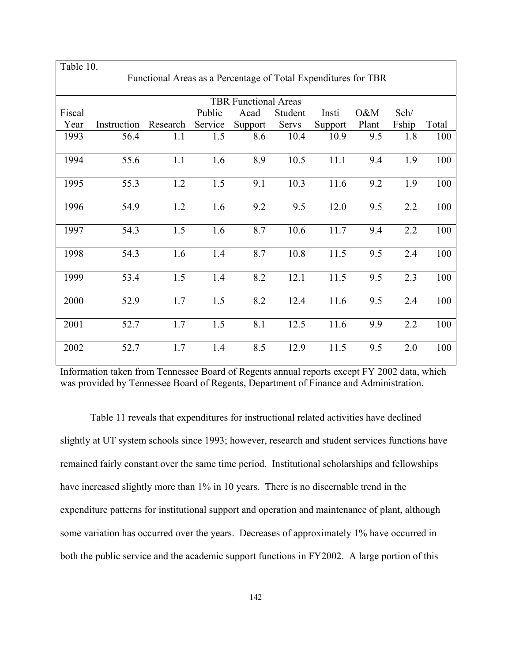| Table 10. |             |                                                                |         |                             |         |         |       |       |       |
|-----------|-------------|----------------------------------------------------------------|---------|-----------------------------|---------|---------|-------|-------|-------|
|           |             | Functional Areas as a Percentage of Total Expenditures for TBR |         |                             |         |         |       |       |       |
|           |             |                                                                |         |                             |         |         |       |       |       |
|           |             |                                                                |         | <b>TBR Functional Areas</b> |         |         |       |       |       |
| Fiscal    |             |                                                                | Public  | Acad                        | Student | Insti   | 0&M   | Sch/  |       |
| Year      | Instruction | Research                                                       | Service | Support                     | Servs   | Support | Plant | Fship | Total |
| 1993      | 56.4        | 1.1                                                            | 1.5     | 8.6                         | 10.4    | 10.9    | 9.5   | 1.8   | 100   |
|           |             |                                                                |         |                             |         |         |       |       |       |
| 1994      | 55.6        | 1.1                                                            | 1.6     | 8.9                         | 10.5    | 11.1    | 9.4   | 1.9   | 100   |
|           |             |                                                                |         |                             |         |         |       |       |       |
| 1995      | 55.3        | 1.2                                                            | 1.5     | 9.1                         | 10.3    | 11.6    | 9.2   | 1.9   | 100   |
|           |             |                                                                |         |                             |         |         |       |       |       |
| 1996      | 54.9        | 1.2                                                            | 1.6     | 9.2                         | 9.5     | 12.0    | 9.5   | 2.2   | 100   |
|           |             |                                                                |         |                             |         |         |       |       |       |
| 1997      | 54.3        | 1.5                                                            | 1.6     | 8.7                         | 10.6    | 11.7    | 9.4   | 2.2   | 100   |
|           |             |                                                                |         |                             |         |         |       |       |       |
| 1998      | 54.3        | 1.6                                                            | 1.4     | 8.7                         | 10.8    | 11.5    | 9.5   | 2.4   | 100   |
|           |             |                                                                |         |                             |         |         |       |       |       |
| 1999      | 53.4        | 1.5                                                            | 1.4     | 8.2                         | 12.1    | 11.5    | 9.5   | 2.3   | 100   |
|           |             |                                                                |         |                             |         |         |       |       |       |
|           |             |                                                                |         |                             |         |         |       |       |       |
| 2000      | 52.9        | 1.7                                                            | 1.5     | 8.2                         | 12.4    | 11.6    | 9.5   | 2.4   | 100   |
|           |             |                                                                |         |                             |         |         |       |       |       |
| 2001      | 52.7        | 1.7                                                            | 1.5     | 8.1                         | 12.5    | 11.6    | 9.9   | 2.2   | 100   |
|           |             |                                                                |         |                             |         |         |       |       |       |
| 2002      | 52.7        | 1.7                                                            | 1.4     | 8.5                         | 12.9    | 11.5    | 9.5   | 2.0   | 100   |
|           |             |                                                                |         |                             |         |         |       |       |       |

Information taken from Tennessee Board of Regents annual reports except FY 2002 data, which was provided by Tennessee Board of Regents, Department of Finance and Administration.

Table 11 reveals that expenditures for instructional related activities have declined slightly at UT system schools since 1993; however, research and student services functions have remained fairly constant over the same time period. Institutional scholarships and fellowships have increased slightly more than 1% in 10 years. There is no discernable trend in the expenditure patterns for institutional support and operation and maintenance of plant, although some variation has occurred over the years. Decreases of approximately 1% have occurred in both the public service and the academic support functions in FY2002. A large portion of this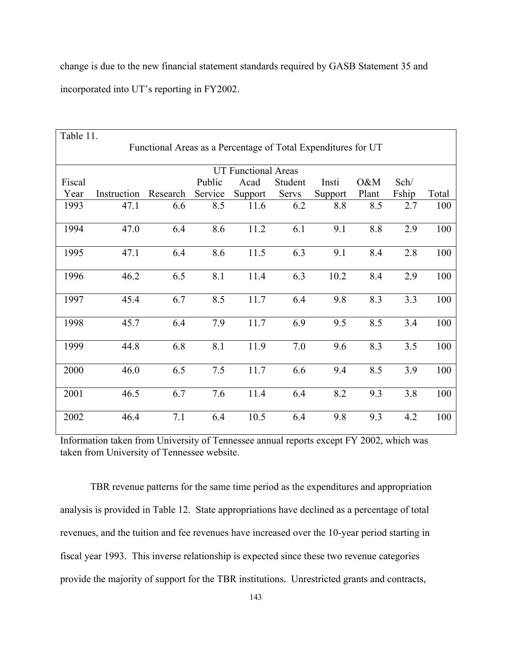change is due to the new financial statement standards required by GASB Statement 35 and incorporated into UT's reporting in FY2002.

| Table 11. |                            |                                                               |         |         |         |         |       |       |       |
|-----------|----------------------------|---------------------------------------------------------------|---------|---------|---------|---------|-------|-------|-------|
|           |                            | Functional Areas as a Percentage of Total Expenditures for UT |         |         |         |         |       |       |       |
|           | <b>UT Functional Areas</b> |                                                               |         |         |         |         |       |       |       |
| Fiscal    |                            |                                                               | Public  | Acad    | Student | Insti   | O&M   | Sch/  |       |
| Year      | Instruction                | Research                                                      | Service | Support | Servs   | Support | Plant | Fship | Total |
| 1993      | 47.1                       | 6.6                                                           | 8.5     | 11.6    | 6.2     | 8.8     | 8.5   | 2.7   | 100   |
| 1994      | 47.0                       | 6.4                                                           | 8.6     | 11.2    | 6.1     | 9.1     | 8.8   | 2.9   | 100   |
| 1995      | 47.1                       | 6.4                                                           | 8.6     | 11.5    | 6.3     | 9.1     | 8.4   | 2.8   | 100   |
| 1996      | 46.2                       | 6.5                                                           | 8.1     | 11.4    | 6.3     | 10.2    | 8.4   | 2.9   | 100   |
| 1997      | 45.4                       | 6.7                                                           | 8.5     | 11.7    | 6.4     | 9.8     | 8.3   | 3.3   | 100   |
| 1998      | 45.7                       | 6.4                                                           | 7.9     | 11.7    | 6.9     | 9.5     | 8.5   | 3.4   | 100   |
| 1999      | 44.8                       | 6.8                                                           | 8.1     | 11.9    | 7.0     | 9.6     | 8.3   | 3.5   | 100   |
| 2000      | 46.0                       | 6.5                                                           | 7.5     | 11.7    | 6.6     | 9.4     | 8.5   | 3.9   | 100   |
| 2001      | 46.5                       | 6.7                                                           | 7.6     | 11.4    | 6.4     | 8.2     | 9.3   | 3.8   | 100   |
| 2002      | 46.4                       | 7.1                                                           | 6.4     | 10.5    | 6.4     | 9.8     | 9.3   | 4.2   | 100   |

Information taken from University of Tennessee annual reports except FY 2002, which was taken from University of Tennessee website.

TBR revenue patterns for the same time period as the expenditures and appropriation analysis is provided in Table 12. State appropriations have declined as a percentage of total revenues, and the tuition and fee revenues have increased over the 10-year period starting in fiscal year 1993. This inverse relationship is expected since these two revenue categories provide the majority of support for the TBR institutions. Unrestricted grants and contracts,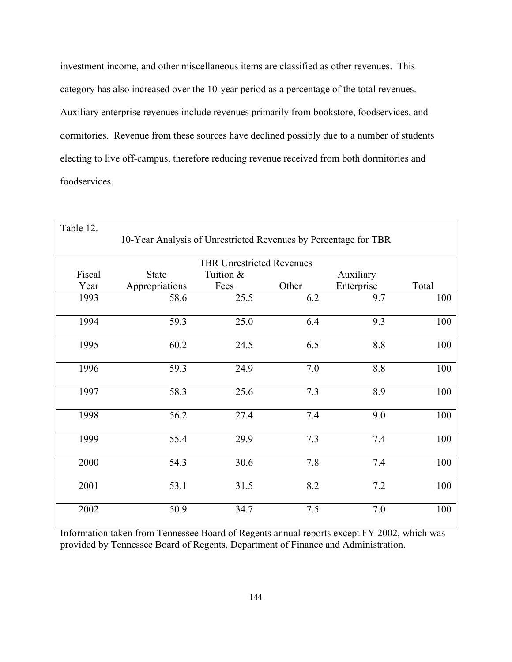investment income, and other miscellaneous items are classified as other revenues. This category has also increased over the 10-year period as a percentage of the total revenues. Auxiliary enterprise revenues include revenues primarily from bookstore, foodservices, and dormitories. Revenue from these sources have declined possibly due to a number of students electing to live off-campus, therefore reducing revenue received from both dormitories and foodservices.

| Table 12.                        |                                                                 |           |       |            |       |  |  |  |  |
|----------------------------------|-----------------------------------------------------------------|-----------|-------|------------|-------|--|--|--|--|
|                                  | 10-Year Analysis of Unrestricted Revenues by Percentage for TBR |           |       |            |       |  |  |  |  |
| <b>TBR Unrestricted Revenues</b> |                                                                 |           |       |            |       |  |  |  |  |
| Fiscal                           | <b>State</b>                                                    | Tuition & |       | Auxiliary  |       |  |  |  |  |
| Year                             | Appropriations                                                  | Fees      | Other | Enterprise | Total |  |  |  |  |
| 1993                             | 58.6                                                            | 25.5      | 6.2   | 9.7        | 100   |  |  |  |  |
| 1994                             | 59.3                                                            | 25.0      | 6.4   | 9.3        | 100   |  |  |  |  |
| 1995                             | 60.2                                                            | 24.5      | 6.5   | 8.8        | 100   |  |  |  |  |
| 1996                             | 59.3                                                            | 24.9      | 7.0   | 8.8        | 100   |  |  |  |  |
| 1997                             | 58.3                                                            | 25.6      | 7.3   | 8.9        | 100   |  |  |  |  |
| 1998                             | 56.2                                                            | 27.4      | 7.4   | 9.0        | 100   |  |  |  |  |
| 1999                             | 55.4                                                            | 29.9      | 7.3   | 7.4        | 100   |  |  |  |  |
| 2000                             | 54.3                                                            | 30.6      | 7.8   | 7.4        | 100   |  |  |  |  |
| 2001                             | 53.1                                                            | 31.5      | 8.2   | 7.2        | 100   |  |  |  |  |
| 2002                             | 50.9                                                            | 34.7      | 7.5   | 7.0        | 100   |  |  |  |  |

Information taken from Tennessee Board of Regents annual reports except FY 2002, which was provided by Tennessee Board of Regents, Department of Finance and Administration.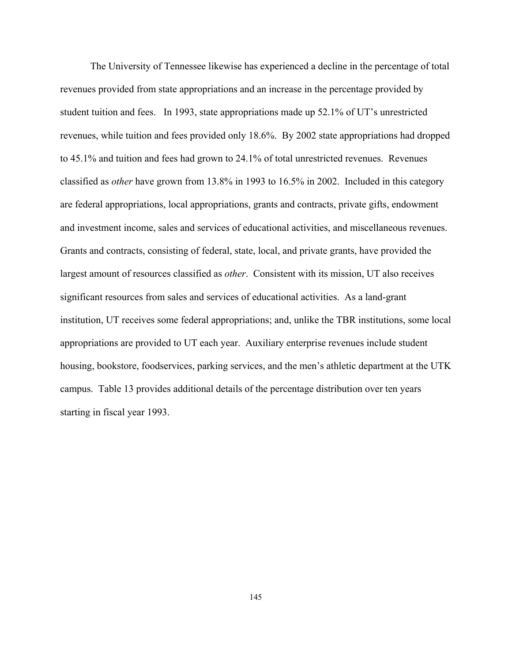The University of Tennessee likewise has experienced a decline in the percentage of total revenues provided from state appropriations and an increase in the percentage provided by student tuition and fees. In 1993, state appropriations made up 52.1% of UT's unrestricted revenues, while tuition and fees provided only 18.6%. By 2002 state appropriations had dropped to 45.1% and tuition and fees had grown to 24.1% of total unrestricted revenues. Revenues classified as *other* have grown from 13.8% in 1993 to 16.5% in 2002. Included in this category are federal appropriations, local appropriations, grants and contracts, private gifts, endowment and investment income, sales and services of educational activities, and miscellaneous revenues. Grants and contracts, consisting of federal, state, local, and private grants, have provided the largest amount of resources classified as *other*. Consistent with its mission, UT also receives significant resources from sales and services of educational activities. As a land-grant institution, UT receives some federal appropriations; and, unlike the TBR institutions, some local appropriations are provided to UT each year. Auxiliary enterprise revenues include student housing, bookstore, foodservices, parking services, and the men's athletic department at the UTK campus. Table 13 provides additional details of the percentage distribution over ten years starting in fiscal year 1993.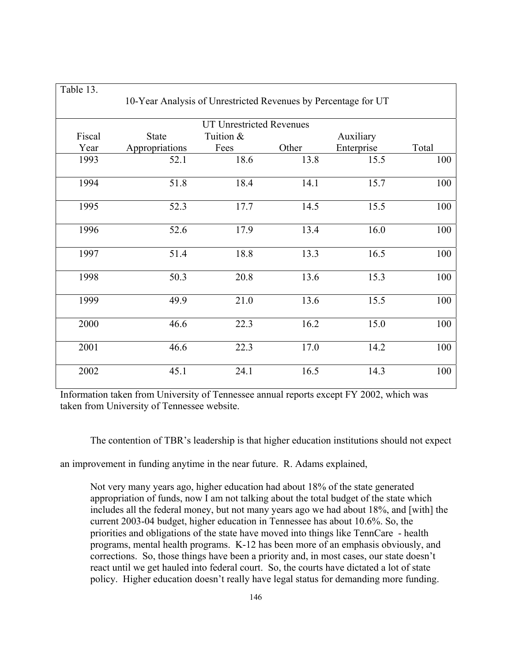| Table 13.                       |                                                                |           |       |            |       |  |  |  |  |
|---------------------------------|----------------------------------------------------------------|-----------|-------|------------|-------|--|--|--|--|
|                                 | 10-Year Analysis of Unrestricted Revenues by Percentage for UT |           |       |            |       |  |  |  |  |
| <b>UT Unrestricted Revenues</b> |                                                                |           |       |            |       |  |  |  |  |
| Fiscal                          | <b>State</b>                                                   | Tuition & |       | Auxiliary  |       |  |  |  |  |
| Year                            | Appropriations                                                 | Fees      | Other | Enterprise | Total |  |  |  |  |
| 1993                            | 52.1                                                           | 18.6      | 13.8  | 15.5       | 100   |  |  |  |  |
| 1994                            | 51.8                                                           | 18.4      | 14.1  | 15.7       | 100   |  |  |  |  |
| 1995                            | 52.3                                                           | 17.7      | 14.5  | 15.5       | 100   |  |  |  |  |
| 1996                            | 52.6                                                           | 17.9      | 13.4  | 16.0       | 100   |  |  |  |  |
| 1997                            | 51.4                                                           | 18.8      | 13.3  | 16.5       | 100   |  |  |  |  |
| 1998                            | 50.3                                                           | 20.8      | 13.6  | 15.3       | 100   |  |  |  |  |
| 1999                            | 49.9                                                           | 21.0      | 13.6  | 15.5       | 100   |  |  |  |  |
| 2000                            | 46.6                                                           | 22.3      | 16.2  | 15.0       | 100   |  |  |  |  |
| 2001                            | 46.6                                                           | 22.3      | 17.0  | 14.2       | 100   |  |  |  |  |
| 2002                            | 45.1                                                           | 24.1      | 16.5  | 14.3       | 100   |  |  |  |  |

Information taken from University of Tennessee annual reports except FY 2002, which was taken from University of Tennessee website.

The contention of TBR's leadership is that higher education institutions should not expect

an improvement in funding anytime in the near future. R. Adams explained,

Not very many years ago, higher education had about 18% of the state generated appropriation of funds, now I am not talking about the total budget of the state which includes all the federal money, but not many years ago we had about 18%, and [with] the current 2003-04 budget, higher education in Tennessee has about 10.6%. So, the priorities and obligations of the state have moved into things like TennCare - health programs, mental health programs. K-12 has been more of an emphasis obviously, and corrections. So, those things have been a priority and, in most cases, our state doesn't react until we get hauled into federal court. So, the courts have dictated a lot of state policy. Higher education doesn't really have legal status for demanding more funding.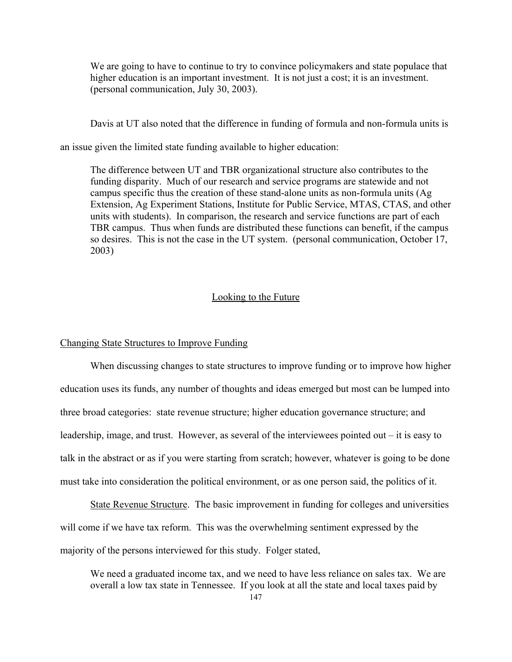We are going to have to continue to try to convince policymakers and state populace that higher education is an important investment. It is not just a cost; it is an investment. (personal communication, July 30, 2003).

Davis at UT also noted that the difference in funding of formula and non-formula units is

an issue given the limited state funding available to higher education:

The difference between UT and TBR organizational structure also contributes to the funding disparity. Much of our research and service programs are statewide and not campus specific thus the creation of these stand-alone units as non-formula units (Ag Extension, Ag Experiment Stations, Institute for Public Service, MTAS, CTAS, and other units with students). In comparison, the research and service functions are part of each TBR campus. Thus when funds are distributed these functions can benefit, if the campus so desires. This is not the case in the UT system. (personal communication, October 17, 2003)

### Looking to the Future

#### Changing State Structures to Improve Funding

When discussing changes to state structures to improve funding or to improve how higher education uses its funds, any number of thoughts and ideas emerged but most can be lumped into three broad categories: state revenue structure; higher education governance structure; and leadership, image, and trust. However, as several of the interviewees pointed out – it is easy to talk in the abstract or as if you were starting from scratch; however, whatever is going to be done must take into consideration the political environment, or as one person said, the politics of it.

State Revenue Structure. The basic improvement in funding for colleges and universities will come if we have tax reform. This was the overwhelming sentiment expressed by the majority of the persons interviewed for this study. Folger stated,

We need a graduated income tax, and we need to have less reliance on sales tax. We are overall a low tax state in Tennessee. If you look at all the state and local taxes paid by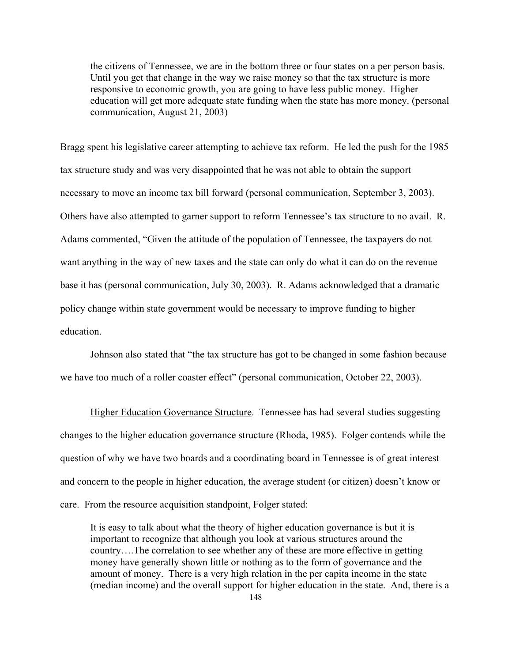the citizens of Tennessee, we are in the bottom three or four states on a per person basis. Until you get that change in the way we raise money so that the tax structure is more responsive to economic growth, you are going to have less public money. Higher education will get more adequate state funding when the state has more money. (personal communication, August 21, 2003)

Bragg spent his legislative career attempting to achieve tax reform. He led the push for the 1985 tax structure study and was very disappointed that he was not able to obtain the support necessary to move an income tax bill forward (personal communication, September 3, 2003). Others have also attempted to garner support to reform Tennessee's tax structure to no avail. R. Adams commented, "Given the attitude of the population of Tennessee, the taxpayers do not want anything in the way of new taxes and the state can only do what it can do on the revenue base it has (personal communication, July 30, 2003). R. Adams acknowledged that a dramatic policy change within state government would be necessary to improve funding to higher education.

Johnson also stated that "the tax structure has got to be changed in some fashion because we have too much of a roller coaster effect" (personal communication, October 22, 2003).

Higher Education Governance Structure. Tennessee has had several studies suggesting changes to the higher education governance structure (Rhoda, 1985). Folger contends while the question of why we have two boards and a coordinating board in Tennessee is of great interest and concern to the people in higher education, the average student (or citizen) doesn't know or care. From the resource acquisition standpoint, Folger stated:

It is easy to talk about what the theory of higher education governance is but it is important to recognize that although you look at various structures around the country….The correlation to see whether any of these are more effective in getting money have generally shown little or nothing as to the form of governance and the amount of money. There is a very high relation in the per capita income in the state (median income) and the overall support for higher education in the state. And, there is a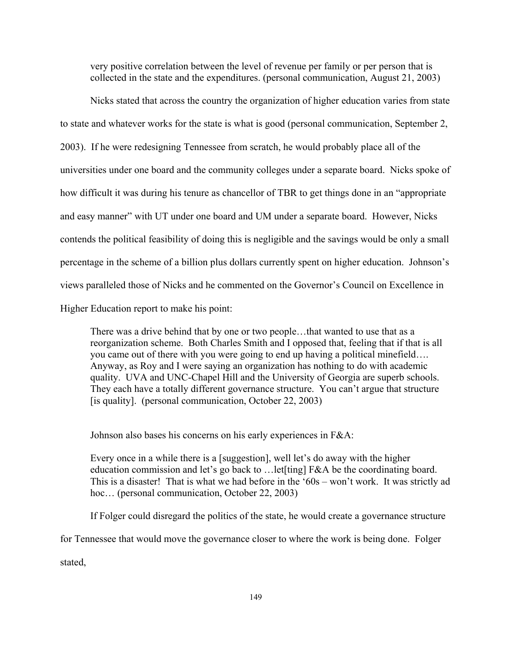very positive correlation between the level of revenue per family or per person that is collected in the state and the expenditures. (personal communication, August 21, 2003)

Nicks stated that across the country the organization of higher education varies from state to state and whatever works for the state is what is good (personal communication, September 2, 2003). If he were redesigning Tennessee from scratch, he would probably place all of the universities under one board and the community colleges under a separate board. Nicks spoke of how difficult it was during his tenure as chancellor of TBR to get things done in an "appropriate and easy manner" with UT under one board and UM under a separate board. However, Nicks contends the political feasibility of doing this is negligible and the savings would be only a small percentage in the scheme of a billion plus dollars currently spent on higher education. Johnson's views paralleled those of Nicks and he commented on the Governor's Council on Excellence in Higher Education report to make his point:

There was a drive behind that by one or two people…that wanted to use that as a reorganization scheme. Both Charles Smith and I opposed that, feeling that if that is all you came out of there with you were going to end up having a political minefield…. Anyway, as Roy and I were saying an organization has nothing to do with academic quality. UVA and UNC-Chapel Hill and the University of Georgia are superb schools. They each have a totally different governance structure. You can't argue that structure [is quality]. (personal communication, October 22, 2003)

Johnson also bases his concerns on his early experiences in F&A:

Every once in a while there is a [suggestion], well let's do away with the higher education commission and let's go back to ... let [ting] F&A be the coordinating board. This is a disaster! That is what we had before in the '60s – won't work. It was strictly ad hoc... (personal communication, October 22, 2003)

If Folger could disregard the politics of the state, he would create a governance structure

for Tennessee that would move the governance closer to where the work is being done. Folger

stated,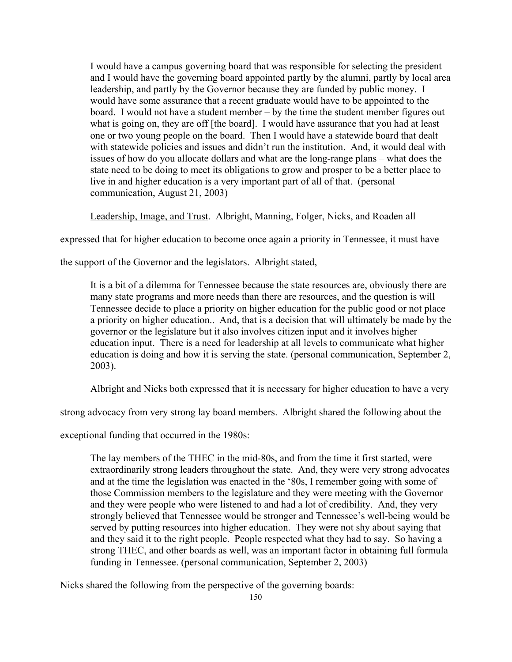I would have a campus governing board that was responsible for selecting the president and I would have the governing board appointed partly by the alumni, partly by local area leadership, and partly by the Governor because they are funded by public money. I would have some assurance that a recent graduate would have to be appointed to the board. I would not have a student member – by the time the student member figures out what is going on, they are off [the board]. I would have assurance that you had at least one or two young people on the board. Then I would have a statewide board that dealt with statewide policies and issues and didn't run the institution. And, it would deal with issues of how do you allocate dollars and what are the long-range plans – what does the state need to be doing to meet its obligations to grow and prosper to be a better place to live in and higher education is a very important part of all of that. (personal communication, August 21, 2003)

Leadership, Image, and Trust. Albright, Manning, Folger, Nicks, and Roaden all

expressed that for higher education to become once again a priority in Tennessee, it must have

the support of the Governor and the legislators. Albright stated,

It is a bit of a dilemma for Tennessee because the state resources are, obviously there are many state programs and more needs than there are resources, and the question is will Tennessee decide to place a priority on higher education for the public good or not place a priority on higher education.. And, that is a decision that will ultimately be made by the governor or the legislature but it also involves citizen input and it involves higher education input. There is a need for leadership at all levels to communicate what higher education is doing and how it is serving the state. (personal communication, September 2, 2003).

Albright and Nicks both expressed that it is necessary for higher education to have a very

strong advocacy from very strong lay board members. Albright shared the following about the

exceptional funding that occurred in the 1980s:

The lay members of the THEC in the mid-80s, and from the time it first started, were extraordinarily strong leaders throughout the state. And, they were very strong advocates and at the time the legislation was enacted in the '80s, I remember going with some of those Commission members to the legislature and they were meeting with the Governor and they were people who were listened to and had a lot of credibility. And, they very strongly believed that Tennessee would be stronger and Tennessee's well-being would be served by putting resources into higher education. They were not shy about saying that and they said it to the right people. People respected what they had to say. So having a strong THEC, and other boards as well, was an important factor in obtaining full formula funding in Tennessee. (personal communication, September 2, 2003)

Nicks shared the following from the perspective of the governing boards: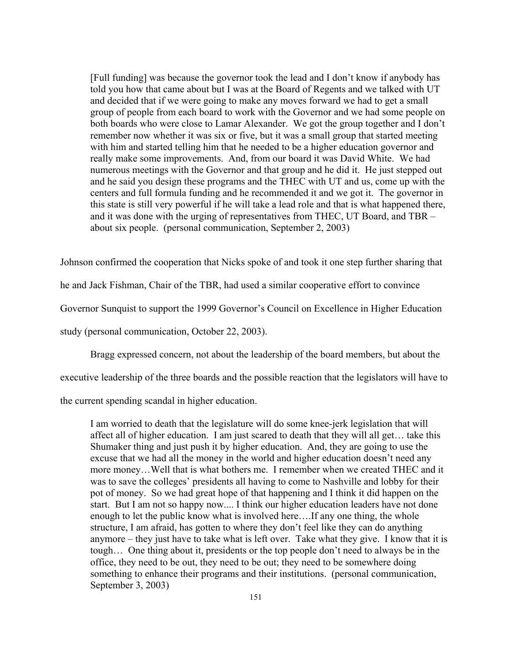[Full funding] was because the governor took the lead and I don't know if anybody has told you how that came about but I was at the Board of Regents and we talked with UT and decided that if we were going to make any moves forward we had to get a small group of people from each board to work with the Governor and we had some people on both boards who were close to Lamar Alexander. We got the group together and I don't remember now whether it was six or five, but it was a small group that started meeting with him and started telling him that he needed to be a higher education governor and really make some improvements. And, from our board it was David White. We had numerous meetings with the Governor and that group and he did it. He just stepped out and he said you design these programs and the THEC with UT and us, come up with the centers and full formula funding and he recommended it and we got it. The governor in this state is still very powerful if he will take a lead role and that is what happened there, and it was done with the urging of representatives from THEC, UT Board, and TBR – about six people. (personal communication, September 2, 2003)

Johnson confirmed the cooperation that Nicks spoke of and took it one step further sharing that

he and Jack Fishman, Chair of the TBR, had used a similar cooperative effort to convince

Governor Sunquist to support the 1999 Governor's Council on Excellence in Higher Education

study (personal communication, October 22, 2003).

Bragg expressed concern, not about the leadership of the board members, but about the

executive leadership of the three boards and the possible reaction that the legislators will have to

the current spending scandal in higher education.

I am worried to death that the legislature will do some knee-jerk legislation that will affect all of higher education. I am just scared to death that they will all get… take this Shumaker thing and just push it by higher education. And, they are going to use the excuse that we had all the money in the world and higher education doesn't need any more money…Well that is what bothers me. I remember when we created THEC and it was to save the colleges' presidents all having to come to Nashville and lobby for their pot of money. So we had great hope of that happening and I think it did happen on the start. But I am not so happy now.... I think our higher education leaders have not done enough to let the public know what is involved here….If any one thing, the whole structure, I am afraid, has gotten to where they don't feel like they can do anything anymore – they just have to take what is left over. Take what they give. I know that it is tough… One thing about it, presidents or the top people don't need to always be in the office, they need to be out, they need to be out; they need to be somewhere doing something to enhance their programs and their institutions. (personal communication, September 3, 2003)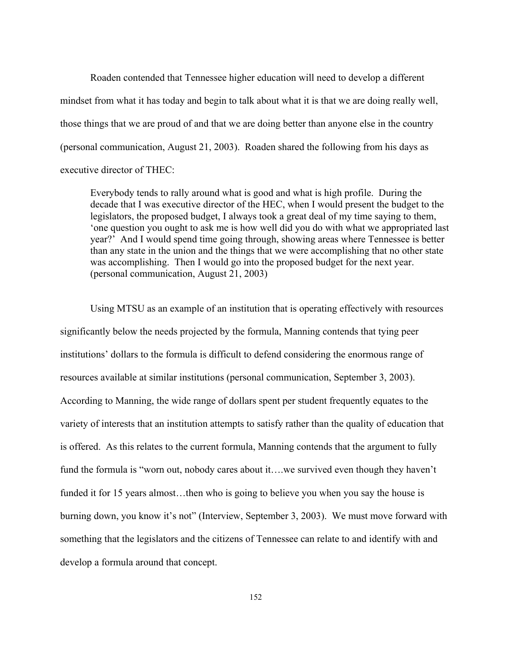Roaden contended that Tennessee higher education will need to develop a different mindset from what it has today and begin to talk about what it is that we are doing really well, those things that we are proud of and that we are doing better than anyone else in the country (personal communication, August 21, 2003). Roaden shared the following from his days as executive director of THEC:

Everybody tends to rally around what is good and what is high profile. During the decade that I was executive director of the HEC, when I would present the budget to the legislators, the proposed budget, I always took a great deal of my time saying to them, 'one question you ought to ask me is how well did you do with what we appropriated last year?' And I would spend time going through, showing areas where Tennessee is better than any state in the union and the things that we were accomplishing that no other state was accomplishing. Then I would go into the proposed budget for the next year. (personal communication, August 21, 2003)

Using MTSU as an example of an institution that is operating effectively with resources significantly below the needs projected by the formula, Manning contends that tying peer institutions' dollars to the formula is difficult to defend considering the enormous range of resources available at similar institutions (personal communication, September 3, 2003). According to Manning, the wide range of dollars spent per student frequently equates to the variety of interests that an institution attempts to satisfy rather than the quality of education that is offered. As this relates to the current formula, Manning contends that the argument to fully fund the formula is "worn out, nobody cares about it….we survived even though they haven't funded it for 15 years almost...then who is going to believe you when you say the house is burning down, you know it's not" (Interview, September 3, 2003). We must move forward with something that the legislators and the citizens of Tennessee can relate to and identify with and develop a formula around that concept.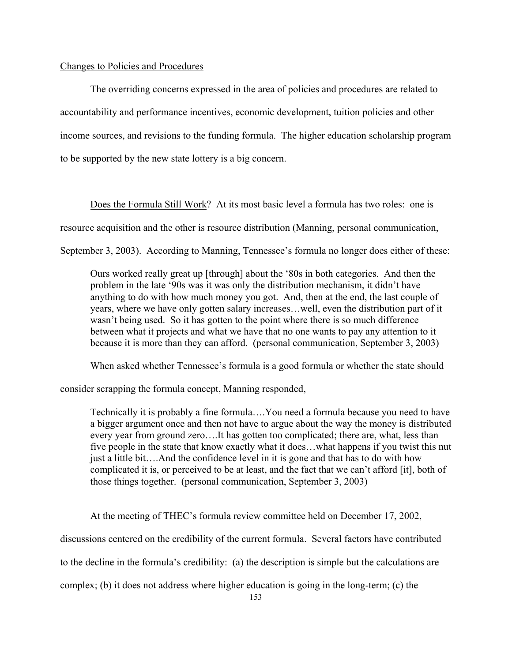# Changes to Policies and Procedures

The overriding concerns expressed in the area of policies and procedures are related to accountability and performance incentives, economic development, tuition policies and other income sources, and revisions to the funding formula. The higher education scholarship program to be supported by the new state lottery is a big concern.

Does the Formula Still Work? At its most basic level a formula has two roles: one is

resource acquisition and the other is resource distribution (Manning, personal communication,

September 3, 2003). According to Manning, Tennessee's formula no longer does either of these:

Ours worked really great up [through] about the '80s in both categories. And then the problem in the late '90s was it was only the distribution mechanism, it didn't have anything to do with how much money you got. And, then at the end, the last couple of years, where we have only gotten salary increases…well, even the distribution part of it wasn't being used. So it has gotten to the point where there is so much difference between what it projects and what we have that no one wants to pay any attention to it because it is more than they can afford. (personal communication, September 3, 2003)

When asked whether Tennessee's formula is a good formula or whether the state should

consider scrapping the formula concept, Manning responded,

Technically it is probably a fine formula….You need a formula because you need to have a bigger argument once and then not have to argue about the way the money is distributed every year from ground zero….It has gotten too complicated; there are, what, less than five people in the state that know exactly what it does…what happens if you twist this nut just a little bit….And the confidence level in it is gone and that has to do with how complicated it is, or perceived to be at least, and the fact that we can't afford [it], both of those things together. (personal communication, September 3, 2003)

At the meeting of THEC's formula review committee held on December 17, 2002,

discussions centered on the credibility of the current formula. Several factors have contributed

to the decline in the formula's credibility: (a) the description is simple but the calculations are

complex; (b) it does not address where higher education is going in the long-term; (c) the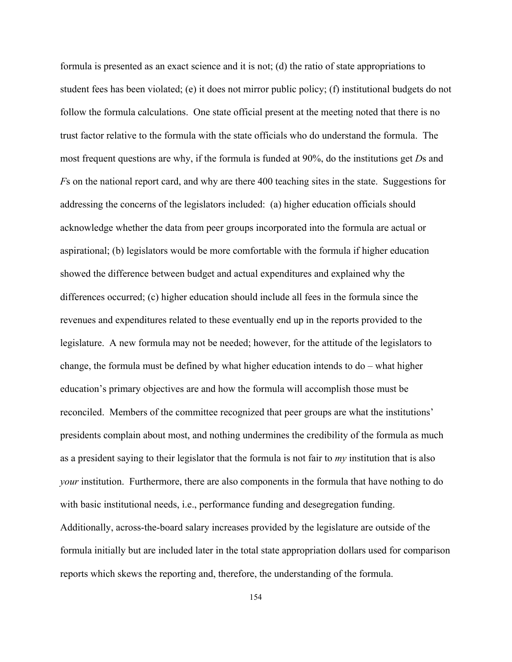formula is presented as an exact science and it is not; (d) the ratio of state appropriations to student fees has been violated; (e) it does not mirror public policy; (f) institutional budgets do not follow the formula calculations. One state official present at the meeting noted that there is no trust factor relative to the formula with the state officials who do understand the formula. The most frequent questions are why, if the formula is funded at 90%, do the institutions get *D*s and *F*s on the national report card, and why are there 400 teaching sites in the state. Suggestions for addressing the concerns of the legislators included: (a) higher education officials should acknowledge whether the data from peer groups incorporated into the formula are actual or aspirational; (b) legislators would be more comfortable with the formula if higher education showed the difference between budget and actual expenditures and explained why the differences occurred; (c) higher education should include all fees in the formula since the revenues and expenditures related to these eventually end up in the reports provided to the legislature. A new formula may not be needed; however, for the attitude of the legislators to change, the formula must be defined by what higher education intends to do – what higher education's primary objectives are and how the formula will accomplish those must be reconciled. Members of the committee recognized that peer groups are what the institutions' presidents complain about most, and nothing undermines the credibility of the formula as much as a president saying to their legislator that the formula is not fair to *my* institution that is also *your* institution. Furthermore, there are also components in the formula that have nothing to do with basic institutional needs, i.e., performance funding and desegregation funding. Additionally, across-the-board salary increases provided by the legislature are outside of the formula initially but are included later in the total state appropriation dollars used for comparison reports which skews the reporting and, therefore, the understanding of the formula.

154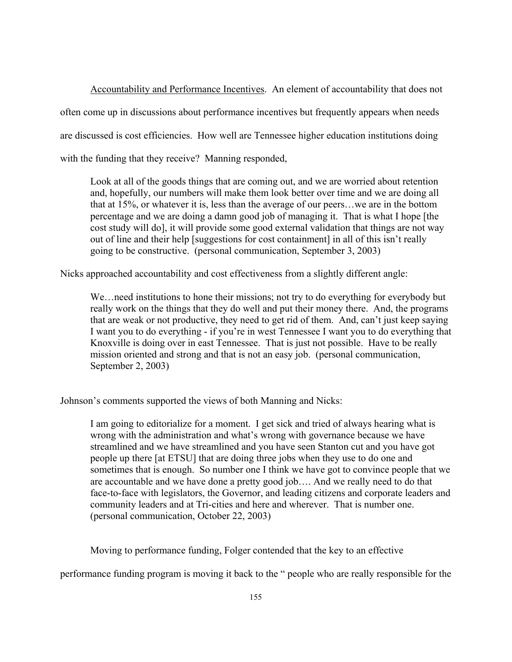Accountability and Performance Incentives. An element of accountability that does not often come up in discussions about performance incentives but frequently appears when needs are discussed is cost efficiencies. How well are Tennessee higher education institutions doing with the funding that they receive? Manning responded,

Look at all of the goods things that are coming out, and we are worried about retention and, hopefully, our numbers will make them look better over time and we are doing all that at 15%, or whatever it is, less than the average of our peers…we are in the bottom percentage and we are doing a damn good job of managing it. That is what I hope [the cost study will do], it will provide some good external validation that things are not way out of line and their help [suggestions for cost containment] in all of this isn't really going to be constructive. (personal communication, September 3, 2003)

Nicks approached accountability and cost effectiveness from a slightly different angle:

We…need institutions to hone their missions; not try to do everything for everybody but really work on the things that they do well and put their money there. And, the programs that are weak or not productive, they need to get rid of them. And, can't just keep saying I want you to do everything - if you're in west Tennessee I want you to do everything that Knoxville is doing over in east Tennessee. That is just not possible. Have to be really mission oriented and strong and that is not an easy job. (personal communication, September 2, 2003)

Johnson's comments supported the views of both Manning and Nicks:

I am going to editorialize for a moment. I get sick and tried of always hearing what is wrong with the administration and what's wrong with governance because we have streamlined and we have streamlined and you have seen Stanton cut and you have got people up there [at ETSU] that are doing three jobs when they use to do one and sometimes that is enough. So number one I think we have got to convince people that we are accountable and we have done a pretty good job…. And we really need to do that face-to-face with legislators, the Governor, and leading citizens and corporate leaders and community leaders and at Tri-cities and here and wherever. That is number one. (personal communication, October 22, 2003)

Moving to performance funding, Folger contended that the key to an effective

performance funding program is moving it back to the " people who are really responsible for the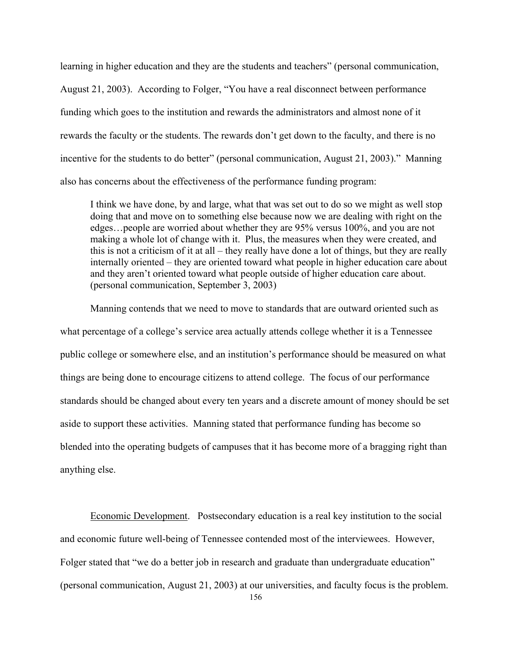learning in higher education and they are the students and teachers" (personal communication, August 21, 2003). According to Folger, "You have a real disconnect between performance funding which goes to the institution and rewards the administrators and almost none of it rewards the faculty or the students. The rewards don't get down to the faculty, and there is no incentive for the students to do better" (personal communication, August 21, 2003)." Manning also has concerns about the effectiveness of the performance funding program:

I think we have done, by and large, what that was set out to do so we might as well stop doing that and move on to something else because now we are dealing with right on the edges…people are worried about whether they are 95% versus 100%, and you are not making a whole lot of change with it. Plus, the measures when they were created, and this is not a criticism of it at all – they really have done a lot of things, but they are really internally oriented – they are oriented toward what people in higher education care about and they aren't oriented toward what people outside of higher education care about. (personal communication, September 3, 2003)

Manning contends that we need to move to standards that are outward oriented such as what percentage of a college's service area actually attends college whether it is a Tennessee public college or somewhere else, and an institution's performance should be measured on what things are being done to encourage citizens to attend college. The focus of our performance standards should be changed about every ten years and a discrete amount of money should be set aside to support these activities. Manning stated that performance funding has become so blended into the operating budgets of campuses that it has become more of a bragging right than anything else.

Economic Development. Postsecondary education is a real key institution to the social and economic future well-being of Tennessee contended most of the interviewees. However, Folger stated that "we do a better job in research and graduate than undergraduate education" (personal communication, August 21, 2003) at our universities, and faculty focus is the problem.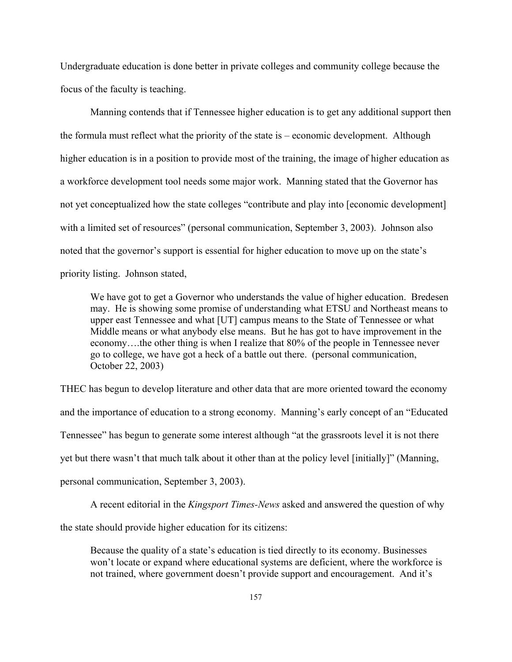Undergraduate education is done better in private colleges and community college because the focus of the faculty is teaching.

Manning contends that if Tennessee higher education is to get any additional support then the formula must reflect what the priority of the state is – economic development. Although higher education is in a position to provide most of the training, the image of higher education as a workforce development tool needs some major work. Manning stated that the Governor has not yet conceptualized how the state colleges "contribute and play into [economic development] with a limited set of resources" (personal communication, September 3, 2003). Johnson also noted that the governor's support is essential for higher education to move up on the state's priority listing. Johnson stated,

We have got to get a Governor who understands the value of higher education. Bredesen may. He is showing some promise of understanding what ETSU and Northeast means to upper east Tennessee and what [UT] campus means to the State of Tennessee or what Middle means or what anybody else means. But he has got to have improvement in the economy….the other thing is when I realize that 80% of the people in Tennessee never go to college, we have got a heck of a battle out there. (personal communication, October 22, 2003)

THEC has begun to develop literature and other data that are more oriented toward the economy and the importance of education to a strong economy. Manning's early concept of an "Educated Tennessee" has begun to generate some interest although "at the grassroots level it is not there yet but there wasn't that much talk about it other than at the policy level [initially]" (Manning, personal communication, September 3, 2003).

A recent editorial in the *Kingsport Times-News* asked and answered the question of why

the state should provide higher education for its citizens:

Because the quality of a state's education is tied directly to its economy. Businesses won't locate or expand where educational systems are deficient, where the workforce is not trained, where government doesn't provide support and encouragement. And it's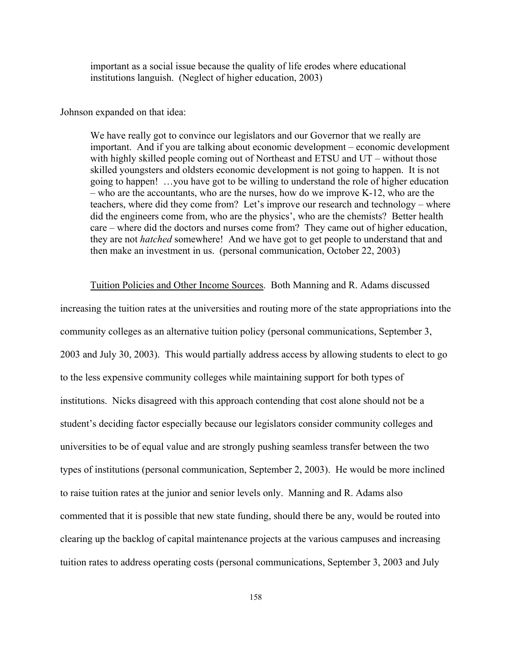important as a social issue because the quality of life erodes where educational institutions languish. (Neglect of higher education, 2003)

#### Johnson expanded on that idea:

We have really got to convince our legislators and our Governor that we really are important. And if you are talking about economic development – economic development with highly skilled people coming out of Northeast and ETSU and UT – without those skilled youngsters and oldsters economic development is not going to happen. It is not going to happen! …you have got to be willing to understand the role of higher education – who are the accountants, who are the nurses, how do we improve K-12, who are the teachers, where did they come from? Let's improve our research and technology – where did the engineers come from, who are the physics', who are the chemists? Better health care – where did the doctors and nurses come from? They came out of higher education, they are not *hatched* somewhere! And we have got to get people to understand that and then make an investment in us. (personal communication, October 22, 2003)

Tuition Policies and Other Income Sources. Both Manning and R. Adams discussed increasing the tuition rates at the universities and routing more of the state appropriations into the community colleges as an alternative tuition policy (personal communications, September 3, 2003 and July 30, 2003). This would partially address access by allowing students to elect to go to the less expensive community colleges while maintaining support for both types of institutions. Nicks disagreed with this approach contending that cost alone should not be a student's deciding factor especially because our legislators consider community colleges and universities to be of equal value and are strongly pushing seamless transfer between the two types of institutions (personal communication, September 2, 2003). He would be more inclined to raise tuition rates at the junior and senior levels only. Manning and R. Adams also commented that it is possible that new state funding, should there be any, would be routed into clearing up the backlog of capital maintenance projects at the various campuses and increasing tuition rates to address operating costs (personal communications, September 3, 2003 and July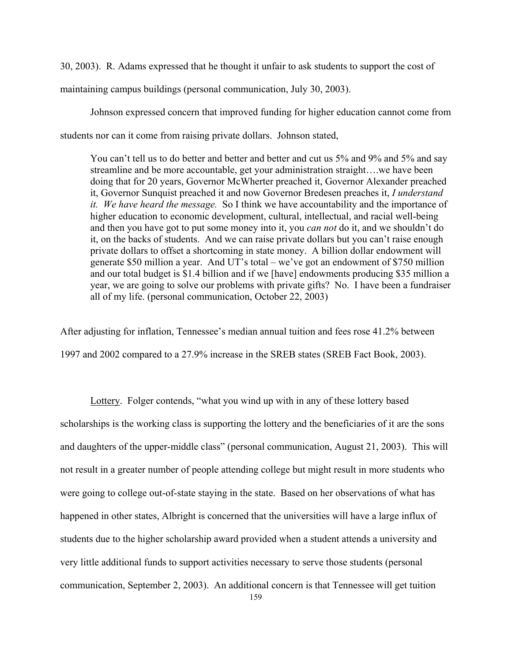30, 2003). R. Adams expressed that he thought it unfair to ask students to support the cost of

maintaining campus buildings (personal communication, July 30, 2003).

Johnson expressed concern that improved funding for higher education cannot come from students nor can it come from raising private dollars. Johnson stated,

You can't tell us to do better and better and better and cut us 5% and 9% and 5% and say streamline and be more accountable, get your administration straight….we have been doing that for 20 years, Governor McWherter preached it, Governor Alexander preached it, Governor Sunquist preached it and now Governor Bredesen preaches it, *I understand it. We have heard the message.* So I think we have accountability and the importance of higher education to economic development, cultural, intellectual, and racial well-being and then you have got to put some money into it, you *can not* do it, and we shouldn't do it, on the backs of students. And we can raise private dollars but you can't raise enough private dollars to offset a shortcoming in state money. A billion dollar endowment will generate \$50 million a year. And UT's total – we've got an endowment of \$750 million and our total budget is \$1.4 billion and if we [have] endowments producing \$35 million a year, we are going to solve our problems with private gifts? No. I have been a fundraiser all of my life. (personal communication, October 22, 2003)

After adjusting for inflation, Tennessee's median annual tuition and fees rose 41.2% between 1997 and 2002 compared to a 27.9% increase in the SREB states (SREB Fact Book, 2003).

Lottery. Folger contends, "what you wind up with in any of these lottery based scholarships is the working class is supporting the lottery and the beneficiaries of it are the sons and daughters of the upper-middle class" (personal communication, August 21, 2003). This will not result in a greater number of people attending college but might result in more students who were going to college out-of-state staying in the state. Based on her observations of what has happened in other states, Albright is concerned that the universities will have a large influx of students due to the higher scholarship award provided when a student attends a university and very little additional funds to support activities necessary to serve those students (personal communication, September 2, 2003). An additional concern is that Tennessee will get tuition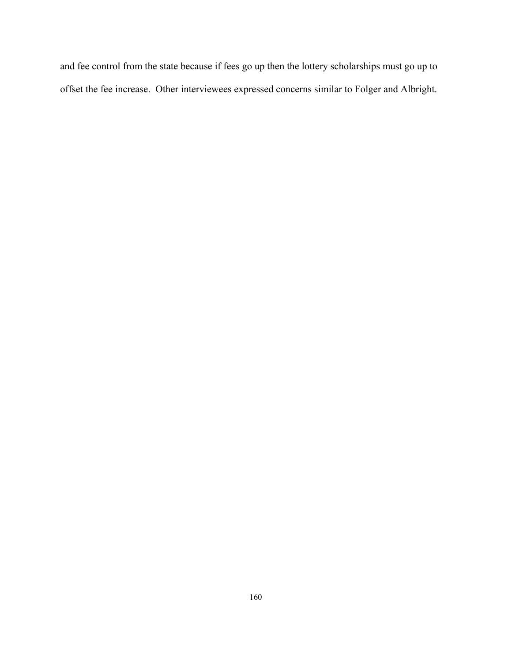and fee control from the state because if fees go up then the lottery scholarships must go up to offset the fee increase. Other interviewees expressed concerns similar to Folger and Albright.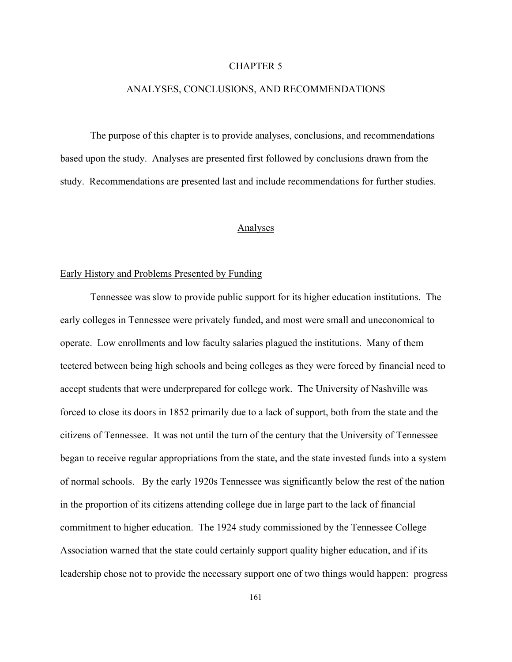#### CHAPTER 5

## ANALYSES, CONCLUSIONS, AND RECOMMENDATIONS

The purpose of this chapter is to provide analyses, conclusions, and recommendations based upon the study. Analyses are presented first followed by conclusions drawn from the study. Recommendations are presented last and include recommendations for further studies.

#### Analyses

## Early History and Problems Presented by Funding

Tennessee was slow to provide public support for its higher education institutions. The early colleges in Tennessee were privately funded, and most were small and uneconomical to operate. Low enrollments and low faculty salaries plagued the institutions. Many of them teetered between being high schools and being colleges as they were forced by financial need to accept students that were underprepared for college work. The University of Nashville was forced to close its doors in 1852 primarily due to a lack of support, both from the state and the citizens of Tennessee. It was not until the turn of the century that the University of Tennessee began to receive regular appropriations from the state, and the state invested funds into a system of normal schools. By the early 1920s Tennessee was significantly below the rest of the nation in the proportion of its citizens attending college due in large part to the lack of financial commitment to higher education. The 1924 study commissioned by the Tennessee College Association warned that the state could certainly support quality higher education, and if its leadership chose not to provide the necessary support one of two things would happen: progress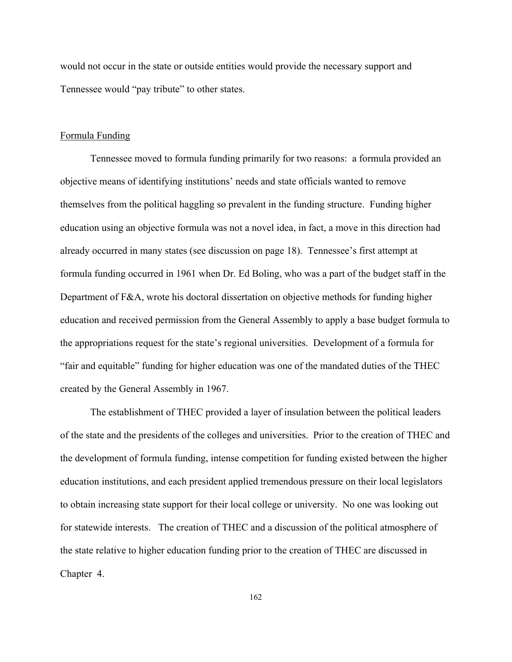would not occur in the state or outside entities would provide the necessary support and Tennessee would "pay tribute" to other states.

#### Formula Funding

Tennessee moved to formula funding primarily for two reasons: a formula provided an objective means of identifying institutions' needs and state officials wanted to remove themselves from the political haggling so prevalent in the funding structure. Funding higher education using an objective formula was not a novel idea, in fact, a move in this direction had already occurred in many states (see discussion on page 18). Tennessee's first attempt at formula funding occurred in 1961 when Dr. Ed Boling, who was a part of the budget staff in the Department of F&A, wrote his doctoral dissertation on objective methods for funding higher education and received permission from the General Assembly to apply a base budget formula to the appropriations request for the state's regional universities. Development of a formula for "fair and equitable" funding for higher education was one of the mandated duties of the THEC created by the General Assembly in 1967.

The establishment of THEC provided a layer of insulation between the political leaders of the state and the presidents of the colleges and universities. Prior to the creation of THEC and the development of formula funding, intense competition for funding existed between the higher education institutions, and each president applied tremendous pressure on their local legislators to obtain increasing state support for their local college or university. No one was looking out for statewide interests. The creation of THEC and a discussion of the political atmosphere of the state relative to higher education funding prior to the creation of THEC are discussed in Chapter 4.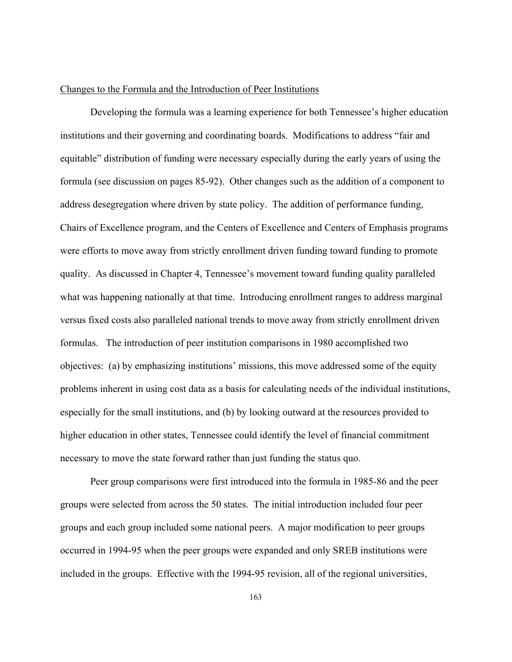### Changes to the Formula and the Introduction of Peer Institutions

Developing the formula was a learning experience for both Tennessee's higher education institutions and their governing and coordinating boards. Modifications to address "fair and equitable" distribution of funding were necessary especially during the early years of using the formula (see discussion on pages 85-92). Other changes such as the addition of a component to address desegregation where driven by state policy. The addition of performance funding, Chairs of Excellence program, and the Centers of Excellence and Centers of Emphasis programs were efforts to move away from strictly enrollment driven funding toward funding to promote quality. As discussed in Chapter 4, Tennessee's movement toward funding quality paralleled what was happening nationally at that time. Introducing enrollment ranges to address marginal versus fixed costs also paralleled national trends to move away from strictly enrollment driven formulas. The introduction of peer institution comparisons in 1980 accomplished two objectives: (a) by emphasizing institutions' missions, this move addressed some of the equity problems inherent in using cost data as a basis for calculating needs of the individual institutions, especially for the small institutions, and (b) by looking outward at the resources provided to higher education in other states, Tennessee could identify the level of financial commitment necessary to move the state forward rather than just funding the status quo.

Peer group comparisons were first introduced into the formula in 1985-86 and the peer groups were selected from across the 50 states. The initial introduction included four peer groups and each group included some national peers. A major modification to peer groups occurred in 1994-95 when the peer groups were expanded and only SREB institutions were included in the groups. Effective with the 1994-95 revision, all of the regional universities,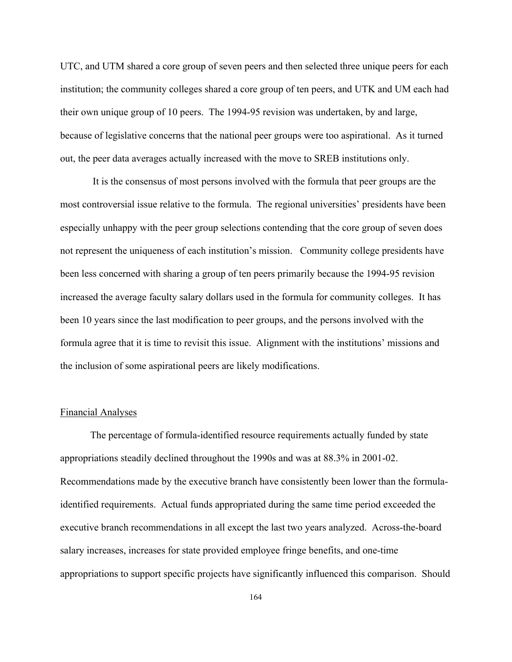UTC, and UTM shared a core group of seven peers and then selected three unique peers for each institution; the community colleges shared a core group of ten peers, and UTK and UM each had their own unique group of 10 peers. The 1994-95 revision was undertaken, by and large, because of legislative concerns that the national peer groups were too aspirational. As it turned out, the peer data averages actually increased with the move to SREB institutions only.

 It is the consensus of most persons involved with the formula that peer groups are the most controversial issue relative to the formula. The regional universities' presidents have been especially unhappy with the peer group selections contending that the core group of seven does not represent the uniqueness of each institution's mission. Community college presidents have been less concerned with sharing a group of ten peers primarily because the 1994-95 revision increased the average faculty salary dollars used in the formula for community colleges. It has been 10 years since the last modification to peer groups, and the persons involved with the formula agree that it is time to revisit this issue. Alignment with the institutions' missions and the inclusion of some aspirational peers are likely modifications.

## Financial Analyses

The percentage of formula-identified resource requirements actually funded by state appropriations steadily declined throughout the 1990s and was at 88.3% in 2001-02. Recommendations made by the executive branch have consistently been lower than the formulaidentified requirements. Actual funds appropriated during the same time period exceeded the executive branch recommendations in all except the last two years analyzed. Across-the-board salary increases, increases for state provided employee fringe benefits, and one-time appropriations to support specific projects have significantly influenced this comparison. Should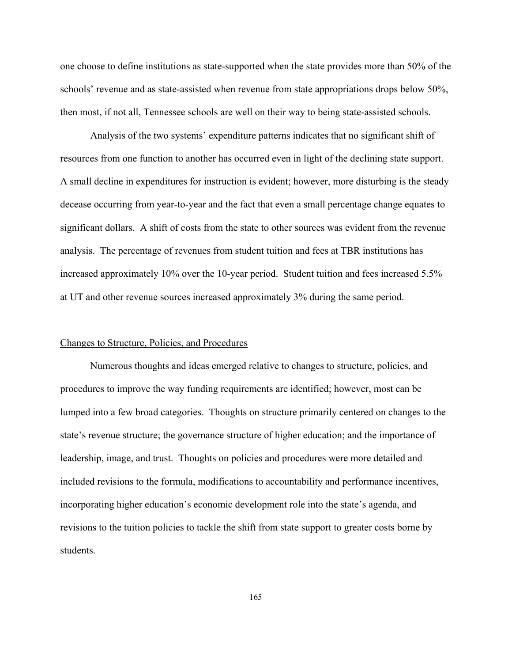one choose to define institutions as state-supported when the state provides more than 50% of the schools' revenue and as state-assisted when revenue from state appropriations drops below 50%, then most, if not all, Tennessee schools are well on their way to being state-assisted schools.

Analysis of the two systems' expenditure patterns indicates that no significant shift of resources from one function to another has occurred even in light of the declining state support. A small decline in expenditures for instruction is evident; however, more disturbing is the steady decease occurring from year-to-year and the fact that even a small percentage change equates to significant dollars. A shift of costs from the state to other sources was evident from the revenue analysis. The percentage of revenues from student tuition and fees at TBR institutions has increased approximately 10% over the 10-year period. Student tuition and fees increased 5.5% at UT and other revenue sources increased approximately 3% during the same period.

## Changes to Structure, Policies, and Procedures

Numerous thoughts and ideas emerged relative to changes to structure, policies, and procedures to improve the way funding requirements are identified; however, most can be lumped into a few broad categories. Thoughts on structure primarily centered on changes to the state's revenue structure; the governance structure of higher education; and the importance of leadership, image, and trust. Thoughts on policies and procedures were more detailed and included revisions to the formula, modifications to accountability and performance incentives, incorporating higher education's economic development role into the state's agenda, and revisions to the tuition policies to tackle the shift from state support to greater costs borne by students.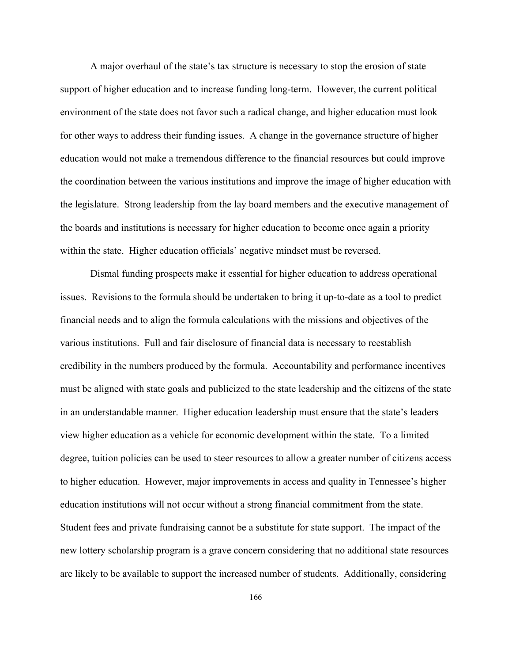A major overhaul of the state's tax structure is necessary to stop the erosion of state support of higher education and to increase funding long-term. However, the current political environment of the state does not favor such a radical change, and higher education must look for other ways to address their funding issues. A change in the governance structure of higher education would not make a tremendous difference to the financial resources but could improve the coordination between the various institutions and improve the image of higher education with the legislature. Strong leadership from the lay board members and the executive management of the boards and institutions is necessary for higher education to become once again a priority within the state. Higher education officials' negative mindset must be reversed.

Dismal funding prospects make it essential for higher education to address operational issues. Revisions to the formula should be undertaken to bring it up-to-date as a tool to predict financial needs and to align the formula calculations with the missions and objectives of the various institutions. Full and fair disclosure of financial data is necessary to reestablish credibility in the numbers produced by the formula. Accountability and performance incentives must be aligned with state goals and publicized to the state leadership and the citizens of the state in an understandable manner. Higher education leadership must ensure that the state's leaders view higher education as a vehicle for economic development within the state. To a limited degree, tuition policies can be used to steer resources to allow a greater number of citizens access to higher education. However, major improvements in access and quality in Tennessee's higher education institutions will not occur without a strong financial commitment from the state. Student fees and private fundraising cannot be a substitute for state support. The impact of the new lottery scholarship program is a grave concern considering that no additional state resources are likely to be available to support the increased number of students. Additionally, considering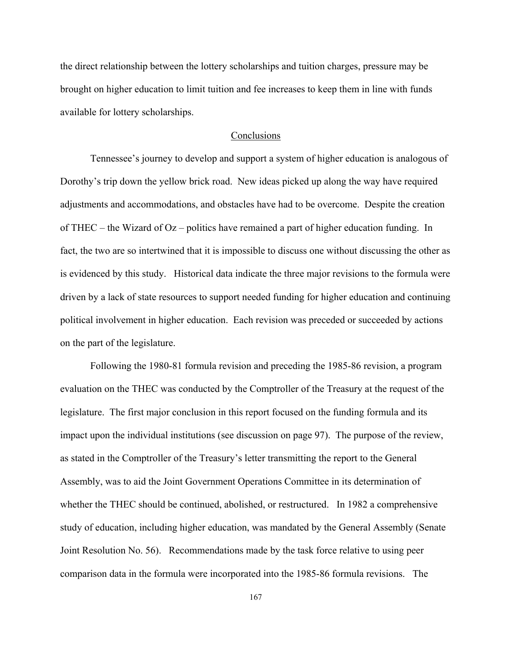the direct relationship between the lottery scholarships and tuition charges, pressure may be brought on higher education to limit tuition and fee increases to keep them in line with funds available for lottery scholarships.

# Conclusions

Tennessee's journey to develop and support a system of higher education is analogous of Dorothy's trip down the yellow brick road. New ideas picked up along the way have required adjustments and accommodations, and obstacles have had to be overcome. Despite the creation of THEC – the Wizard of Oz – politics have remained a part of higher education funding. In fact, the two are so intertwined that it is impossible to discuss one without discussing the other as is evidenced by this study. Historical data indicate the three major revisions to the formula were driven by a lack of state resources to support needed funding for higher education and continuing political involvement in higher education. Each revision was preceded or succeeded by actions on the part of the legislature.

Following the 1980-81 formula revision and preceding the 1985-86 revision, a program evaluation on the THEC was conducted by the Comptroller of the Treasury at the request of the legislature. The first major conclusion in this report focused on the funding formula and its impact upon the individual institutions (see discussion on page 97). The purpose of the review, as stated in the Comptroller of the Treasury's letter transmitting the report to the General Assembly, was to aid the Joint Government Operations Committee in its determination of whether the THEC should be continued, abolished, or restructured. In 1982 a comprehensive study of education, including higher education, was mandated by the General Assembly (Senate Joint Resolution No. 56). Recommendations made by the task force relative to using peer comparison data in the formula were incorporated into the 1985-86 formula revisions. The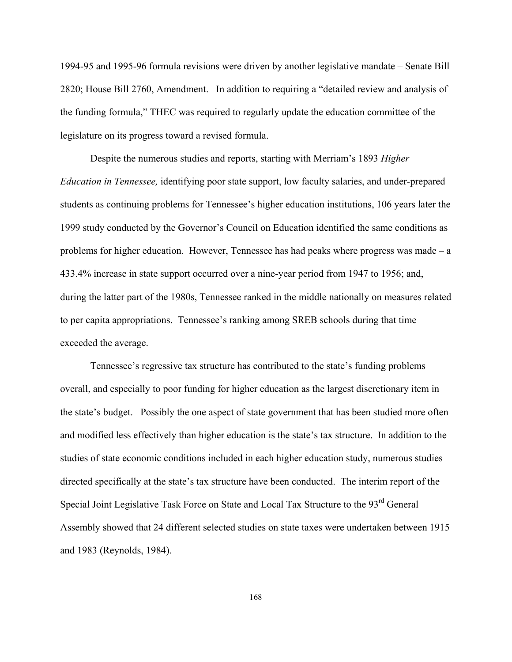1994-95 and 1995-96 formula revisions were driven by another legislative mandate – Senate Bill 2820; House Bill 2760, Amendment. In addition to requiring a "detailed review and analysis of the funding formula," THEC was required to regularly update the education committee of the legislature on its progress toward a revised formula.

Despite the numerous studies and reports, starting with Merriam's 1893 *Higher Education in Tennessee,* identifying poor state support, low faculty salaries, and under-prepared students as continuing problems for Tennessee's higher education institutions, 106 years later the 1999 study conducted by the Governor's Council on Education identified the same conditions as problems for higher education. However, Tennessee has had peaks where progress was made – a 433.4% increase in state support occurred over a nine-year period from 1947 to 1956; and, during the latter part of the 1980s, Tennessee ranked in the middle nationally on measures related to per capita appropriations. Tennessee's ranking among SREB schools during that time exceeded the average.

Tennessee's regressive tax structure has contributed to the state's funding problems overall, and especially to poor funding for higher education as the largest discretionary item in the state's budget. Possibly the one aspect of state government that has been studied more often and modified less effectively than higher education is the state's tax structure. In addition to the studies of state economic conditions included in each higher education study, numerous studies directed specifically at the state's tax structure have been conducted. The interim report of the Special Joint Legislative Task Force on State and Local Tax Structure to the 93<sup>rd</sup> General Assembly showed that 24 different selected studies on state taxes were undertaken between 1915 and 1983 (Reynolds, 1984).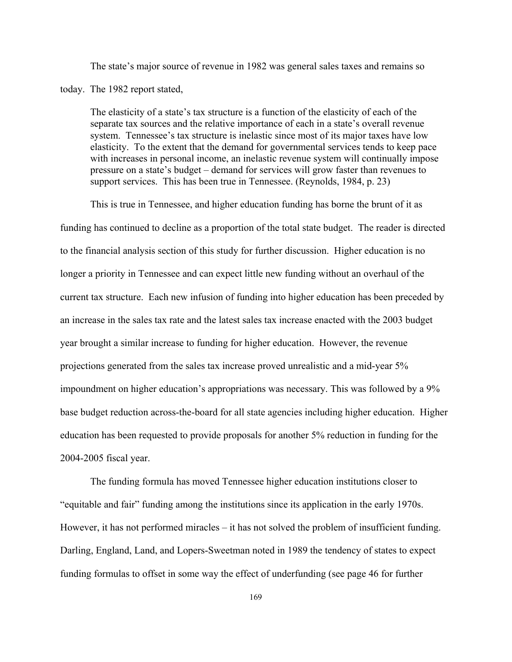The state's major source of revenue in 1982 was general sales taxes and remains so

today. The 1982 report stated,

The elasticity of a state's tax structure is a function of the elasticity of each of the separate tax sources and the relative importance of each in a state's overall revenue system. Tennessee's tax structure is inelastic since most of its major taxes have low elasticity. To the extent that the demand for governmental services tends to keep pace with increases in personal income, an inelastic revenue system will continually impose pressure on a state's budget – demand for services will grow faster than revenues to support services. This has been true in Tennessee. (Reynolds, 1984, p. 23)

This is true in Tennessee, and higher education funding has borne the brunt of it as funding has continued to decline as a proportion of the total state budget. The reader is directed to the financial analysis section of this study for further discussion. Higher education is no longer a priority in Tennessee and can expect little new funding without an overhaul of the current tax structure. Each new infusion of funding into higher education has been preceded by an increase in the sales tax rate and the latest sales tax increase enacted with the 2003 budget year brought a similar increase to funding for higher education. However, the revenue projections generated from the sales tax increase proved unrealistic and a mid-year 5% impoundment on higher education's appropriations was necessary. This was followed by a 9% base budget reduction across-the-board for all state agencies including higher education. Higher education has been requested to provide proposals for another 5% reduction in funding for the 2004-2005 fiscal year.

The funding formula has moved Tennessee higher education institutions closer to "equitable and fair" funding among the institutions since its application in the early 1970s. However, it has not performed miracles – it has not solved the problem of insufficient funding. Darling, England, Land, and Lopers-Sweetman noted in 1989 the tendency of states to expect funding formulas to offset in some way the effect of underfunding (see page 46 for further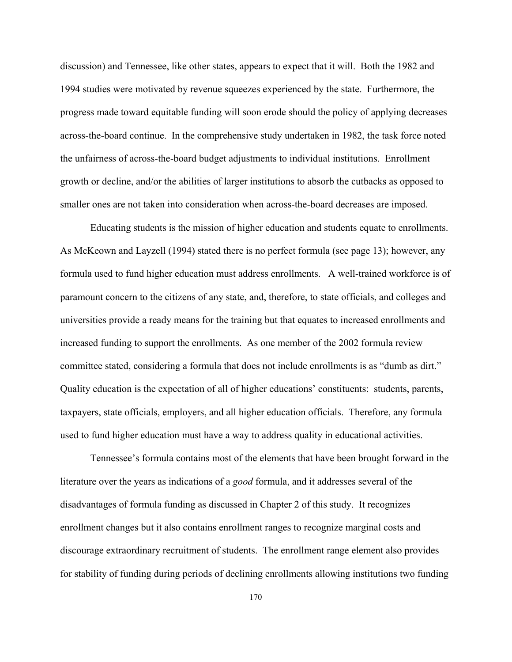discussion) and Tennessee, like other states, appears to expect that it will. Both the 1982 and 1994 studies were motivated by revenue squeezes experienced by the state. Furthermore, the progress made toward equitable funding will soon erode should the policy of applying decreases across-the-board continue. In the comprehensive study undertaken in 1982, the task force noted the unfairness of across-the-board budget adjustments to individual institutions. Enrollment growth or decline, and/or the abilities of larger institutions to absorb the cutbacks as opposed to smaller ones are not taken into consideration when across-the-board decreases are imposed.

Educating students is the mission of higher education and students equate to enrollments. As McKeown and Layzell (1994) stated there is no perfect formula (see page 13); however, any formula used to fund higher education must address enrollments. A well-trained workforce is of paramount concern to the citizens of any state, and, therefore, to state officials, and colleges and universities provide a ready means for the training but that equates to increased enrollments and increased funding to support the enrollments. As one member of the 2002 formula review committee stated, considering a formula that does not include enrollments is as "dumb as dirt." Quality education is the expectation of all of higher educations' constituents: students, parents, taxpayers, state officials, employers, and all higher education officials. Therefore, any formula used to fund higher education must have a way to address quality in educational activities.

Tennessee's formula contains most of the elements that have been brought forward in the literature over the years as indications of a *good* formula, and it addresses several of the disadvantages of formula funding as discussed in Chapter 2 of this study. It recognizes enrollment changes but it also contains enrollment ranges to recognize marginal costs and discourage extraordinary recruitment of students. The enrollment range element also provides for stability of funding during periods of declining enrollments allowing institutions two funding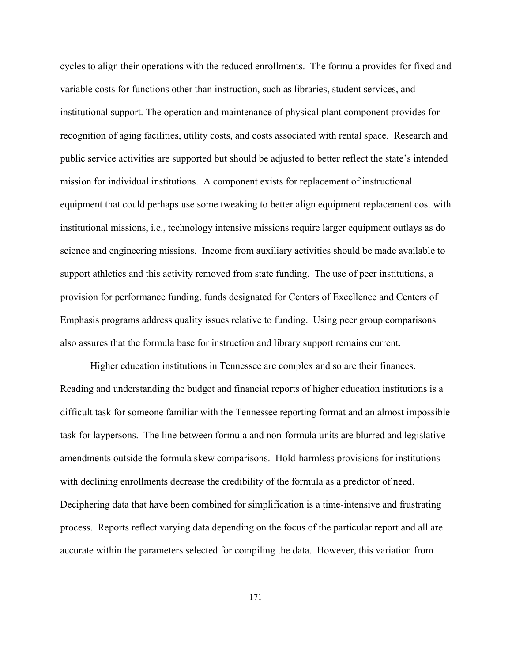cycles to align their operations with the reduced enrollments. The formula provides for fixed and variable costs for functions other than instruction, such as libraries, student services, and institutional support. The operation and maintenance of physical plant component provides for recognition of aging facilities, utility costs, and costs associated with rental space. Research and public service activities are supported but should be adjusted to better reflect the state's intended mission for individual institutions. A component exists for replacement of instructional equipment that could perhaps use some tweaking to better align equipment replacement cost with institutional missions, i.e., technology intensive missions require larger equipment outlays as do science and engineering missions. Income from auxiliary activities should be made available to support athletics and this activity removed from state funding. The use of peer institutions, a provision for performance funding, funds designated for Centers of Excellence and Centers of Emphasis programs address quality issues relative to funding. Using peer group comparisons also assures that the formula base for instruction and library support remains current.

Higher education institutions in Tennessee are complex and so are their finances. Reading and understanding the budget and financial reports of higher education institutions is a difficult task for someone familiar with the Tennessee reporting format and an almost impossible task for laypersons. The line between formula and non-formula units are blurred and legislative amendments outside the formula skew comparisons. Hold-harmless provisions for institutions with declining enrollments decrease the credibility of the formula as a predictor of need. Deciphering data that have been combined for simplification is a time-intensive and frustrating process. Reports reflect varying data depending on the focus of the particular report and all are accurate within the parameters selected for compiling the data. However, this variation from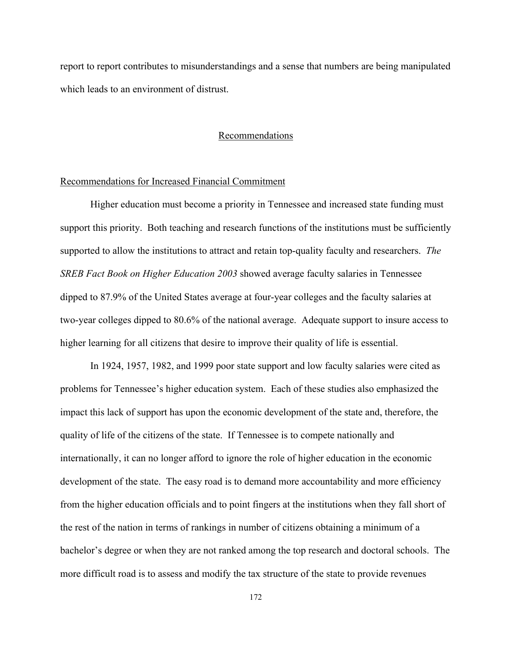report to report contributes to misunderstandings and a sense that numbers are being manipulated which leads to an environment of distrust.

## Recommendations

#### Recommendations for Increased Financial Commitment

Higher education must become a priority in Tennessee and increased state funding must support this priority. Both teaching and research functions of the institutions must be sufficiently supported to allow the institutions to attract and retain top-quality faculty and researchers. *The SREB Fact Book on Higher Education 2003* showed average faculty salaries in Tennessee dipped to 87.9% of the United States average at four-year colleges and the faculty salaries at two-year colleges dipped to 80.6% of the national average. Adequate support to insure access to higher learning for all citizens that desire to improve their quality of life is essential.

In 1924, 1957, 1982, and 1999 poor state support and low faculty salaries were cited as problems for Tennessee's higher education system. Each of these studies also emphasized the impact this lack of support has upon the economic development of the state and, therefore, the quality of life of the citizens of the state. If Tennessee is to compete nationally and internationally, it can no longer afford to ignore the role of higher education in the economic development of the state. The easy road is to demand more accountability and more efficiency from the higher education officials and to point fingers at the institutions when they fall short of the rest of the nation in terms of rankings in number of citizens obtaining a minimum of a bachelor's degree or when they are not ranked among the top research and doctoral schools. The more difficult road is to assess and modify the tax structure of the state to provide revenues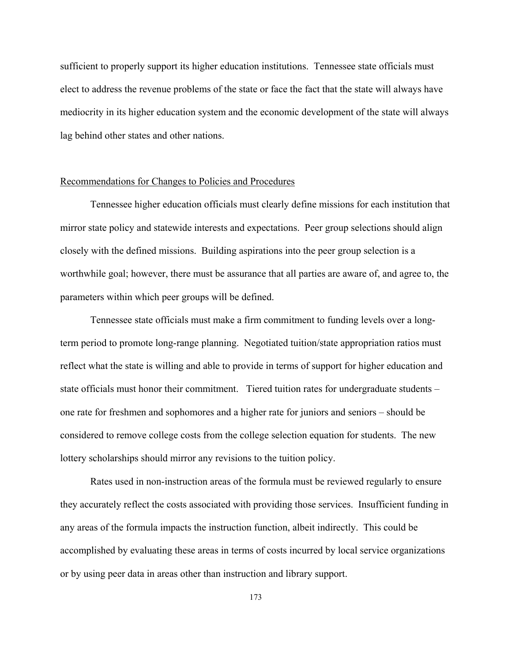sufficient to properly support its higher education institutions. Tennessee state officials must elect to address the revenue problems of the state or face the fact that the state will always have mediocrity in its higher education system and the economic development of the state will always lag behind other states and other nations.

### Recommendations for Changes to Policies and Procedures

Tennessee higher education officials must clearly define missions for each institution that mirror state policy and statewide interests and expectations. Peer group selections should align closely with the defined missions. Building aspirations into the peer group selection is a worthwhile goal; however, there must be assurance that all parties are aware of, and agree to, the parameters within which peer groups will be defined.

Tennessee state officials must make a firm commitment to funding levels over a longterm period to promote long-range planning. Negotiated tuition/state appropriation ratios must reflect what the state is willing and able to provide in terms of support for higher education and state officials must honor their commitment. Tiered tuition rates for undergraduate students – one rate for freshmen and sophomores and a higher rate for juniors and seniors – should be considered to remove college costs from the college selection equation for students. The new lottery scholarships should mirror any revisions to the tuition policy.

Rates used in non-instruction areas of the formula must be reviewed regularly to ensure they accurately reflect the costs associated with providing those services. Insufficient funding in any areas of the formula impacts the instruction function, albeit indirectly. This could be accomplished by evaluating these areas in terms of costs incurred by local service organizations or by using peer data in areas other than instruction and library support.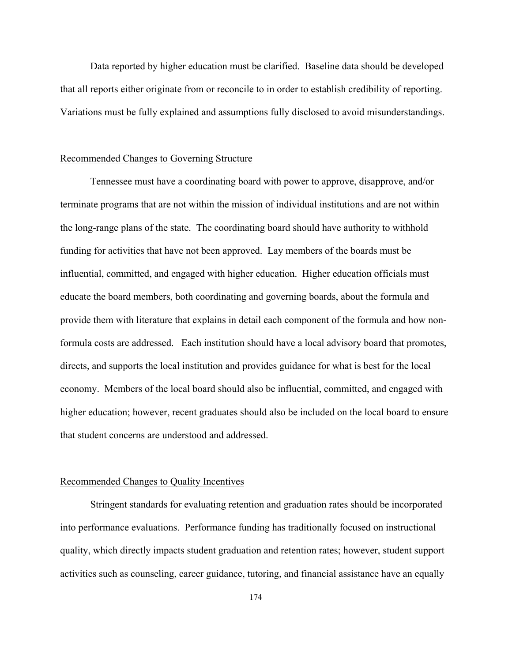Data reported by higher education must be clarified. Baseline data should be developed that all reports either originate from or reconcile to in order to establish credibility of reporting. Variations must be fully explained and assumptions fully disclosed to avoid misunderstandings.

### Recommended Changes to Governing Structure

Tennessee must have a coordinating board with power to approve, disapprove, and/or terminate programs that are not within the mission of individual institutions and are not within the long-range plans of the state. The coordinating board should have authority to withhold funding for activities that have not been approved. Lay members of the boards must be influential, committed, and engaged with higher education. Higher education officials must educate the board members, both coordinating and governing boards, about the formula and provide them with literature that explains in detail each component of the formula and how nonformula costs are addressed. Each institution should have a local advisory board that promotes, directs, and supports the local institution and provides guidance for what is best for the local economy. Members of the local board should also be influential, committed, and engaged with higher education; however, recent graduates should also be included on the local board to ensure that student concerns are understood and addressed.

#### Recommended Changes to Quality Incentives

Stringent standards for evaluating retention and graduation rates should be incorporated into performance evaluations. Performance funding has traditionally focused on instructional quality, which directly impacts student graduation and retention rates; however, student support activities such as counseling, career guidance, tutoring, and financial assistance have an equally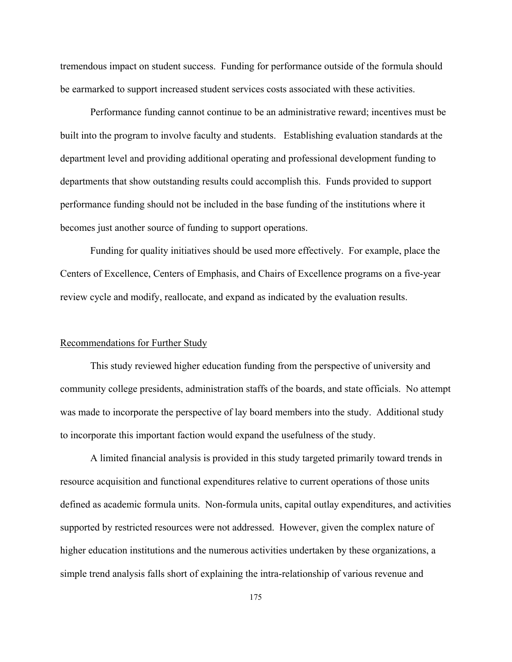tremendous impact on student success. Funding for performance outside of the formula should be earmarked to support increased student services costs associated with these activities.

Performance funding cannot continue to be an administrative reward; incentives must be built into the program to involve faculty and students. Establishing evaluation standards at the department level and providing additional operating and professional development funding to departments that show outstanding results could accomplish this. Funds provided to support performance funding should not be included in the base funding of the institutions where it becomes just another source of funding to support operations.

Funding for quality initiatives should be used more effectively. For example, place the Centers of Excellence, Centers of Emphasis, and Chairs of Excellence programs on a five-year review cycle and modify, reallocate, and expand as indicated by the evaluation results.

## Recommendations for Further Study

This study reviewed higher education funding from the perspective of university and community college presidents, administration staffs of the boards, and state officials. No attempt was made to incorporate the perspective of lay board members into the study. Additional study to incorporate this important faction would expand the usefulness of the study.

A limited financial analysis is provided in this study targeted primarily toward trends in resource acquisition and functional expenditures relative to current operations of those units defined as academic formula units. Non-formula units, capital outlay expenditures, and activities supported by restricted resources were not addressed. However, given the complex nature of higher education institutions and the numerous activities undertaken by these organizations, a simple trend analysis falls short of explaining the intra-relationship of various revenue and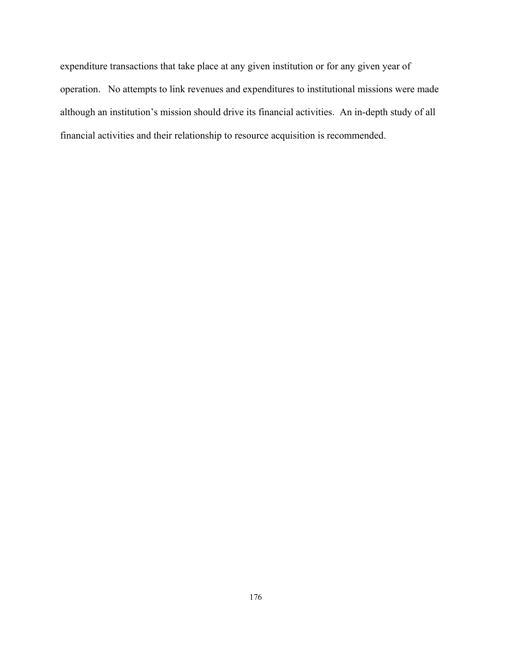expenditure transactions that take place at any given institution or for any given year of operation. No attempts to link revenues and expenditures to institutional missions were made although an institution's mission should drive its financial activities. An in-depth study of all financial activities and their relationship to resource acquisition is recommended.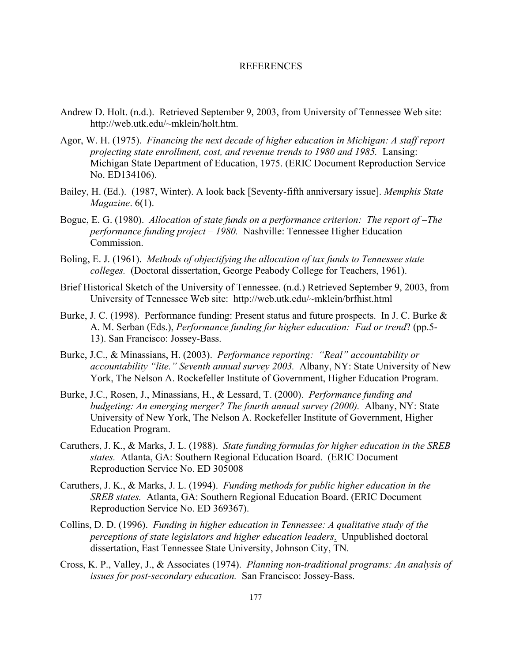#### REFERENCES

- Andrew D. Holt. (n.d.). Retrieved September 9, 2003, from University of Tennessee Web site: http://web.utk.edu/~mklein/holt.htm.
- Agor, W. H. (1975). *Financing the next decade of higher education in Michigan: A staff report projecting state enrollment, cost, and revenue trends to 1980 and 1985.* Lansing: Michigan State Department of Education, 1975. (ERIC Document Reproduction Service No. ED134106).
- Bailey, H. (Ed.). (1987, Winter). A look back [Seventy-fifth anniversary issue]. *Memphis State Magazine*. 6(1).
- Bogue, E. G. (1980). *Allocation of state funds on a performance criterion: The report of –The performance funding project – 1980.* Nashville: Tennessee Higher Education Commission.
- Boling, E. J. (1961). *Methods of objectifying the allocation of tax funds to Tennessee state colleges.* (Doctoral dissertation, George Peabody College for Teachers, 1961).
- Brief Historical Sketch of the University of Tennessee. (n.d.) Retrieved September 9, 2003, from University of Tennessee Web site: http://web.utk.edu/~mklein/brfhist.html
- Burke, J. C. (1998). Performance funding: Present status and future prospects. In J. C. Burke & A. M. Serban (Eds.), *Performance funding for higher education: Fad or trend*? (pp.5- 13). San Francisco: Jossey-Bass.
- Burke, J.C., & Minassians, H. (2003). *Performance reporting: "Real" accountability or accountability "lite." Seventh annual survey 2003.* Albany, NY: State University of New York, The Nelson A. Rockefeller Institute of Government, Higher Education Program.
- Burke, J.C., Rosen, J., Minassians, H., & Lessard, T. (2000). *Performance funding and budgeting: An emerging merger? The fourth annual survey (2000).* Albany, NY: State University of New York, The Nelson A. Rockefeller Institute of Government, Higher Education Program.
- Caruthers, J. K., & Marks, J. L. (1988). *State funding formulas for higher education in the SREB states.* Atlanta, GA: Southern Regional Education Board. (ERIC Document Reproduction Service No. ED 305008
- Caruthers, J. K., & Marks, J. L. (1994). *Funding methods for public higher education in the SREB states.* Atlanta, GA: Southern Regional Education Board. (ERIC Document Reproduction Service No. ED 369367).
- Collins, D. D. (1996). *Funding in higher education in Tennessee: A qualitative study of the perceptions of state legislators and higher education leaders*. Unpublished doctoral dissertation, East Tennessee State University, Johnson City, TN.
- Cross, K. P., Valley, J., & Associates (1974). *Planning non-traditional programs: An analysis of issues for post-secondary education.* San Francisco: Jossey-Bass.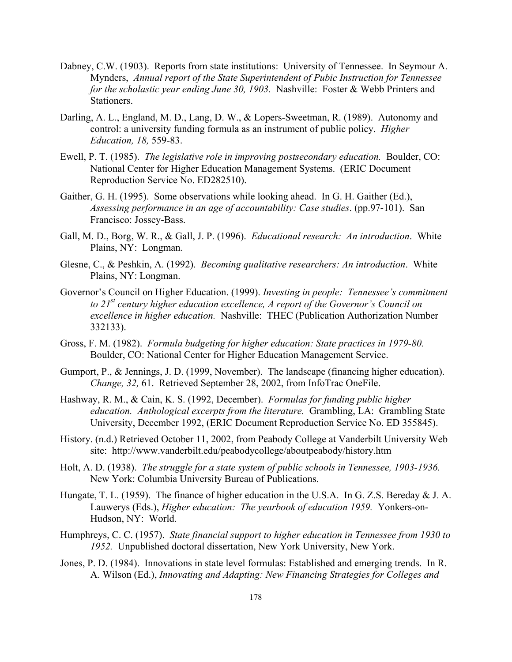- Dabney, C.W. (1903). Reports from state institutions: University of Tennessee. In Seymour A. Mynders, *Annual report of the State Superintendent of Pubic Instruction for Tennessee for the scholastic year ending June 30, 1903.* Nashville: Foster & Webb Printers and Stationers.
- Darling, A. L., England, M. D., Lang, D. W., & Lopers-Sweetman, R. (1989). Autonomy and control: a university funding formula as an instrument of public policy. *Higher Education, 18,* 559-83.
- Ewell, P. T. (1985). *The legislative role in improving postsecondary education.* Boulder, CO: National Center for Higher Education Management Systems. (ERIC Document Reproduction Service No. ED282510).
- Gaither, G. H. (1995). Some observations while looking ahead. In G. H. Gaither (Ed.), *Assessing performance in an age of accountability: Case studies*. (pp.97-101). San Francisco: Jossey-Bass.
- Gall, M. D., Borg, W. R., & Gall, J. P. (1996). *Educational research: An introduction*. White Plains, NY: Longman.
- Glesne, C., & Peshkin, A. (1992). *Becoming qualitative researchers: An introduction*. White Plains, NY: Longman.
- Governor's Council on Higher Education. (1999). *Investing in people: Tennessee's commitment to 21st century higher education excellence, A report of the Governor's Council on excellence in higher education.* Nashville: THEC (Publication Authorization Number 332133).
- Gross, F. M. (1982). *Formula budgeting for higher education: State practices in 1979-80.*  Boulder, CO: National Center for Higher Education Management Service.
- Gumport, P., & Jennings, J. D. (1999, November). The landscape (financing higher education). *Change, 32,* 61. Retrieved September 28, 2002, from InfoTrac OneFile.
- Hashway, R. M., & Cain, K. S. (1992, December). *Formulas for funding public higher education. Anthological excerpts from the literature.* Grambling, LA: Grambling State University, December 1992, (ERIC Document Reproduction Service No. ED 355845).
- History. (n.d.) Retrieved October 11, 2002, from Peabody College at Vanderbilt University Web site: http://www.vanderbilt.edu/peabodycollege/aboutpeabody/history.htm
- Holt, A. D. (1938). *The struggle for a state system of public schools in Tennessee, 1903-1936.*  New York: Columbia University Bureau of Publications.
- Hungate, T. L. (1959). The finance of higher education in the U.S.A. In G. Z.S. Bereday & J. A. Lauwerys (Eds.), *Higher education: The yearbook of education 1959.* Yonkers-on-Hudson, NY: World.
- Humphreys, C. C. (1957). *State financial support to higher education in Tennessee from 1930 to 1952.* Unpublished doctoral dissertation, New York University, New York.
- Jones, P. D. (1984). Innovations in state level formulas: Established and emerging trends. In R. A. Wilson (Ed.), *Innovating and Adapting: New Financing Strategies for Colleges and*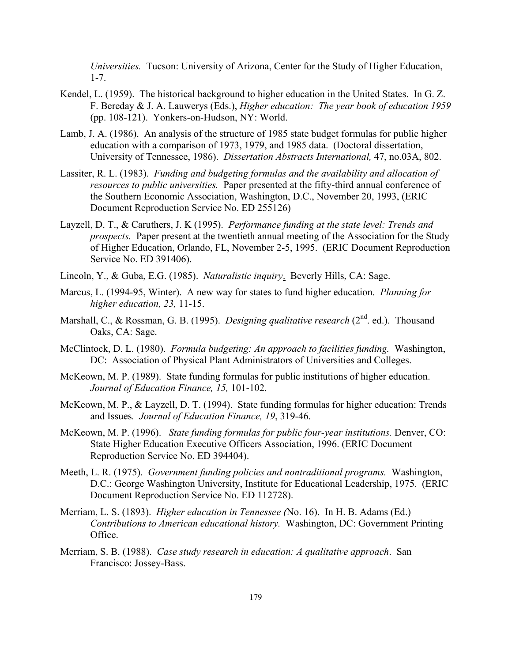*Universities.* Tucson: University of Arizona, Center for the Study of Higher Education, 1-7.

- Kendel, L. (1959). The historical background to higher education in the United States. In G. Z. F. Bereday & J. A. Lauwerys (Eds.), *Higher education: The year book of education 1959*  (pp. 108-121). Yonkers-on-Hudson, NY: World.
- Lamb, J. A. (1986). An analysis of the structure of 1985 state budget formulas for public higher education with a comparison of 1973, 1979, and 1985 data. (Doctoral dissertation, University of Tennessee, 1986). *Dissertation Abstracts International,* 47, no.03A, 802.
- Lassiter, R. L. (1983). *Funding and budgeting formulas and the availability and allocation of resources to public universities.* Paper presented at the fifty-third annual conference of the Southern Economic Association, Washington, D.C., November 20, 1993, (ERIC Document Reproduction Service No. ED 255126)
- Layzell, D. T., & Caruthers, J. K (1995). *Performance funding at the state level: Trends and prospects.* Paper present at the twentieth annual meeting of the Association for the Study of Higher Education, Orlando, FL, November 2-5, 1995. (ERIC Document Reproduction Service No. ED 391406).
- Lincoln, Y., & Guba, E.G. (1985). *Naturalistic inquiry*. Beverly Hills, CA: Sage.
- Marcus, L. (1994-95, Winter). A new way for states to fund higher education. *Planning for higher education, 23,* 11-15.
- Marshall, C., & Rossman, G. B. (1995). *Designing qualitative research* (2<sup>nd</sup>. ed.). Thousand Oaks, CA: Sage.
- McClintock, D. L. (1980). *Formula budgeting: An approach to facilities funding.* Washington, DC: Association of Physical Plant Administrators of Universities and Colleges.
- McKeown, M. P. (1989). State funding formulas for public institutions of higher education. *Journal of Education Finance, 15,* 101-102.
- McKeown, M. P., & Layzell, D. T. (1994). State funding formulas for higher education: Trends and Issues*. Journal of Education Finance, 19*, 319-46.
- McKeown, M. P. (1996). *State funding formulas for public four-year institutions.* Denver, CO: State Higher Education Executive Officers Association, 1996. (ERIC Document Reproduction Service No. ED 394404).
- Meeth, L. R. (1975). *Government funding policies and nontraditional programs.* Washington, D.C.: George Washington University, Institute for Educational Leadership, 1975. (ERIC Document Reproduction Service No. ED 112728).
- Merriam, L. S. (1893). *Higher education in Tennessee (*No. 16). In H. B. Adams (Ed.) *Contributions to American educational history.* Washington, DC: Government Printing Office.
- Merriam, S. B. (1988). *Case study research in education: A qualitative approach*. San Francisco: Jossey-Bass.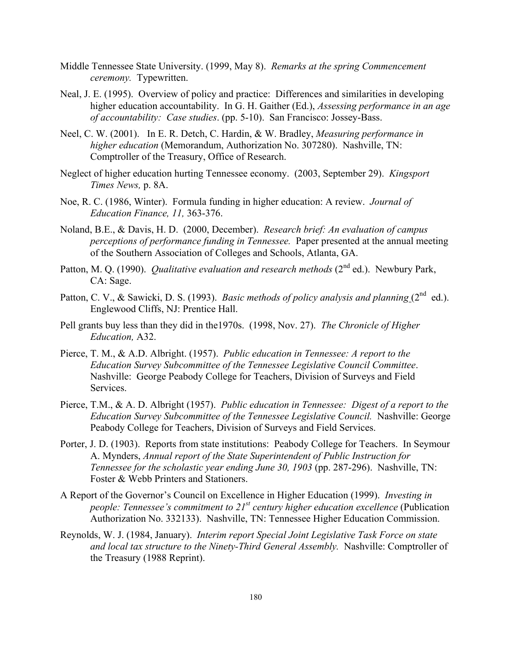- Middle Tennessee State University. (1999, May 8). *Remarks at the spring Commencement ceremony.* Typewritten.
- Neal, J. E. (1995). Overview of policy and practice: Differences and similarities in developing higher education accountability. In G. H. Gaither (Ed.), *Assessing performance in an age of accountability: Case studies*. (pp. 5-10). San Francisco: Jossey-Bass.
- Neel, C. W. (2001). In E. R. Detch, C. Hardin, & W. Bradley, *Measuring performance in higher education* (Memorandum, Authorization No. 307280). Nashville, TN: Comptroller of the Treasury, Office of Research.
- Neglect of higher education hurting Tennessee economy. (2003, September 29). *Kingsport Times News,* p. 8A.
- Noe, R. C. (1986, Winter). Formula funding in higher education: A review. *Journal of Education Finance, 11,* 363-376.
- Noland, B.E., & Davis, H. D. (2000, December). *Research brief: An evaluation of campus perceptions of performance funding in Tennessee.* Paper presented at the annual meeting of the Southern Association of Colleges and Schools, Atlanta, GA.
- Patton, M. Q. (1990). *Qualitative evaluation and research methods* (2<sup>nd</sup> ed.). Newbury Park, CA: Sage.
- Patton, C. V., & Sawicki, D. S. (1993). *Basic methods of policy analysis and planning* ( $2^{nd}$  ed.). Englewood Cliffs, NJ: Prentice Hall.
- Pell grants buy less than they did in the1970s. (1998, Nov. 27). *The Chronicle of Higher Education,* A32.
- Pierce, T. M., & A.D. Albright. (1957). *Public education in Tennessee: A report to the Education Survey Subcommittee of the Tennessee Legislative Council Committee*. Nashville: George Peabody College for Teachers, Division of Surveys and Field Services.
- Pierce, T.M., & A. D. Albright (1957). *Public education in Tennessee: Digest of a report to the Education Survey Subcommittee of the Tennessee Legislative Council.* Nashville: George Peabody College for Teachers, Division of Surveys and Field Services.
- Porter, J. D. (1903). Reports from state institutions: Peabody College for Teachers. In Seymour A. Mynders, *Annual report of the State Superintendent of Public Instruction for Tennessee for the scholastic year ending June 30, 1903* (pp. 287-296). Nashville, TN: Foster & Webb Printers and Stationers.
- A Report of the Governor's Council on Excellence in Higher Education (1999). *Investing in people: Tennessee's commitment to 21<sup>st</sup> century higher education excellence* (Publication Authorization No. 332133). Nashville, TN: Tennessee Higher Education Commission.
- Reynolds, W. J. (1984, January). *Interim report Special Joint Legislative Task Force on state and local tax structure to the Ninety-Third General Assembly.* Nashville: Comptroller of the Treasury (1988 Reprint).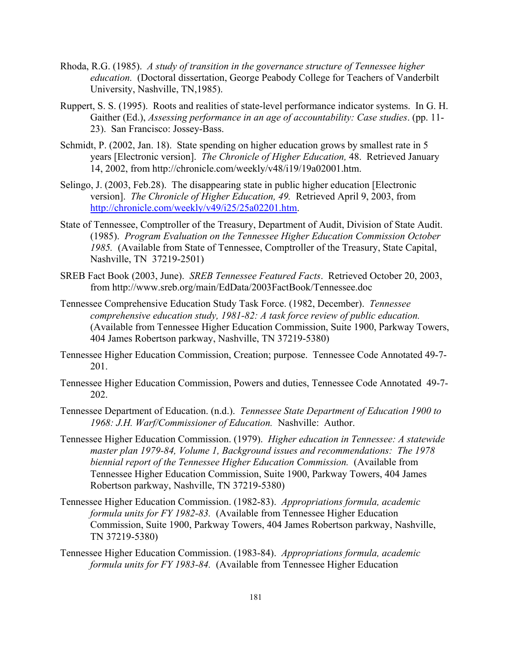- Rhoda, R.G. (1985). *A study of transition in the governance structure of Tennessee higher education.* (Doctoral dissertation, George Peabody College for Teachers of Vanderbilt University, Nashville, TN,1985).
- Ruppert, S. S. (1995). Roots and realities of state-level performance indicator systems. In G. H. Gaither (Ed.), *Assessing performance in an age of accountability: Case studies*. (pp. 11- 23). San Francisco: Jossey-Bass.
- Schmidt, P. (2002, Jan. 18). State spending on higher education grows by smallest rate in 5 years [Electronic version]. *The Chronicle of Higher Education,* 48. Retrieved January 14, 2002, from http://chronicle.com/weekly/v48/i19/19a02001.htm.
- Selingo, J. (2003, Feb.28). The disappearing state in public higher education [Electronic version]. *The Chronicle of Higher Education, 49.* Retrieved April 9, 2003, from http://chronicle.com/weekly/v49/i25/25a02201.htm.
- State of Tennessee, Comptroller of the Treasury, Department of Audit, Division of State Audit. (1985). *Program Evaluation on the Tennessee Higher Education Commission October 1985.* (Available from State of Tennessee, Comptroller of the Treasury, State Capital, Nashville, TN 37219-2501)
- SREB Fact Book (2003, June). *SREB Tennessee Featured Facts*. Retrieved October 20, 2003, from http://www.sreb.org/main/EdData/2003FactBook/Tennessee.doc
- Tennessee Comprehensive Education Study Task Force. (1982, December). *Tennessee comprehensive education study, 1981-82: A task force review of public education.* (Available from Tennessee Higher Education Commission, Suite 1900, Parkway Towers, 404 James Robertson parkway, Nashville, TN 37219-5380)
- Tennessee Higher Education Commission, Creation; purpose. Tennessee Code Annotated 49-7- 201.
- Tennessee Higher Education Commission, Powers and duties, Tennessee Code Annotated 49-7- 202.
- Tennessee Department of Education. (n.d.). *Tennessee State Department of Education 1900 to 1968: J.H. Warf/Commissioner of Education.* Nashville: Author.
- Tennessee Higher Education Commission. (1979). *Higher education in Tennessee: A statewide master plan 1979-84, Volume 1, Background issues and recommendations: The 1978 biennial report of the Tennessee Higher Education Commission.* (Available from Tennessee Higher Education Commission, Suite 1900, Parkway Towers, 404 James Robertson parkway, Nashville, TN 37219-5380)
- Tennessee Higher Education Commission. (1982-83). *Appropriations formula, academic formula units for FY 1982-83.* (Available from Tennessee Higher Education Commission, Suite 1900, Parkway Towers, 404 James Robertson parkway, Nashville, TN 37219-5380)
- Tennessee Higher Education Commission. (1983-84). *Appropriations formula, academic formula units for FY 1983-84.* (Available from Tennessee Higher Education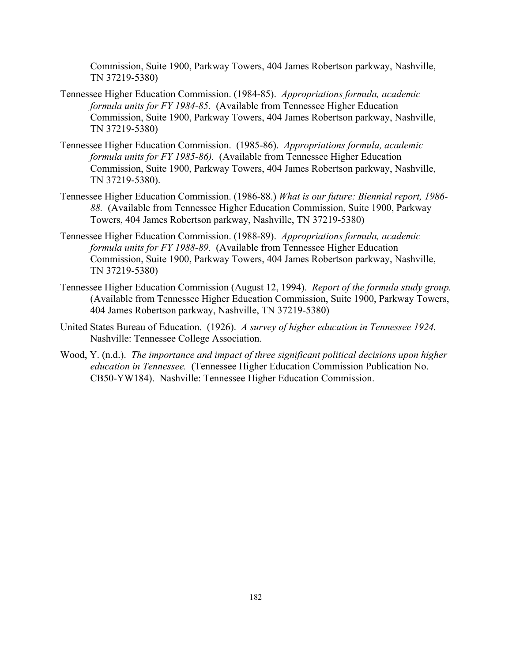Commission, Suite 1900, Parkway Towers, 404 James Robertson parkway, Nashville, TN 37219-5380)

- Tennessee Higher Education Commission. (1984-85). *Appropriations formula, academic formula units for FY 1984-85.* (Available from Tennessee Higher Education Commission, Suite 1900, Parkway Towers, 404 James Robertson parkway, Nashville, TN 37219-5380)
- Tennessee Higher Education Commission. (1985-86). *Appropriations formula, academic formula units for FY 1985-86).* (Available from Tennessee Higher Education Commission, Suite 1900, Parkway Towers, 404 James Robertson parkway, Nashville, TN 37219-5380).
- Tennessee Higher Education Commission. (1986-88.) *What is our future: Biennial report, 1986- 88.* (Available from Tennessee Higher Education Commission, Suite 1900, Parkway Towers, 404 James Robertson parkway, Nashville, TN 37219-5380)
- Tennessee Higher Education Commission. (1988-89). *Appropriations formula, academic formula units for FY 1988-89.* (Available from Tennessee Higher Education Commission, Suite 1900, Parkway Towers, 404 James Robertson parkway, Nashville, TN 37219-5380)
- Tennessee Higher Education Commission (August 12, 1994). *Report of the formula study group.* (Available from Tennessee Higher Education Commission, Suite 1900, Parkway Towers, 404 James Robertson parkway, Nashville, TN 37219-5380)
- United States Bureau of Education. (1926). *A survey of higher education in Tennessee 1924.* Nashville: Tennessee College Association.
- Wood, Y. (n.d.). *The importance and impact of three significant political decisions upon higher education in Tennessee.* (Tennessee Higher Education Commission Publication No. CB50-YW184). Nashville: Tennessee Higher Education Commission.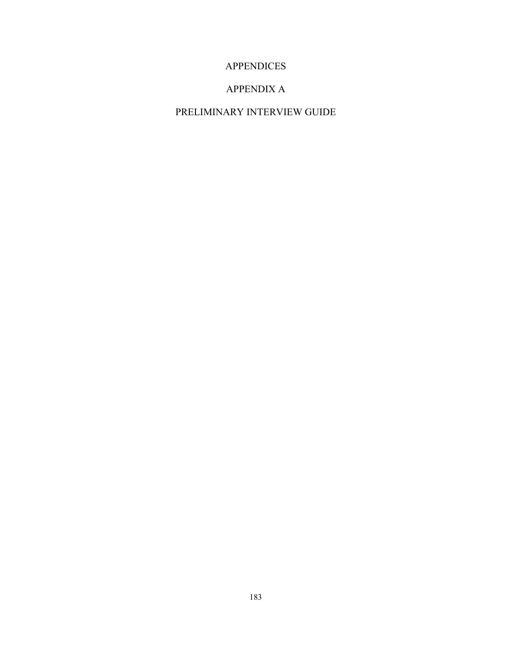## APPENDICES

### APPENDIX A

# PRELIMINARY INTERVIEW GUIDE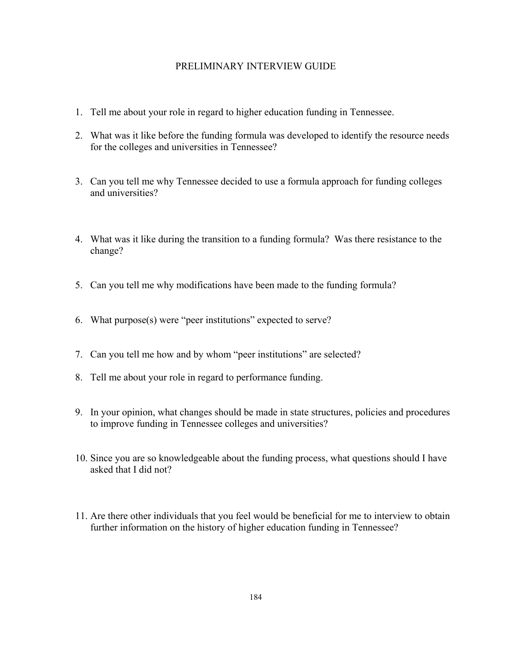#### PRELIMINARY INTERVIEW GUIDE

- 1. Tell me about your role in regard to higher education funding in Tennessee.
- 2. What was it like before the funding formula was developed to identify the resource needs for the colleges and universities in Tennessee?
- 3. Can you tell me why Tennessee decided to use a formula approach for funding colleges and universities?
- 4. What was it like during the transition to a funding formula? Was there resistance to the change?
- 5. Can you tell me why modifications have been made to the funding formula?
- 6. What purpose(s) were "peer institutions" expected to serve?
- 7. Can you tell me how and by whom "peer institutions" are selected?
- 8. Tell me about your role in regard to performance funding.
- 9. In your opinion, what changes should be made in state structures, policies and procedures to improve funding in Tennessee colleges and universities?
- 10. Since you are so knowledgeable about the funding process, what questions should I have asked that I did not?
- 11. Are there other individuals that you feel would be beneficial for me to interview to obtain further information on the history of higher education funding in Tennessee?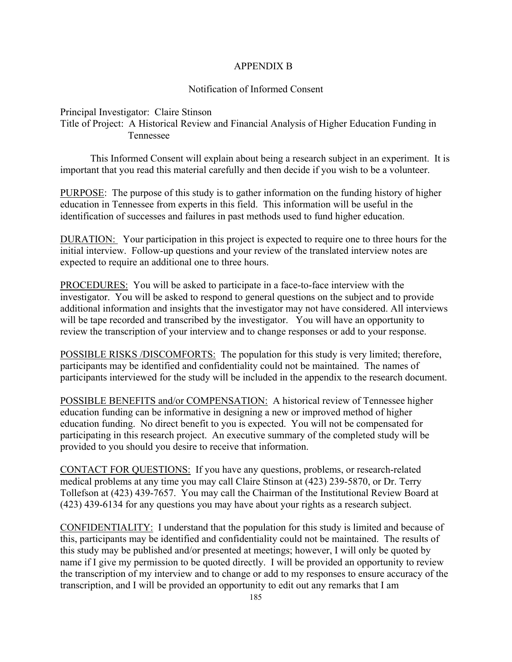#### APPENDIX B

#### Notification of Informed Consent

Principal Investigator: Claire Stinson

Title of Project: A Historical Review and Financial Analysis of Higher Education Funding in Tennessee

This Informed Consent will explain about being a research subject in an experiment. It is important that you read this material carefully and then decide if you wish to be a volunteer.

PURPOSE: The purpose of this study is to gather information on the funding history of higher education in Tennessee from experts in this field. This information will be useful in the identification of successes and failures in past methods used to fund higher education.

DURATION: Your participation in this project is expected to require one to three hours for the initial interview. Follow-up questions and your review of the translated interview notes are expected to require an additional one to three hours.

PROCEDURES: You will be asked to participate in a face-to-face interview with the investigator. You will be asked to respond to general questions on the subject and to provide additional information and insights that the investigator may not have considered. All interviews will be tape recorded and transcribed by the investigator. You will have an opportunity to review the transcription of your interview and to change responses or add to your response.

POSSIBLE RISKS /DISCOMFORTS: The population for this study is very limited; therefore, participants may be identified and confidentiality could not be maintained. The names of participants interviewed for the study will be included in the appendix to the research document.

POSSIBLE BENEFITS and/or COMPENSATION: A historical review of Tennessee higher education funding can be informative in designing a new or improved method of higher education funding. No direct benefit to you is expected. You will not be compensated for participating in this research project. An executive summary of the completed study will be provided to you should you desire to receive that information.

CONTACT FOR QUESTIONS: If you have any questions, problems, or research-related medical problems at any time you may call Claire Stinson at (423) 239-5870, or Dr. Terry Tollefson at (423) 439-7657. You may call the Chairman of the Institutional Review Board at (423) 439-6134 for any questions you may have about your rights as a research subject.

CONFIDENTIALITY: I understand that the population for this study is limited and because of this, participants may be identified and confidentiality could not be maintained. The results of this study may be published and/or presented at meetings; however, I will only be quoted by name if I give my permission to be quoted directly. I will be provided an opportunity to review the transcription of my interview and to change or add to my responses to ensure accuracy of the transcription, and I will be provided an opportunity to edit out any remarks that I am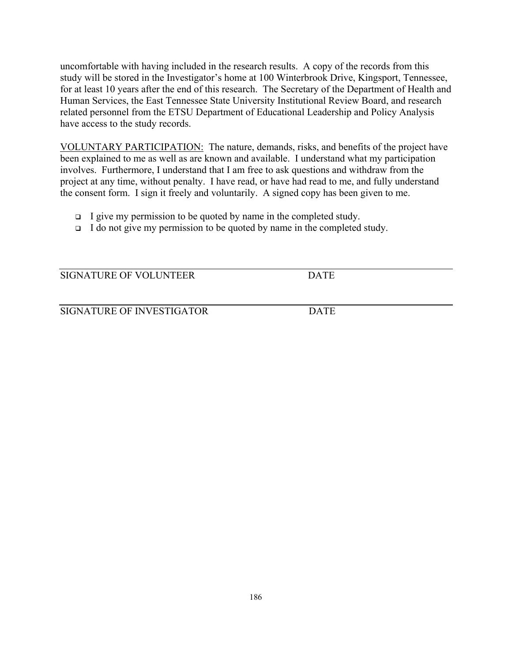uncomfortable with having included in the research results. A copy of the records from this study will be stored in the Investigator's home at 100 Winterbrook Drive, Kingsport, Tennessee, for at least 10 years after the end of this research. The Secretary of the Department of Health and Human Services, the East Tennessee State University Institutional Review Board, and research related personnel from the ETSU Department of Educational Leadership and Policy Analysis have access to the study records.

VOLUNTARY PARTICIPATION: The nature, demands, risks, and benefits of the project have been explained to me as well as are known and available. I understand what my participation involves. Furthermore, I understand that I am free to ask questions and withdraw from the project at any time, without penalty. I have read, or have had read to me, and fully understand the consent form. I sign it freely and voluntarily. A signed copy has been given to me.

- I give my permission to be quoted by name in the completed study.
- $\Box$  I do not give my permission to be quoted by name in the completed study.

SIGNATURE OF VOLUNTEER DATE

SIGNATURE OF INVESTIGATOR DATE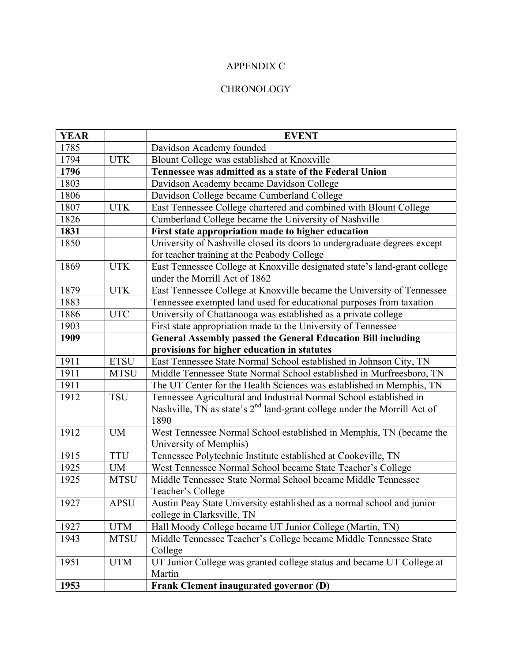### APPENDIX C

### **CHRONOLOGY**

| <b>YEAR</b> |             | <b>EVENT</b>                                                                                               |
|-------------|-------------|------------------------------------------------------------------------------------------------------------|
| 1785        |             | Davidson Academy founded                                                                                   |
| 1794        | <b>UTK</b>  | Blount College was established at Knoxville                                                                |
| 1796        |             | Tennessee was admitted as a state of the Federal Union                                                     |
| 1803        |             | Davidson Academy became Davidson College                                                                   |
| 1806        |             | Davidson College became Cumberland College                                                                 |
| 1807        | <b>UTK</b>  | East Tennessee College chartered and combined with Blount College                                          |
| 1826        |             | Cumberland College became the University of Nashville                                                      |
| 1831        |             | First state appropriation made to higher education                                                         |
| 1850        |             | University of Nashville closed its doors to undergraduate degrees except                                   |
|             |             | for teacher training at the Peabody College                                                                |
| 1869        | <b>UTK</b>  | East Tennessee College at Knoxville designated state's land-grant college<br>under the Morrill Act of 1862 |
| 1879        | <b>UTK</b>  | East Tennessee College at Knoxville became the University of Tennessee                                     |
| 1883        |             | Tennessee exempted land used for educational purposes from taxation                                        |
| 1886        | <b>UTC</b>  | University of Chattanooga was established as a private college                                             |
| 1903        |             | First state appropriation made to the University of Tennessee                                              |
| 1909        |             | <b>General Assembly passed the General Education Bill including</b>                                        |
|             |             | provisions for higher education in statutes                                                                |
| 1911        | <b>ETSU</b> | East Tennessee State Normal School established in Johnson City, TN                                         |
| 1911        | <b>MTSU</b> | Middle Tennessee State Normal School established in Murfreesboro, TN                                       |
| 1911        |             | The UT Center for the Health Sciences was established in Memphis, TN                                       |
| 1912        | <b>TSU</b>  | Tennessee Agricultural and Industrial Normal School established in                                         |
|             |             | Nashville, TN as state's 2 <sup>nd</sup> land-grant college under the Morrill Act of<br>1890               |
| 1912        | <b>UM</b>   | West Tennessee Normal School established in Memphis, TN (became the                                        |
|             |             | University of Memphis)                                                                                     |
| 1915        | <b>TTU</b>  | Tennessee Polytechnic Institute established at Cookeville, TN                                              |
| 1925        | <b>UM</b>   | West Tennessee Normal School became State Teacher's College                                                |
| 1925        | <b>MTSU</b> | Middle Tennessee State Normal School became Middle Tennessee                                               |
|             |             | Teacher's College                                                                                          |
| 1927        | <b>APSU</b> | Austin Peay State University established as a normal school and junior                                     |
|             |             | college in Clarksville, TN                                                                                 |
| 1927        | <b>UTM</b>  | Hall Moody College became UT Junior College (Martin, TN)                                                   |
| 1943        | <b>MTSU</b> | Middle Tennessee Teacher's College became Middle Tennessee State<br>College                                |
| 1951        | <b>UTM</b>  | UT Junior College was granted college status and became UT College at                                      |
|             |             | Martin                                                                                                     |
| 1953        |             | Frank Clement inaugurated governor (D)                                                                     |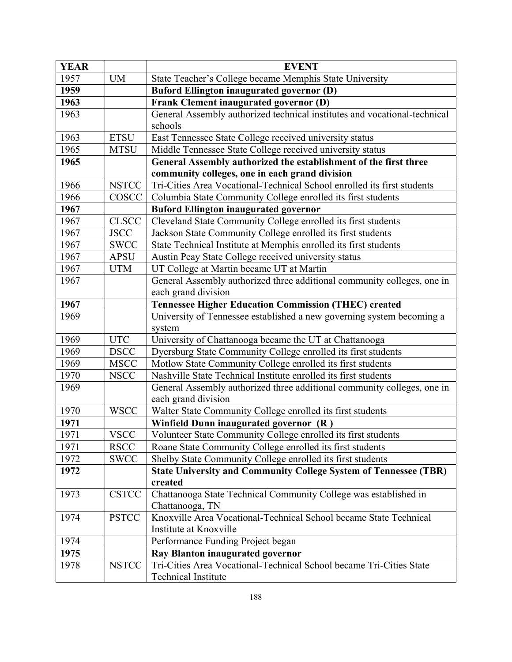| <b>YEAR</b> |              | <b>EVENT</b>                                                              |
|-------------|--------------|---------------------------------------------------------------------------|
| 1957        | <b>UM</b>    | State Teacher's College became Memphis State University                   |
| 1959        |              | <b>Buford Ellington inaugurated governor (D)</b>                          |
| 1963        |              | Frank Clement inaugurated governor (D)                                    |
| 1963        |              | General Assembly authorized technical institutes and vocational-technical |
|             |              | schools                                                                   |
| 1963        | <b>ETSU</b>  | East Tennessee State College received university status                   |
| 1965        | <b>MTSU</b>  | Middle Tennessee State College received university status                 |
| 1965        |              | General Assembly authorized the establishment of the first three          |
|             |              | community colleges, one in each grand division                            |
| 1966        | <b>NSTCC</b> | Tri-Cities Area Vocational-Technical School enrolled its first students   |
| 1966        | COSCC        | Columbia State Community College enrolled its first students              |
| 1967        |              | <b>Buford Ellington inaugurated governor</b>                              |
| 1967        | <b>CLSCC</b> | Cleveland State Community College enrolled its first students             |
| 1967        | <b>JSCC</b>  | Jackson State Community College enrolled its first students               |
| 1967        | <b>SWCC</b>  | State Technical Institute at Memphis enrolled its first students          |
| 1967        | <b>APSU</b>  | Austin Peay State College received university status                      |
| 1967        | <b>UTM</b>   | UT College at Martin became UT at Martin                                  |
| 1967        |              | General Assembly authorized three additional community colleges, one in   |
|             |              | each grand division                                                       |
| 1967        |              | <b>Tennessee Higher Education Commission (THEC) created</b>               |
| 1969        |              | University of Tennessee established a new governing system becoming a     |
|             |              | system                                                                    |
| 1969        | <b>UTC</b>   | University of Chattanooga became the UT at Chattanooga                    |
| 1969        | <b>DSCC</b>  | Dyersburg State Community College enrolled its first students             |
| 1969        | <b>MSCC</b>  | Motlow State Community College enrolled its first students                |
| 1970        | <b>NSCC</b>  | Nashville State Technical Institute enrolled its first students           |
| 1969        |              | General Assembly authorized three additional community colleges, one in   |
|             |              | each grand division                                                       |
| 1970        | <b>WSCC</b>  | Walter State Community College enrolled its first students                |
| 1971        |              | Winfield Dunn inaugurated governor (R)                                    |
| 1971        | <b>VSCC</b>  | Volunteer State Community College enrolled its first students             |
| 1971        | <b>RSCC</b>  | Roane State Community College enrolled its first students                 |
| 1972        | <b>SWCC</b>  | Shelby State Community College enrolled its first students                |
| 1972        |              | <b>State University and Community College System of Tennessee (TBR)</b>   |
|             |              | created                                                                   |
| 1973        | <b>CSTCC</b> | Chattanooga State Technical Community College was established in          |
|             |              | Chattanooga, TN                                                           |
| 1974        | <b>PSTCC</b> | Knoxville Area Vocational-Technical School became State Technical         |
|             |              | Institute at Knoxville                                                    |
| 1974        |              | Performance Funding Project began                                         |
| 1975        |              | <b>Ray Blanton inaugurated governor</b>                                   |
| 1978        | <b>NSTCC</b> | Tri-Cities Area Vocational-Technical School became Tri-Cities State       |
|             |              | <b>Technical Institute</b>                                                |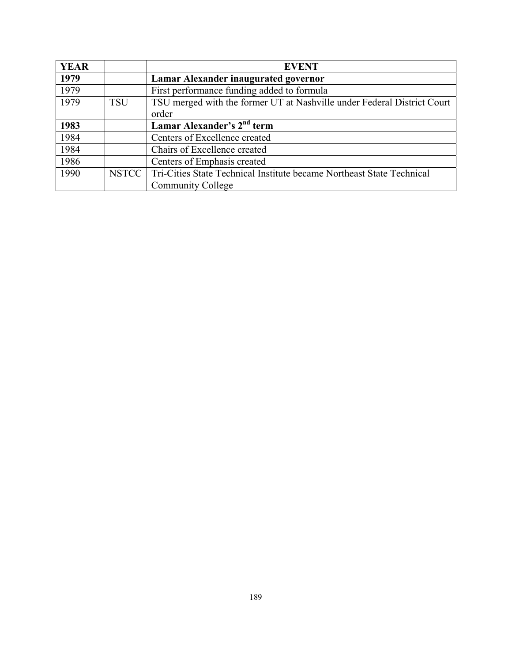| <b>YEAR</b> |            | <b>EVENT</b>                                                            |
|-------------|------------|-------------------------------------------------------------------------|
| 1979        |            | Lamar Alexander inaugurated governor                                    |
| 1979        |            | First performance funding added to formula                              |
| 1979        | <b>TSU</b> | TSU merged with the former UT at Nashville under Federal District Court |
|             |            | order                                                                   |
| 1983        |            | Lamar Alexander's 2 <sup>nd</sup> term                                  |
| 1984        |            | Centers of Excellence created                                           |
| 1984        |            | Chairs of Excellence created                                            |
| 1986        |            | Centers of Emphasis created                                             |
| 1990        | NSTCC      | Tri-Cities State Technical Institute became Northeast State Technical   |
|             |            | <b>Community College</b>                                                |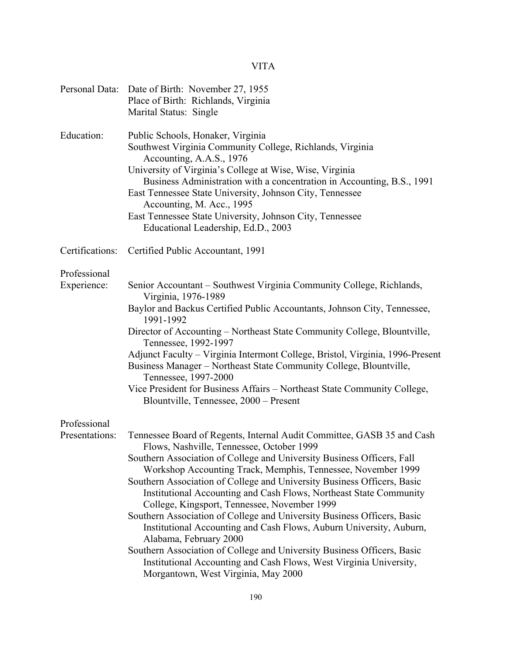# VITA

| Personal Data:  | Date of Birth: November 27, 1955<br>Place of Birth: Richlands, Virginia<br>Marital Status: Single                                                                                                                                                                                                                                                                                                                                                            |
|-----------------|--------------------------------------------------------------------------------------------------------------------------------------------------------------------------------------------------------------------------------------------------------------------------------------------------------------------------------------------------------------------------------------------------------------------------------------------------------------|
| Education:      | Public Schools, Honaker, Virginia<br>Southwest Virginia Community College, Richlands, Virginia<br>Accounting, A.A.S., 1976<br>University of Virginia's College at Wise, Wise, Virginia<br>Business Administration with a concentration in Accounting, B.S., 1991<br>East Tennessee State University, Johnson City, Tennessee<br>Accounting, M. Acc., 1995<br>East Tennessee State University, Johnson City, Tennessee<br>Educational Leadership, Ed.D., 2003 |
| Certifications: | Certified Public Accountant, 1991                                                                                                                                                                                                                                                                                                                                                                                                                            |
| Professional    |                                                                                                                                                                                                                                                                                                                                                                                                                                                              |
| Experience:     | Senior Accountant – Southwest Virginia Community College, Richlands,<br>Virginia, 1976-1989                                                                                                                                                                                                                                                                                                                                                                  |
|                 | Baylor and Backus Certified Public Accountants, Johnson City, Tennessee,<br>1991-1992                                                                                                                                                                                                                                                                                                                                                                        |
|                 | Director of Accounting - Northeast State Community College, Blountville,<br>Tennessee, 1992-1997                                                                                                                                                                                                                                                                                                                                                             |
|                 | Adjunct Faculty - Virginia Intermont College, Bristol, Virginia, 1996-Present<br>Business Manager – Northeast State Community College, Blountville,<br>Tennessee, 1997-2000                                                                                                                                                                                                                                                                                  |
|                 | Vice President for Business Affairs - Northeast State Community College,<br>Blountville, Tennessee, 2000 – Present                                                                                                                                                                                                                                                                                                                                           |
| Professional    |                                                                                                                                                                                                                                                                                                                                                                                                                                                              |
| Presentations:  | Tennessee Board of Regents, Internal Audit Committee, GASB 35 and Cash<br>Flows, Nashville, Tennessee, October 1999                                                                                                                                                                                                                                                                                                                                          |
|                 | Southern Association of College and University Business Officers, Fall<br>Workshop Accounting Track, Memphis, Tennessee, November 1999<br>Southern Association of College and University Business Officers, Basic<br>Institutional Accounting and Cash Flows, Northeast State Community                                                                                                                                                                      |
|                 | College, Kingsport, Tennessee, November 1999<br>Southern Association of College and University Business Officers, Basic<br>Institutional Accounting and Cash Flows, Auburn University, Auburn,                                                                                                                                                                                                                                                               |
|                 | Alabama, February 2000<br>Southern Association of College and University Business Officers, Basic<br>Institutional Accounting and Cash Flows, West Virginia University,<br>Morgantown, West Virginia, May 2000                                                                                                                                                                                                                                               |